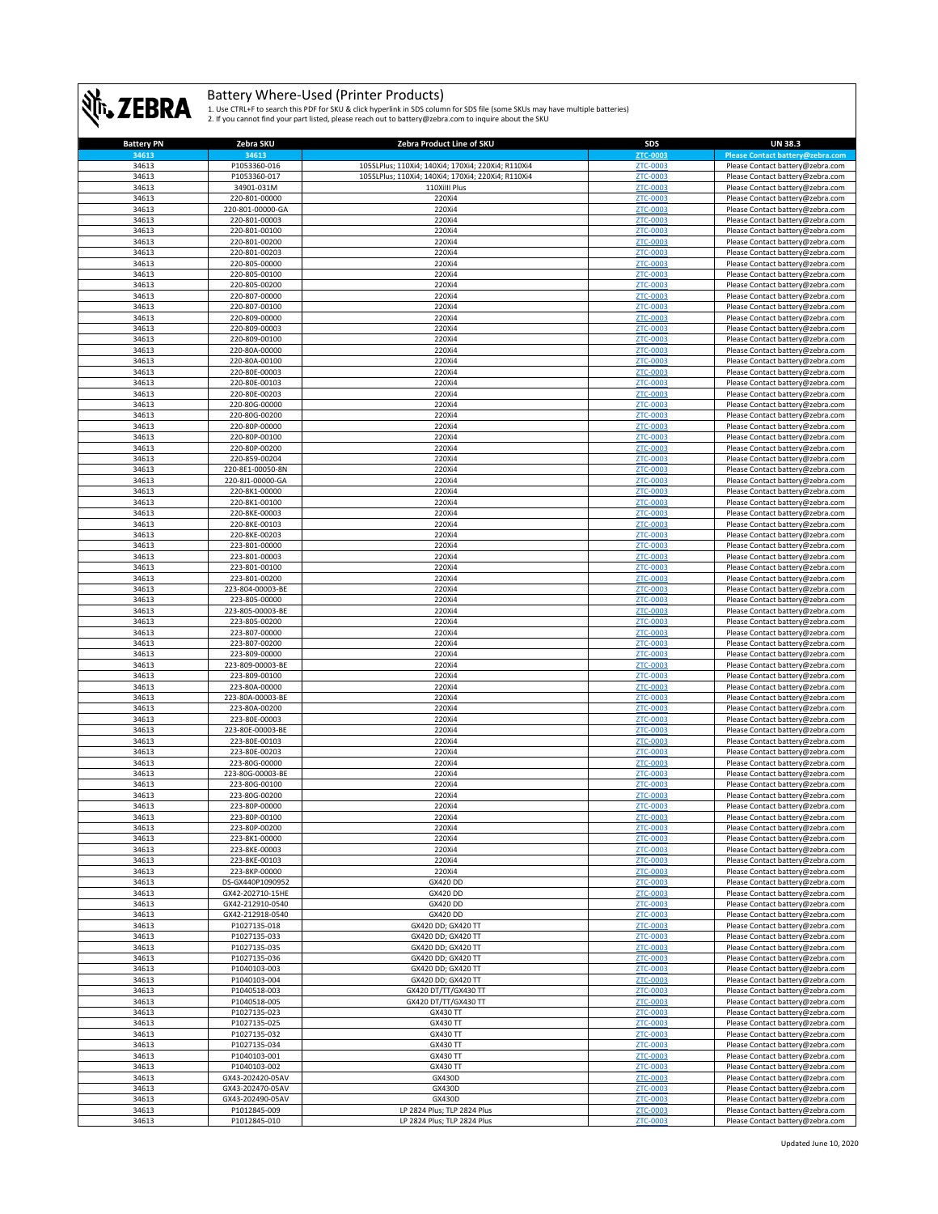

| <b>Battery PN</b> | Zebra SKU                            | Zebra Product Line of SKU                          | <b>SDS</b>                  | <b>UN 38.3</b>                                                       |
|-------------------|--------------------------------------|----------------------------------------------------|-----------------------------|----------------------------------------------------------------------|
| 34613             | 34613                                |                                                    | ZTC-0003                    | Please Contact battery@zebra.com                                     |
| 34613             | P1053360-016                         | 105SLPlus; 110Xi4; 140Xi4; 170Xi4; 220Xi4; R110Xi4 | ZTC-0003                    | Please Contact battery@zebra.com                                     |
| 34613             | P1053360-017                         | 105SLPlus; 110Xi4; 140Xi4; 170Xi4; 220Xi4; R110Xi4 | ZTC-0003                    | Please Contact battery@zebra.com                                     |
| 34613             | 34901-031M                           | 110XiIII Plus                                      | ZTC-0003                    | Please Contact battery@zebra.com                                     |
| 34613<br>34613    | 220-801-00000<br>220-801-00000-GA    | 220Xi4<br>220Xi4                                   | ZTC-0003<br><b>ZTC-0003</b> | Please Contact battery@zebra.com<br>Please Contact battery@zebra.com |
| 34613             | 220-801-00003                        | 220Xi4                                             | <b>ZTC-0003</b>             | Please Contact battery@zebra.com                                     |
| 34613             | 220-801-00100                        | 220Xi4                                             | <b>ZTC-0003</b>             | Please Contact battery@zebra.com                                     |
| 34613             | 220-801-00200                        | 220Xi4                                             | <b>ZTC-0003</b>             | Please Contact battery@zebra.com                                     |
| 34613             | 220-801-00203                        | 220Xi4                                             | ZTC-0003                    | Please Contact battery@zebra.com                                     |
| 34613             | 220-805-00000                        | 220Xi4                                             | ZTC-0003                    | Please Contact battery@zebra.com                                     |
| 34613             | 220-805-00100                        | 220Xi4                                             | <b>ZTC-0003</b>             | Please Contact battery@zebra.com                                     |
| 34613             | 220-805-00200                        | 220Xi4                                             | ZTC-0003                    | Please Contact battery@zebra.com                                     |
| 34613             | 220-807-00000                        | 220Xi4                                             | ZTC-0003                    | Please Contact battery@zebra.com                                     |
| 34613             | 220-807-00100                        | 220Xi4                                             | <b>ZTC-0003</b>             | Please Contact battery@zebra.com                                     |
| 34613             | 220-809-00000                        | 220Xi4                                             | <b>ZTC-0003</b>             | Please Contact battery@zebra.com                                     |
| 34613<br>34613    | 220-809-00003<br>220-809-00100       | 220Xi4<br>220Xi4                                   | <b>ZTC-0003</b><br>ZTC-0003 | Please Contact battery@zebra.com<br>Please Contact battery@zebra.com |
| 34613             | 220-80A-00000                        | 220Xi4                                             | ZTC-0003                    | Please Contact battery@zebra.com                                     |
| 34613             | 220-80A-00100                        | 220Xi4                                             | <b>ZTC-0003</b>             | Please Contact battery@zebra.com                                     |
| 34613             | 220-80E-00003                        | 220Xi4                                             | ZTC-0003                    | Please Contact battery@zebra.com                                     |
| 34613             | 220-80E-00103                        | 220Xi4                                             | ZTC-0003                    | Please Contact battery@zebra.com                                     |
| 34613             | 220-80E-00203                        | 220Xi4                                             | ZTC-0003                    | Please Contact battery@zebra.com                                     |
| 34613             | 220-80G-00000                        | 220Xi4                                             | <b>ZTC-0003</b>             | Please Contact battery@zebra.com                                     |
| 34613             | 220-80G-00200                        | 220Xi4                                             | <b>ZTC-0003</b>             | Please Contact battery@zebra.com                                     |
| 34613             | 220-80P-00000                        | 220Xi4                                             | ZTC-0003                    | Please Contact battery@zebra.com                                     |
| 34613<br>34613    | 220-80P-00100<br>220-80P-00200       | 220Xi4<br>220Xi4                                   | ZTC-0003<br><b>ZTC-0003</b> | Please Contact battery@zebra.com<br>Please Contact battery@zebra.com |
| 34613             | 220-859-00204                        | 220Xi4                                             | <b>ZTC-0003</b>             | Please Contact battery@zebra.com                                     |
| 34613             | 220-8E1-00050-8N                     | 220Xi4                                             | ZTC-0003                    | Please Contact battery@zebra.com                                     |
| 34613             | 220-8J1-00000-GA                     | 220Xi4                                             | <b>ZTC-0003</b>             | Please Contact battery@zebra.com                                     |
| 34613             | 220-8K1-00000                        | 220Xi4                                             | ZTC-0003                    | Please Contact battery@zebra.com                                     |
| 34613             | 220-8K1-00100                        | 220Xi4                                             | <b>ZTC-0003</b>             | Please Contact battery@zebra.com                                     |
| 34613             | 220-8KE-00003                        | 220Xi4                                             | <b>ZTC-0003</b>             | Please Contact battery@zebra.com                                     |
| 34613             | 220-8KE-00103                        | 220Xi4                                             | ZTC-0003                    | Please Contact battery@zebra.com                                     |
| 34613             | 220-8KE-00203                        | 220Xi4                                             | ZTC-0003                    | Please Contact battery@zebra.com                                     |
| 34613<br>34613    | 223-801-00000                        | 220Xi4<br>220Xi4                                   | ZTC-0003<br><b>ZTC-0003</b> | Please Contact battery@zebra.com<br>Please Contact battery@zebra.com |
| 34613             | 223-801-00003<br>223-801-00100       | 220Xi4                                             | ZTC-0003                    | Please Contact battery@zebra.com                                     |
| 34613             | 223-801-00200                        | 220Xi4                                             | <b>ZTC-0003</b>             | Please Contact battery@zebra.com                                     |
| 34613             | 223-804-00003-BE                     | 220Xi4                                             | ZTC-0003                    | Please Contact battery@zebra.com                                     |
| 34613             | 223-805-00000                        | 220Xi4                                             | <b>ZTC-0003</b>             | Please Contact battery@zebra.com                                     |
| 34613             | 223-805-00003-BE                     | 220Xi4                                             | <b>ZTC-0003</b>             | Please Contact battery@zebra.com                                     |
| 34613             | 223-805-00200                        | 220Xi4                                             | <b>ZTC-0003</b>             | Please Contact battery@zebra.com                                     |
| 34613             | 223-807-00000                        | 220Xi4                                             | <b>ZTC-0003</b>             | Please Contact battery@zebra.com                                     |
| 34613             | 223-807-00200                        | 220Xi4                                             | ZTC-0003                    | Please Contact battery@zebra.com                                     |
| 34613             | 223-809-00000                        | 220Xi4                                             | ZTC-0003                    | Please Contact battery@zebra.com                                     |
| 34613             | 223-809-00003-BE                     | 220Xi4<br>220Xi4                                   | ZTC-0003<br><b>ZTC-0003</b> | Please Contact battery@zebra.com                                     |
| 34613<br>34613    | 223-809-00100<br>223-80A-00000       | 220Xi4                                             | <b>ZTC-0003</b>             | Please Contact battery@zebra.com<br>Please Contact battery@zebra.com |
| 34613             | 223-80A-00003-BE                     | 220Xi4                                             | <b>ZTC-0003</b>             | Please Contact battery@zebra.com                                     |
| 34613             | 223-80A-00200                        | 220Xi4                                             | ZTC-0003                    | Please Contact battery@zebra.com                                     |
| 34613             | 223-80E-00003                        | 220Xi4                                             | <b>ZTC-0003</b>             | Please Contact battery@zebra.com                                     |
| 34613             | 223-80E-00003-BE                     | 220Xi4                                             | ZTC-0003                    | Please Contact battery@zebra.com                                     |
| 34613             | 223-80E-00103                        | 220Xi4                                             | ZTC-0003                    | Please Contact battery@zebra.com                                     |
| 34613             | 223-80E-00203                        | 220Xi4                                             | <b>ZTC-0003</b>             | Please Contact battery@zebra.com                                     |
| 34613             | 223-80G-00000                        | 220Xi4                                             | ZTC-0003                    | Please Contact battery@zebra.com                                     |
| 34613             | 223-80G-00003-BE                     | 220Xi4                                             | <b>ZTC-0003</b>             | Please Contact battery@zebra.com                                     |
| 34613<br>34613    | 223-80G-00100<br>223-80G-00200       | 220Xi4<br>220Xi4                                   | <b>ZTC-0003</b><br>ZTC-0003 | Please Contact battery@zebra.com<br>Please Contact battery@zebra.com |
| 34613             | 223-80P-00000                        | 220Xi4                                             | <b>ZTC-0003</b>             | Please Contact battery@zebra.com                                     |
| 34613             | 223-80P-00100                        | 220Xi4                                             | <b>7TC-000</b>              | Please Contact battery@zebr                                          |
| 34613             | 223-80P-00200                        | 220Xi4                                             | ZTC-0003                    | Please Contact battery@zebra.com                                     |
| 34613             | 223-8K1-00000                        | 220Xi4                                             | <b>ZTC-0003</b>             | Please Contact battery@zebra.com                                     |
| 34613             | 223-8KE-00003                        | 220Xi4                                             | ZTC-0003                    | Please Contact battery@zebra.com                                     |
| 34613             | 223-8KE-00103                        | 220Xi4                                             | ZTC-0003                    | Please Contact battery@zebra.com                                     |
| 34613             | 223-8KP-00000                        | 220Xi4                                             | <b>ZTC-0003</b>             | Please Contact battery@zebra.com                                     |
| 34613             | DS-GX440P1090952                     | GX420 DD                                           | ZTC-0003                    | Please Contact battery@zebra.com                                     |
| 34613<br>34613    | GX42-202710-15HE<br>GX42-212910-0540 | GX420 DD<br>GX420 DD                               | <b>ZTC-0003</b><br>ZTC-0003 | Please Contact battery@zebra.com<br>Please Contact battery@zebra.com |
| 34613             | GX42-212918-0540                     | <b>GX420 DD</b>                                    | ZTC-0003                    | Please Contact battery@zebra.com                                     |
| 34613             | P1027135-018                         | GX420 DD; GX420 TT                                 | ZTC-0003                    | Please Contact battery@zebra.com                                     |
| 34613             | P1027135-033                         | GX420 DD; GX420 TT                                 | <b>ZTC-0003</b>             | Please Contact battery@zebra.com                                     |
| 34613             | P1027135-035                         | GX420 DD; GX420 TT                                 | ZTC-0003                    | Please Contact battery@zebra.com                                     |
| 34613             | P1027135-036                         | GX420 DD; GX420 TT                                 | <b>ZTC-0003</b>             | Please Contact battery@zebra.com                                     |
| 34613             | P1040103-003                         | GX420 DD; GX420 TT                                 | ZTC-0003                    | Please Contact battery@zebra.com                                     |
| 34613             | P1040103-004                         | GX420 DD; GX420 TT                                 | <b>ZTC-0003</b>             | Please Contact battery@zebra.com                                     |
| 34613<br>34613    | P1040518-003<br>P1040518-005         | GX420 DT/TT/GX430 TT<br>GX420 DT/TT/GX430 TT       | <b>ZTC-0003</b><br>ZTC-0003 | Please Contact battery@zebra.com<br>Please Contact battery@zebra.com |
| 34613             | P1027135-023                         | GX430 TT                                           | ZTC-0003                    | Please Contact battery@zebra.com                                     |
| 34613             | P1027135-025                         | GX430 TT                                           | <b>ZTC-0003</b>             | Please Contact battery@zebra.com                                     |
| 34613             | P1027135-032                         | GX430 TT                                           | ZTC-0003                    | Please Contact battery@zebra.com                                     |
| 34613             | P1027135-034                         | GX430 TT                                           | ZTC-0003                    | Please Contact battery@zebra.com                                     |
| 34613             | P1040103-001                         | GX430 TT                                           | ZTC-0003                    | Please Contact battery@zebra.com                                     |
| 34613             | P1040103-002                         | GX430 TT                                           | <b>ZTC-0003</b>             | Please Contact battery@zebra.com                                     |
| 34613             | GX43-202420-05AV                     | GX430D                                             | <b>ZTC-0003</b>             | Please Contact battery@zebra.com                                     |
| 34613             | GX43-202470-05AV                     | GX430D                                             | ZTC-0003                    | Please Contact battery@zebra.com                                     |
| 34613<br>34613    | GX43-202490-05AV<br>P1012845-009     | GX430D<br>LP 2824 Plus; TLP 2824 Plus              | ZTC-0003<br>ZTC-0003        | Please Contact battery@zebra.com<br>Please Contact battery@zebra.com |
| 34613             | P1012845-010                         | LP 2824 Plus; TLP 2824 Plus                        | ZTC-0003                    | Please Contact battery@zebra.com                                     |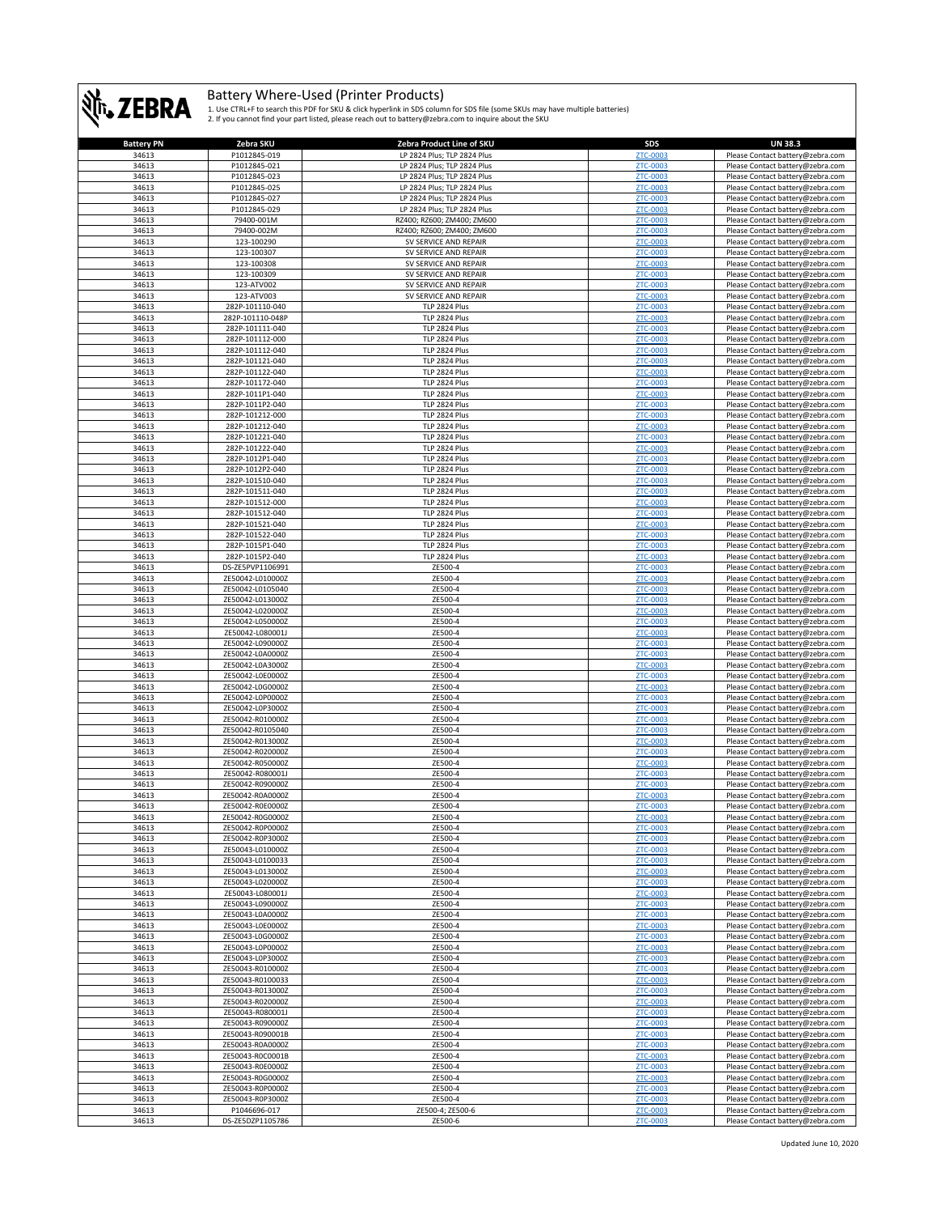

| <b>Battery PN</b> | Zebra SKU        | Zebra Product Line of SKU   | SDS             | <b>UN 38.3</b>                   |
|-------------------|------------------|-----------------------------|-----------------|----------------------------------|
| 34613             | P1012845-019     | LP 2824 Plus; TLP 2824 Plus | ZTC-0003        | Please Contact battery@zebra.com |
| 34613             | P1012845-021     | LP 2824 Plus; TLP 2824 Plus | <b>ZTC-0003</b> | Please Contact battery@zebra.com |
| 34613             | P1012845-023     |                             |                 |                                  |
|                   |                  | LP 2824 Plus; TLP 2824 Plus | ZTC-0003        | Please Contact battery@zebra.com |
| 34613             | P1012845-025     | LP 2824 Plus; TLP 2824 Plus | ZTC-0003        | Please Contact battery@zebra.com |
| 34613             | P1012845-027     | LP 2824 Plus; TLP 2824 Plus | ZTC-0003        | Please Contact battery@zebra.com |
| 34613             | P1012845-029     | LP 2824 Plus; TLP 2824 Plus | ZTC-0003        | Please Contact battery@zebra.com |
| 34613             | 79400-001M       | RZ400; RZ600; ZM400; ZM600  | ZTC-0003        | Please Contact battery@zebra.com |
| 34613             | 79400-002M       | RZ400; RZ600; ZM400; ZM600  |                 |                                  |
|                   |                  |                             | <b>ZTC-0003</b> | Please Contact battery@zebra.com |
| 34613             | 123-100290       | SV SERVICE AND REPAIR       | ZTC-0003        | Please Contact battery@zebra.com |
| 34613             | 123-100307       | SV SERVICE AND REPAIR       | ZTC-0003        | Please Contact battery@zebra.com |
| 34613             | 123-100308       | SV SERVICE AND REPAIR       | ZTC-0003        | Please Contact battery@zebra.com |
| 34613             | 123-100309       | SV SERVICE AND REPAIR       | <b>ZTC-0003</b> | Please Contact battery@zebra.com |
|                   |                  | SV SERVICE AND REPAIR       | <b>ZTC-0003</b> | Please Contact battery@zebra.com |
| 34613             | 123-ATV002       |                             |                 |                                  |
| 34613             | 123-ATV003       | SV SERVICE AND REPAIR       | ZTC-0003        | Please Contact battery@zebra.com |
| 34613             | 282P-101110-040  | TLP 2824 Plus               | ZTC-0003        | Please Contact battery@zebra.com |
| 34613             | 282P-101110-048P | TLP 2824 Plus               | <b>ZTC-0003</b> | Please Contact battery@zebra.com |
| 34613             | 282P-101111-040  | TLP 2824 Plus               | ZTC-0003        | Please Contact battery@zebra.com |
| 34613             | 282P-101112-000  | TLP 2824 Plus               | ZTC-0003        | Please Contact battery@zebra.com |
|                   |                  |                             |                 |                                  |
| 34613             | 282P-101112-040  | TLP 2824 Plus               | ZTC-0003        | Please Contact battery@zebra.com |
| 34613             | 282P-101121-040  | TLP 2824 Plus               | ZTC-0003        | Please Contact battery@zebra.com |
| 34613             | 282P-101122-040  | TLP 2824 Plus               | ZTC-0003        | Please Contact battery@zebra.com |
| 34613             | 282P-101172-040  | TLP 2824 Plus               | <b>ZTC-0003</b> | Please Contact battery@zebra.com |
| 34613             | 282P-1011P1-040  | TLP 2824 Plus               | <b>ZTC-0003</b> | Please Contact battery@zebra.com |
|                   |                  |                             |                 |                                  |
| 34613             | 282P-1011P2-040  | TLP 2824 Plus               | ZTC-0003        | Please Contact battery@zebra.com |
| 34613             | 282P-101212-000  | TLP 2824 Plus               | ZTC-0003        | Please Contact battery@zebra.com |
| 34613             | 282P-101212-040  | TLP 2824 Plus               | ZTC-0003        | Please Contact battery@zebra.com |
| 34613             | 282P-101221-040  | TLP 2824 Plus               | ZTC-0003        | Please Contact battery@zebra.com |
| 34613             | 282P-101222-040  | TLP 2824 Plus               | ZTC-0003        | Please Contact battery@zebra.com |
|                   |                  |                             | ZTC-0003        |                                  |
| 34613             | 282P-1012P1-040  | TLP 2824 Plus               |                 | Please Contact battery@zebra.com |
| 34613             | 282P-1012P2-040  | TLP 2824 Plus               | ZTC-0003        | Please Contact battery@zebra.com |
| 34613             | 282P-101510-040  | TLP 2824 Plus               | ZTC-0003        | Please Contact battery@zebra.com |
| 34613             | 282P-101511-040  | TLP 2824 Plus               | ZTC-0003        | Please Contact battery@zebra.com |
| 34613             | 282P-101512-000  | TLP 2824 Plus               | ZTC-0003        | Please Contact battery@zebra.com |
|                   |                  |                             |                 |                                  |
| 34613             | 282P-101512-040  | TLP 2824 Plus               | ZTC-0003        | Please Contact battery@zebra.com |
| 34613             | 282P-101521-040  | TLP 2824 Plus               | ZTC-0003        | Please Contact battery@zebra.com |
| 34613             | 282P-101522-040  | TLP 2824 Plus               | ZTC-0003        | Please Contact battery@zebra.com |
| 34613             | 282P-1015P1-040  | TLP 2824 Plus               | ZTC-0003        | Please Contact battery@zebra.com |
| 34613             | 282P-1015P2-040  | TLP 2824 Plus               | ZTC-0003        | Please Contact battery@zebra.com |
|                   |                  |                             |                 |                                  |
| 34613             | DS-ZE5PVP1106991 | ZE500-4                     | ZTC-0003        | Please Contact battery@zebra.com |
| 34613             | ZE50042-L010000Z | ZE500-4                     | ZTC-0003        | Please Contact battery@zebra.com |
| 34613             | ZE50042-L0105040 | ZE500-4                     | ZTC-0003        | Please Contact battery@zebra.com |
| 34613             | ZE50042-L013000Z | ZE500-4                     | ZTC-0003        | Please Contact battery@zebra.com |
| 34613             | ZE50042-L020000Z | ZE500-4                     | <b>ZTC-0003</b> | Please Contact battery@zebra.com |
|                   |                  |                             |                 |                                  |
| 34613             | ZE50042-L050000Z | ZE500-4                     | ZTC-0003        | Please Contact battery@zebra.com |
| 34613             | ZE50042-L080001J | ZE500-4                     | ZTC-0003        | Please Contact battery@zebra.com |
| 34613             | ZE50042-L090000Z | ZE500-4                     | <b>ZTC-0003</b> | Please Contact battery@zebra.com |
| 34613             | ZE50042-L0A0000Z | ZE500-4                     | ZTC-0003        | Please Contact battery@zebra.com |
|                   |                  |                             |                 |                                  |
| 34613             | ZE50042-L0A3000Z | ZE500-4                     | ZTC-0003        | Please Contact battery@zebra.com |
| 34613             | ZE50042-L0E0000Z | ZE500-4                     | ZTC-0003        | Please Contact battery@zebra.com |
| 34613             | ZE50042-L0G0000Z | ZE500-4                     | ZTC-0003        | Please Contact battery@zebra.com |
| 34613             | ZE50042-L0P0000Z | ZE500-4                     | ZTC-0003        | Please Contact battery@zebra.com |
| 34613             | ZE50042-L0P3000Z | ZE500-4                     | ZTC-0003        | Please Contact battery@zebra.com |
|                   |                  |                             |                 |                                  |
| 34613             | ZE50042-R010000Z | ZE500-4                     | ZTC-0003        | Please Contact battery@zebra.com |
| 34613             | ZE50042-R0105040 | ZE500-4                     | ZTC-0003        | Please Contact battery@zebra.com |
| 34613             | ZE50042-R013000Z | ZE500-4                     | ZTC-0003        | Please Contact battery@zebra.com |
| 34613             | ZE50042-R020000Z | ZE500-4                     | ZTC-0003        | Please Contact battery@zebra.com |
| 34613             | ZE50042-R050000Z | ZE500-4                     | <b>ZTC-0003</b> | Please Contact battery@zebra.com |
|                   |                  |                             | ZTC-0003        |                                  |
| 34613             | ZE50042-R080001J | ZE500-4                     |                 | Please Contact battery@zebra.com |
| 34613             | ZE50042-R090000Z | ZE500-4                     | ZTC-0003        | Please Contact battery@zebra.com |
| 34613             | ZE50042-R0A0000Z | ZE500-4                     | ZTC-0003        | Please Contact battery@zebra.com |
| 34613             | ZE50042-R0E0000Z | ZE500-4                     | ZTC-0003        | Please Contact battery@zebra.com |
| 34613             | ZE50042-R0G00002 | ZE500-4                     |                 | Please Contact battery@zebra.com |
| 34613             | ZE50042-R0P0000Z | ZE500-4                     | <b>ZTC-0003</b> | Please Contact battery@zebra.com |
| 34613             | ZE50042-R0P3000Z | ZE500-4                     | ZTC-0003        |                                  |
|                   |                  |                             |                 | Please Contact battery@zebra.com |
| 34613             | ZE50043-L010000Z | ZE500-4                     | ZTC-0003        | Please Contact battery@zebra.com |
| 34613             | ZE50043-L0100033 | ZE500-4                     | ZTC-0003        | Please Contact battery@zebra.com |
| 34613             | ZE50043-L013000Z | ZE500-4                     | ZTC-0003        | Please Contact battery@zebra.com |
| 34613             | ZE50043-L020000Z | ZE500-4                     | <b>ZTC-0003</b> | Please Contact battery@zebra.com |
| 34613             | ZE50043-L080001J | ZE500-4                     | ZTC-0003        | Please Contact battery@zebra.com |
|                   |                  |                             |                 |                                  |
| 34613             | ZE50043-L090000Z | ZE500-4                     | <b>ZTC-0003</b> | Please Contact battery@zebra.com |
| 34613             | ZE50043-L0A0000Z | ZE500-4                     | ZTC-0003        | Please Contact battery@zebra.com |
| 34613             | ZE50043-L0E0000Z | ZE500-4                     | <b>ZTC-0003</b> | Please Contact battery@zebra.com |
| 34613             | ZE50043-L0G0000Z | ZE500-4                     | ZTC-0003        | Please Contact battery@zebra.com |
| 34613             | ZE50043-L0P0000Z | ZE500-4                     | ZTC-0003        | Please Contact battery@zebra.com |
| 34613             | ZE50043-L0P3000Z | ZE500-4                     | ZTC-0003        | Please Contact battery@zebra.com |
|                   |                  |                             |                 |                                  |
| 34613             | ZE50043-R010000Z | ZE500-4                     | ZTC-0003        | Please Contact battery@zebra.com |
| 34613             | ZE50043-R0100033 | ZE500-4                     | <b>ZTC-0003</b> | Please Contact battery@zebra.com |
| 34613             | ZE50043-R013000Z | ZE500-4                     | ZTC-0003        | Please Contact battery@zebra.com |
| 34613             | ZE50043-R020000Z | ZE500-4                     | ZTC-0003        | Please Contact battery@zebra.com |
|                   |                  |                             | ZTC-0003        |                                  |
| 34613             | ZE50043-R080001J | ZE500-4                     |                 | Please Contact battery@zebra.com |
| 34613             | ZE50043-R090000Z | ZE500-4                     | ZTC-0003        | Please Contact battery@zebra.com |
| 34613             | ZE50043-R090001B | ZE500-4                     | ZTC-0003        | Please Contact battery@zebra.com |
| 34613             | ZE50043-R0A0000Z | ZE500-4                     | ZTC-0003        | Please Contact battery@zebra.com |
| 34613             | ZE50043-R0C0001B | ZE500-4                     | ZTC-0003        | Please Contact battery@zebra.com |
| 34613             | ZE50043-R0E0000Z | ZE500-4                     | ZTC-0003        | Please Contact battery@zebra.com |
|                   |                  |                             |                 |                                  |
| 34613             | ZE50043-R0G0000Z | ZE500-4                     | <b>ZTC-0003</b> | Please Contact battery@zebra.com |
| 34613             | ZE50043-R0P0000Z | ZE500-4                     | ZTC-0003        | Please Contact battery@zebra.com |
| 34613             | ZE50043-R0P3000Z | ZE500-4                     | ZTC-0003        | Please Contact battery@zebra.com |
| 34613             | P1046696-017     | ZE500-4; ZE500-6            | ZTC-0003        | Please Contact battery@zebra.com |
|                   |                  |                             |                 |                                  |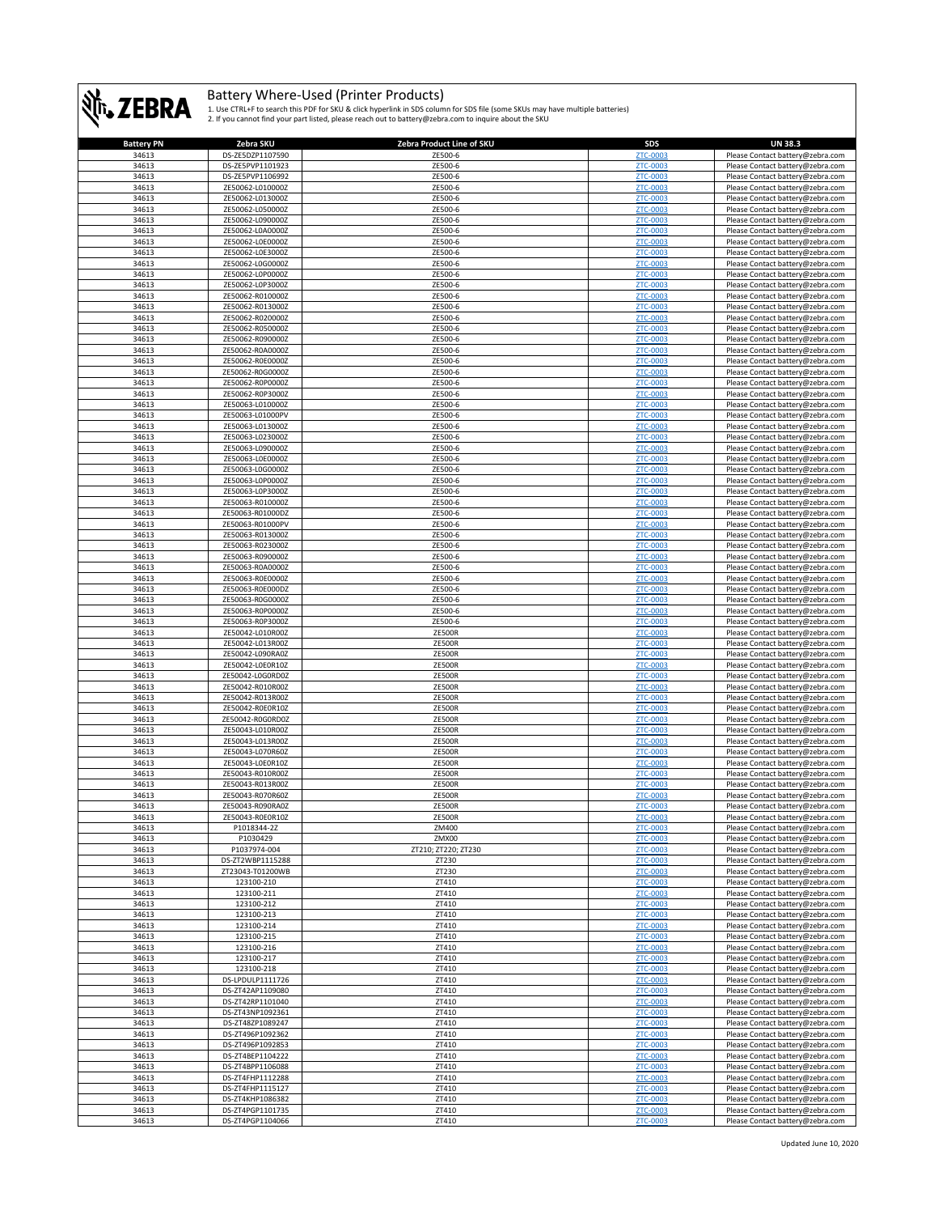

| <b>Battery PN</b> | Zebra SKU        | Zebra Product Line of SKU | SDS             | <b>UN 38.3</b>                   |
|-------------------|------------------|---------------------------|-----------------|----------------------------------|
| 34613             | DS-ZE5DZP1107590 | ZE500-6                   | ZTC-0003        | Please Contact battery@zebra.com |
| 34613             | DS-ZE5PVP1101923 | ZE500-6                   | ZTC-0003        | Please Contact battery@zebra.com |
| 34613             | DS-ZE5PVP1106992 | ZE500-6                   | ZTC-0003        | Please Contact battery@zebra.com |
| 34613             |                  |                           |                 |                                  |
|                   | ZE50062-L010000Z | ZE500-6                   | ZTC-0003        | Please Contact battery@zebra.com |
| 34613             | ZE50062-L013000Z | ZE500-6                   | ZTC-0003        | Please Contact battery@zebra.com |
| 34613             | ZE50062-L050000Z | ZE500-6                   | ZTC-0003        | Please Contact battery@zebra.com |
| 34613             | ZE50062-L090000Z | ZE500-6                   | ZTC-0003        | Please Contact battery@zebra.com |
| 34613             | ZE50062-L0A0000Z | ZE500-6                   | ZTC-0003        | Please Contact battery@zebra.com |
| 34613             | ZE50062-L0E0000Z | ZE500-6                   | ZTC-0003        | Please Contact battery@zebra.com |
| 34613             | ZE50062-L0E3000Z | ZE500-6                   | ZTC-0003        | Please Contact battery@zebra.com |
| 34613             | ZE50062-L0G0000Z | ZE500-6                   | ZTC-0003        | Please Contact battery@zebra.com |
|                   |                  |                           |                 |                                  |
| 34613             | ZE50062-L0P0000Z | ZE500-6                   | ZTC-0003        | Please Contact battery@zebra.com |
| 34613             | ZE50062-L0P3000Z | ZE500-6                   | <b>ZTC-0003</b> | Please Contact battery@zebra.com |
| 34613             | ZE50062-R010000Z | ZE500-6                   | ZTC-0003        | Please Contact battery@zebra.com |
| 34613             | ZE50062-R013000Z | ZE500-6                   | <b>ZTC-0003</b> | Please Contact battery@zebra.com |
| 34613             | ZE50062-R020000Z | ZE500-6                   | ZTC-0003        | Please Contact battery@zebra.com |
| 34613             | ZE50062-R050000Z | ZE500-6                   | ZTC-0003        | Please Contact battery@zebra.com |
| 34613             | ZE50062-R090000Z | ZE500-6                   | ZTC-0003        | Please Contact battery@zebra.com |
| 34613             | ZE50062-R0A0000Z | ZE500-6                   | ZTC-0003        | Please Contact battery@zebra.com |
|                   |                  |                           |                 |                                  |
| 34613             | ZE50062-R0E0000Z | ZE500-6                   | ZTC-0003        | Please Contact battery@zebra.com |
| 34613             | ZE50062-R0G0000Z | ZE500-6                   | ZTC-0003        | Please Contact battery@zebra.com |
| 34613             | ZE50062-R0P0000Z | ZE500-6                   | ZTC-0003        | Please Contact battery@zebra.com |
| 34613             | ZE50062-R0P3000Z | ZE500-6                   | ZTC-0003        | Please Contact battery@zebra.com |
| 34613             | ZE50063-L010000Z | ZE500-6                   | ZTC-0003        | Please Contact battery@zebra.com |
| 34613             | ZE50063-L01000PV | ZE500-6                   | ZTC-0003        | Please Contact battery@zebra.com |
| 34613             | ZE50063-L013000Z | ZE500-6                   | ZTC-0003        | Please Contact battery@zebra.com |
|                   |                  |                           |                 |                                  |
| 34613             | ZE50063-L023000Z | ZE500-6                   | ZTC-0003        | Please Contact battery@zebra.com |
| 34613             | ZE50063-L090000Z | ZE500-6                   | ZTC-0003        | Please Contact battery@zebra.com |
| 34613             | ZE50063-L0E0000Z | ZE500-6                   | ZTC-0003        | Please Contact battery@zebra.com |
| 34613             | ZE50063-L0G0000Z | ZE500-6                   | ZTC-0003        | Please Contact battery@zebra.com |
| 34613             | ZE50063-L0P0000Z | ZE500-6                   | ZTC-0003        | Please Contact battery@zebra.com |
| 34613             | ZE50063-L0P3000Z | ZE500-6                   | ZTC-0003        | Please Contact battery@zebra.com |
| 34613             | ZE50063-R010000Z | ZE500-6                   | ZTC-0003        | Please Contact battery@zebra.com |
| 34613             | ZE50063-R01000DZ | ZE500-6                   | ZTC-0003        |                                  |
|                   |                  |                           |                 | Please Contact battery@zebra.com |
| 34613             | ZE50063-R01000PV | ZE500-6                   | <b>ZTC-0003</b> | Please Contact battery@zebra.com |
| 34613             | ZE50063-R013000Z | ZE500-6                   | ZTC-0003        | Please Contact battery@zebra.com |
| 34613             | ZE50063-R023000Z | ZE500-6                   | ZTC-0003        | Please Contact battery@zebra.com |
| 34613             | ZE50063-R090000Z | ZE500-6                   | ZTC-0003        | Please Contact battery@zebra.com |
| 34613             | ZE50063-R0A0000Z | ZE500-6                   | ZTC-0003        | Please Contact battery@zebra.com |
| 34613             | ZE50063-R0E0000Z | ZE500-6                   | ZTC-0003        | Please Contact battery@zebra.com |
| 34613             | ZE50063-R0E000DZ | ZE500-6                   | ZTC-0003        | Please Contact battery@zebra.com |
| 34613             | ZE50063-R0G0000Z | ZE500-6                   | ZTC-0003        | Please Contact battery@zebra.com |
|                   |                  |                           |                 |                                  |
| 34613             | ZE50063-R0P0000Z | ZE500-6                   | ZTC-0003        | Please Contact battery@zebra.com |
| 34613             | ZE50063-R0P3000Z | ZE500-6                   | ZTC-0003        | Please Contact battery@zebra.com |
| 34613             | ZE50042-L010R00Z | <b>ZE500R</b>             | ZTC-0003        | Please Contact battery@zebra.com |
| 34613             | ZE50042-L013R00Z | <b>ZE500R</b>             | ZTC-0003        | Please Contact battery@zebra.com |
| 34613             | ZE50042-L090RA0Z | <b>ZE500R</b>             | ZTC-0003        | Please Contact battery@zebra.com |
| 34613             | ZE50042-L0E0R10Z | <b>ZE500R</b>             | ZTC-0003        | Please Contact battery@zebra.com |
| 34613             | ZE50042-L0G0RD0Z | <b>ZE500R</b>             | ZTC-0003        | Please Contact battery@zebra.com |
| 34613             | ZE50042-R010R00Z | <b>ZE500R</b>             | ZTC-0003        | Please Contact battery@zebra.com |
| 34613             | ZE50042-R013R00Z | <b>ZE500R</b>             | ZTC-0003        |                                  |
|                   |                  |                           |                 | Please Contact battery@zebra.com |
| 34613             | ZE50042-R0E0R10Z | <b>ZE500R</b>             | ZTC-0003        | Please Contact battery@zebra.com |
| 34613             | ZE50042-R0G0RD0Z | <b>ZE500R</b>             | ZTC-0003        | Please Contact battery@zebra.com |
| 34613             | ZE50043-L010R00Z | <b>ZE500R</b>             | ZTC-0003        | Please Contact battery@zebra.com |
| 34613             | ZE50043-L013R00Z | <b>ZE500R</b>             | ZTC-0003        | Please Contact battery@zebra.com |
| 34613             | ZE50043-L070R60Z | <b>ZE500R</b>             | ZTC-0003        | Please Contact battery@zebra.com |
| 34613             | ZE50043-L0E0R10Z | <b>ZE500R</b>             | ZTC-0003        | Please Contact battery@zebra.com |
| 34613             | ZE50043-R010R00Z | <b>ZE500R</b>             | ZTC-0003        | Please Contact battery@zebra.com |
| 34613             | ZE50043-R013R00Z | <b>ZE500R</b>             | ZTC-0003        | Please Contact battery@zebra.com |
|                   |                  |                           |                 |                                  |
| 34613             | ZE50043-R070R60Z | <b>ZE500R</b>             | ZTC-0003        | Please Contact battery@zebra.com |
| 34613             | ZE50043-R090RA0Z | <b>ZE500R</b>             | ZTC-0003        | Please Contact battery@zebra.com |
| 34613             | 7F50043-R0F0R107 | <b>7F500F</b>             | <b>7TC-0003</b> | Please Contact hattery@zehra.com |
| 34613             | P1018344-2Z      | ZM400                     | ZTC-0003        | Please Contact battery@zebra.com |
| 34613             | P1030429         | ZMX00                     | ZTC-0003        | Please Contact battery@zebra.com |
| 34613             | P1037974-004     | ZT210; ZT220; ZT230       | ZTC-0003        | Please Contact battery@zebra.com |
| 34613             | DS-ZT2WBP1115288 | ZT230                     | ZTC-0003        | Please Contact battery@zebra.com |
| 34613             | ZT23043-T01200WB | ZT230                     | ZTC-0003        | Please Contact battery@zebra.com |
| 34613             | 123100-210       | ZT410                     | ZTC-0003        | Please Contact battery@zebra.com |
|                   |                  |                           |                 |                                  |
| 34613             | 123100-211       | ZT410                     | ZTC-0003        | Please Contact battery@zebra.com |
| 34613             | 123100-212       | ZT410                     | ZTC-0003        | Please Contact battery@zebra.com |
| 34613             | 123100-213       | ZT410                     | <b>ZTC-0003</b> | Please Contact battery@zebra.com |
| 34613             | 123100-214       | ZT410                     | ZTC-0003        | Please Contact battery@zebra.com |
| 34613             | 123100-215       | ZT410                     | ZTC-0003        | Please Contact battery@zebra.com |
| 34613             | 123100-216       | ZT410                     | ZTC-0003        | Please Contact battery@zebra.com |
| 34613             | 123100-217       | ZT410                     | ZTC-0003        | Please Contact battery@zebra.com |
| 34613             | 123100-218       | ZT410                     | ZTC-0003        | Please Contact battery@zebra.com |
| 34613             | DS-LPDULP1111726 | ZT410                     |                 |                                  |
|                   |                  |                           | ZTC-0003        | Please Contact battery@zebra.com |
| 34613             | DS-ZT42AP1109080 | ZT410                     | ZTC-0003        | Please Contact battery@zebra.com |
| 34613             | DS-ZT42RP1101040 | ZT410                     | <b>ZTC-0003</b> | Please Contact battery@zebra.com |
| 34613             | DS-ZT43NP1092361 | ZT410                     | ZTC-0003        | Please Contact battery@zebra.com |
| 34613             | DS-ZT48ZP1089247 | ZT410                     | ZTC-0003        | Please Contact battery@zebra.com |
| 34613             | DS-ZT496P1092362 | ZT410                     | ZTC-0003        | Please Contact battery@zebra.com |
| 34613             | DS-ZT496P1092853 | ZT410                     | ZTC-0003        | Please Contact battery@zebra.com |
| 34613             | DS-ZT4BEP1104222 | ZT410                     | ZTC-0003        | Please Contact battery@zebra.com |
| 34613             | DS-ZT4BPP1106088 | ZT410                     | ZTC-0003        | Please Contact battery@zebra.com |
|                   |                  |                           |                 |                                  |
| 34613             | DS-ZT4FHP1112288 | ZT410                     | ZTC-0003        | Please Contact battery@zebra.com |
| 34613             | DS-ZT4FHP1115127 | ZT410                     | ZTC-0003        | Please Contact battery@zebra.com |
| 34613             | DS-ZT4KHP1086382 | ZT410                     | ZTC-0003        | Please Contact battery@zebra.com |
| 34613             | DS-ZT4PGP1101735 | ZT410                     | ZTC-0003        | Please Contact battery@zebra.com |
| 34613             | DS-ZT4PGP1104066 | ZT410                     | ZTC-0003        | Please Contact battery@zebra.com |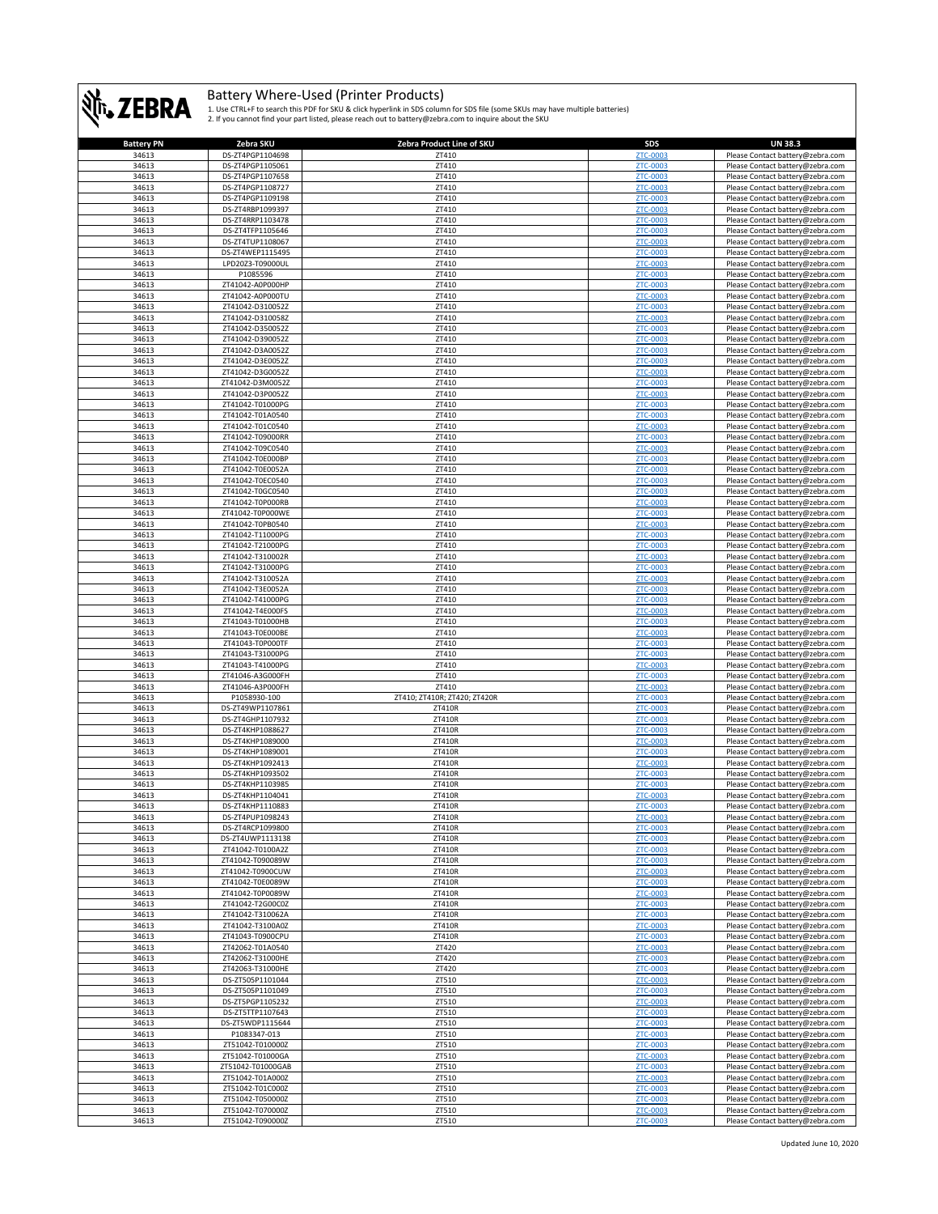

| <b>Battery PN</b> | Zebra SKU         | Zebra Product Line of SKU    | <b>SDS</b>      | <b>UN 38.3</b>                   |
|-------------------|-------------------|------------------------------|-----------------|----------------------------------|
| 34613             | DS-ZT4PGP1104698  | ZT410                        | ZTC-0003        | Please Contact battery@zebra.com |
| 34613             | DS-ZT4PGP1105061  | ZT410                        | <b>ZTC-0003</b> | Please Contact battery@zebra.com |
| 34613             | DS-ZT4PGP1107658  | ZT410                        | ZTC-0003        | Please Contact battery@zebra.com |
| 34613             | DS-ZT4PGP1108727  | ZT410                        | ZTC-0003        | Please Contact battery@zebra.com |
| 34613             | DS-ZT4PGP1109198  | ZT410                        | ZTC-0003        | Please Contact battery@zebra.com |
| 34613             | DS-ZT4RBP1099397  | ZT410                        | <b>ZTC-0003</b> | Please Contact battery@zebra.com |
| 34613             | DS-ZT4RRP1103478  | ZT410                        | <b>ZTC-0003</b> | Please Contact battery@zebra.com |
|                   |                   |                              |                 |                                  |
| 34613             | DS-ZT4TFP1105646  | ZT410                        | <b>ZTC-0003</b> | Please Contact battery@zebra.com |
| 34613             | DS-ZT4TUP1108067  | ZT410                        | <b>ZTC-0003</b> | Please Contact battery@zebra.com |
| 34613             | DS-ZT4WEP1115495  | ZT410                        | <b>ZTC-0003</b> | Please Contact battery@zebra.com |
| 34613             | LPD20Z3-T09000UL  | ZT410                        | ZTC-0003        | Please Contact battery@zebra.com |
| 34613             | P1085596          | ZT410                        | ZTC-0003        | Please Contact battery@zebra.com |
| 34613             | ZT41042-A0P000HP  | ZT410                        | <b>ZTC-0003</b> | Please Contact battery@zebra.com |
| 34613             | ZT41042-A0P000TU  | ZT410                        | <b>ZTC-0003</b> | Please Contact battery@zebra.com |
| 34613             | ZT41042-D310052Z  | ZT410                        | ZTC-0003        | Please Contact battery@zebra.com |
| 34613             | ZT41042-D310058Z  | ZT410                        | <b>ZTC-0003</b> | Please Contact battery@zebra.com |
| 34613             | ZT41042-D350052Z  | ZT410                        | <b>ZTC-0003</b> | Please Contact battery@zebra.com |
| 34613             | ZT41042-D390052Z  | ZT410                        | ZTC-0003        | Please Contact battery@zebra.com |
| 34613             | ZT41042-D3A0052Z  | ZT410                        | ZTC-0003        | Please Contact battery@zebra.com |
| 34613             | ZT41042-D3E0052Z  | ZT410                        | ZTC-0003        | Please Contact battery@zebra.com |
| 34613             | ZT41042-D3G0052Z  | ZT410                        | <b>ZTC-0003</b> | Please Contact battery@zebra.com |
| 34613             | ZT41042-D3M0052Z  | ZT410                        | ZTC-0003        | Please Contact battery@zebra.com |
| 34613             | ZT41042-D3P0052Z  | ZT410                        | <b>ZTC-0003</b> | Please Contact battery@zebra.com |
| 34613             | ZT41042-T01000PG  | ZT410                        | ZTC-0003        | Please Contact battery@zebra.com |
| 34613             | ZT41042-T01A0540  | ZT410                        | <b>ZTC-0003</b> |                                  |
|                   |                   |                              |                 | Please Contact battery@zebra.com |
| 34613             | ZT41042-T01C0540  | ZT410                        | ZTC-0003        | Please Contact battery@zebra.com |
| 34613             | ZT41042-T09000RR  | ZT410                        | <b>ZTC-0003</b> | Please Contact battery@zebra.com |
| 34613             | ZT41042-T09C0540  | ZT410                        | ZTC-0003        | Please Contact battery@zebra.com |
| 34613             | ZT41042-T0E000BP  | ZT410                        | ZTC-0003        | Please Contact battery@zebra.com |
| 34613             | ZT41042-T0E0052A  | ZT410                        | ZTC-0003        | Please Contact battery@zebra.com |
| 34613             | ZT41042-T0EC0540  | ZT410                        | ZTC-0003        | Please Contact battery@zebra.com |
| 34613             | ZT41042-T0GC0540  | ZT410                        | <b>ZTC-0003</b> | Please Contact battery@zebra.com |
| 34613             | ZT41042-T0P000RB  | ZT410                        | <b>ZTC-0003</b> | Please Contact battery@zebra.com |
| 34613             | ZT41042-T0P000WE  | ZT410                        | ZTC-0003        | Please Contact battery@zebra.com |
| 34613             | ZT41042-T0PB0540  | ZT410                        | ZTC-0003        | Please Contact battery@zebra.com |
| 34613             | ZT41042-T11000PG  | ZT410                        | ZTC-0003        | Please Contact battery@zebra.com |
| 34613             | ZT41042-T21000PG  | ZT410                        | ZTC-0003        | Please Contact battery@zebra.com |
| 34613             | ZT41042-T310002R  | ZT410                        | ZTC-0003        | Please Contact battery@zebra.com |
| 34613             | ZT41042-T31000PG  | ZT410                        | <b>ZTC-0003</b> | Please Contact battery@zebra.com |
| 34613             | ZT41042-T310052A  | ZT410                        | ZTC-0003        | Please Contact battery@zebra.com |
| 34613             | ZT41042-T3E0052A  | ZT410                        | ZTC-0003        | Please Contact battery@zebra.com |
| 34613             |                   |                              |                 |                                  |
|                   | ZT41042-T41000PG  | ZT410                        | <b>ZTC-0003</b> | Please Contact battery@zebra.com |
| 34613             | ZT41042-T4E000FS  | ZT410                        | <b>ZTC-0003</b> | Please Contact battery@zebra.com |
| 34613             | ZT41043-T01000HB  | ZT410                        | <b>ZTC-0003</b> | Please Contact battery@zebra.com |
| 34613             | ZT41043-T0E000BE  | ZT410                        | ZTC-0003        | Please Contact battery@zebra.com |
| 34613             | ZT41043-T0P000TF  | ZT410                        | ZTC-0003        | Please Contact battery@zebra.com |
| 34613             | ZT41043-T31000PG  | ZT410                        | ZTC-0003        | Please Contact battery@zebra.com |
| 34613             | ZT41043-T41000PG  | ZT410                        | ZTC-0003        | Please Contact battery@zebra.com |
| 34613             | ZT41046-A3G000FH  | ZT410                        | ZTC-0003        | Please Contact battery@zebra.com |
| 34613             | ZT41046-A3P000FH  | ZT410                        | <b>ZTC-0003</b> | Please Contact battery@zebra.com |
| 34613             | P1058930-100      | ZT410; ZT410R; ZT420; ZT420R | ZTC-0003        | Please Contact battery@zebra.com |
| 34613             | DS-ZT49WP1107861  | ZT410R                       | <b>ZTC-0003</b> | Please Contact battery@zebra.com |
| 34613             | DS-ZT4GHP1107932  | ZT410R                       | <b>ZTC-0003</b> | Please Contact battery@zebra.com |
| 34613             | DS-ZT4KHP1088627  | ZT410R                       | ZTC-0003        | Please Contact battery@zebra.com |
| 34613             | DS-ZT4KHP1089000  | ZT410R                       | ZTC-0003        | Please Contact battery@zebra.com |
| 34613             | DS-ZT4KHP1089001  | ZT410R                       | <b>ZTC-0003</b> | Please Contact battery@zebra.com |
| 34613             | DS-ZT4KHP1092413  | ZT410R                       | <b>ZTC-0003</b> | Please Contact battery@zebra.com |
| 34613             | DS-ZT4KHP1093502  | ZT410R                       | ZTC-0003        | Please Contact battery@zebra.com |
| 34613             | DS-ZT4KHP1103985  | ZT410R                       | <b>ZTC-0003</b> | Please Contact battery@zebra.com |
| 34613             | DS-ZT4KHP1104041  | ZT410R                       | <b>ZTC-0003</b> | Please Contact battery@zebra.com |
| 34613             | DS-ZT4KHP1110883  | ZT410R                       | <b>ZTC-0003</b> | Please Contact battery@zebra.com |
| 34613             | DS-ZT4PUP1098243  | ZT410R                       |                 | Please Contact battery@zebra.com |
| 34613             |                   |                              |                 |                                  |
|                   | DS-ZT4RCP1099800  | ZT410R                       | ZTC-0003        | Please Contact battery@zebra.com |
| 34613             | DS-ZT4UWP1113138  | ZT410R                       | <b>ZTC-0003</b> | Please Contact battery@zebra.com |
| 34613             | ZT41042-T0100A2Z  | ZT410R                       | ZTC-0003        | Please Contact battery@zebra.com |
| 34613             | ZT41042-T090089W  | ZT410R                       | ZTC-0003        | Please Contact battery@zebra.com |
| 34613             | ZT41042-T0900CUW  | ZT410R                       | <b>ZTC-0003</b> | Please Contact battery@zebra.com |
| 34613             | ZT41042-T0E0089W  | ZT410R                       | ZTC-0003        | Please Contact battery@zebra.com |
| 34613             | ZT41042-T0P0089W  | ZT410R                       | <b>ZTC-0003</b> | Please Contact battery@zebra.com |
| 34613             | ZT41042-T2G00C0Z  | ZT410R                       | <b>ZTC-0003</b> | Please Contact battery@zebra.com |
| 34613             | ZT41042-T310062A  | ZT410R                       | ZTC-0003        | Please Contact battery@zebra.com |
| 34613             | ZT41042-T3100A0Z  | ZT410R                       | <b>ZTC-0003</b> | Please Contact battery@zebra.com |
| 34613             | ZT41043-T0900CPU  | ZT410R                       | ZTC-0003        | Please Contact battery@zebra.com |
| 34613             | ZT42062-T01A0540  | ZT420                        | <b>ZTC-0003</b> | Please Contact battery@zebra.com |
| 34613             | ZT42062-T31000HE  | ZT420                        | <b>ZTC-0003</b> | Please Contact battery@zebra.com |
| 34613             | ZT42063-T31000HE  | ZT420                        | ZTC-0003        | Please Contact battery@zebra.com |
| 34613             | DS-ZT505P1101044  | ZT510                        | ZTC-0003        | Please Contact battery@zebra.com |
| 34613             | DS-ZT505P1101049  | ZT510                        | <b>ZTC-0003</b> | Please Contact battery@zebra.com |
| 34613             | DS-ZT5PGP1105232  | ZT510                        | ZTC-0003        | Please Contact battery@zebra.com |
| 34613             | DS-ZT5TTP1107643  | ZT510                        | ZTC-0003        | Please Contact battery@zebra.com |
| 34613             | DS-ZT5WDP1115644  | ZT510                        | ZTC-0003        |                                  |
| 34613             | P1083347-013      |                              | ZTC-0003        | Please Contact battery@zebra.com |
|                   |                   | ZT510                        |                 | Please Contact battery@zebra.com |
| 34613             | ZT51042-T010000Z  | ZT510                        | ZTC-0003        | Please Contact battery@zebra.com |
| 34613             | ZT51042-T01000GA  | ZT510                        | <b>ZTC-0003</b> | Please Contact battery@zebra.com |
| 34613             | ZT51042-T01000GAB | ZT510                        | ZTC-0003        | Please Contact battery@zebra.com |
| 34613             | ZT51042-T01A000Z  | ZT510                        | ZTC-0003        | Please Contact battery@zebra.com |
| 34613             | ZT51042-T01C000Z  | ZT510                        | ZTC-0003        | Please Contact battery@zebra.com |
| 34613             | ZT51042-T050000Z  | ZT510                        | ZTC-0003        | Please Contact battery@zebra.com |
| 34613             | ZT51042-T070000Z  | ZT510                        | <b>ZTC-0003</b> | Please Contact battery@zebra.com |
| 34613             | ZT51042-T090000Z  | ZT510                        | ZTC-0003        | Please Contact battery@zebra.com |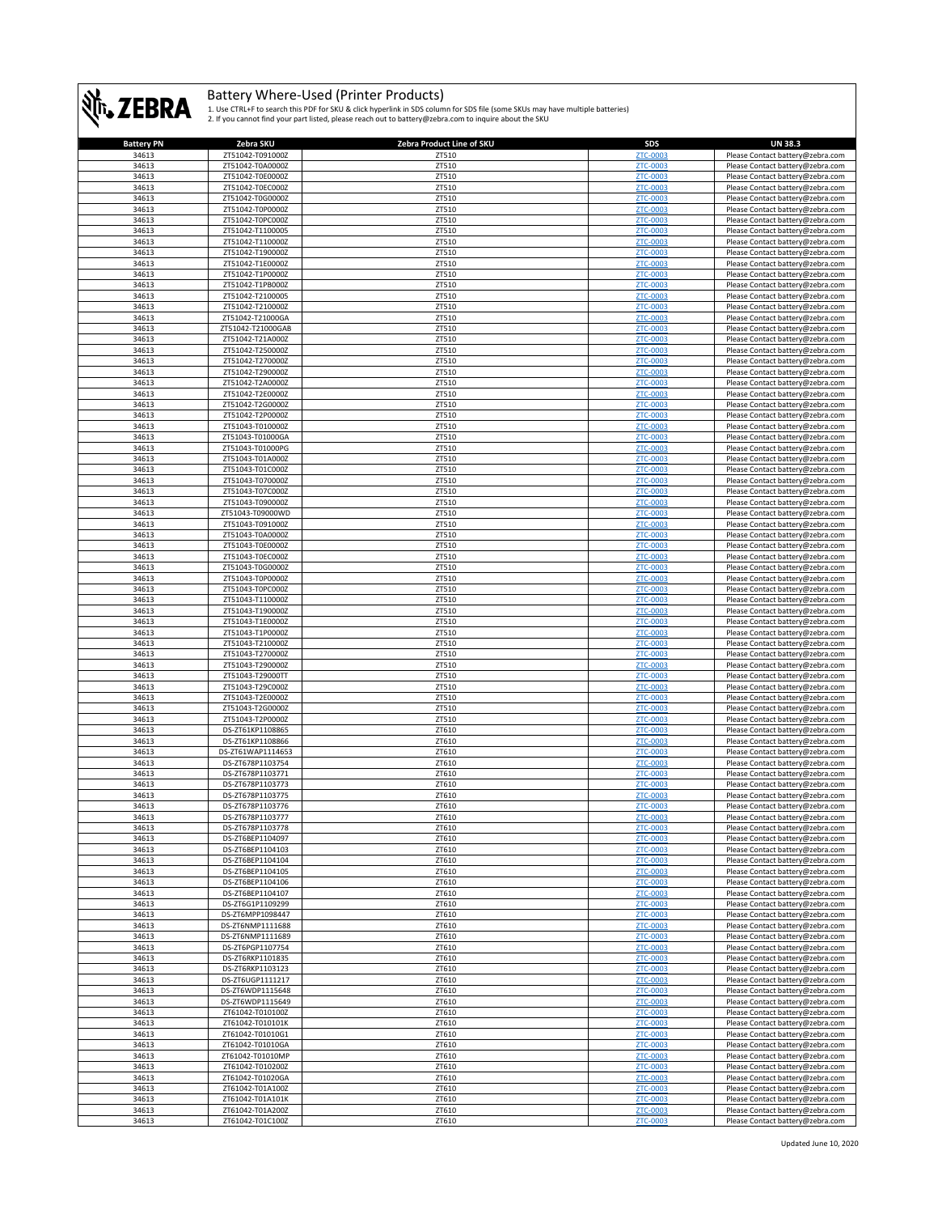

| <b>Battery PN</b> | Zebra SKU         | Zebra Product Line of SKU | SDS             | <b>UN 38.3</b>                                                       |
|-------------------|-------------------|---------------------------|-----------------|----------------------------------------------------------------------|
| 34613             | ZT51042-T091000Z  | ZT510                     | ZTC-0003        | Please Contact battery@zebra.com                                     |
| 34613             | ZT51042-T0A0000Z  | ZT510                     | ZTC-0003        | Please Contact battery@zebra.com                                     |
| 34613             | ZT51042-T0E0000Z  | ZT510                     | ZTC-0003        | Please Contact battery@zebra.com                                     |
| 34613             | ZT51042-T0EC000Z  | ZT510                     | ZTC-0003        | Please Contact battery@zebra.com                                     |
| 34613             | ZT51042-T0G0000Z  | ZT510                     | <b>ZTC-0003</b> | Please Contact battery@zebra.com                                     |
| 34613             | ZT51042-T0P0000Z  | ZT510                     | ZTC-0003        | Please Contact battery@zebra.com                                     |
| 34613             | ZT51042-T0PC000Z  | ZT510                     | ZTC-0003        | Please Contact battery@zebra.com                                     |
| 34613             | ZT51042-T1100005  | ZT510                     | ZTC-0003        | Please Contact battery@zebra.com                                     |
| 34613             | ZT51042-T110000Z  | ZT510                     | <b>ZTC-0003</b> | Please Contact battery@zebra.com                                     |
| 34613             | ZT51042-T190000Z  | ZT510                     | <b>ZTC-0003</b> | Please Contact battery@zebra.com                                     |
| 34613             | ZT51042-T1E0000Z  | ZT510                     | ZTC-0003        | Please Contact battery@zebra.com                                     |
| 34613             | ZT51042-T1P0000Z  | ZT510                     | <b>ZTC-0003</b> |                                                                      |
|                   |                   |                           | ZTC-0003        | Please Contact battery@zebra.com<br>Please Contact battery@zebra.com |
| 34613             | ZT51042-T1PB000Z  | ZT510                     |                 |                                                                      |
| 34613             | ZT51042-T2100005  | ZT510                     | ZTC-0003        | Please Contact battery@zebra.com                                     |
| 34613             | ZT51042-T210000Z  | ZT510                     | ZTC-0003        | Please Contact battery@zebra.com                                     |
| 34613             | ZT51042-T21000GA  | ZT510                     | <b>ZTC-0003</b> | Please Contact battery@zebra.com                                     |
| 34613             | ZT51042-T21000GAB | ZT510                     | <b>ZTC-0003</b> | Please Contact battery@zebra.com                                     |
| 34613             | ZT51042-T21A000Z  | ZT510                     | <b>ZTC-0003</b> | Please Contact battery@zebra.com                                     |
| 34613             | ZT51042-T250000Z  | ZT510                     | ZTC-0003        | Please Contact battery@zebra.com                                     |
| 34613             | ZT51042-T270000Z  | ZT510                     | <b>ZTC-0003</b> | Please Contact battery@zebra.com                                     |
| 34613             | ZT51042-T290000Z  | ZT510                     | ZTC-0003        | Please Contact battery@zebra.com                                     |
| 34613             | ZT51042-T2A0000Z  | ZT510                     | ZTC-0003        | Please Contact battery@zebra.com                                     |
| 34613             | ZT51042-T2E0000Z  | ZT510                     | <b>ZTC-0003</b> | Please Contact battery@zebra.com                                     |
| 34613             | ZT51042-T2G0000Z  | ZT510                     | ZTC-0003        | Please Contact battery@zebra.com                                     |
| 34613             | ZT51042-T2P0000Z  | ZT510                     | <b>ZTC-0003</b> | Please Contact battery@zebra.com                                     |
| 34613             | ZT51043-T010000Z  | ZT510                     | <b>ZTC-0003</b> | Please Contact battery@zebra.com                                     |
| 34613             | ZT51043-T01000GA  | ZT510                     | <b>ZTC-0003</b> | Please Contact battery@zebra.com                                     |
| 34613             | ZT51043-T01000PG  | ZT510                     | <b>ZTC-0003</b> | Please Contact battery@zebra.com                                     |
| 34613             | ZT51043-T01A000Z  | ZT510                     | ZTC-0003        | Please Contact battery@zebra.com                                     |
| 34613             | ZT51043-T01C000Z  | ZT510                     | ZTC-0003        | Please Contact battery@zebra.com                                     |
| 34613             | ZT51043-T070000Z  | ZT510                     | ZTC-0003        | Please Contact battery@zebra.com                                     |
| 34613             | ZT51043-T07C000Z  | ZT510                     | <b>ZTC-0003</b> | Please Contact battery@zebra.com                                     |
|                   |                   |                           |                 |                                                                      |
| 34613             | ZT51043-T090000Z  | ZT510                     | <b>ZTC-0003</b> | Please Contact battery@zebra.com                                     |
| 34613             | ZT51043-T09000WD  | ZT510                     | <b>ZTC-0003</b> | Please Contact battery@zebra.com                                     |
| 34613             | ZT51043-T091000Z  | ZT510                     | ZTC-0003        | Please Contact battery@zebra.com                                     |
| 34613             | ZT51043-T0A0000Z  | ZT510                     | ZTC-0003        | Please Contact battery@zebra.com                                     |
| 34613             | ZT51043-T0E0000Z  | ZT510                     | <b>ZTC-0003</b> | Please Contact battery@zebra.com                                     |
| 34613             | ZT51043-T0EC000Z  | ZT510                     | ZTC-0003        | Please Contact battery@zebra.com                                     |
| 34613             | ZT51043-T0G0000Z  | ZT510                     | ZTC-0003        | Please Contact battery@zebra.com                                     |
| 34613             | ZT51043-T0P0000Z  | ZT510                     | ZTC-0003        | Please Contact battery@zebra.com                                     |
| 34613             | ZT51043-T0PC000Z  | ZT510                     | ZTC-0003        | Please Contact battery@zebra.com                                     |
| 34613             | ZT51043-T110000Z  | ZT510                     | <b>ZTC-0003</b> | Please Contact battery@zebra.com                                     |
| 34613             | ZT51043-T190000Z  | ZT510                     | <b>ZTC-0003</b> | Please Contact battery@zebra.com                                     |
| 34613             | ZT51043-T1E0000Z  | ZT510                     | <b>ZTC-0003</b> | Please Contact battery@zebra.com                                     |
| 34613             | ZT51043-T1P0000Z  | ZT510                     | ZTC-0003        | Please Contact battery@zebra.com                                     |
| 34613             | ZT51043-T210000Z  | ZT510                     | ZTC-0003        | Please Contact battery@zebra.com                                     |
| 34613             | ZT51043-T270000Z  | ZT510                     | ZTC-0003        | Please Contact battery@zebra.com                                     |
| 34613             | ZT51043-T290000Z  | ZT510                     | <b>ZTC-0003</b> | Please Contact battery@zebra.com                                     |
| 34613             |                   | ZT510                     | ZTC-0003        |                                                                      |
|                   | ZT51043-T29000TT  |                           |                 | Please Contact battery@zebra.com                                     |
| 34613             | ZT51043-T29C000Z  | ZT510                     | ZTC-0003        | Please Contact battery@zebra.com                                     |
| 34613             | ZT51043-T2E0000Z  | ZT510                     | ZTC-0003        | Please Contact battery@zebra.com                                     |
| 34613             | ZT51043-T2G0000Z  | ZT510                     | <b>ZTC-0003</b> | Please Contact battery@zebra.com                                     |
| 34613             | ZT51043-T2P0000Z  | ZT510                     | <b>ZTC-0003</b> | Please Contact battery@zebra.com                                     |
| 34613             | DS-ZT61KP1108865  | ZT610                     | ZTC-0003        | Please Contact battery@zebra.com                                     |
| 34613             | DS-ZT61KP1108866  | ZT610                     | <b>ZTC-0003</b> | Please Contact battery@zebra.com                                     |
| 34613             | DS-ZT61WAP1114653 | ZT610                     | ZTC-0003        | Please Contact battery@zebra.com                                     |
| 34613             | DS-ZT678P1103754  | ZT610                     | <b>ZTC-0003</b> | Please Contact battery@zebra.com                                     |
| 34613             | DS-ZT678P1103771  | ZT610                     | <b>ZTC-0003</b> | Please Contact battery@zebra.com                                     |
| 34613             | DS-ZT678P1103773  | ZT610                     | <b>ZTC-0003</b> | Please Contact battery@zebra.com                                     |
| 34613             | DS-ZT678P1103775  | ZT610                     | <b>ZTC-0003</b> | Please Contact battery@zebra.com                                     |
| 34613             | DS-ZT678P1103776  | ZT610                     | <b>ZTC-0003</b> | Please Contact battery@zebra.com                                     |
| 34613             | DS-7T678P1103777  | <b>7T610</b>              | <b>7TC-0003</b> | Please Contact hattery@zehra.com                                     |
| 34613             | DS-ZT678P1103778  | ZT610                     | <b>ZTC-0003</b> | Please Contact battery@zebra.com                                     |
| 34613             | DS-ZT6BEP1104097  | ZT610                     | ZTC-0003        | Please Contact battery@zebra.com                                     |
| 34613             | DS-ZT6BEP1104103  | ZT610                     | ZTC-0003        | Please Contact battery@zebra.com                                     |
| 34613             | DS-ZT6BEP1104104  | ZT610                     | <b>ZTC-0003</b> | Please Contact battery@zebra.com                                     |
| 34613             | DS-ZT6BEP1104105  | ZT610                     | ZTC-0003        | Please Contact battery@zebra.com                                     |
| 34613             | DS-ZT6BEP1104106  | ZT610                     | <b>ZTC-0003</b> | Please Contact battery@zebra.com                                     |
| 34613             | DS-ZT6BEP1104107  | ZT610                     | ZTC-0003        | Please Contact battery@zebra.com                                     |
| 34613             | DS-ZT6G1P1109299  | ZT610                     | <b>ZTC-0003</b> | Please Contact battery@zebra.com                                     |
| 34613             | DS-ZT6MPP1098447  | ZT610                     | ZTC-0003        | Please Contact battery@zebra.com                                     |
| 34613             | DS-ZT6NMP1111688  | ZT610                     | ZTC-0003        | Please Contact battery@zebra.com                                     |
| 34613             | DS-ZT6NMP1111689  | ZT610                     | ZTC-0003        | Please Contact battery@zebra.com                                     |
| 34613             | DS-ZT6PGP1107754  | ZT610                     | ZTC-0003        | Please Contact battery@zebra.com                                     |
| 34613             | DS-ZT6RKP1101835  | ZT610                     | ZTC-0003        | Please Contact battery@zebra.com                                     |
|                   |                   |                           |                 |                                                                      |
| 34613             | DS-ZT6RKP1103123  | ZT610                     | <b>ZTC-0003</b> | Please Contact battery@zebra.com                                     |
| 34613             | DS-ZT6UGP1111217  | ZT610                     | <b>ZTC-0003</b> | Please Contact battery@zebra.com                                     |
| 34613             | DS-ZT6WDP1115648  | ZT610                     | <b>ZTC-0003</b> | Please Contact battery@zebra.com                                     |
| 34613             | DS-ZT6WDP1115649  | ZT610                     | ZTC-0003        | Please Contact battery@zebra.com                                     |
| 34613             | ZT61042-T010100Z  | ZT610                     | ZTC-0003        | Please Contact battery@zebra.com                                     |
| 34613             | ZT61042-T010101K  | ZT610                     | ZTC-0003        | Please Contact battery@zebra.com                                     |
| 34613             | ZT61042-T01010G1  | ZT610                     | ZTC-0003        | Please Contact battery@zebra.com                                     |
| 34613             | ZT61042-T01010GA  | ZT610                     | ZTC-0003        | Please Contact battery@zebra.com                                     |
| 34613             | ZT61042-T01010MP  | ZT610                     | <b>ZTC-0003</b> | Please Contact battery@zebra.com                                     |
| 34613             | ZT61042-T010200Z  | ZT610                     | <b>ZTC-0003</b> | Please Contact battery@zebra.com                                     |
| 34613             | ZT61042-T01020GA  | ZT610                     | <b>ZTC-0003</b> | Please Contact battery@zebra.com                                     |
| 34613             | ZT61042-T01A100Z  | ZT610                     | <b>ZTC-0003</b> | Please Contact battery@zebra.com                                     |
| 34613             | ZT61042-T01A101K  | ZT610                     | ZTC-0003        | Please Contact battery@zebra.com                                     |
| 34613             | ZT61042-T01A200Z  | ZT610                     | ZTC-0003        | Please Contact battery@zebra.com                                     |
| 34613             | ZT61042-T01C100Z  | ZT610                     | ZTC-0003        | Please Contact battery@zebra.com                                     |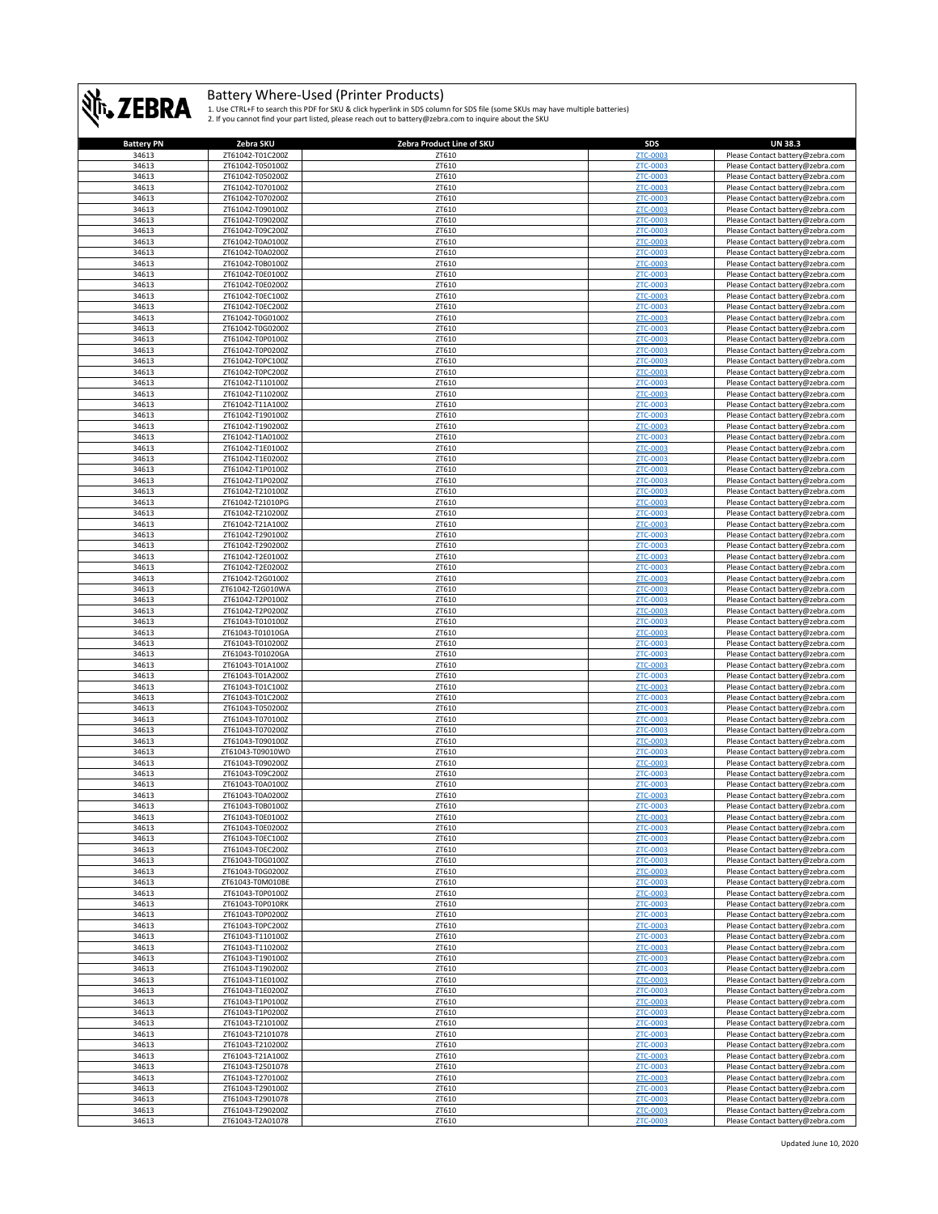

| <b>Battery PN</b> | Zebra SKU        | Zebra Product Line of SKU | <b>SDS</b>                  | <b>UN 38.3</b>                                                       |
|-------------------|------------------|---------------------------|-----------------------------|----------------------------------------------------------------------|
| 34613             | ZT61042-T01C200Z | ZT610                     | ZTC-0003                    | Please Contact battery@zebra.com                                     |
| 34613             | ZT61042-T050100Z | ZT610                     | ZTC-0003                    | Please Contact battery@zebra.com                                     |
| 34613             | ZT61042-T050200Z | ZT610                     | ZTC-0003                    | Please Contact battery@zebra.com                                     |
| 34613             | ZT61042-T070100Z | ZT610                     | ZTC-0003                    | Please Contact battery@zebra.com                                     |
| 34613             | ZT61042-T070200Z | ZT610                     | ZTC-0003                    | Please Contact battery@zebra.com                                     |
| 34613             | ZT61042-T090100Z | ZT610                     | <b>ZTC-0003</b>             | Please Contact battery@zebra.com                                     |
| 34613             | ZT61042-T090200Z | ZT610                     | ZTC-0003                    | Please Contact battery@zebra.com                                     |
| 34613             | ZT61042-T09C200Z | ZT610                     | <b>ZTC-0003</b>             | Please Contact battery@zebra.com                                     |
| 34613             | ZT61042-T0A0100Z | ZT610                     | <b>ZTC-0003</b>             | Please Contact battery@zebra.com                                     |
| 34613             | ZT61042-T0A0200Z | ZT610                     | <b>ZTC-0003</b>             | Please Contact battery@zebra.com                                     |
| 34613             | ZT61042-T0B0100Z | ZT610                     | ZTC-0003                    | Please Contact battery@zebra.com                                     |
| 34613             | ZT61042-T0E0100Z | ZT610                     | <b>ZTC-0003</b>             | Please Contact battery@zebra.com                                     |
| 34613             | ZT61042-T0E0200Z | ZT610                     | <b>ZTC-0003</b>             | Please Contact battery@zebra.com                                     |
| 34613             | ZT61042-T0EC100Z | ZT610                     | ZTC-0003                    | Please Contact battery@zebra.com                                     |
| 34613             | ZT61042-T0EC200Z | ZT610                     | ZTC-0003                    | Please Contact battery@zebra.com                                     |
| 34613             | ZT61042-T0G0100Z | ZT610                     | <b>ZTC-0003</b>             | Please Contact battery@zebra.com                                     |
| 34613             | ZT61042-T0G0200Z | ZT610                     | <b>ZTC-0003</b>             | Please Contact battery@zebra.com                                     |
| 34613             | ZT61042-T0P0100Z | ZT610                     | ZTC-0003                    | Please Contact battery@zebra.com                                     |
| 34613             | ZT61042-T0P0200Z | ZT610                     | ZTC-0003                    | Please Contact battery@zebra.com                                     |
| 34613             | ZT61042-T0PC100Z | ZT610                     | <b>ZTC-0003</b>             | Please Contact battery@zebra.com                                     |
| 34613             | ZT61042-T0PC200Z | ZT610                     | ZTC-0003                    | Please Contact battery@zebra.com                                     |
| 34613             | ZT61042-T110100Z | ZT610                     | ZTC-0003                    | Please Contact battery@zebra.com                                     |
| 34613             | ZT61042-T110200Z | ZT610                     | ZTC-0003                    | Please Contact battery@zebra.com                                     |
| 34613             | ZT61042-T11A100Z | ZT610                     | <b>ZTC-0003</b>             | Please Contact battery@zebra.com                                     |
| 34613             | ZT61042-T190100Z | ZT610                     | <b>ZTC-0003</b>             | Please Contact battery@zebra.com                                     |
| 34613             | ZT61042-T190200Z | ZT610                     | ZTC-0003                    | Please Contact battery@zebra.com                                     |
| 34613             | ZT61042-T1A0100Z | ZT610                     | <b>ZTC-0003</b>             | Please Contact battery@zebra.com                                     |
| 34613             | ZT61042-T1E0100Z | ZT610                     | ZTC-0003                    | Please Contact battery@zebra.com                                     |
| 34613             | ZT61042-T1E0200Z | ZT610                     | ZTC-0003                    | Please Contact battery@zebra.com                                     |
| 34613             | ZT61042-T1P0100Z | ZT610                     | <b>ZTC-0003</b>             | Please Contact battery@zebra.com                                     |
| 34613             | ZT61042-T1P0200Z | ZT610                     | <b>ZTC-0003</b>             | Please Contact battery@zebra.com                                     |
| 34613             | ZT61042-T210100Z | ZT610                     | ZTC-0003                    | Please Contact battery@zebra.com                                     |
| 34613             | ZT61042-T21010PG | ZT610                     | ZTC-0003                    | Please Contact battery@zebra.com                                     |
| 34613             | ZT61042-T210200Z | ZT610                     | <b>ZTC-0003</b>             | Please Contact battery@zebra.com                                     |
| 34613             | ZT61042-T21A100Z | ZT610                     | ZTC-0003                    | Please Contact battery@zebra.com                                     |
| 34613             | ZT61042-T290100Z | ZT610                     | ZTC-0003                    | Please Contact battery@zebra.com                                     |
| 34613             | ZT61042-T290200Z | ZT610                     | ZTC-0003                    | Please Contact battery@zebra.com                                     |
| 34613             | ZT61042-T2E0100Z | ZT610                     | <b>ZTC-0003</b>             | Please Contact battery@zebra.com                                     |
| 34613             | ZT61042-T2E0200Z | ZT610                     | ZTC-0003                    | Please Contact battery@zebra.com                                     |
| 34613             | ZT61042-T2G0100Z | ZT610                     | <b>ZTC-0003</b>             | Please Contact battery@zebra.com                                     |
| 34613             | ZT61042-T2G010WA | ZT610                     | ZTC-0003                    | Please Contact battery@zebra.com                                     |
| 34613             | ZT61042-T2P0100Z | ZT610                     | <b>ZTC-0003</b>             | Please Contact battery@zebra.com                                     |
| 34613             | ZT61042-T2P0200Z | ZT610                     | ZTC-0003                    | Please Contact battery@zebra.com                                     |
| 34613             | ZT61043-T010100Z | ZT610                     | <b>ZTC-0003</b>             | Please Contact battery@zebra.com                                     |
| 34613             | ZT61043-T01010GA | ZT610                     | ZTC-0003                    | Please Contact battery@zebra.com                                     |
| 34613             | ZT61043-T010200Z | ZT610                     | ZTC-0003                    | Please Contact battery@zebra.com                                     |
| 34613             | ZT61043-T01020GA | ZT610                     | ZTC-0003                    | Please Contact battery@zebra.com                                     |
| 34613             | ZT61043-T01A100Z | ZT610                     | ZTC-0003                    | Please Contact battery@zebra.com                                     |
| 34613             | ZT61043-T01A200Z | ZT610                     | <b>ZTC-0003</b>             | Please Contact battery@zebra.com                                     |
| 34613             | ZT61043-T01C100Z | ZT610                     | <b>ZTC-0003</b>             | Please Contact battery@zebra.com                                     |
| 34613             | ZT61043-T01C200Z | ZT610                     | <b>ZTC-0003</b>             | Please Contact battery@zebra.com                                     |
| 34613             | ZT61043-T050200Z | ZT610                     | ZTC-0003                    |                                                                      |
| 34613             | ZT61043-T070100Z | ZT610                     | ZTC-0003                    | Please Contact battery@zebra.com                                     |
| 34613             | ZT61043-T070200Z | ZT610                     | ZTC-0003                    | Please Contact battery@zebra.com<br>Please Contact battery@zebra.com |
| 34613             | ZT61043-T090100Z | ZT610                     | ZTC-0003                    | Please Contact battery@zebra.com                                     |
| 34613             | ZT61043-T09010WD | ZT610                     | <b>ZTC-0003</b>             | Please Contact battery@zebra.com                                     |
| 34613             | ZT61043-T090200Z | ZT610                     | ZTC-0003                    | Please Contact battery@zebra.com                                     |
| 34613             | ZT61043-T09C200Z | ZT610                     | <b>ZTC-0003</b>             | Please Contact battery@zebra.com                                     |
| 34613             | ZT61043-T0A0100Z | ZT610                     | <b>ZTC-0003</b>             | Please Contact battery@zebra.com                                     |
| 34613             | ZT61043-T0A0200Z | ZT610                     | <b>ZTC-0003</b>             | Please Contact battery@zebra.com                                     |
| 34613             | ZT61043-T0B0100Z | ZT610                     | ZTC-0003                    | Please Contact battery@zebra.com                                     |
| 34613             | ZT61043-T0E0100Z | ZT610                     | 7TC-0001                    | Please Contact battery@zebra                                         |
| 34613             | ZT61043-T0E0200Z | ZT610                     | ZTC-0003                    | Please Contact battery@zebra.com                                     |
| 34613             | ZT61043-T0EC100Z | ZT610                     | ZTC-0003                    | Please Contact battery@zebra.com                                     |
| 34613             | ZT61043-T0EC200Z | ZT610                     | ZTC-0003                    | Please Contact battery@zebra.com                                     |
| 34613             | ZT61043-T0G0100Z | ZT610                     | ZTC-0003                    | Please Contact battery@zebra.com                                     |
| 34613             | ZT61043-T0G0200Z | ZT610                     | <b>ZTC-0003</b>             |                                                                      |
| 34613             | ZT61043-T0M010BE | ZT610                     | ZTC-0003                    | Please Contact battery@zebra.com                                     |
| 34613             | ZT61043-T0P0100Z | ZT610                     | <b>ZTC-0003</b>             | Please Contact battery@zebra.com<br>Please Contact battery@zebra.com |
|                   |                  |                           |                             |                                                                      |
| 34613             | ZT61043-T0P010RK | ZT610<br>ZT610            | <b>ZTC-0003</b><br>ZTC-0003 | Please Contact battery@zebra.com<br>Please Contact battery@zebra.com |
| 34613             | ZT61043-T0P0200Z |                           |                             |                                                                      |
| 34613             | ZT61043-T0PC200Z | ZT610                     | ZTC-0003                    | Please Contact battery@zebra.com                                     |
| 34613             | ZT61043-T110100Z | ZT610                     | ZTC-0003                    | Please Contact battery@zebra.com                                     |
| 34613             | ZT61043-T110200Z | ZT610                     | <b>ZTC-0003</b>             | Please Contact battery@zebra.com                                     |
| 34613             | ZT61043-T190100Z | ZT610                     | ZTC-0003                    | Please Contact battery@zebra.com                                     |
| 34613             | ZT61043-T190200Z | ZT610                     | ZTC-0003                    | Please Contact battery@zebra.com                                     |
| 34613             | ZT61043-T1E0100Z | ZT610                     | ZTC-0003                    | Please Contact battery@zebra.com                                     |
| 34613             | ZT61043-T1E0200Z | ZT610                     | <b>ZTC-0003</b>             | Please Contact battery@zebra.com                                     |
| 34613             | ZT61043-T1P0100Z | ZT610                     | ZTC-0003                    | Please Contact battery@zebra.com                                     |
| 34613             | ZT61043-T1P0200Z | ZT610                     | ZTC-0003                    | Please Contact battery@zebra.com                                     |
| 34613             | ZT61043-T210100Z | ZT610                     | <b>ZTC-0003</b>             | Please Contact battery@zebra.com                                     |
| 34613             | ZT61043-T2101078 | ZT610                     | ZTC-0003                    | Please Contact battery@zebra.com                                     |
| 34613             | ZT61043-T210200Z | ZT610                     | ZTC-0003                    | Please Contact battery@zebra.com                                     |
| 34613             | ZT61043-T21A100Z | ZT610                     | <b>ZTC-0003</b>             | Please Contact battery@zebra.com                                     |
| 34613             | ZT61043-T2501078 | ZT610                     | ZTC-0003                    | Please Contact battery@zebra.com                                     |
| 34613             | ZT61043-T270100Z | ZT610                     | <b>ZTC-0003</b>             | Please Contact battery@zebra.com                                     |
| 34613             | ZT61043-T290100Z | ZT610                     | ZTC-0003                    | Please Contact battery@zebra.com                                     |
| 34613             | ZT61043-T2901078 | ZT610                     | ZTC-0003                    | Please Contact battery@zebra.com                                     |
| 34613             | ZT61043-T290200Z | ZT610                     | ZTC-0003                    | Please Contact battery@zebra.com                                     |
| 34613             | ZT61043-T2A01078 | ZT610                     | ZTC-0003                    | Please Contact battery@zebra.com                                     |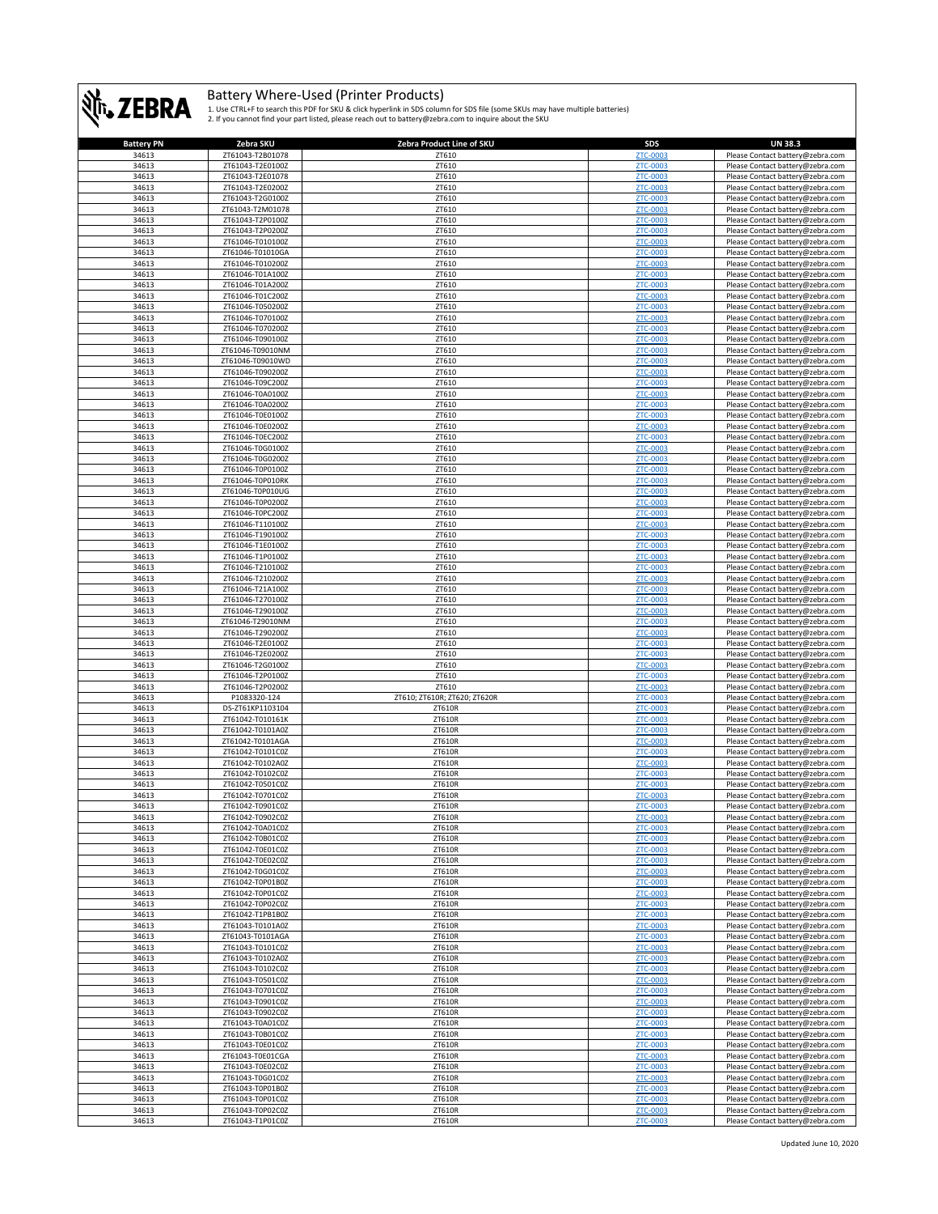

| <b>Battery PN</b> | Zebra SKU                            | Zebra Product Line of SKU    | SDS                  | <b>UN 38.3</b>                                                       |
|-------------------|--------------------------------------|------------------------------|----------------------|----------------------------------------------------------------------|
| 34613             | ZT61043-T2B01078                     | ZT610                        | <b>ZTC-0003</b>      | Please Contact battery@zebra.com                                     |
| 34613             | ZT61043-T2E0100Z                     | ZT610                        | ZTC-0003             | Please Contact battery@zebra.com                                     |
| 34613             | ZT61043-T2E01078                     | ZT610                        | ZTC-0003             | Please Contact battery@zebra.com                                     |
| 34613             | ZT61043-T2E0200Z                     | ZT610                        | ZTC-0003             | Please Contact battery@zebra.com                                     |
| 34613             | ZT61043-T2G0100Z                     | ZT610                        | <b>ZTC-0003</b>      | Please Contact battery@zebra.com                                     |
| 34613             | ZT61043-T2M01078                     | ZT610                        | ZTC-0003             | Please Contact battery@zebra.com                                     |
| 34613             | ZT61043-T2P0100Z                     | ZT610                        | ZTC-0003             | Please Contact battery@zebra.com                                     |
| 34613             | ZT61043-T2P0200Z                     | ZT610                        | ZTC-0003             | Please Contact battery@zebra.com                                     |
| 34613             | ZT61046-T010100Z                     | ZT610                        | ZTC-0003             | Please Contact battery@zebra.com                                     |
| 34613             | ZT61046-T01010GA                     | ZT610                        | ZTC-0003             | Please Contact battery@zebra.com                                     |
| 34613             | ZT61046-T010200Z                     | ZT610                        | ZTC-0003             | Please Contact battery@zebra.com                                     |
| 34613             | ZT61046-T01A100Z                     | ZT610                        | <b>ZTC-0003</b>      | Please Contact battery@zebra.com                                     |
| 34613             | ZT61046-T01A200Z                     | ZT610                        | ZTC-0003             | Please Contact battery@zebra.com                                     |
| 34613             | ZT61046-T01C200Z                     | ZT610                        | ZTC-0003             | Please Contact battery@zebra.com                                     |
| 34613             | ZT61046-T050200Z                     | ZT610                        | <b>ZTC-0003</b>      | Please Contact battery@zebra.com                                     |
| 34613             | ZT61046-T070100Z                     | ZT610                        | ZTC-0003             | Please Contact battery@zebra.com                                     |
| 34613             | ZT61046-T070200Z                     | ZT610                        | ZTC-0003             | Please Contact battery@zebra.com                                     |
| 34613             | ZT61046-T090100Z                     | ZT610                        | ZTC-0003             | Please Contact battery@zebra.com                                     |
| 34613             | ZT61046-T09010NM                     | ZT610                        | <b>ZTC-0003</b>      | Please Contact battery@zebra.com                                     |
| 34613             | ZT61046-T09010WD                     | ZT610                        | ZTC-0003             | Please Contact battery@zebra.com                                     |
| 34613             | ZT61046-T090200Z                     | ZT610                        | <b>ZTC-0003</b>      | Please Contact battery@zebra.com                                     |
| 34613             | ZT61046-T09C200Z                     | ZT610                        | ZTC-0003             | Please Contact battery@zebra.com                                     |
| 34613             | ZT61046-T0A0100Z                     | ZT610                        | <b>ZTC-0003</b>      | Please Contact battery@zebra.com                                     |
| 34613             | ZT61046-T0A0200Z                     | ZT610                        | ZTC-0003             | Please Contact battery@zebra.com                                     |
| 34613             | ZT61046-T0E0100Z                     | ZT610                        | <b>ZTC-0003</b>      | Please Contact battery@zebra.com                                     |
| 34613             | ZT61046-T0E0200Z                     | ZT610                        | <b>ZTC-0003</b>      | Please Contact battery@zebra.com                                     |
| 34613             | ZT61046-T0EC200Z                     | ZT610                        | <b>ZTC-0003</b>      | Please Contact battery@zebra.com                                     |
| 34613             | ZT61046-T0G0100Z                     | ZT610                        | ZTC-0003             | Please Contact battery@zebra.com                                     |
| 34613             | ZT61046-T0G0200Z                     | ZT610                        | <b>ZTC-0003</b>      | Please Contact battery@zebra.com                                     |
| 34613             | ZT61046-T0P0100Z                     | ZT610                        | <b>ZTC-0003</b>      | Please Contact battery@zebra.com                                     |
| 34613             | ZT61046-T0P010RK                     | ZT610                        | ZTC-0003             | Please Contact battery@zebra.com                                     |
| 34613             | ZT61046-T0P010UG                     | ZT610                        | ZTC-0003             | Please Contact battery@zebra.com                                     |
| 34613             | ZT61046-T0P0200Z                     | ZT610                        | <b>ZTC-0003</b>      | Please Contact battery@zebra.com                                     |
| 34613             | ZT61046-T0PC200Z                     | ZT610                        | <b>ZTC-0003</b>      |                                                                      |
| 34613             | ZT61046-T110100Z                     | ZT610                        | ZTC-0003             | Please Contact battery@zebra.com                                     |
| 34613             | ZT61046-T190100Z                     | ZT610                        | ZTC-0003             | Please Contact battery@zebra.com                                     |
| 34613             | ZT61046-T1E0100Z                     | ZT610                        | ZTC-0003             | Please Contact battery@zebra.com<br>Please Contact battery@zebra.com |
| 34613             | ZT61046-T1P0100Z                     | ZT610                        | ZTC-0003             | Please Contact battery@zebra.com                                     |
| 34613             | ZT61046-T210100Z                     | ZT610                        | ZTC-0003             | Please Contact battery@zebra.com                                     |
| 34613             | ZT61046-T210200Z                     | ZT610                        | ZTC-0003             | Please Contact battery@zebra.com                                     |
| 34613             | ZT61046-T21A100Z                     | ZT610                        | <b>ZTC-0003</b>      | Please Contact battery@zebra.com                                     |
| 34613             | ZT61046-T270100Z                     | ZT610                        | <b>ZTC-0003</b>      | Please Contact battery@zebra.com                                     |
| 34613             | ZT61046-T290100Z                     | ZT610                        | ZTC-0003             | Please Contact battery@zebra.com                                     |
| 34613             | ZT61046-T29010NM                     | ZT610                        | ZTC-0003             | Please Contact battery@zebra.com                                     |
| 34613             | ZT61046-T290200Z                     | ZT610                        | ZTC-0003             | Please Contact battery@zebra.com                                     |
|                   | ZT61046-T2E0100Z                     | ZT610                        | ZTC-0003             | Please Contact battery@zebra.com                                     |
| 34613             |                                      |                              |                      |                                                                      |
| 34613             | ZT61046-T2E0200Z                     | ZT610                        | ZTC-0003             | Please Contact battery@zebra.com                                     |
| 34613             | ZT61046-T2G0100Z                     | ZT610                        | <b>ZTC-0003</b>      | Please Contact battery@zebra.com                                     |
| 34613             | ZT61046-T2P0100Z                     | ZT610                        | ZTC-0003             | Please Contact battery@zebra.com                                     |
| 34613             | ZT61046-T2P0200Z                     | ZT610                        | ZTC-0003             | Please Contact battery@zebra.com                                     |
| 34613             | P1083320-124                         | ZT610; ZT610R; ZT620; ZT620R | <b>ZTC-0003</b>      | Please Contact battery@zebra.com                                     |
| 34613             | DS-ZT61KP1103104                     | ZT610R                       | <b>ZTC-0003</b>      | Please Contact battery@zebra.com                                     |
| 34613             | ZT61042-T010161K                     | ZT610R                       | <b>ZTC-0003</b>      | Please Contact battery@zebra.com                                     |
| 34613             | ZT61042-T0101A0Z                     | ZT610R                       | ZTC-0003             | Please Contact battery@zebra.com                                     |
| 34613             | ZT61042-T0101AGA                     | ZT610R                       | <b>ZTC-0003</b>      | Please Contact battery@zebra.com                                     |
| 34613             | ZT61042-T0101C0Z                     | ZT610R                       | ZTC-0003             | Please Contact battery@zebra.com                                     |
| 34613             | ZT61042-T0102A0Z                     | ZT610R                       | <b>ZTC-0003</b>      | Please Contact battery@zebra.com                                     |
| 34613             | ZT61042-T0102C0Z                     | ZT610R                       | ZTC-0003             | Please Contact battery@zebra.com                                     |
| 34613             | ZT61042-T0501C0Z                     | ZT610R                       | ZTC-0003             | Please Contact battery@zebra.com                                     |
| 34613             | ZT61042-T0701C0Z                     | ZT610R                       | ZTC-0003             | Please Contact battery@zebra.com                                     |
| 34613             | ZT61042-T0901C0Z                     | ZT610R                       | ZTC-0003             | Please Contact battery@zebra.com                                     |
| 34613             | 7T61042-T0902C0Z                     | <b>7T610R</b>                | <b>7TC-0003</b>      | Please Contact hattery@zehra.com                                     |
| 34613             | ZT61042-T0A01C0Z                     | ZT610R                       | ZTC-0003             | Please Contact battery@zebra.com                                     |
| 34613             | ZT61042-T0B01C0Z                     | ZT610R                       | ZTC-0003             | Please Contact battery@zebra.com                                     |
| 34613             | ZT61042-T0E01C0Z                     | ZT610R                       | ZTC-0003             | Please Contact battery@zebra.com                                     |
| 34613             | ZT61042-T0E02C0Z                     | ZT610R                       | <b>ZTC-0003</b>      | Please Contact battery@zebra.com                                     |
| 34613             | ZT61042-T0G01C0Z                     | ZT610R                       | ZTC-0003             | Please Contact battery@zebra.com                                     |
| 34613             | ZT61042-T0P01B0Z                     | ZT610R                       | <b>ZTC-0003</b>      | Please Contact battery@zebra.com                                     |
| 34613             | ZT61042-T0P01C0Z                     | ZT610R                       | ZTC-0003             | Please Contact battery@zebra.com                                     |
| 34613             | ZT61042-T0P02C0Z                     | ZT610R                       | <b>ZTC-0003</b>      | Please Contact battery@zebra.com                                     |
| 34613             | ZT61042-T1PB1B0Z                     | ZT610R                       | ZTC-0003             | Please Contact battery@zebra.com                                     |
| 34613             | ZT61043-T0101A0Z                     | ZT610R                       | ZTC-0003             | Please Contact battery@zebra.com                                     |
| 34613             | ZT61043-T0101AGA                     | ZT610R                       | <b>ZTC-0003</b>      | Please Contact battery@zebra.com                                     |
| 34613             | ZT61043-T0101C0Z                     | ZT610R                       | ZTC-0003             | Please Contact battery@zebra.com                                     |
| 34613             | ZT61043-T0102A0Z                     | ZT610R                       | ZTC-0003             | Please Contact battery@zebra.com                                     |
| 34613             | ZT61043-T0102C0Z                     | ZT610R                       | <b>ZTC-0003</b>      | Please Contact battery@zebra.com                                     |
| 34613             | ZT61043-T0501C0Z                     | ZT610R                       | ZTC-0003             | Please Contact battery@zebra.com                                     |
| 34613<br>34613    | ZT61043-T0701C0Z                     | ZT610R                       | ZTC-0003             | Please Contact battery@zebra.com                                     |
| 34613             | ZT61043-T0901C0Z<br>ZT61043-T0902C0Z | ZT610R<br>ZT610R             | ZTC-0003<br>ZTC-0003 | Please Contact battery@zebra.com                                     |
|                   |                                      |                              |                      | Please Contact battery@zebra.com                                     |
| 34613<br>34613    | ZT61043-T0A01C0Z<br>ZT61043-T0B01C0Z | ZT610R<br>ZT610R             | ZTC-0003<br>ZTC-0003 | Please Contact battery@zebra.com                                     |
| 34613             | ZT61043-T0E01C0Z                     | ZT610R                       | ZTC-0003             | Please Contact battery@zebra.com                                     |
| 34613             | ZT61043-T0E01CGA                     | ZT610R                       | ZTC-0003             | Please Contact battery@zebra.com<br>Please Contact battery@zebra.com |
| 34613             | ZT61043-T0E02C0Z                     | ZT610R                       | ZTC-0003             | Please Contact battery@zebra.com                                     |
| 34613             | ZT61043-T0G01C0Z                     | ZT610R                       | <b>ZTC-0003</b>      | Please Contact battery@zebra.com                                     |
| 34613             | ZT61043-T0P01B0Z                     | ZT610R                       | <b>ZTC-0003</b>      | Please Contact battery@zebra.com                                     |
| 34613             | ZT61043-T0P01C0Z                     | ZT610R                       | ZTC-0003             | Please Contact battery@zebra.com                                     |
| 34613             | ZT61043-T0P02C0Z                     | ZT610R                       | ZTC-0003             | Please Contact battery@zebra.com                                     |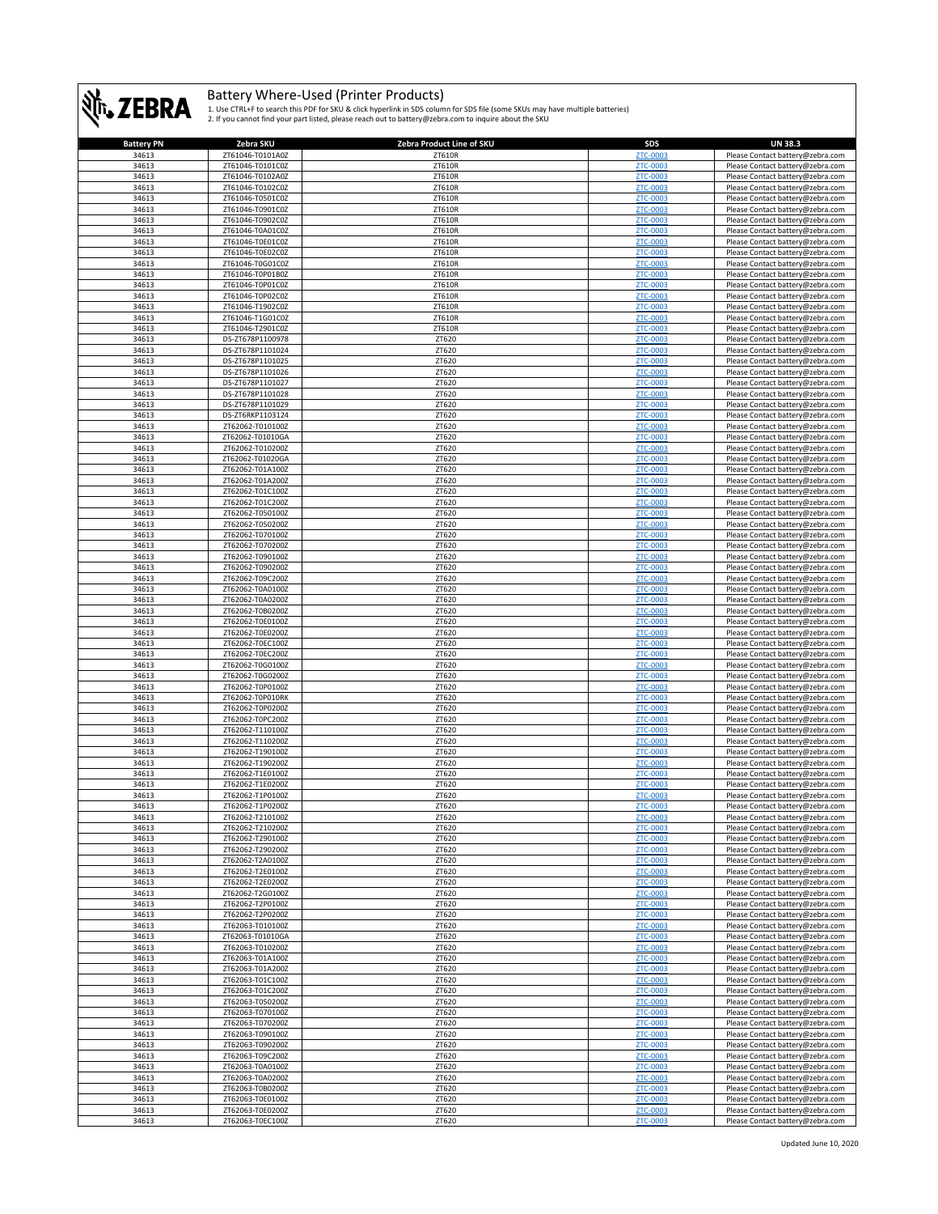

| <b>Battery PN</b> | Zebra SKU                            | Zebra Product Line of SKU | SDS                         | <b>UN 38.3</b>                                                       |
|-------------------|--------------------------------------|---------------------------|-----------------------------|----------------------------------------------------------------------|
| 34613             | ZT61046-T0101A0Z                     | ZT610R                    | ZTC-0003                    | Please Contact battery@zebra.com                                     |
| 34613             | ZT61046-T0101C0Z                     | ZT610R                    | ZTC-0003                    | Please Contact battery@zebra.com                                     |
| 34613             | ZT61046-T0102A0Z                     | ZT610R                    | ZTC-0003                    | Please Contact battery@zebra.com                                     |
| 34613             | ZT61046-T0102C0Z                     | ZT610R                    | <b>ZTC-0003</b>             | Please Contact battery@zebra.com                                     |
| 34613<br>34613    | ZT61046-T0501C0Z<br>ZT61046-T0901C0Z | ZT610R<br>ZT610R          | ZTC-0003<br>ZTC-0003        | Please Contact battery@zebra.com<br>Please Contact battery@zebra.com |
| 34613             | ZT61046-T0902C0Z                     | ZT610R                    | ZTC-0003                    | Please Contact battery@zebra.com                                     |
| 34613             | ZT61046-T0A01C0Z                     | ZT610R                    | ZTC-0003                    | Please Contact battery@zebra.com                                     |
| 34613             | ZT61046-T0E01C0Z                     | ZT610R                    | <b>ZTC-0003</b>             | Please Contact battery@zebra.com                                     |
| 34613             | ZT61046-T0E02C0Z                     | ZT610R                    | <b>ZTC-0003</b>             | Please Contact battery@zebra.com                                     |
| 34613             | ZT61046-T0G01C0Z                     | ZT610R                    | ZTC-0003                    | Please Contact battery@zebra.com                                     |
| 34613             | ZT61046-T0P01B0Z                     | ZT610R                    | ZTC-0003                    | Please Contact battery@zebra.com                                     |
| 34613             | ZT61046-T0P01C0Z                     | ZT610R                    | <b>ZTC-0003</b>             | Please Contact battery@zebra.com                                     |
| 34613             | ZT61046-T0P02C0Z                     | ZT610R                    | ZTC-0003                    | Please Contact battery@zebra.com                                     |
| 34613             | ZT61046-T1902C0Z                     | ZT610R                    | ZTC-0003                    | Please Contact battery@zebra.com                                     |
| 34613             | ZT61046-T1G01C0Z                     | ZT610R                    | <b>ZTC-0003</b>             | Please Contact battery@zebra.com                                     |
| 34613<br>34613    | ZT61046-T2901C0Z<br>DS-ZT678P1100978 | ZT610R<br>ZT620           | <b>ZTC-0003</b><br>ZTC-0003 | Please Contact battery@zebra.com<br>Please Contact battery@zebra.com |
| 34613             | DS-ZT678P1101024                     | ZT620                     | ZTC-0003                    | Please Contact battery@zebra.com                                     |
| 34613             | DS-ZT678P1101025                     | ZT620                     | <b>ZTC-0003</b>             | Please Contact battery@zebra.com                                     |
| 34613             | DS-ZT678P1101026                     | ZT620                     | ZTC-0003                    | Please Contact battery@zebra.com                                     |
| 34613             | DS-ZT678P1101027                     | ZT620                     | ZTC-0003                    | Please Contact battery@zebra.com                                     |
| 34613             | DS-ZT678P1101028                     | ZT620                     | ZTC-0003                    | Please Contact battery@zebra.com                                     |
| 34613             | DS-ZT678P1101029                     | ZT620                     | <b>ZTC-0003</b>             | Please Contact battery@zebra.com                                     |
| 34613             | DS-ZT6RKP1103124                     | ZT620                     | <b>ZTC-0003</b>             | Please Contact battery@zebra.com                                     |
| 34613             | ZT62062-T010100Z                     | ZT620                     | <b>ZTC-0003</b>             | Please Contact battery@zebra.com                                     |
| 34613             | ZT62062-T01010GA                     | ZT620                     | <b>ZTC-0003</b>             | Please Contact battery@zebra.com                                     |
| 34613<br>34613    | ZT62062-T010200Z<br>ZT62062-T01020GA | ZT620<br>ZT620            | ZTC-0003<br><b>ZTC-0003</b> | Please Contact battery@zebra.com<br>Please Contact battery@zebra.com |
| 34613             | ZT62062-T01A100Z                     | ZT620                     | ZTC-0003                    | Please Contact battery@zebra.com                                     |
| 34613             | ZT62062-T01A200Z                     | ZT620                     | <b>ZTC-0003</b>             | Please Contact battery@zebra.com                                     |
| 34613             | ZT62062-T01C100Z                     | ZT620                     | ZTC-0003                    | Please Contact battery@zebra.com                                     |
| 34613             | ZT62062-T01C200Z                     | ZT620                     | <b>ZTC-0003</b>             | Please Contact battery@zebra.com                                     |
| 34613             | ZT62062-T050100Z                     | ZT620                     | <b>ZTC-0003</b>             | Please Contact battery@zebra.com                                     |
| 34613             | ZT62062-T050200Z                     | ZT620                     | <b>ZTC-0003</b>             | Please Contact battery@zebra.com                                     |
| 34613             | ZT62062-T070100Z                     | ZT620                     | ZTC-0003                    | Please Contact battery@zebra.com                                     |
| 34613             | ZT62062-T070200Z                     | ZT620                     | ZTC-0003                    | Please Contact battery@zebra.com                                     |
| 34613             | ZT62062-T090100Z                     | ZT620                     | <b>ZTC-0003</b>             | Please Contact battery@zebra.com                                     |
| 34613             | ZT62062-T090200Z                     | ZT620                     | <b>ZTC-0003</b>             | Please Contact battery@zebra.com                                     |
| 34613             | ZT62062-T09C200Z                     | ZT620                     | <b>ZTC-0003</b>             | Please Contact battery@zebra.com                                     |
| 34613<br>34613    | ZT62062-T0A0100Z<br>ZT62062-T0A0200Z | ZT620<br>ZT620            | ZTC-0003<br><b>ZTC-0003</b> | Please Contact battery@zebra.com                                     |
| 34613             | ZT62062-T0B0200Z                     | ZT620                     | ZTC-0003                    | Please Contact battery@zebra.com<br>Please Contact battery@zebra.com |
| 34613             | ZT62062-T0E0100Z                     | ZT620                     | ZTC-0003                    | Please Contact battery@zebra.com                                     |
| 34613             | ZT62062-T0E0200Z                     | ZT620                     | ZTC-0003                    | Please Contact battery@zebra.com                                     |
| 34613             | ZT62062-T0EC100Z                     | ZT620                     | ZTC-0003                    | Please Contact battery@zebra.com                                     |
| 34613             | ZT62062-T0EC200Z                     | ZT620                     | ZTC-0003                    | Please Contact battery@zebra.com                                     |
| 34613             | ZT62062-T0G0100Z                     | ZT620                     | ZTC-0003                    | Please Contact battery@zebra.com                                     |
| 34613             | ZT62062-T0G0200Z                     | ZT620                     | ZTC-0003                    | Please Contact battery@zebra.com                                     |
| 34613             | ZT62062-T0P0100Z                     | ZT620                     | <b>ZTC-0003</b>             | Please Contact battery@zebra.com                                     |
| 34613             | ZT62062-T0P010RK                     | ZT620                     | ZTC-0003                    | Please Contact battery@zebra.com                                     |
| 34613             | ZT62062-T0P0200Z                     | ZT620                     | ZTC-0003                    | Please Contact battery@zebra.com                                     |
| 34613<br>34613    | ZT62062-T0PC200Z<br>ZT62062-T110100Z | ZT620<br>ZT620            | <b>ZTC-0003</b><br>ZTC-0003 | Please Contact battery@zebra.com<br>Please Contact battery@zebra.com |
| 34613             | ZT62062-T110200Z                     | ZT620                     | ZTC-0003                    | Please Contact battery@zebra.com                                     |
| 34613             | ZT62062-T190100Z                     | ZT620                     | ZTC-0003                    | Please Contact battery@zebra.com                                     |
| 34613             | ZT62062-T190200Z                     | ZT620                     | ZTC-0003                    | Please Contact battery@zebra.com                                     |
| 34613             | ZT62062-T1E0100Z                     | ZT620                     | ZTC-0003                    | Please Contact battery@zebra.com                                     |
| 34613             | ZT62062-T1E0200Z                     | ZT620                     | <b>ZTC-0003</b>             | Please Contact battery@zebra.com                                     |
| 34613             | ZT62062-T1P0100Z                     | ZT620                     | <b>ZTC-0003</b>             | Please Contact battery@zebra.com                                     |
| 34613             | ZT62062-T1P0200Z                     | ZT620                     | <b>ZTC-0003</b>             | Please Contact battery@zebra.com                                     |
| 34613             | ZT62062-T210100Z                     | ZT620                     | <b>7TC-000</b>              | Please Contact battery@zebra                                         |
| 34613             | ZT62062-T210200Z                     | ZT620                     | ZTC-0003                    | Please Contact battery@zebra.com                                     |
| 34613<br>34613    | ZT62062-T290100Z<br>ZT62062-T290200Z | ZT620<br>ZT620            | ZTC-0003<br>ZTC-0003        | Please Contact battery@zebra.com<br>Please Contact battery@zebra.com |
| 34613             | ZT62062-T2A0100Z                     | ZT620                     | ZTC-0003                    | Please Contact battery@zebra.com                                     |
| 34613             | ZT62062-T2E0100Z                     | ZT620                     | ZTC-0003                    | Please Contact battery@zebra.com                                     |
| 34613             | ZT62062-T2E0200Z                     | ZT620                     | ZTC-0003                    | Please Contact battery@zebra.com                                     |
| 34613             | ZT62062-T2G0100Z                     | ZT620                     | <b>ZTC-0003</b>             | Please Contact battery@zebra.com                                     |
| 34613             | ZT62062-T2P0100Z                     | ZT620                     | <b>ZTC-0003</b>             | Please Contact battery@zebra.com                                     |
| 34613             | ZT62062-T2P0200Z                     | ZT620                     | ZTC-0003                    | Please Contact battery@zebra.com                                     |
| 34613             | ZT62063-T010100Z                     | ZT620                     | ZTC-0003                    | Please Contact battery@zebra.com                                     |
| 34613             | ZT62063-T01010GA                     | ZT620                     | ZTC-0003                    | Please Contact battery@zebra.com                                     |
| 34613<br>34613    | ZT62063-T010200Z<br>ZT62063-T01A100Z | ZT620<br>ZT620            | ZTC-0003                    | Please Contact battery@zebra.com                                     |
| 34613             | ZT62063-T01A200Z                     | ZT620                     | ZTC-0003<br>ZTC-0003        | Please Contact battery@zebra.com<br>Please Contact battery@zebra.com |
| 34613             | ZT62063-T01C100Z                     | ZT620                     | ZTC-0003                    | Please Contact battery@zebra.com                                     |
| 34613             | ZT62063-T01C200Z                     | ZT620                     | <b>ZTC-0003</b>             | Please Contact battery@zebra.com                                     |
| 34613             | ZT62063-T050200Z                     | ZT620                     | ZTC-0003                    | Please Contact battery@zebra.com                                     |
| 34613             | ZT62063-T070100Z                     | ZT620                     | ZTC-0003                    | Please Contact battery@zebra.com                                     |
| 34613             | ZT62063-T070200Z                     | ZT620                     | <b>ZTC-0003</b>             | Please Contact battery@zebra.com                                     |
| 34613             | ZT62063-T090100Z                     | ZT620                     | ZTC-0003                    | Please Contact battery@zebra.com                                     |
| 34613             | ZT62063-T090200Z                     | ZT620                     | ZTC-0003                    | Please Contact battery@zebra.com                                     |
| 34613             | ZT62063-T09C200Z                     | ZT620                     | ZTC-0003                    | Please Contact battery@zebra.com                                     |
| 34613             | ZT62063-T0A0100Z                     | ZT620                     | <b>ZTC-0003</b>             | Please Contact battery@zebra.com                                     |
| 34613             | ZT62063-T0A0200Z                     | ZT620                     | <b>ZTC-0003</b>             | Please Contact battery@zebra.com                                     |
| 34613<br>34613    | ZT62063-T0B0200Z<br>ZT62063-T0E0100Z | ZT620<br>ZT620            | ZTC-0003                    | Please Contact battery@zebra.com                                     |
| 34613             | ZT62063-T0E0200Z                     | ZT620                     | ZTC-0003<br>ZTC-0003        | Please Contact battery@zebra.com<br>Please Contact battery@zebra.com |
| 34613             | ZT62063-T0EC100Z                     | ZT620                     | ZTC-0003                    | Please Contact battery@zebra.com                                     |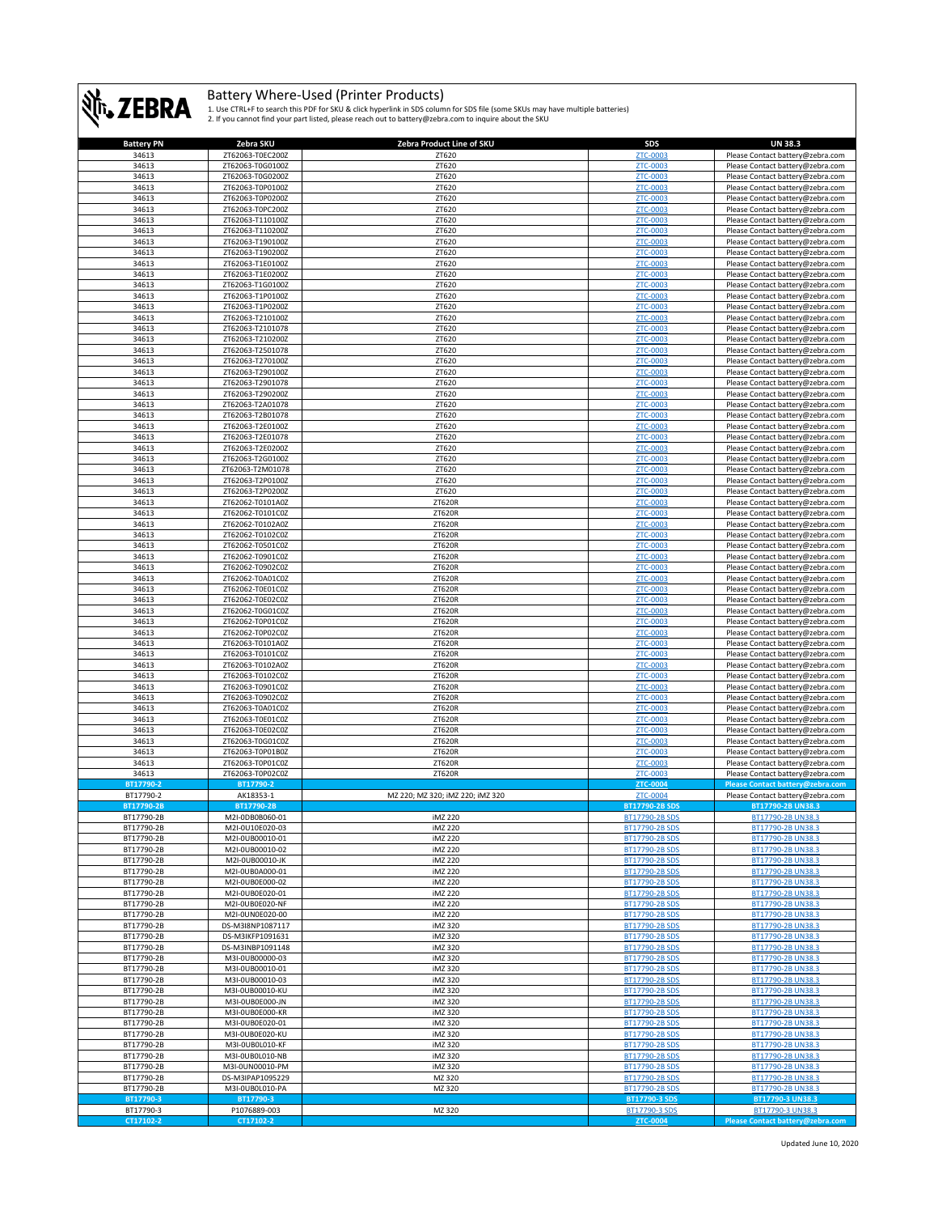

| <b>Battery PN</b>      | Zebra SKU                 | Zebra Product Line of SKU        | <b>SDS</b>                            | <b>UN 38.3</b>                                       |
|------------------------|---------------------------|----------------------------------|---------------------------------------|------------------------------------------------------|
| 34613                  | ZT62063-T0EC200Z          | ZT620                            | ZTC-0003                              | Please Contact battery@zebra.com                     |
| 34613                  | ZT62063-T0G0100Z          | ZT620                            | ZTC-0003                              | Please Contact battery@zebra.com                     |
|                        |                           |                                  |                                       |                                                      |
| 34613                  | ZT62063-T0G0200Z          | ZT620                            | ZTC-0003                              | Please Contact battery@zebra.com                     |
| 34613                  | ZT62063-T0P0100Z          | ZT620                            | ZTC-0003                              | Please Contact battery@zebra.com                     |
| 34613                  | ZT62063-T0P0200Z          | ZT620                            | ZTC-0003                              | Please Contact battery@zebra.com                     |
| 34613                  | ZT62063-T0PC200Z          | ZT620                            | ZTC-0003                              | Please Contact battery@zebra.com                     |
| 34613                  | ZT62063-T110100Z          | ZT620                            | ZTC-0003                              | Please Contact battery@zebra.com                     |
| 34613                  | ZT62063-T110200Z          | ZT620                            | <b>ZTC-0003</b>                       |                                                      |
|                        |                           |                                  |                                       | Please Contact battery@zebra.com                     |
| 34613                  | ZT62063-T190100Z          | ZT620                            | ZTC-0003                              | Please Contact battery@zebra.com                     |
| 34613                  | ZT62063-T190200Z          | ZT620                            | <b>ZTC-0003</b>                       | Please Contact battery@zebra.com                     |
| 34613                  | ZT62063-T1E0100Z          | ZT620                            | ZTC-0003                              | Please Contact battery@zebra.com                     |
| 34613                  | ZT62063-T1E0200Z          | ZT620                            | <b>ZTC-0003</b>                       | Please Contact battery@zebra.com                     |
| 34613                  | ZT62063-T1G0100Z          | ZT620                            | ZTC-0003                              | Please Contact battery@zebra.com                     |
| 34613                  |                           |                                  | ZTC-0003                              | Please Contact battery@zebra.com                     |
|                        | ZT62063-T1P0100Z          | ZT620                            |                                       |                                                      |
| 34613                  | ZT62063-T1P0200Z          | ZT620                            | ZTC-0003                              | Please Contact battery@zebra.com                     |
| 34613                  | ZT62063-T210100Z          | ZT620                            | <b>ZTC-0003</b>                       | Please Contact battery@zebra.com                     |
| 34613                  | ZT62063-T2101078          | ZT620                            | ZTC-0003                              | Please Contact battery@zebra.com                     |
| 34613                  | ZT62063-T210200Z          | ZT620                            | ZTC-0003                              | Please Contact battery@zebra.com                     |
| 34613                  | ZT62063-T2501078          | ZT620                            | <b>ZTC-0003</b>                       | Please Contact battery@zebra.com                     |
| 34613                  | ZT62063-T270100Z          | ZT620                            | ZTC-0003                              | Please Contact battery@zebra.com                     |
|                        |                           |                                  |                                       |                                                      |
| 34613                  | ZT62063-T290100Z          | ZT620                            | ZTC-0003                              | Please Contact battery@zebra.com                     |
| 34613                  | ZT62063-T2901078          | ZT620                            | ZTC-0003                              | Please Contact battery@zebra.com                     |
| 34613                  | ZT62063-T290200Z          | ZT620                            | ZTC-0003                              | Please Contact battery@zebra.com                     |
| 34613                  | ZT62063-T2A01078          | ZT620                            | ZTC-0003                              | Please Contact battery@zebra.com                     |
| 34613                  | ZT62063-T2B01078          | ZT620                            | ZTC-0003                              | Please Contact battery@zebra.com                     |
|                        | ZT62063-T2E0100Z          |                                  |                                       | Please Contact battery@zebra.com                     |
| 34613                  |                           | ZT620                            | <b>ZTC-0003</b>                       |                                                      |
| 34613                  | ZT62063-T2E01078          | ZT620                            | ZTC-0003                              | Please Contact battery@zebra.com                     |
| 34613                  | ZT62063-T2E0200Z          | ZT620                            | ZTC-0003                              | Please Contact battery@zebra.com                     |
| 34613                  | ZT62063-T2G0100Z          | ZT620                            | <b>ZTC-0003</b>                       | Please Contact battery@zebra.com                     |
| 34613                  | ZT62063-T2M01078          | ZT620                            | ZTC-0003                              | Please Contact battery@zebra.com                     |
| 34613                  | ZT62063-T2P0100Z          | ZT620                            | ZTC-0003                              | Please Contact battery@zebra.com                     |
|                        |                           |                                  |                                       |                                                      |
| 34613                  | ZT62063-T2P0200Z          | ZT620                            | ZTC-0003                              | Please Contact battery@zebra.com                     |
| 34613                  | ZT62062-T0101A0Z          | ZT620R                           | ZTC-0003                              | Please Contact battery@zebra.com                     |
| 34613                  | ZT62062-T0101C0Z          | ZT620R                           | ZTC-0003                              | Please Contact battery@zebra.com                     |
| 34613                  | ZT62062-T0102A0Z          | ZT620R                           | ZTC-0003                              | Please Contact battery@zebra.com                     |
| 34613                  | ZT62062-T0102C0Z          | ZT620R                           | ZTC-0003                              | Please Contact battery@zebra.com                     |
| 34613                  | ZT62062-T0501C0Z          | ZT620R                           | ZTC-0003                              | Please Contact battery@zebra.com                     |
|                        |                           |                                  | ZTC-0003                              |                                                      |
| 34613                  | ZT62062-T0901C0Z          | ZT620R                           |                                       | Please Contact battery@zebra.com                     |
| 34613                  | ZT62062-T0902C0Z          | ZT620R                           | <b>ZTC-0003</b>                       | Please Contact battery@zebra.com                     |
| 34613                  | ZT62062-T0A01C0Z          | ZT620R                           | <b>ZTC-0003</b>                       | Please Contact battery@zebra.com                     |
| 34613                  | ZT62062-T0E01C0Z          | ZT620R                           | ZTC-0003                              | Please Contact battery@zebra.com                     |
| 34613                  | ZT62062-T0E02C0Z          | ZT620R                           | ZTC-0003                              | Please Contact battery@zebra.com                     |
| 34613                  | ZT62062-T0G01C0Z          |                                  | <b>ZTC-0003</b>                       |                                                      |
|                        |                           | ZT620R                           |                                       | Please Contact battery@zebra.com                     |
| 34613                  | ZT62062-T0P01C0Z          | ZT620R                           | <b>ZTC-0003</b>                       | Please Contact battery@zebra.com                     |
| 34613                  | ZT62062-T0P02C0Z          | ZT620R                           | ZTC-0003                              | Please Contact battery@zebra.com                     |
| 34613                  | ZT62063-T0101A0Z          | ZT620R                           | ZTC-0003                              | Please Contact battery@zebra.com                     |
| 34613                  | ZT62063-T0101C0Z          | ZT620R                           | ZTC-0003                              | Please Contact battery@zebra.com                     |
| 34613                  | ZT62063-T0102A0Z          | ZT620R                           | ZTC-0003                              | Please Contact battery@zebra.com                     |
|                        |                           |                                  |                                       |                                                      |
| 34613                  | ZT62063-T0102C0Z          | ZT620R                           | ZTC-0003                              | Please Contact battery@zebra.com                     |
| 34613                  | ZT62063-T0901C0Z          | ZT620R                           | <b>ZTC-0003</b>                       | Please Contact battery@zebra.com                     |
| 34613                  | ZT62063-T0902C0Z          | ZT620R                           | ZTC-0003                              | Please Contact battery@zebra.com                     |
| 34613                  | ZT62063-T0A01C0Z          | ZT620R                           | <b>ZTC-0003</b>                       | Please Contact battery@zebra.com                     |
| 34613                  | ZT62063-T0E01C0Z          | ZT620R                           | <b>ZTC-0003</b>                       | Please Contact battery@zebra.com                     |
| 34613                  | ZT62063-T0E02C0Z          | ZT620R                           | ZTC-0003                              | Please Contact battery@zebra.com                     |
|                        |                           |                                  | ZTC-0003                              |                                                      |
| 34613                  | ZT62063-T0G01C0Z          | ZT620R                           |                                       | Please Contact battery@zebra.com                     |
| 34613                  | ZT62063-T0P01B0Z          | ZT620R                           | <b>ZTC-0003</b>                       | Please Contact battery@zebra.com                     |
| 34613                  | ZT62063-T0P01C0Z          | ZT620R                           | ZTC-0003                              | Please Contact battery@zebra.com                     |
| 34613                  | ZT62063-T0P02C0Z          | ZT620R                           | ZTC-0003                              | Please Contact battery@zebra.com                     |
| BT17790-2              | BT17790-2                 |                                  | ZTC-0004                              | Please Contact battery@zebra.com                     |
| BT17790-2              | AK18353-1                 | MZ 220; MZ 320; iMZ 220; iMZ 320 | ZTC-0004                              | Please Contact battery@zebra.com                     |
| BT17790-2B             | BT17790-2B                |                                  | <b>BT17790-2B SDS</b>                 | BT17790-2B UN38.3                                    |
|                        |                           |                                  |                                       |                                                      |
| BT17790-2B             | M2I-0DB0B060-01           | iMZ 220                          | <u>BI17790-2BSD</u><br>BT17790-2B SDS | <u>BT17790-2B UN38.</u>                              |
| BT17790-2B             | M2I-0U10E020-03           | iMZ 220                          |                                       | BT17790-2B UN38.3                                    |
| BT17790-2B             | M2I-0UB00010-01           | iMZ 220                          | BT17790-2B SDS                        | BT17790-2B UN38.3                                    |
| BT17790-2B             | M2I-0UB00010-02           | iMZ 220                          | BT17790-2B SDS                        | BT17790-2B UN38.3                                    |
| BT17790-2B             |                           |                                  | BT17790-2B SDS                        | BT17790-2B UN38.3                                    |
|                        | M2I-0UB00010-JK           | iMZ 220                          |                                       |                                                      |
| BT17790-2B             | M2I-0UB0A000-01           | iMZ 220                          | BT17790-2B SDS                        | BT17790-2B UN38.3                                    |
|                        |                           |                                  |                                       |                                                      |
| BT17790-2B             | M2I-0UB0E000-02           | iMZ 220                          | BT17790-2B SDS                        | BT17790-2B UN38.3                                    |
| BT17790-2B             | M2I-0UB0E020-01           | iMZ 220                          | BT17790-2B SDS                        | BT17790-2B UN38.3                                    |
| BT17790-2B             | M2I-0UB0E020-NF           | iMZ 220                          | BT17790-2B SDS                        | BT17790-2B UN38.3                                    |
| BT17790-2B             | M2I-0UN0E020-00           | iMZ 220                          | BT17790-2B SDS                        | BT17790-2B UN38.3                                    |
| BT17790-2B             | DS-M3I8NP1087117          | iMZ 320                          | BT17790-2B SDS                        | BT17790-2B UN38.3                                    |
| BT17790-2B             | DS-M3IKFP1091631          | iMZ 320                          | BT17790-2B SDS                        | BT17790-2B UN38.3                                    |
|                        |                           |                                  |                                       |                                                      |
| BT17790-2B             | DS-M3INBP1091148          | iMZ 320                          | BT17790-2B SDS                        | BT17790-2B UN38.3                                    |
| BT17790-2B             | M3I-0UB00000-03           | iMZ 320                          | BT17790-2B SDS                        | BT17790-2B UN38.3                                    |
| BT17790-2B             | M3I-0UB00010-01           | iMZ 320                          | BT17790-2B SDS                        | BT17790-2B UN38.3                                    |
| BT17790-2B             | M3I-0UB00010-03           | iMZ 320                          | BT17790-2B SDS                        | BT17790-2B UN38.3                                    |
| BT17790-2B             | M3I-0UB00010-KU           | iMZ 320                          | BT17790-2B SDS                        | BT17790-2B UN38.3                                    |
| BT17790-2B             | M3I-OUB0E000-JN           | iMZ 320                          | BT17790-2B SDS                        | BT17790-2B UN38.3                                    |
|                        | M3I-0UB0E000-KR           |                                  |                                       |                                                      |
| BT17790-2B             |                           | iMZ 320                          | BT17790-2B SDS                        | BT17790-2B UN38.3                                    |
| BT17790-2B             | M3I-0UB0E020-01           | iMZ 320                          | BT17790-2B SDS                        | BT17790-2B UN38.3                                    |
| BT17790-2B             | M3I-0UB0E020-KU           | iMZ 320                          | BT17790-2B SDS                        | BT17790-2B UN38.3                                    |
| BT17790-2B             | M3I-OUBOL010-KF           | iMZ 320                          | BT17790-2B SDS                        | BT17790-2B UN38.3                                    |
| BT17790-2B             | M3I-0UB0L010-NB           | iMZ 320                          | BT17790-2B SDS                        | BT17790-2B UN38.3                                    |
| BT17790-2B             | M3I-0UN00010-PM           | iMZ 320                          | BT17790-2B SDS                        | BT17790-2B UN38.3                                    |
|                        |                           |                                  |                                       |                                                      |
| BT17790-2B             | DS-M3IPAP1095229          | MZ 320                           | BT17790-2B SDS                        | BT17790-2B UN38.3                                    |
| BT17790-2B             | M3I-0UB0L010-PA           | MZ 320                           | BT17790-2B SDS                        | BT17790-2B UN38.3                                    |
| BT17790-3              | BT17790-3                 |                                  | BT17790-3 SDS                         | BT17790-3 UN38.3                                     |
| BT17790-3<br>CT17102-2 | P1076889-003<br>CT17102-2 | MZ 320                           | BT17790-3 SDS<br>ZTC-0004             | BT17790-3 UN38.3<br>Please Contact battery@zebra.com |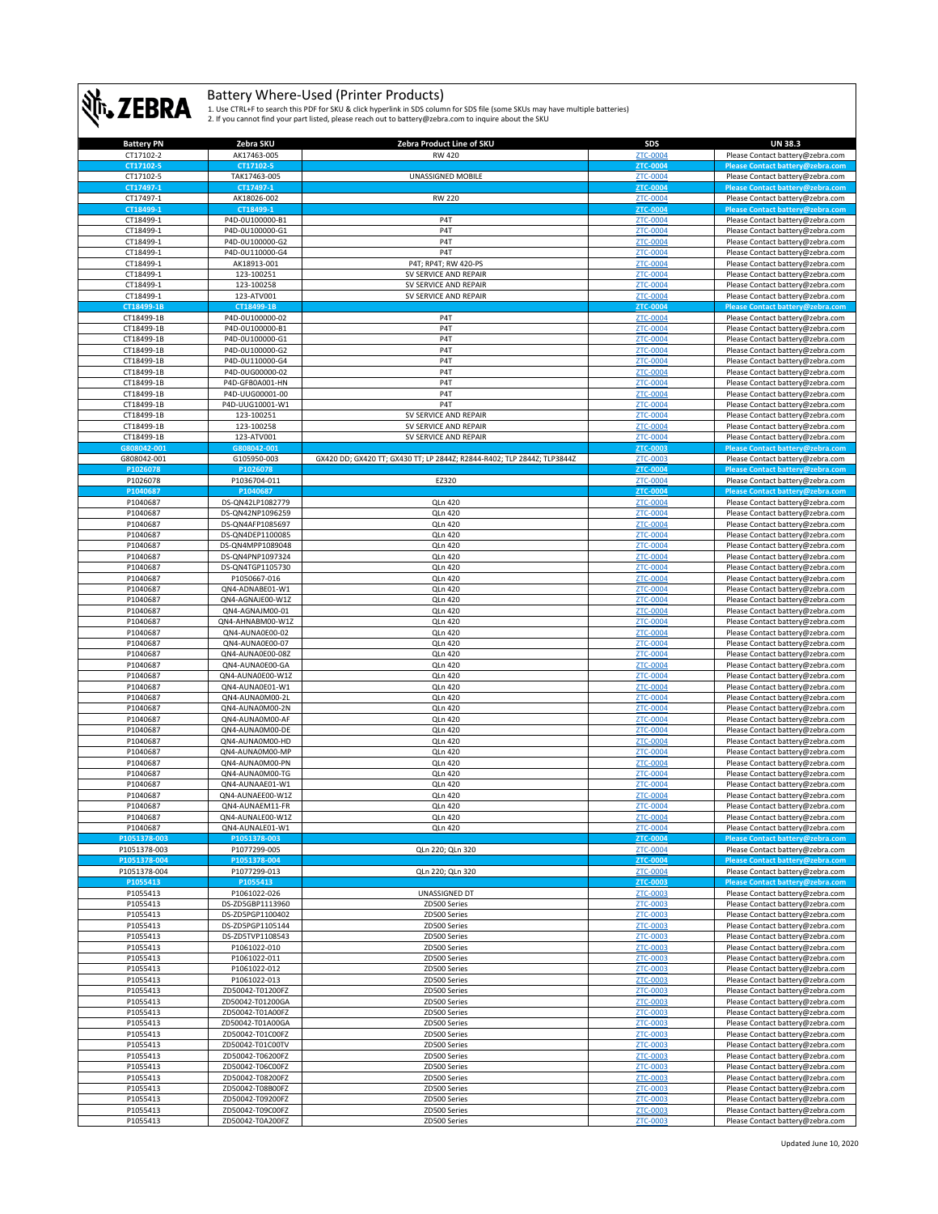

| <b>Battery PN</b>        | Zebra SKU                            | Zebra Product Line of SKU                                               | SDS                         | <b>UN 38.3</b>                                                       |
|--------------------------|--------------------------------------|-------------------------------------------------------------------------|-----------------------------|----------------------------------------------------------------------|
| CT17102-2                | AK17463-005                          | RW 420                                                                  | ZTC-0004                    | Please Contact battery@zebra.com                                     |
| CT17102-5                | CT17102-5                            |                                                                         | ZTC-0004                    | Please Contact battery@zebra.com                                     |
| CT17102-5<br>CT17497-1   | TAK17463-005<br>CT17497-1            | UNASSIGNED MOBILE                                                       | ZTC-0004<br><b>ZTC-0004</b> | Please Contact battery@zebra.com<br>Please Contact battery@zebra.com |
| CT17497-1                | AK18026-002                          | <b>RW 220</b>                                                           | ZTC-0004                    | Please Contact battery@zebra.com                                     |
| CT18499-1                | CT18499-1                            |                                                                         | ZTC-0004                    | Please Contact battery@zebra.com                                     |
| CT18499-1                | P4D-0U100000-B1                      | P <sub>4</sub> T                                                        | ZTC-0004                    | Please Contact battery@zebra.com                                     |
| CT18499-1                | P4D-0U100000-G1                      | P <sub>4</sub> T                                                        | <b>ZTC-0004</b>             | Please Contact battery@zebra.com                                     |
| CT18499-1                | P4D-0U100000-G2                      | P <sub>4</sub> T                                                        | ZTC-0004                    | Please Contact battery@zebra.com                                     |
| CT18499-1                | P4D-0U110000-G4                      | P <sub>4</sub> T                                                        | ZTC-0004                    | Please Contact battery@zebra.com                                     |
| CT18499-1                | AK18913-001                          | P4T; RP4T; RW 420-PS                                                    | ZTC-0004                    | Please Contact battery@zebra.com                                     |
| CT18499-1<br>CT18499-1   | 123-100251<br>123-100258             | SV SERVICE AND REPAIR<br>SV SERVICE AND REPAIR                          | ZTC-0004<br><b>ZTC-0004</b> | Please Contact battery@zebra.com<br>Please Contact battery@zebra.com |
| CT18499-1                | 123-ATV001                           | SV SERVICE AND REPAIR                                                   | <b>ZTC-0004</b>             | Please Contact battery@zebra.com                                     |
| CT18499-1B               | CT18499-1B                           |                                                                         | <b>ZTC-0004</b>             | Please Contact battery@zebra.com                                     |
| CT18499-1B               | P4D-0U100000-02                      | P <sub>4</sub> T                                                        | ZTC-0004                    | Please Contact battery@zebra.com                                     |
| CT18499-1B               | P4D-0U100000-B1                      | P <sub>4</sub> T                                                        | ZTC-0004                    | Please Contact battery@zebra.com                                     |
| CT18499-1B               | P4D-0U100000-G1                      | P <sub>4</sub> T                                                        | <b>ZTC-0004</b>             | Please Contact battery@zebra.com                                     |
| CT18499-1B               | P4D-0U100000-G2                      | P <sub>4</sub> T                                                        | ZTC-0004                    | Please Contact battery@zebra.com                                     |
| CT18499-1B<br>CT18499-1B | P4D-0U110000-G4<br>P4D-0UG00000-02   | P <sub>4</sub> T<br>P <sub>4</sub> T                                    | ZTC-0004<br>ZTC-0004        | Please Contact battery@zebra.com<br>Please Contact battery@zebra.com |
| CT18499-1B               | P4D-GFB0A001-HN                      | P <sub>4</sub> T                                                        | ZTC-0004                    | Please Contact battery@zebra.com                                     |
| CT18499-1B               | P4D-UUG00001-00                      | P <sub>4</sub> T                                                        | ZTC-0004                    | Please Contact battery@zebra.com                                     |
| CT18499-1B               | P4D-UUG10001-W1                      | P <sub>4</sub> T                                                        | <b>ZTC-0004</b>             | Please Contact battery@zebra.com                                     |
| CT18499-1B               | 123-100251                           | SV SERVICE AND REPAIR                                                   | ZTC-0004                    | Please Contact battery@zebra.com                                     |
| CT18499-1B               | 123-100258                           | SV SERVICE AND REPAIR                                                   | ZTC-0004                    | Please Contact battery@zebra.com                                     |
| CT18499-1B               | 123-ATV001                           | SV SERVICE AND REPAIR                                                   | <b>ZTC-0004</b>             | Please Contact battery@zebra.com                                     |
| G808042-001              | G808042-001                          |                                                                         | ZTC-0003                    | Please Contact battery@zebra.com                                     |
| G808042-001<br>P1026078  | G105950-003<br>P1026078              | GX420 DD; GX420 TT; GX430 TT; LP 2844Z; R2844-R402; TLP 2844Z; TLP3844Z | ZTC-0003<br>ZTC-0004        | Please Contact battery@zebra.com<br>Please Contact battery@zebra.com |
| P1026078                 | P1036704-011                         | EZ320                                                                   | ZTC-0004                    | Please Contact battery@zebra.com                                     |
| P1040687                 | P1040687                             |                                                                         | <b>ZTC-0004</b>             | Please Contact battery@zebra.com                                     |
| P1040687                 | DS-QN42LP1082779                     | <b>QLn 420</b>                                                          | <b>ZTC-0004</b>             | Please Contact battery@zebra.com                                     |
| P1040687                 | DS-QN42NP1096259                     | <b>QLn 420</b>                                                          | ZTC-0004                    | Please Contact battery@zebra.com                                     |
| P1040687                 | DS-QN4AFP1085697                     | <b>QLn 420</b>                                                          | ZTC-0004                    | Please Contact battery@zebra.com                                     |
| P1040687                 | DS-QN4DEP1100085                     | <b>QLn 420</b>                                                          | ZTC-0004                    | Please Contact battery@zebra.com                                     |
| P1040687                 | DS-QN4MPP1089048                     | <b>QLn 420</b>                                                          | ZTC-0004                    | Please Contact battery@zebra.com                                     |
| P1040687<br>P1040687     | DS-QN4PNP1097324<br>DS-QN4TGP1105730 | <b>QLn 420</b><br><b>QLn 420</b>                                        | ZTC-0004<br>ZTC-0004        | Please Contact battery@zebra.com<br>Please Contact battery@zebra.com |
| P1040687                 | P1050667-016                         | <b>QLn 420</b>                                                          | ZTC-0004                    | Please Contact battery@zebra.com                                     |
| P1040687                 | QN4-ADNABE01-W1                      | <b>QLn 420</b>                                                          | <b>ZTC-0004</b>             | Please Contact battery@zebra.com                                     |
| P1040687                 | QN4-AGNAJE00-W1Z                     | <b>QLn 420</b>                                                          | <b>ZTC-0004</b>             | Please Contact battery@zebra.com                                     |
| P1040687                 | QN4-AGNAJM00-01                      | <b>QLn 420</b>                                                          | ZTC-0004                    | Please Contact battery@zebra.com                                     |
| P1040687                 | QN4-AHNABM00-W1Z                     | <b>QLn 420</b>                                                          | <b>ZTC-0004</b>             | Please Contact battery@zebra.com                                     |
| P1040687                 | QN4-AUNA0E00-02                      | <b>QLn 420</b>                                                          | ZTC-0004                    | Please Contact battery@zebra.com                                     |
| P1040687                 | QN4-AUNA0E00-07                      | <b>QLn 420</b>                                                          | ZTC-0004                    | Please Contact battery@zebra.com                                     |
| P1040687<br>P1040687     | QN4-AUNA0E00-08Z<br>QN4-AUNA0E00-GA  | <b>QLn 420</b><br><b>QLn 420</b>                                        | <b>ZTC-0004</b><br>ZTC-0004 | Please Contact battery@zebra.com<br>Please Contact battery@zebra.com |
| P1040687                 | QN4-AUNA0E00-W1Z                     | <b>QLn 420</b>                                                          | ZTC-0004                    | Please Contact battery@zebra.com                                     |
| P1040687                 | QN4-AUNA0E01-W1                      | <b>QLn 420</b>                                                          | ZTC-0004                    | Please Contact battery@zebra.com                                     |
| P1040687                 | QN4-AUNA0M00-2L                      | <b>QLn 420</b>                                                          | ZTC-0004                    | Please Contact battery@zebra.com                                     |
| P1040687                 | QN4-AUNA0M00-2N                      | <b>QLn 420</b>                                                          | ZTC-0004                    | Please Contact battery@zebra.com                                     |
| P1040687                 | QN4-AUNA0M00-AF                      | <b>QLn 420</b>                                                          | ZTC-0004                    | Please Contact battery@zebra.com                                     |
| P1040687                 | QN4-AUNA0M00-DE                      | <b>QLn 420</b>                                                          | ZTC-0004                    | Please Contact battery@zebra.com                                     |
| P1040687                 | QN4-AUNA0M00-HD                      | <b>QLn 420</b>                                                          | ZTC-0004                    | Please Contact battery@zebra.com                                     |
| P1040687<br>P1040687     | QN4-AUNA0M00-MP<br>QN4-AUNA0M00-PN   | <b>QLn 420</b><br><b>QLn 420</b>                                        | ZTC-0004<br>ZTC-0004        | Please Contact battery@zebra.com<br>Please Contact battery@zebra.com |
| P1040687                 | QN4-AUNA0M00-TG                      | <b>QLn 420</b>                                                          | ZTC-0004                    | Please Contact battery@zebra.com                                     |
| P1040687                 | QN4-AUNAAE01-W1                      | QLn 420                                                                 | ZTC-0004                    | Please Contact battery@zebra.com                                     |
| P1040687                 | QN4-AUNAEE00-W1Z                     | QLn 420                                                                 | <b>ZTC-0004</b>             | Please Contact battery@zebra.com                                     |
| P1040687                 | QN4-AUNAEM11-FR                      | <b>QLn 420</b>                                                          | <b>ZTC-0004</b>             | Please Contact battery@zebra.com                                     |
| P1040687                 | QN4-AUNALE00-W1Z                     | QIn420                                                                  | <b>7TC-0004</b>             | Please Contact battery@zebra.com                                     |
| P1040687<br>P1051378-003 | QN4-AUNALE01-W1<br>P1051378-003      | <b>QLn 420</b>                                                          | ZTC-0004<br><b>ZTC-0004</b> | Please Contact battery@zebra.com<br>Please Contact battery@zebra.com |
| P1051378-003             | P1077299-005                         | QLn 220; QLn 320                                                        | <b>ZTC-0004</b>             | Please Contact battery@zebra.com                                     |
| P1051378-004             | P1051378-004                         |                                                                         | ZTC-0004                    | Please Contact battery@zebra.com                                     |
| P1051378-004             | P1077299-013                         | QLn 220; QLn 320                                                        | ZTC-0004                    | Please Contact battery@zebra.com                                     |
| P1055413                 | P1055413                             |                                                                         | ZTC-0003                    | Please Contact battery@zebra.com                                     |
| P1055413                 | P1061022-026                         | UNASSIGNED DT                                                           | ZTC-0003                    | Please Contact battery@zebra.com                                     |
| P1055413<br>P1055413     | DS-ZD5GBP1113960<br>DS-ZD5PGP1100402 | ZD500 Series                                                            | ZTC-0003                    | Please Contact battery@zebra.com                                     |
| P1055413                 | DS-ZD5PGP1105144                     | ZD500 Series<br>ZD500 Series                                            | ZTC-0003<br>ZTC-0003        | Please Contact battery@zebra.com<br>Please Contact battery@zebra.com |
| P1055413                 | DS-ZD5TVP1108543                     | ZD500 Series                                                            | ZTC-0003                    | Please Contact battery@zebra.com                                     |
| P1055413                 | P1061022-010                         | ZD500 Series                                                            | ZTC-0003                    | Please Contact battery@zebra.com                                     |
| P1055413                 | P1061022-011                         | ZD500 Series                                                            | ZTC-0003                    | Please Contact battery@zebra.com                                     |
| P1055413                 | P1061022-012                         | ZD500 Series                                                            | ZTC-0003                    | Please Contact battery@zebra.com                                     |
| P1055413                 | P1061022-013                         | ZD500 Series                                                            | ZTC-0003                    | Please Contact battery@zebra.com                                     |
| P1055413                 | ZD50042-T01200FZ                     | ZD500 Series                                                            | ZTC-0003                    | Please Contact battery@zebra.com                                     |
| P1055413                 | ZD50042-T01200GA                     | ZD500 Series<br>ZD500 Series                                            | ZTC-0003                    | Please Contact battery@zebra.com                                     |
| P1055413<br>P1055413     | ZD50042-T01A00FZ<br>ZD50042-T01A00GA | ZD500 Series                                                            | ZTC-0003<br>ZTC-0003        | Please Contact battery@zebra.com<br>Please Contact battery@zebra.com |
| P1055413                 | ZD50042-T01C00FZ                     | ZD500 Series                                                            | ZTC-0003                    | Please Contact battery@zebra.com                                     |
| P1055413                 | ZD50042-T01C00TV                     | ZD500 Series                                                            | ZTC-0003                    | Please Contact battery@zebra.com                                     |
| P1055413                 | ZD50042-T06200FZ                     | ZD500 Series                                                            | ZTC-0003                    | Please Contact battery@zebra.com                                     |
| P1055413                 | ZD50042-T06C00FZ                     | ZD500 Series                                                            | ZTC-0003                    | Please Contact battery@zebra.com                                     |
| P1055413                 | ZD50042-T08200FZ                     | ZD500 Series                                                            | ZTC-0003                    | Please Contact battery@zebra.com                                     |
| P1055413                 | ZD50042-T08B00FZ                     | ZD500 Series                                                            | ZTC-0003                    | Please Contact battery@zebra.com                                     |
|                          |                                      |                                                                         |                             |                                                                      |
| P1055413<br>P1055413     | ZD50042-T09200FZ<br>ZD50042-T09C00FZ | ZD500 Series<br>ZD500 Series                                            | ZTC-0003<br>ZTC-0003        | Please Contact battery@zebra.com<br>Please Contact battery@zebra.com |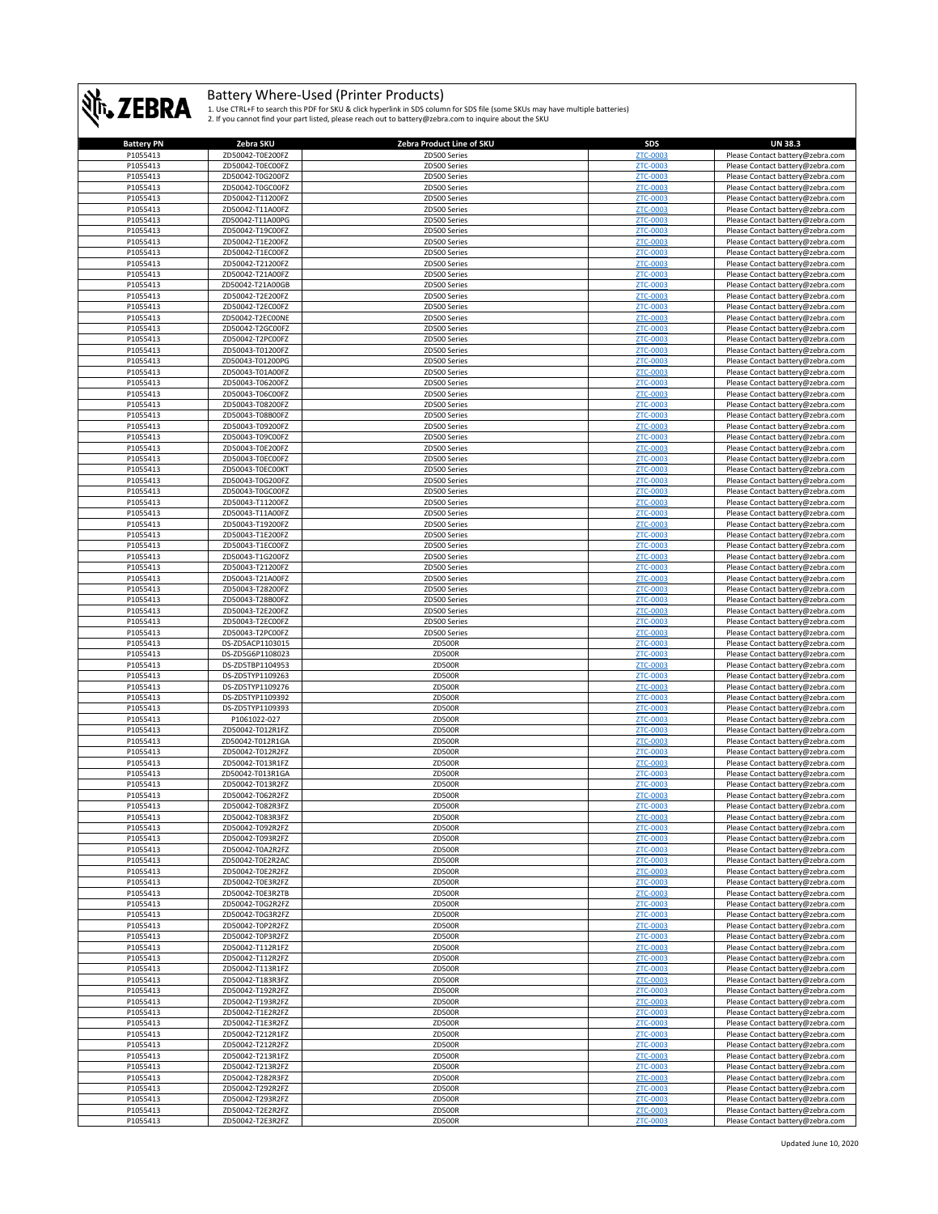

| <b>Battery PN</b> | Zebra SKU        | Zebra Product Line of SKU | <b>SDS</b>      | <b>UN 38.3</b>                   |
|-------------------|------------------|---------------------------|-----------------|----------------------------------|
| P1055413          | ZD50042-T0E200FZ | ZD500 Series              | ZTC-0003        | Please Contact battery@zebra.com |
| P1055413          | ZD50042-T0EC00FZ | ZD500 Series              | ZTC-0003        | Please Contact battery@zebra.com |
|                   | ZD50042-T0G200FZ |                           |                 | Please Contact battery@zebra.com |
| P1055413          |                  | ZD500 Series              | ZTC-0003        |                                  |
| P1055413          | ZD50042-T0GC00FZ | ZD500 Series              | <b>ZTC-0003</b> | Please Contact battery@zebra.com |
| P1055413          | ZD50042-T11200FZ | ZD500 Series              | ZTC-0003        | Please Contact battery@zebra.com |
| P1055413          | ZD50042-T11A00FZ | ZD500 Series              | <b>ZTC-0003</b> | Please Contact battery@zebra.com |
| P1055413          | ZD50042-T11A00PG | ZD500 Series              | <b>ZTC-0003</b> | Please Contact battery@zebra.com |
| P1055413          | ZD50042-T19C00FZ | ZD500 Series              | <b>ZTC-0003</b> | Please Contact battery@zebra.com |
| P1055413          | ZD50042-T1E200FZ | ZD500 Series              | ZTC-0003        | Please Contact battery@zebra.com |
|                   |                  |                           |                 |                                  |
| P1055413          | ZD50042-T1EC00FZ | ZD500 Series              | ZTC-0003        | Please Contact battery@zebra.com |
| P1055413          | ZD50042-T21200FZ | ZD500 Series              | <b>ZTC-0003</b> | Please Contact battery@zebra.com |
| P1055413          | ZD50042-T21A00FZ | ZD500 Series              | <b>ZTC-0003</b> | Please Contact battery@zebra.com |
| P1055413          | ZD50042-T21A00GB | ZD500 Series              | ZTC-0003        | Please Contact battery@zebra.com |
| P1055413          | ZD50042-T2E200FZ | ZD500 Series              | <b>ZTC-0003</b> | Please Contact battery@zebra.com |
| P1055413          | ZD50042-T2EC00FZ | ZD500 Series              | <b>ZTC-0003</b> | Please Contact battery@zebra.com |
| P1055413          | ZD50042-T2EC00NE | ZD500 Series              | ZTC-0003        | Please Contact battery@zebra.com |
| P1055413          | ZD50042-T2GC00FZ | ZD500 Series              | ZTC-0003        | Please Contact battery@zebra.com |
| P1055413          | ZD50042-T2PC00FZ | ZD500 Series              | ZTC-0003        | Please Contact battery@zebra.com |
|                   |                  |                           |                 |                                  |
| P1055413          | ZD50043-T01200FZ | ZD500 Series              | ZTC-0003        | Please Contact battery@zebra.com |
| P1055413          | ZD50043-T01200PG | ZD500 Series              | <b>ZTC-0003</b> | Please Contact battery@zebra.com |
| P1055413          | ZD50043-T01A00FZ | ZD500 Series              | ZTC-0003        | Please Contact battery@zebra.com |
| P1055413          | ZD50043-T06200FZ | ZD500 Series              | <b>ZTC-0003</b> | Please Contact battery@zebra.com |
| P1055413          | ZD50043-T06C00FZ | ZD500 Series              | ZTC-0003        | Please Contact battery@zebra.com |
| P1055413          | ZD50043-T08200FZ | ZD500 Series              | ZTC-0003        | Please Contact battery@zebra.com |
| P1055413          | ZD50043-T08B00FZ | ZD500 Series              | <b>ZTC-0003</b> | Please Contact battery@zebra.com |
| P1055413          | ZD50043-T09200FZ | ZD500 Series              | ZTC-0003        | Please Contact battery@zebra.com |
| P1055413          | ZD50043-T09C00FZ | ZD500 Series              | <b>ZTC-0003</b> | Please Contact battery@zebra.com |
|                   |                  |                           |                 |                                  |
| P1055413          | ZD50043-T0E200FZ | ZD500 Series              | <b>ZTC-0003</b> | Please Contact battery@zebra.com |
| P1055413          | ZD50043-T0EC00FZ | ZD500 Series              | <b>ZTC-0003</b> | Please Contact battery@zebra.com |
| P1055413          | ZD50043-T0EC00KT | ZD500 Series              | <b>ZTC-0003</b> | Please Contact battery@zebra.com |
| P1055413          | ZD50043-T0G200FZ | ZD500 Series              | <b>ZTC-0003</b> | Please Contact battery@zebra.com |
| P1055413          | ZD50043-T0GC00FZ | ZD500 Series              | ZTC-0003        | Please Contact battery@zebra.com |
| P1055413          | ZD50043-T11200FZ | ZD500 Series              | <b>ZTC-0003</b> | Please Contact battery@zebra.com |
| P1055413          | ZD50043-T11A00FZ | ZD500 Series              | ZTC-0003        | Please Contact battery@zebra.com |
| P1055413          | ZD50043-T19200FZ | ZD500 Series              | <b>ZTC-0003</b> | Please Contact battery@zebra.com |
|                   |                  | ZD500 Series              | <b>ZTC-0003</b> |                                  |
| P1055413          | ZD50043-T1E200FZ |                           |                 | Please Contact battery@zebra.com |
| P1055413          | ZD50043-T1EC00FZ | ZD500 Series              | ZTC-0003        | Please Contact battery@zebra.com |
| P1055413          | ZD50043-T1G200FZ | ZD500 Series              | ZTC-0003        | Please Contact battery@zebra.com |
| P1055413          | ZD50043-T21200FZ | ZD500 Series              | ZTC-0003        | Please Contact battery@zebra.com |
| P1055413          | ZD50043-T21A00FZ | ZD500 Series              | <b>ZTC-0003</b> | Please Contact battery@zebra.com |
| P1055413          | ZD50043-T28200FZ | ZD500 Series              | ZTC-0003        | Please Contact battery@zebra.com |
| P1055413          | ZD50043-T28B00FZ | ZD500 Series              | <b>ZTC-0003</b> | Please Contact battery@zebra.com |
| P1055413          | ZD50043-T2E200FZ | ZD500 Series              | <b>ZTC-0003</b> | Please Contact battery@zebra.com |
|                   |                  |                           |                 |                                  |
| P1055413          | ZD50043-T2EC00FZ | ZD500 Series              | <b>ZTC-0003</b> | Please Contact battery@zebra.com |
| P1055413          | ZD50043-T2PC00FZ | ZD500 Series              | ZTC-0003        | Please Contact battery@zebra.com |
| P1055413          | DS-ZD5ACP1103015 | ZD500R                    | ZTC-0003        | Please Contact battery@zebra.com |
| P1055413          | DS-ZD5G6P1108023 | <b>ZD500R</b>             | <b>ZTC-0003</b> | Please Contact battery@zebra.com |
| P1055413          | DS-ZD5TBP1104953 | ZD500R                    | ZTC-0003        | Please Contact battery@zebra.com |
| P1055413          | DS-ZD5TYP1109263 | <b>ZD500R</b>             | ZTC-0003        | Please Contact battery@zebra.com |
| P1055413          | DS-ZD5TYP1109276 | ZD500R                    | <b>ZTC-0003</b> | Please Contact battery@zebra.com |
| P1055413          | DS-ZD5TYP1109392 | <b>ZD500R</b>             | <b>ZTC-0003</b> | Please Contact battery@zebra.com |
|                   |                  |                           | <b>ZTC-0003</b> |                                  |
| P1055413          | DS-ZD5TYP1109393 | ZD500R                    |                 | Please Contact battery@zebra.com |
| P1055413          | P1061022-027     | ZD500R                    | <b>ZTC-0003</b> | Please Contact battery@zebra.com |
| P1055413          | ZD50042-T012R1FZ | <b>ZD500R</b>             | ZTC-0003        | Please Contact battery@zebra.com |
| P1055413          | ZD50042-T012R1GA | <b>ZD500R</b>             | <b>ZTC-0003</b> | Please Contact battery@zebra.com |
| P1055413          | ZD50042-T012R2FZ | ZD500R                    | <b>ZTC-0003</b> | Please Contact battery@zebra.com |
| P1055413          | ZD50042-T013R1FZ | <b>ZD500R</b>             | ZTC-0003        | Please Contact battery@zebra.com |
| P1055413          | ZD50042-T013R1GA | <b>ZD500R</b>             | ZTC-0003        | Please Contact battery@zebra.com |
| P1055413          | ZD50042-T013R2FZ | <b>ZD500R</b>             | ZTC-0003        | Please Contact battery@zebra.com |
| P1055413          | ZD50042-T062R2FZ | <b>ZD500R</b>             | ZTC-0003        | Please Contact battery@zebra.com |
| P1055413          | ZD50042-T082R3FZ | ZD500R                    | <b>ZTC-0003</b> | Please Contact battery@zebra.com |
|                   |                  |                           |                 |                                  |
| P1055413          | ZD5004Z-T083R3FZ | ZD500R                    | <u>ZTC-000</u>  | Please Contact battery@zebra.com |
| P1055413          | ZD50042-T092R2FZ | <b>ZD500R</b>             | ZTC-0003        | Please Contact battery@zebra.com |
| P1055413          | ZD50042-T093R2FZ | ZD500R                    | ZTC-0003        | Please Contact battery@zebra.com |
| P1055413          | ZD50042-T0A2R2FZ | <b>ZD500R</b>             | ZTC-0003        | Please Contact battery@zebra.com |
| P1055413          | ZD50042-T0E2R2AC | <b>ZD500R</b>             | <b>ZTC-0003</b> | Please Contact battery@zebra.com |
| P1055413          | ZD50042-T0E2R2FZ | <b>ZD500R</b>             | ZTC-0003        | Please Contact battery@zebra.com |
| P1055413          | ZD50042-T0E3R2FZ | <b>ZD500R</b>             | ZTC-0003        | Please Contact battery@zebra.com |
| P1055413          | ZD50042-T0E3R2TB | <b>ZD500R</b>             | <b>ZTC-0003</b> | Please Contact battery@zebra.com |
| P1055413          | ZD50042-T0G2R2FZ | <b>ZD500R</b>             | ZTC-0003        | Please Contact battery@zebra.com |
| P1055413          | ZD50042-T0G3R2FZ | ZD500R                    | ZTC-0003        | Please Contact battery@zebra.com |
| P1055413          | ZD50042-T0P2R2FZ | ZD500R                    | <b>ZTC-0003</b> |                                  |
|                   |                  |                           |                 | Please Contact battery@zebra.com |
| P1055413          | ZD50042-T0P3R2FZ | <b>ZD500R</b>             | ZTC-0003        | Please Contact battery@zebra.com |
| P1055413          | ZD50042-T112R1FZ | <b>ZD500R</b>             | ZTC-0003        | Please Contact battery@zebra.com |
| P1055413          | ZD50042-T112R2FZ | ZD500R                    | ZTC-0003        | Please Contact battery@zebra.com |
| P1055413          | ZD50042-T113R1FZ | <b>ZD500R</b>             | ZTC-0003        | Please Contact battery@zebra.com |
| P1055413          | ZD50042-T183R3FZ | <b>ZD500R</b>             | <b>ZTC-0003</b> | Please Contact battery@zebra.com |
| P1055413          | ZD50042-T192R2FZ | <b>ZD500R</b>             | ZTC-0003        | Please Contact battery@zebra.com |
| P1055413          | ZD50042-T193R2FZ | <b>ZD500R</b>             | ZTC-0003        | Please Contact battery@zebra.com |
| P1055413          | ZD50042-T1E2R2FZ | <b>ZD500R</b>             | <b>ZTC-0003</b> | Please Contact battery@zebra.com |
| P1055413          | ZD50042-T1E3R2FZ | ZD500R                    | ZTC-0003        |                                  |
|                   |                  |                           |                 | Please Contact battery@zebra.com |
| P1055413          | ZD50042-T212R1FZ | <b>ZD500R</b>             | ZTC-0003        | Please Contact battery@zebra.com |
| P1055413          | ZD50042-T212R2FZ | <b>ZD500R</b>             | <b>ZTC-0003</b> | Please Contact battery@zebra.com |
| P1055413          | ZD50042-T213R1FZ | <b>ZD500R</b>             | <b>ZTC-0003</b> | Please Contact battery@zebra.com |
| P1055413          | ZD50042-T213R2FZ | <b>ZD500R</b>             | <b>ZTC-0003</b> | Please Contact battery@zebra.com |
| P1055413          | ZD50042-T282R3FZ | ZD500R                    | <b>ZTC-0003</b> | Please Contact battery@zebra.com |
| P1055413          | ZD50042-T292R2FZ | <b>ZD500R</b>             | <b>ZTC-0003</b> | Please Contact battery@zebra.com |
| P1055413          | ZD50042-T293R2FZ | <b>ZD500R</b>             | ZTC-0003        | Please Contact battery@zebra.com |
| P1055413          | ZD50042-T2E2R2FZ | <b>ZD500R</b>             | ZTC-0003        | Please Contact battery@zebra.com |
|                   |                  |                           |                 |                                  |
| P1055413          | ZD50042-T2E3R2FZ | ZD500R                    | ZTC-0003        | Please Contact battery@zebra.com |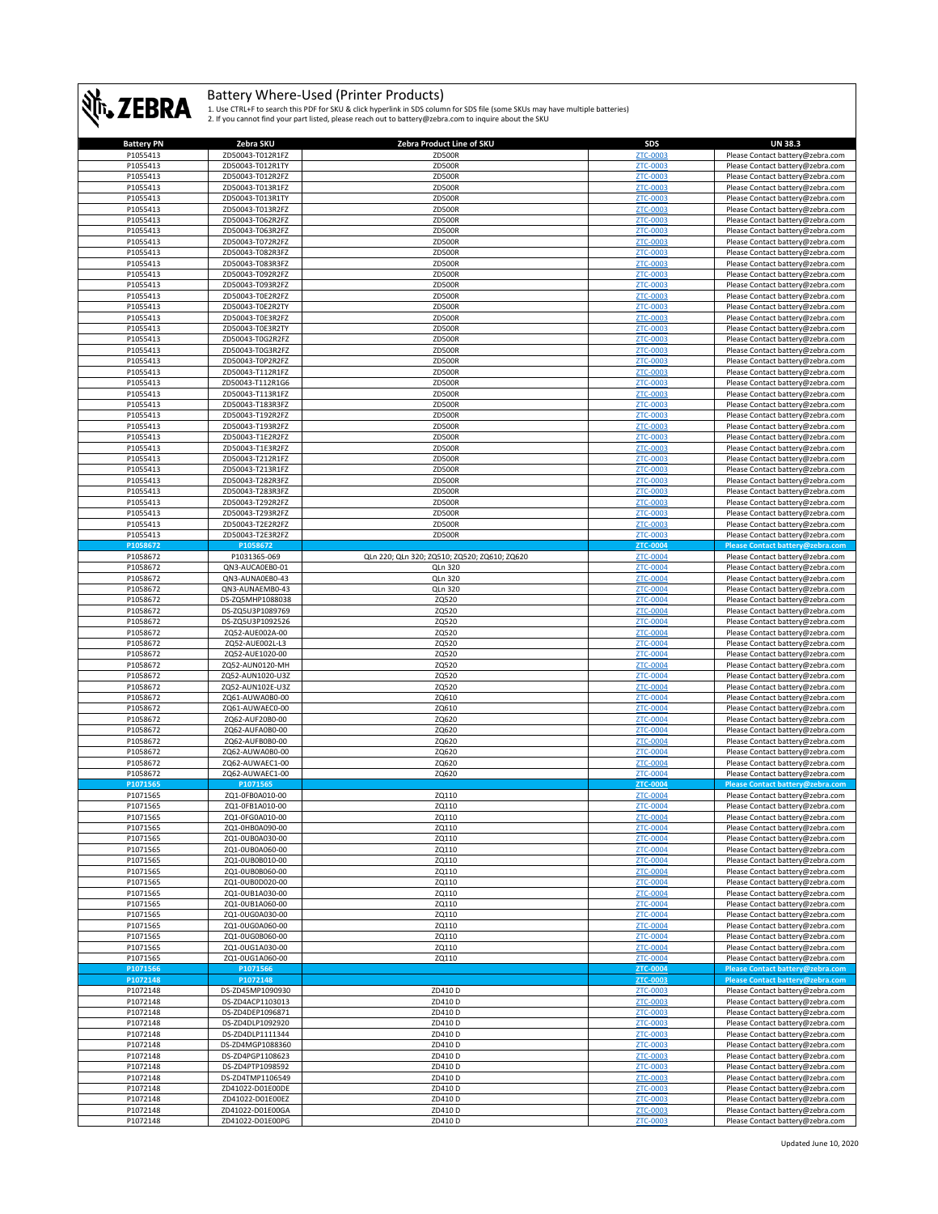

| <b>Battery PN</b>    | Zebra SKU                            | Zebra Product Line of SKU                    | <b>SDS</b>           | <b>UN 38.3</b>                                                       |
|----------------------|--------------------------------------|----------------------------------------------|----------------------|----------------------------------------------------------------------|
| P1055413             | ZD50043-T012R1FZ                     | <b>ZD500R</b>                                | ZTC-0003             | Please Contact battery@zebra.com                                     |
| P1055413             | ZD50043-T012R1TY                     | <b>ZD500R</b>                                | ZTC-0003             | Please Contact battery@zebra.com                                     |
| P1055413             | ZD50043-T012R2FZ                     | <b>ZD500R</b>                                | ZTC-0003             | Please Contact battery@zebra.com                                     |
|                      |                                      |                                              |                      |                                                                      |
| P1055413             | ZD50043-T013R1FZ                     | ZD500R                                       | ZTC-0003             | Please Contact battery@zebra.com                                     |
| P1055413             | ZD50043-T013R1TY                     | <b>ZD500R</b>                                | ZTC-0003             | Please Contact battery@zebra.com                                     |
| P1055413             | ZD50043-T013R2FZ                     | <b>ZD500R</b>                                | ZTC-0003             | Please Contact battery@zebra.com                                     |
| P1055413             | ZD50043-T062R2FZ                     | <b>ZD500R</b>                                | ZTC-0003             | Please Contact battery@zebra.com                                     |
| P1055413             | ZD50043-T063R2FZ                     | ZD500R                                       | ZTC-0003             | Please Contact battery@zebra.com                                     |
| P1055413             | ZD50043-T072R2FZ                     | <b>ZD500R</b>                                | <b>ZTC-0003</b>      | Please Contact battery@zebra.com                                     |
| P1055413             | ZD50043-T082R3FZ                     | ZD500R                                       | ZTC-0003             |                                                                      |
|                      |                                      |                                              |                      | Please Contact battery@zebra.com                                     |
| P1055413             | ZD50043-T083R3FZ                     | <b>ZD500R</b>                                | ZTC-0003             | Please Contact battery@zebra.com                                     |
| P1055413             | ZD50043-T092R2FZ                     | <b>ZD500R</b>                                | <b>ZTC-0003</b>      | Please Contact battery@zebra.com                                     |
| P1055413             | ZD50043-T093R2FZ                     | ZD500R                                       | ZTC-0003             | Please Contact battery@zebra.com                                     |
| P1055413             | ZD50043-T0E2R2FZ                     | <b>ZD500R</b>                                | ZTC-0003             | Please Contact battery@zebra.com                                     |
| P1055413             | ZD50043-T0E2R2TY                     | ZD500R                                       | ZTC-0003             | Please Contact battery@zebra.com                                     |
| P1055413             | ZD50043-T0E3R2FZ                     | <b>ZD500R</b>                                | ZTC-0003             | Please Contact battery@zebra.com                                     |
| P1055413             | ZD50043-T0E3R2TY                     | <b>ZD500R</b>                                | ZTC-0003             | Please Contact battery@zebra.com                                     |
| P1055413             | ZD50043-T0G2R2FZ                     | <b>ZD500R</b>                                |                      |                                                                      |
|                      |                                      |                                              | ZTC-0003             | Please Contact battery@zebra.com                                     |
| P1055413             | ZD50043-T0G3R2FZ                     | <b>ZD500R</b>                                | ZTC-0003             | Please Contact battery@zebra.com                                     |
| P1055413             | ZD50043-T0P2R2FZ                     | <b>ZD500R</b>                                | ZTC-0003             | Please Contact battery@zebra.com                                     |
| P1055413             | ZD50043-T112R1FZ                     | <b>ZD500R</b>                                | ZTC-0003             | Please Contact battery@zebra.com                                     |
| P1055413             | ZD50043-T112R1G6                     | <b>ZD500R</b>                                | ZTC-0003             | Please Contact battery@zebra.com                                     |
| P1055413             | ZD50043-T113R1FZ                     | <b>ZD500R</b>                                | ZTC-0003             | Please Contact battery@zebra.com                                     |
| P1055413             | ZD50043-T183R3FZ                     | ZD500R                                       | ZTC-0003             | Please Contact battery@zebra.com                                     |
| P1055413             | ZD50043-T192R2FZ                     | <b>ZD500R</b>                                | ZTC-0003             | Please Contact battery@zebra.com                                     |
|                      |                                      |                                              |                      |                                                                      |
| P1055413             | ZD50043-T193R2FZ                     | <b>ZD500R</b>                                | ZTC-0003             | Please Contact battery@zebra.com                                     |
| P1055413             | ZD50043-T1E2R2FZ                     | <b>ZD500R</b>                                | ZTC-0003             | Please Contact battery@zebra.com                                     |
| P1055413             | ZD50043-T1E3R2FZ                     | <b>ZD500R</b>                                | ZTC-0003             | Please Contact battery@zebra.com                                     |
| P1055413             | ZD50043-T212R1FZ                     | ZD500R                                       | ZTC-0003             | Please Contact battery@zebra.com                                     |
| P1055413             | ZD50043-T213R1FZ                     | ZD500R                                       | ZTC-0003             | Please Contact battery@zebra.com                                     |
| P1055413             | ZD50043-T282R3FZ                     | ZD500R                                       | ZTC-0003             | Please Contact battery@zebra.com                                     |
| P1055413             | ZD50043-T283R3FZ                     | <b>ZD500R</b>                                | ZTC-0003             | Please Contact battery@zebra.com                                     |
| P1055413             | ZD50043-T292R2FZ                     | <b>ZD500R</b>                                | ZTC-0003             | Please Contact battery@zebra.com                                     |
|                      |                                      |                                              |                      |                                                                      |
| P1055413             | ZD50043-T293R2FZ                     | ZD500R                                       | ZTC-0003             | Please Contact battery@zebra.com                                     |
| P1055413             | ZD50043-T2E2R2FZ                     | ZD500R                                       | ZTC-0003             | Please Contact battery@zebra.com                                     |
| P1055413             | ZD50043-T2E3R2FZ                     | <b>ZD500R</b>                                | <b>ZTC-0003</b>      | Please Contact battery@zebra.com                                     |
| P1058672             | P1058672                             |                                              | ZTC-0004             | Please Contact battery@zebra.com                                     |
| P1058672             | P1031365-069                         | QLn 220; QLn 320; ZQ510; ZQ520; ZQ610; ZQ620 | ZTC-0004             | Please Contact battery@zebra.com                                     |
| P1058672             | QN3-AUCA0EB0-01                      | QLn 320                                      | ZTC-0004             | Please Contact battery@zebra.com                                     |
| P1058672             | QN3-AUNA0EB0-43                      | <b>QLn 320</b>                               | <b>ZTC-0004</b>      | Please Contact battery@zebra.com                                     |
| P1058672             | QN3-AUNAEMB0-43                      | QLn 320                                      | ZTC-0004             | Please Contact battery@zebra.com                                     |
| P1058672             | DS-ZQ5MHP1088038                     | ZQ520                                        | ZTC-0004             | Please Contact battery@zebra.com                                     |
| P1058672             | DS-ZQ5U3P1089769                     | ZQ520                                        | ZTC-0004             |                                                                      |
|                      |                                      |                                              |                      | Please Contact battery@zebra.com                                     |
| P1058672             | DS-ZQ5U3P1092526                     | ZQ520                                        | ZTC-0004             | Please Contact battery@zebra.com                                     |
|                      |                                      |                                              |                      |                                                                      |
| P1058672             | ZQ52-AUE002A-00                      | ZQ520                                        | ZTC-0004             | Please Contact battery@zebra.com                                     |
| P1058672             | ZQ52-AUE002L-L3                      | ZQ520                                        | ZTC-0004             | Please Contact battery@zebra.com                                     |
| P1058672             | ZQ52-AUE1020-00                      | ZQ520                                        | <b>ZTC-0004</b>      | Please Contact battery@zebra.com                                     |
| P1058672             | ZQ52-AUN0120-MH                      | ZQ520                                        | ZTC-0004             | Please Contact battery@zebra.com                                     |
|                      |                                      |                                              |                      |                                                                      |
| P1058672             | ZQ52-AUN1020-U3Z                     | ZQ520                                        | ZTC-0004             | Please Contact battery@zebra.com                                     |
| P1058672             | ZQ52-AUN102E-U3Z                     | ZQ520                                        | ZTC-0004             | Please Contact battery@zebra.com                                     |
| P1058672             | ZQ61-AUWA0B0-00                      | ZQ610                                        | ZTC-0004             | Please Contact battery@zebra.com                                     |
| P1058672             | ZQ61-AUWAEC0-00                      | ZQ610                                        | ZTC-0004             | Please Contact battery@zebra.com                                     |
| P1058672             | ZQ62-AUF20B0-00                      | ZQ620                                        | ZTC-0004             | Please Contact battery@zebra.com                                     |
| P1058672             | ZQ62-AUFA0B0-00                      | ZQ620                                        | ZTC-0004             | Please Contact battery@zebra.com                                     |
| P1058672             | ZQ62-AUFB0B0-00                      | ZQ620                                        | ZTC-0004             | Please Contact battery@zebra.com                                     |
| P1058672             | ZQ62-AUWA0B0-00                      | ZQ620                                        | <b>ZTC-0004</b>      | Please Contact battery@zebra.com                                     |
| P1058672             | ZQ62-AUWAEC1-00                      | ZQ620                                        | ZTC-0004             | Please Contact battery@zebra.com                                     |
|                      |                                      |                                              | ZTC-0004             |                                                                      |
| P1058672             | ZQ62-AUWAEC1-00                      | ZQ620                                        |                      | Please Contact battery@zebra.com                                     |
| P1071565             | P1071565                             |                                              | ZTC-0004             | Please Contact battery@zebra.com                                     |
| P1071565             | ZQ1-0FB0A010-00                      | ZQ110                                        | ZTC-0004             | Please Contact battery@zebra.com                                     |
| P1071565             | ZO1-0FB1A010-00                      | ZQ110                                        | ZTC-0004             | Please Contact battery@zebra.com                                     |
| P1071565             | ZQ1-0FG0A010-00                      | ZQ110                                        |                      | Please Contact battery@zebra.com                                     |
| P1071565             | ZQ1-0HB0A090-00                      | ZQ110                                        | ZTC-0004             | Please Contact battery@zebra.com                                     |
| P1071565             | ZQ1-0UB0A030-00                      | ZQ110                                        | ZTC-0004             | Please Contact battery@zebra.com                                     |
| P1071565             | ZQ1-0UB0A060-00                      | ZQ110                                        | ZTC-0004             | Please Contact battery@zebra.com                                     |
| P1071565             | ZQ1-0UB0B010-00                      | ZQ110                                        | ZTC-0004             | Please Contact battery@zebra.com                                     |
|                      |                                      |                                              |                      |                                                                      |
| P1071565             | ZQ1-0UB0B060-00                      | ZQ110                                        | ZTC-0004             | Please Contact battery@zebra.com                                     |
| P1071565             | ZQ1-0UB0D020-00                      | ZQ110                                        | ZTC-0004             | Please Contact battery@zebra.com                                     |
| P1071565             | ZQ1-0UB1A030-00                      | ZQ110                                        | ZTC-0004             | Please Contact battery@zebra.com                                     |
| P1071565             | ZQ1-0UB1A060-00                      | ZQ110                                        | ZTC-0004             | Please Contact battery@zebra.com                                     |
| P1071565             | ZQ1-0UG0A030-00                      | ZQ110                                        | ZTC-0004             | Please Contact battery@zebra.com                                     |
| P1071565             | ZQ1-0UG0A060-00                      | ZQ110                                        | ZTC-0004             | Please Contact battery@zebra.com                                     |
| P1071565             | ZQ1-0UG0B060-00                      | ZQ110                                        | ZTC-0004             | Please Contact battery@zebra.com                                     |
| P1071565             | ZQ1-0UG1A030-00                      | ZQ110                                        | ZTC-0004             | Please Contact battery@zebra.com                                     |
| P1071565             | ZQ1-0UG1A060-00                      | ZQ110                                        | ZTC-0004             | Please Contact battery@zebra.com                                     |
| P1071566             |                                      |                                              |                      |                                                                      |
|                      | P1071566                             |                                              | ZTC-0004             | Please Contact battery@zebra.com                                     |
| P1072148             | P1072148                             |                                              | ZTC-0003             | Please Contact battery@zebra.com                                     |
| P1072148             | DS-ZD45MP1090930                     | ZD410 D                                      | ZTC-0003             | Please Contact battery@zebra.com                                     |
| P1072148             | DS-ZD4ACP1103013                     | ZD410 D                                      | ZTC-0003             | Please Contact battery@zebra.com                                     |
| P1072148             | DS-ZD4DEP1096871                     | ZD410 D                                      | ZTC-0003             | Please Contact battery@zebra.com                                     |
| P1072148             | DS-ZD4DLP1092920                     | ZD410 D                                      | ZTC-0003             | Please Contact battery@zebra.com                                     |
| P1072148             | DS-ZD4DLP1111344                     | ZD410 D                                      | ZTC-0003             | Please Contact battery@zebra.com                                     |
| P1072148             | DS-ZD4MGP1088360                     | ZD410 D                                      | ZTC-0003             | Please Contact battery@zebra.com                                     |
|                      |                                      |                                              |                      |                                                                      |
| P1072148             | DS-ZD4PGP1108623                     | ZD410 D                                      | ZTC-0003             | Please Contact battery@zebra.com                                     |
| P1072148             | DS-ZD4PTP1098592                     | ZD410 D                                      | ZTC-0003             | Please Contact battery@zebra.com                                     |
| P1072148             | DS-ZD4TMP1106549                     | ZD410 D                                      | ZTC-0003             | Please Contact battery@zebra.com                                     |
| P1072148             | ZD41022-D01E00DE                     | ZD410 D                                      | ZTC-0003             | Please Contact battery@zebra.com                                     |
| P1072148             | ZD41022-D01E00EZ                     | ZD410 D                                      | ZTC-0003             | Please Contact battery@zebra.com                                     |
| P1072148<br>P1072148 | ZD41022-D01E00GA<br>ZD41022-D01E00PG | ZD410 D<br>ZD410 D                           | ZTC-0003<br>ZTC-0003 | Please Contact battery@zebra.com<br>Please Contact battery@zebra.com |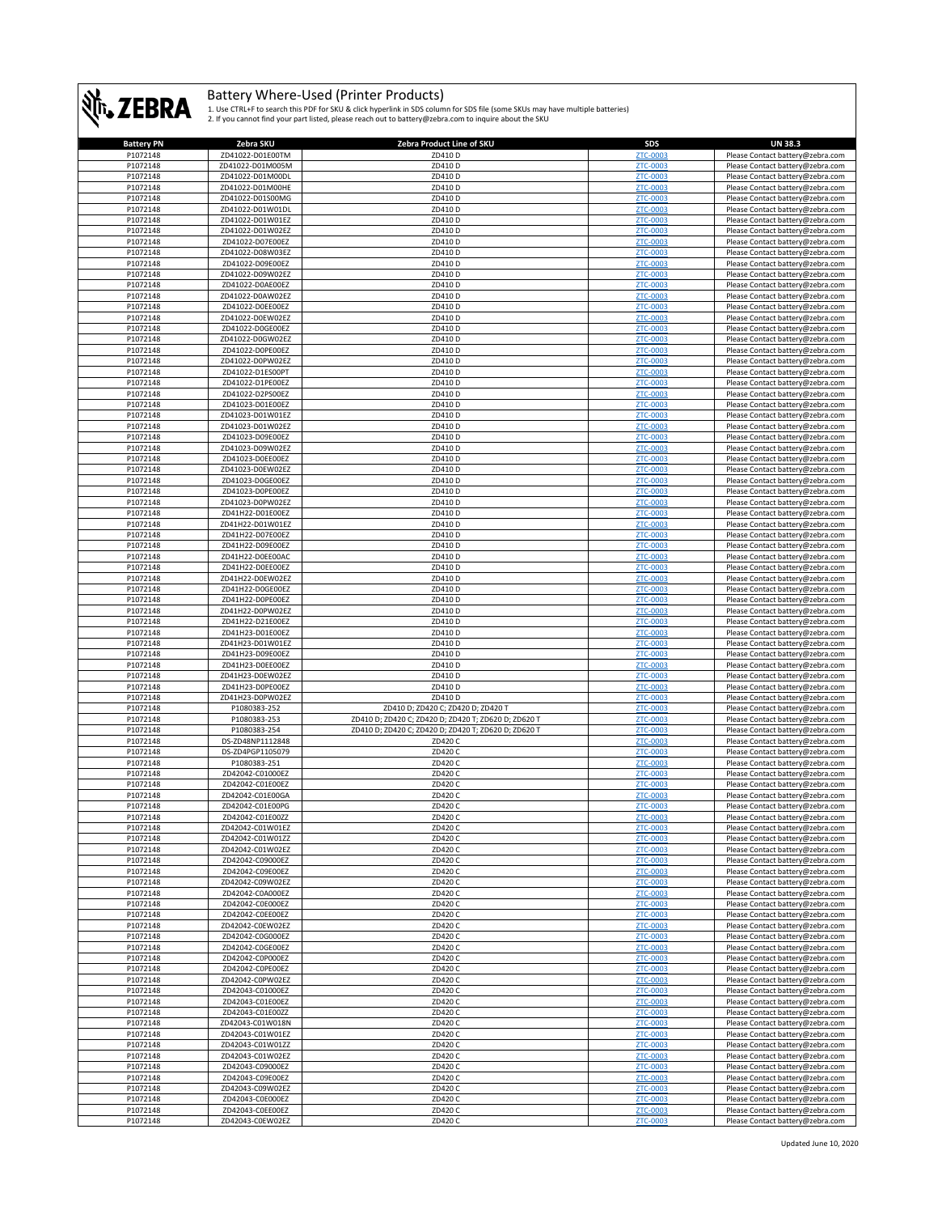

| <b>Battery PN</b><br>P1072148 |                                      |                                                      |                      |                                  |
|-------------------------------|--------------------------------------|------------------------------------------------------|----------------------|----------------------------------|
|                               | Zebra SKU                            | Zebra Product Line of SKU                            | SDS                  | <b>UN 38.3</b>                   |
|                               | ZD41022-D01E00TM                     | ZD410 D                                              | ZTC-0003             | Please Contact battery@zebra.com |
| P1072148                      | ZD41022-D01M005M                     | ZD410 D                                              | ZTC-0003             | Please Contact battery@zebra.com |
|                               |                                      |                                                      |                      |                                  |
| P1072148                      | ZD41022-D01M00DL                     | ZD410D                                               | ZTC-0003             | Please Contact battery@zebra.com |
| P1072148                      | ZD41022-D01M00HE                     | ZD410 D                                              | ZTC-0003             | Please Contact battery@zebra.com |
| P1072148                      | ZD41022-D01S00MG                     | ZD410 D                                              | ZTC-0003             | Please Contact battery@zebra.com |
| P1072148                      | ZD41022-D01W01DL                     | ZD410 D                                              | ZTC-0003             | Please Contact battery@zebra.com |
| P1072148                      | ZD41022-D01W01EZ                     | ZD410 D                                              | ZTC-0003             | Please Contact battery@zebra.com |
|                               |                                      |                                                      |                      |                                  |
| P1072148                      | ZD41022-D01W02EZ                     | ZD410 D                                              | ZTC-0003             | Please Contact battery@zebra.com |
| P1072148                      | ZD41022-D07E00EZ                     | ZD410 D                                              | ZTC-0003             | Please Contact battery@zebra.com |
| P1072148                      | ZD41022-D08W03EZ                     | ZD410 D                                              | ZTC-0003             | Please Contact battery@zebra.com |
| P1072148                      | ZD41022-D09E00EZ                     | ZD410 D                                              | ZTC-0003             | Please Contact battery@zebra.com |
|                               |                                      |                                                      |                      |                                  |
| P1072148                      | ZD41022-D09W02EZ                     | ZD410 D                                              | ZTC-0003             | Please Contact battery@zebra.com |
| P1072148                      | ZD41022-D0AE00EZ                     | ZD410 D                                              | ZTC-0003             | Please Contact battery@zebra.com |
| P1072148                      | ZD41022-D0AW02EZ                     | ZD410 D                                              | ZTC-0003             | Please Contact battery@zebra.com |
| P1072148                      | ZD41022-D0EE00EZ                     | ZD410 D                                              | <b>ZTC-0003</b>      | Please Contact battery@zebra.com |
| P1072148                      | ZD41022-D0EW02EZ                     | ZD410 D                                              | ZTC-0003             | Please Contact battery@zebra.com |
|                               |                                      |                                                      | ZTC-0003             |                                  |
| P1072148                      | ZD41022-D0GE00EZ                     | ZD410 D                                              |                      | Please Contact battery@zebra.com |
| P1072148                      | ZD41022-D0GW02EZ                     | ZD410 D                                              | ZTC-0003             | Please Contact battery@zebra.com |
| P1072148                      | ZD41022-D0PE00EZ                     | ZD410 D                                              | ZTC-0003             | Please Contact battery@zebra.com |
| P1072148                      | ZD41022-D0PW02EZ                     | ZD410 D                                              | ZTC-0003             | Please Contact battery@zebra.com |
| P1072148                      | ZD41022-D1ES00PT                     | ZD410 D                                              | ZTC-0003             | Please Contact battery@zebra.com |
| P1072148                      | ZD41022-D1PE00EZ                     | ZD410 D                                              | ZTC-0003             |                                  |
|                               |                                      |                                                      |                      | Please Contact battery@zebra.com |
| P1072148                      | ZD41022-D2PS00EZ                     | ZD410 D                                              | ZTC-0003             | Please Contact battery@zebra.com |
| P1072148                      | ZD41023-D01E00EZ                     | ZD410 D                                              | ZTC-0003             | Please Contact battery@zebra.com |
| P1072148                      | ZD41023-D01W01EZ                     | ZD410 D                                              | ZTC-0003             | Please Contact battery@zebra.com |
| P1072148                      | ZD41023-D01W02EZ                     | ZD410 D                                              | ZTC-0003             | Please Contact battery@zebra.com |
| P1072148                      | ZD41023-D09E00EZ                     | ZD410 D                                              |                      |                                  |
|                               |                                      |                                                      | ZTC-0003             | Please Contact battery@zebra.com |
| P1072148                      | ZD41023-D09W02EZ                     | ZD410 D                                              | ZTC-0003             | Please Contact battery@zebra.com |
| P1072148                      | ZD41023-D0EE00EZ                     | ZD410 D                                              | ZTC-0003             | Please Contact battery@zebra.com |
| P1072148                      | ZD41023-D0EW02EZ                     | ZD410 D                                              | ZTC-0003             | Please Contact battery@zebra.com |
| P1072148                      | ZD41023-D0GE00EZ                     | ZD410 D                                              | ZTC-0003             | Please Contact battery@zebra.com |
|                               |                                      |                                                      |                      |                                  |
| P1072148                      | ZD41023-D0PE00EZ                     | ZD410 D                                              | ZTC-0003             | Please Contact battery@zebra.com |
| P1072148                      | ZD41023-D0PW02EZ                     | ZD410 D                                              | ZTC-0003             | Please Contact battery@zebra.com |
| P1072148                      | ZD41H22-D01E00EZ                     | ZD410 D                                              | ZTC-0003             | Please Contact battery@zebra.com |
| P1072148                      | ZD41H22-D01W01EZ                     | ZD410 D                                              | ZTC-0003             | Please Contact battery@zebra.com |
| P1072148                      |                                      |                                                      |                      | Please Contact battery@zebra.com |
|                               | ZD41H22-D07E00EZ                     | ZD410 D                                              | ZTC-0003             |                                  |
| P1072148                      | ZD41H22-D09E00EZ                     | ZD410 D                                              | ZTC-0003             | Please Contact battery@zebra.com |
| P1072148                      | ZD41H22-D0EE00AC                     | ZD410 D                                              | ZTC-0003             | Please Contact battery@zebra.com |
| P1072148                      | ZD41H22-D0EE00EZ                     | ZD410 D                                              | ZTC-0003             | Please Contact battery@zebra.com |
| P1072148                      |                                      |                                                      |                      |                                  |
|                               | ZD41H22-D0EW02EZ                     | ZD410 D                                              | ZTC-0003             | Please Contact battery@zebra.com |
| P1072148                      | ZD41H22-D0GE00EZ                     | ZD410 D                                              | ZTC-0003             | Please Contact battery@zebra.com |
| P1072148                      | ZD41H22-D0PE00EZ                     | ZD410 D                                              | ZTC-0003             | Please Contact battery@zebra.com |
| P1072148                      | ZD41H22-D0PW02EZ                     | ZD410 D                                              | ZTC-0003             | Please Contact battery@zebra.com |
| P1072148                      | ZD41H22-D21E00EZ                     | ZD410 D                                              | ZTC-0003             |                                  |
|                               |                                      |                                                      |                      | Please Contact battery@zebra.com |
| P1072148                      | ZD41H23-D01E00EZ                     | ZD410 D                                              | ZTC-0003             | Please Contact battery@zebra.com |
| P1072148                      | ZD41H23-D01W01EZ                     | ZD410D                                               | ZTC-0003             | Please Contact battery@zebra.com |
| P1072148                      | ZD41H23-D09E00EZ                     | ZD410 D                                              | ZTC-0003             | Please Contact battery@zebra.com |
| P1072148                      | ZD41H23-D0EE00EZ                     | ZD410 D                                              | ZTC-0003             | Please Contact battery@zebra.com |
|                               |                                      |                                                      |                      |                                  |
| P1072148                      | ZD41H23-D0EW02EZ                     | ZD410 D                                              | ZTC-0003             | Please Contact battery@zebra.com |
| P1072148                      | ZD41H23-D0PE00EZ                     | ZD410 D                                              | ZTC-0003             | Please Contact battery@zebra.com |
| P1072148                      | ZD41H23-D0PW02EZ                     | ZD410 D                                              | ZTC-0003             | Please Contact battery@zebra.com |
| P1072148                      | P1080383-252                         | ZD410 D; ZD420 C; ZD420 D; ZD420 T                   | ZTC-0003             | Please Contact battery@zebra.com |
| P1072148                      | P1080383-253                         | ZD410 D; ZD420 C; ZD420 D; ZD420 T; ZD620 D; ZD620 T | ZTC-0003             |                                  |
|                               |                                      |                                                      |                      |                                  |
| P1072148                      |                                      |                                                      |                      | Please Contact battery@zebra.com |
|                               | P1080383-254                         | ZD410 D; ZD420 C; ZD420 D; ZD420 T; ZD620 D; ZD620 T | ZTC-0003             | Please Contact battery@zebra.com |
| P1072148                      | DS-ZD48NP1112848                     | ZD420 C                                              | ZTC-0003             | Please Contact battery@zebra.com |
| P1072148                      | DS-ZD4PGP1105079                     | ZD420 C                                              | ZTC-0003             | Please Contact battery@zebra.com |
|                               |                                      |                                                      |                      |                                  |
| P1072148                      | P1080383-251                         | ZD420 C                                              | <b>ZTC-0003</b>      | Please Contact battery@zebra.com |
| P1072148                      | ZD42042-C01000EZ                     | ZD420 C                                              | ZTC-0003             | Please Contact battery@zebra.com |
| P1072148                      | ZD42042-C01E00EZ                     | ZD420 C                                              | ZTC-0003             | Please Contact battery@zebra.com |
| P1072148                      | ZD42042-C01E00GA                     | ZD420 C                                              | ZTC-0003             | Please Contact battery@zebra.com |
| P1072148                      | ZD42042-C01E00PG                     | ZD420 C                                              | ZTC-0003             | Please Contact battery@zebra.com |
| <b>P1072148</b>               | 7D42042-C01F0077                     | 7D420 C                                              | <b>7TC-0003</b>      | Please Contact hattery@zehra.com |
|                               |                                      |                                                      |                      |                                  |
| P1072148                      | ZD42042-C01W01EZ                     | ZD420 C                                              | ZTC-0003             | Please Contact battery@zebra.com |
| P1072148                      | ZD42042-C01W01ZZ                     | ZD420 C                                              | ZTC-0003             | Please Contact battery@zebra.com |
| P1072148                      | ZD42042-C01W02EZ                     | ZD420 C                                              | ZTC-0003             | Please Contact battery@zebra.com |
| P1072148                      | ZD42042-C09000EZ                     | ZD420 C                                              | ZTC-0003             | Please Contact battery@zebra.com |
| P1072148                      | ZD42042-C09E00EZ                     | ZD420 C                                              | ZTC-0003             | Please Contact battery@zebra.com |
|                               |                                      |                                                      |                      |                                  |
| P1072148                      | ZD42042-C09W02EZ                     | ZD420 C                                              | ZTC-0003             | Please Contact battery@zebra.com |
| P1072148                      | ZD42042-C0A000EZ                     | ZD420 C                                              | ZTC-0003             | Please Contact battery@zebra.com |
| P1072148                      | ZD42042-C0E000EZ                     | ZD420 C                                              | ZTC-0003             | Please Contact battery@zebra.com |
| P1072148                      | ZD42042-C0EE00EZ                     | ZD420 C                                              | <b>ZTC-0003</b>      | Please Contact battery@zebra.com |
| P1072148                      | ZD42042-C0EW02EZ                     | ZD420 C                                              | ZTC-0003             | Please Contact battery@zebra.com |
|                               |                                      |                                                      |                      |                                  |
| P1072148                      | ZD42042-C0G000EZ                     | ZD420 C                                              | ZTC-0003             | Please Contact battery@zebra.com |
| P1072148                      | ZD42042-C0GE00EZ                     | ZD420 C                                              | ZTC-0003             | Please Contact battery@zebra.com |
| P1072148                      | ZD42042-C0P000EZ                     | ZD420 C                                              | ZTC-0003             | Please Contact battery@zebra.com |
| P1072148                      | ZD42042-C0PE00EZ                     | ZD420 C                                              | <b>ZTC-0003</b>      | Please Contact battery@zebra.com |
|                               |                                      |                                                      |                      |                                  |
| P1072148                      | ZD42042-C0PW02EZ                     | ZD420 C                                              | ZTC-0003             | Please Contact battery@zebra.com |
| P1072148                      | ZD42043-C01000EZ                     | ZD420 C                                              | ZTC-0003             | Please Contact battery@zebra.com |
| P1072148                      | ZD42043-C01E00EZ                     | ZD420 C                                              | ZTC-0003             | Please Contact battery@zebra.com |
| P1072148                      | ZD42043-C01E00ZZ                     | ZD420 C                                              | ZTC-0003             | Please Contact battery@zebra.com |
| P1072148                      | ZD42043-C01W018N                     | ZD420 C                                              | ZTC-0003             | Please Contact battery@zebra.com |
|                               |                                      |                                                      |                      |                                  |
| P1072148                      | ZD42043-C01W01EZ                     | ZD420 C                                              | ZTC-0003             | Please Contact battery@zebra.com |
| P1072148                      | ZD42043-C01W01ZZ                     | ZD420 C                                              | ZTC-0003             | Please Contact battery@zebra.com |
| P1072148                      | ZD42043-C01W02EZ                     | ZD420 C                                              | ZTC-0003             | Please Contact battery@zebra.com |
| P1072148                      | ZD42043-C09000EZ                     | ZD420 C                                              | ZTC-0003             | Please Contact battery@zebra.com |
|                               |                                      |                                                      |                      |                                  |
| P1072148                      | ZD42043-C09E00EZ                     | ZD420 C                                              | ZTC-0003             | Please Contact battery@zebra.com |
| P1072148                      | ZD42043-C09W02EZ                     | ZD420 C                                              | ZTC-0003             | Please Contact battery@zebra.com |
| P1072148                      | ZD42043-C0E000EZ                     | ZD420 C                                              | ZTC-0003             | Please Contact battery@zebra.com |
| P1072148<br>P1072148          | ZD42043-C0EE00EZ<br>ZD42043-C0EW02EZ | ZD420 C<br>ZD420 C                                   | ZTC-0003<br>ZTC-0003 | Please Contact battery@zebra.com |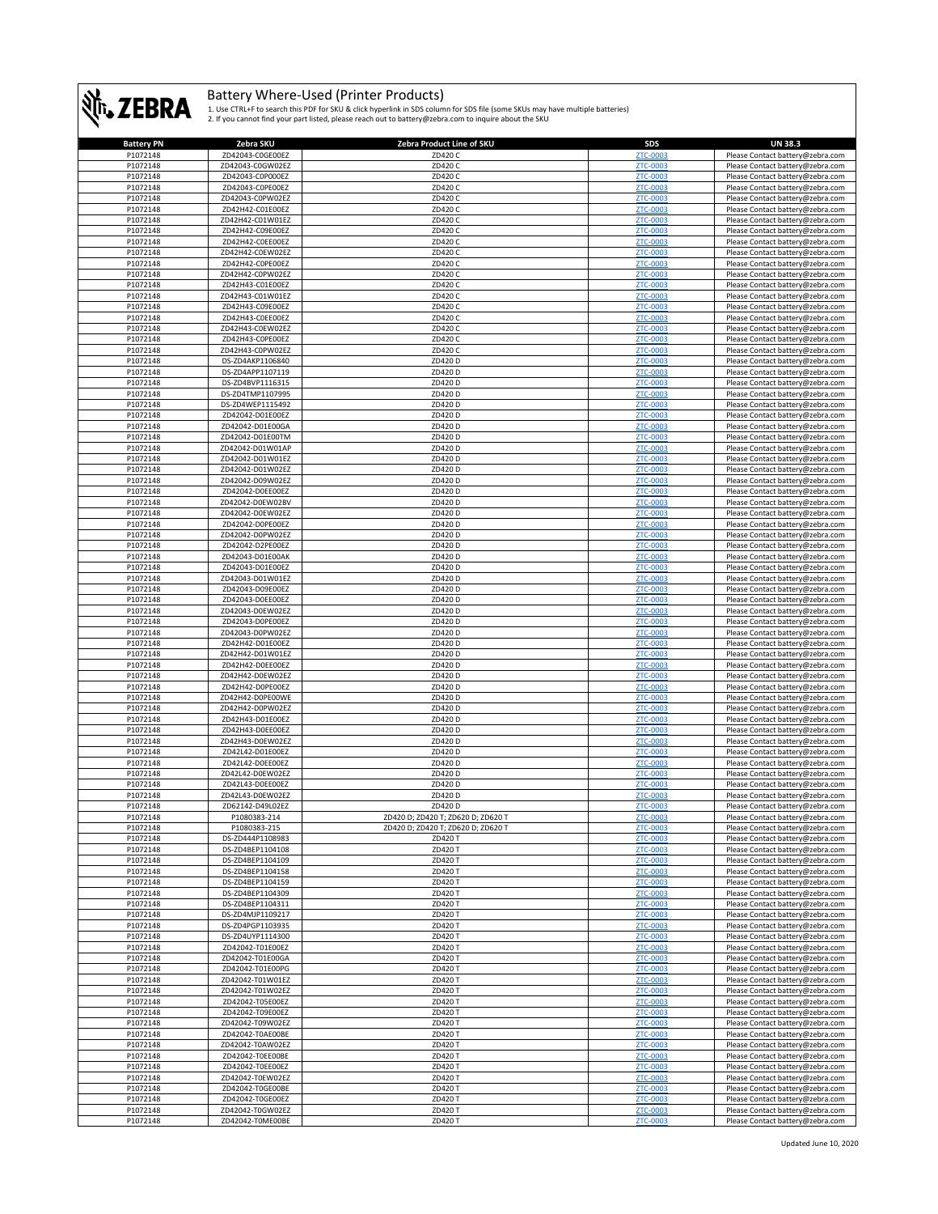

| <b>Battery PN</b> | Zebra SKU        | Zebra Product Line of SKU          | SDS             | <b>UN 38.3</b>                   |
|-------------------|------------------|------------------------------------|-----------------|----------------------------------|
| P1072148          | ZD42043-C0GE00EZ | ZD420 C                            | ZTC-0003        | Please Contact battery@zebra.com |
| P1072148          | ZD42043-C0GW02EZ | ZD420 C                            | ZTC-0003        | Please Contact battery@zebra.com |
| P1072148          | ZD42043-C0P000EZ | ZD420 C                            | ZTC-0003        | Please Contact battery@zebra.com |
|                   |                  |                                    |                 |                                  |
| P1072148          | ZD42043-C0PE00EZ | ZD420 C                            | ZTC-0003        | Please Contact battery@zebra.com |
| P1072148          | ZD42043-C0PW02EZ | ZD420 C                            | ZTC-0003        | Please Contact battery@zebra.com |
| P1072148          | ZD42H42-C01E00EZ | ZD420 C                            | ZTC-0003        | Please Contact battery@zebra.com |
| P1072148          | ZD42H42-C01W01EZ | ZD420 C                            | ZTC-0003        | Please Contact battery@zebra.com |
| P1072148          | ZD42H42-C09E00EZ | ZD420 C                            | ZTC-0003        | Please Contact battery@zebra.com |
| P1072148          | ZD42H42-C0EE00EZ | ZD420 C                            | ZTC-0003        | Please Contact battery@zebra.com |
| P1072148          | ZD42H42-C0EW02EZ | ZD420 C                            | ZTC-0003        | Please Contact battery@zebra.com |
|                   |                  |                                    |                 |                                  |
| P1072148          | ZD42H42-C0PE00EZ | ZD420 C                            | ZTC-0003        | Please Contact battery@zebra.com |
| P1072148          | ZD42H42-C0PW02EZ | ZD420 C                            | ZTC-0003        | Please Contact battery@zebra.com |
| P1072148          | ZD42H43-C01E00EZ | ZD420 C                            | <b>ZTC-0003</b> | Please Contact battery@zebra.com |
| P1072148          | ZD42H43-C01W01EZ | ZD420 C                            | ZTC-0003        | Please Contact battery@zebra.com |
| P1072148          | ZD42H43-C09E00EZ | ZD420 C                            | <b>ZTC-0003</b> | Please Contact battery@zebra.com |
| P1072148          | ZD42H43-C0EE00EZ | ZD420 C                            | ZTC-0003        | Please Contact battery@zebra.com |
| P1072148          | ZD42H43-C0EW02EZ | ZD420 C                            | ZTC-0003        | Please Contact battery@zebra.com |
| P1072148          | ZD42H43-COPEOOEZ | ZD420 C                            | ZTC-0003        | Please Contact battery@zebra.com |
| P1072148          | ZD42H43-C0PW02EZ | ZD420 C                            | ZTC-0003        | Please Contact battery@zebra.com |
|                   |                  |                                    |                 |                                  |
| P1072148          | DS-ZD4AKP1106840 | ZD420 D                            | ZTC-0003        | Please Contact battery@zebra.com |
| P1072148          | DS-ZD4APP1107119 | ZD420 D                            | ZTC-0003        | Please Contact battery@zebra.com |
| P1072148          | DS-ZD4BVP1116315 | ZD420 D                            | ZTC-0003        | Please Contact battery@zebra.com |
| P1072148          | DS-ZD4TMP1107995 | ZD420 D                            | ZTC-0003        | Please Contact battery@zebra.com |
| P1072148          | DS-ZD4WEP1115492 | ZD420 D                            | ZTC-0003        | Please Contact battery@zebra.com |
| P1072148          | ZD42042-D01E00EZ | ZD420 D                            | ZTC-0003        | Please Contact battery@zebra.com |
| P1072148          | ZD42042-D01E00GA | ZD420 D                            | ZTC-0003        | Please Contact battery@zebra.com |
| P1072148          | ZD42042-D01E00TM | ZD420 D                            | ZTC-0003        | Please Contact battery@zebra.com |
|                   | ZD42042-D01W01AP |                                    |                 |                                  |
| P1072148          |                  | ZD420 D                            | ZTC-0003        | Please Contact battery@zebra.com |
| P1072148          | ZD42042-D01W01EZ | ZD420 D                            | ZTC-0003        | Please Contact battery@zebra.com |
| P1072148          | ZD42042-D01W02EZ | ZD420 D                            | ZTC-0003        | Please Contact battery@zebra.com |
| P1072148          | ZD42042-D09W02EZ | ZD420 D                            | ZTC-0003        | Please Contact battery@zebra.com |
| P1072148          | ZD42042-D0EE00EZ | ZD420 D                            | ZTC-0003        | Please Contact battery@zebra.com |
| P1072148          | ZD42042-D0EW02BV | ZD420 D                            | ZTC-0003        | Please Contact battery@zebra.com |
| P1072148          | ZD42042-D0EW02EZ | ZD420 D                            | ZTC-0003        | Please Contact battery@zebra.com |
| P1072148          | ZD42042-D0PE00EZ | ZD420 D                            | ZTC-0003        | Please Contact battery@zebra.com |
| P1072148          | ZD42042-D0PW02EZ | ZD420 D                            | ZTC-0003        | Please Contact battery@zebra.com |
| P1072148          | ZD42042-D2PE00EZ | ZD420 D                            | ZTC-0003        |                                  |
|                   |                  |                                    |                 | Please Contact battery@zebra.com |
| P1072148          | ZD42043-D01E00AK | ZD420 D                            | ZTC-0003        | Please Contact battery@zebra.com |
| P1072148          | ZD42043-D01E00EZ | ZD420 D                            | ZTC-0003        | Please Contact battery@zebra.com |
| P1072148          | ZD42043-D01W01EZ | ZD420 D                            | ZTC-0003        | Please Contact battery@zebra.com |
| P1072148          | ZD42043-D09E00EZ | ZD420 D                            | ZTC-0003        | Please Contact battery@zebra.com |
| P1072148          | ZD42043-D0EE00EZ | ZD420 D                            | ZTC-0003        | Please Contact battery@zebra.com |
| P1072148          | ZD42043-D0EW02EZ | ZD420 D                            | ZTC-0003        | Please Contact battery@zebra.com |
| P1072148          | ZD42043-D0PE00EZ | ZD420 D                            | ZTC-0003        | Please Contact battery@zebra.com |
| P1072148          | ZD42043-D0PW02EZ | ZD420 D                            | ZTC-0003        | Please Contact battery@zebra.com |
| P1072148          | ZD42H42-D01E00EZ | ZD420 D                            | ZTC-0003        |                                  |
|                   |                  |                                    |                 | Please Contact battery@zebra.com |
| P1072148          | ZD42H42-D01W01EZ | ZD420 D                            | ZTC-0003        | Please Contact battery@zebra.com |
| P1072148          | ZD42H42-D0EE00EZ | ZD420 D                            | ZTC-0003        | Please Contact battery@zebra.com |
| P1072148          | ZD42H42-D0EW02EZ | ZD420 D                            | ZTC-0003        | Please Contact battery@zebra.com |
| P1072148          | ZD42H42-D0PE00EZ | ZD420 D                            | ZTC-0003        | Please Contact battery@zebra.com |
| P1072148          | ZD42H42-D0PE00WE | ZD420 D                            | ZTC-0003        | Please Contact battery@zebra.com |
| P1072148          | ZD42H42-D0PW02EZ | ZD420 D                            | ZTC-0003        | Please Contact battery@zebra.com |
| P1072148          | ZD42H43-D01E00EZ | ZD420 D                            | <b>ZTC-0003</b> | Please Contact battery@zebra.com |
| P1072148          | ZD42H43-D0EE00EZ | ZD420 D                            | ZTC-0003        | Please Contact battery@zebra.com |
| P1072148          | ZD42H43-D0EW02EZ | ZD420 D                            | ZTC-0003        |                                  |
|                   |                  |                                    |                 | Please Contact battery@zebra.com |
| P1072148          | ZD42L42-D01E00EZ | ZD420 D                            | ZTC-0003        | Please Contact battery@zebra.com |
| P1072148          | ZD42L42-D0EE00EZ | ZD420 D                            | <b>ZTC-0003</b> | Please Contact battery@zebra.com |
| P1072148          | ZD42L42-D0EW02EZ | ZD420 D                            | ZTC-0003        | Please Contact battery@zebra.com |
| P1072148          | ZD42L43-D0EE00EZ | ZD420 D                            | ZTC-0003        | Please Contact battery@zebra.com |
| P1072148          | ZD42L43-D0EW02EZ | ZD420 D                            | ZTC-0003        | Please Contact battery@zebra.com |
| P1072148          | ZD62142-D49L02EZ | ZD420 D                            | ZTC-0003        | Please Contact battery@zebra.com |
| <b>P1072148</b>   | P1080383-214     | 7D420 D: 7D420 T: 7D620 D: 7D620 T | <b>7TC-0003</b> | Please Contact hattery@zehra.com |
| P1072148          | P1080383-215     | ZD420 D; ZD420 T; ZD620 D; ZD620 T | ZTC-0003        | Please Contact battery@zebra.com |
| P1072148          | DS-ZD444P1108983 | ZD420 T                            | ZTC-0003        | Please Contact battery@zebra.com |
| P1072148          | DS-ZD4BEP1104108 | ZD420 T                            | ZTC-0003        | Please Contact battery@zebra.com |
| P1072148          | DS-ZD4BEP1104109 | ZD420 T                            | <b>ZTC-0003</b> | Please Contact battery@zebra.com |
|                   |                  |                                    |                 |                                  |
| P1072148          | DS-ZD4BEP1104158 | ZD420 T                            | ZTC-0003        | Please Contact battery@zebra.com |
| P1072148          | DS-ZD4BEP1104159 | ZD420 T                            | ZTC-0003        | Please Contact battery@zebra.com |
| P1072148          | DS-ZD4BEP1104309 | ZD420 T                            | ZTC-0003        | Please Contact battery@zebra.com |
| P1072148          | DS-ZD4BEP1104311 | ZD420 T                            | ZTC-0003        | Please Contact battery@zebra.com |
| P1072148          | DS-ZD4MJP1109217 | ZD420 T                            | ZTC-0003        | Please Contact battery@zebra.com |
| P1072148          | DS-ZD4PGP1103935 | ZD420 T                            | ZTC-0003        | Please Contact battery@zebra.com |
| P1072148          | DS-ZD4UYP1114300 | ZD420 T                            | ZTC-0003        | Please Contact battery@zebra.com |
| P1072148          | ZD42042-T01E00EZ | ZD420 T                            | ZTC-0003        | Please Contact battery@zebra.com |
| P1072148          | ZD42042-T01E00GA | ZD420 T                            | ZTC-0003        | Please Contact battery@zebra.com |
| P1072148          | ZD42042-T01E00PG | ZD420 T                            | ZTC-0003        | Please Contact battery@zebra.com |
| P1072148          | ZD42042-T01W01EZ | ZD420 T                            | ZTC-0003        | Please Contact battery@zebra.com |
| P1072148          | ZD42042-T01W02EZ | ZD420 T                            | ZTC-0003        | Please Contact battery@zebra.com |
| P1072148          | ZD42042-T05E00EZ | ZD420 T                            | <b>ZTC-0003</b> |                                  |
|                   |                  |                                    |                 | Please Contact battery@zebra.com |
| P1072148          | ZD42042-T09E00EZ | ZD420 T                            | ZTC-0003        | Please Contact battery@zebra.com |
| P1072148          | ZD42042-T09W02EZ | ZD420 T                            | <b>ZTC-0003</b> | Please Contact battery@zebra.com |
| P1072148          | ZD42042-T0AE00BE | ZD420 T                            | ZTC-0003        | Please Contact battery@zebra.com |
| P1072148          | ZD42042-T0AW02EZ | ZD420 T                            | ZTC-0003        | Please Contact battery@zebra.com |
| P1072148          | ZD42042-T0EE00BE | ZD420 T                            | ZTC-0003        | Please Contact battery@zebra.com |
| P1072148          | ZD42042-T0EE00EZ | ZD420 T                            | ZTC-0003        | Please Contact battery@zebra.com |
| P1072148          | ZD42042-T0EW02EZ | ZD420 T                            | ZTC-0003        | Please Contact battery@zebra.com |
| P1072148          | ZD42042-T0GE00BE | ZD420 T                            | ZTC-0003        | Please Contact battery@zebra.com |
| P1072148          | ZD42042-T0GE00EZ | ZD420 T                            | ZTC-0003        | Please Contact battery@zebra.com |
|                   |                  |                                    |                 |                                  |
| P1072148          | ZD42042-T0GW02EZ | ZD420 T                            | ZTC-0003        | Please Contact battery@zebra.com |
| P1072148          | ZD42042-T0ME00BE | ZD420 T                            | ZTC-0003        | Please Contact battery@zebra.com |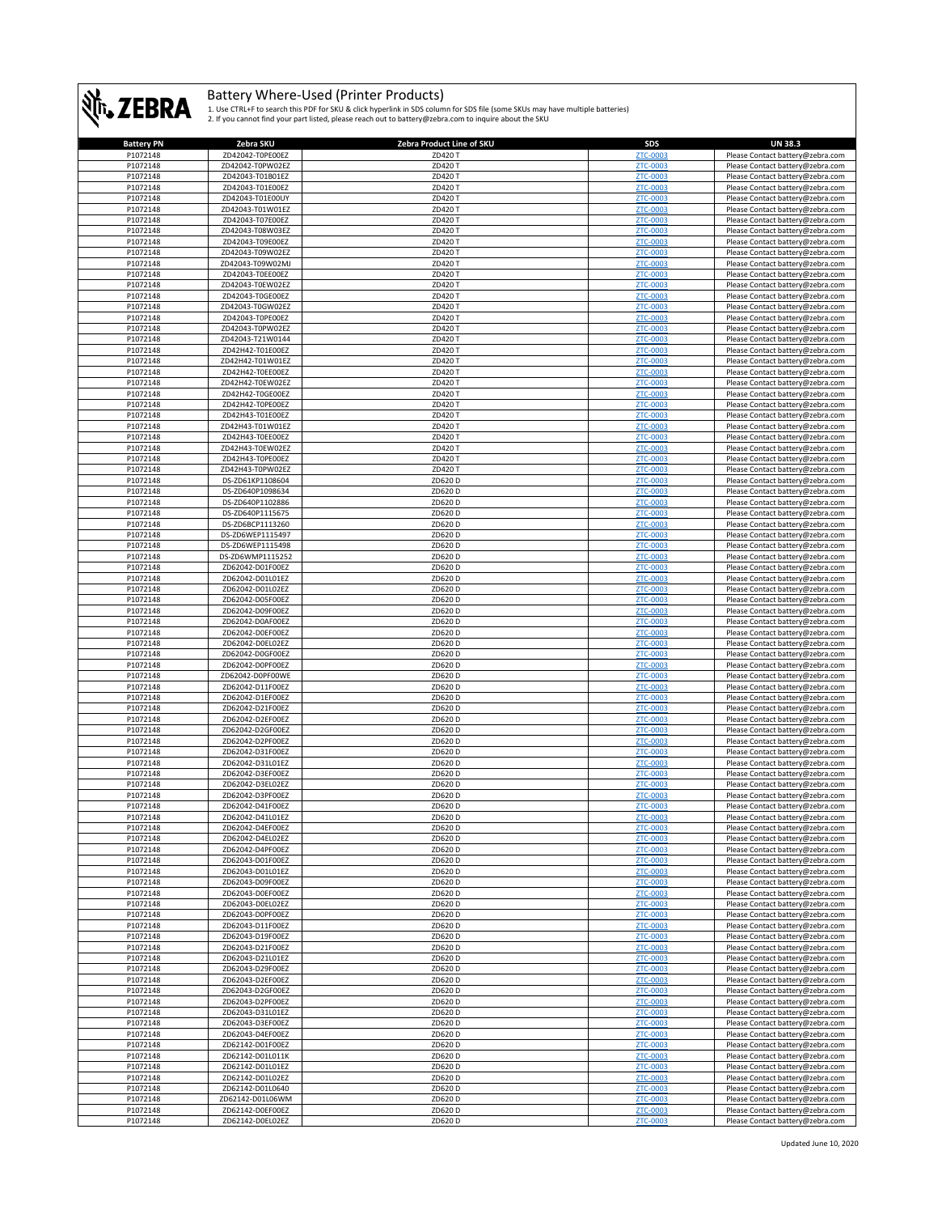

| <b>Battery PN</b> | Zebra SKU        | Zebra Product Line of SKU | SDS             | <b>UN 38.3</b>                                                       |
|-------------------|------------------|---------------------------|-----------------|----------------------------------------------------------------------|
| P1072148          | ZD42042-T0PE00EZ | ZD420 T                   | ZTC-0003        | Please Contact battery@zebra.com                                     |
| P1072148          | ZD42042-T0PW02EZ | ZD420 T                   | ZTC-0003        | Please Contact battery@zebra.com                                     |
| P1072148          | ZD42043-T01B01EZ | ZD420 T                   | ZTC-0003        | Please Contact battery@zebra.com                                     |
| P1072148          | ZD42043-T01E00EZ | ZD420 T                   | ZTC-0003        | Please Contact battery@zebra.com                                     |
| P1072148          | ZD42043-T01E00UY | ZD420 T                   | ZTC-0003        | Please Contact battery@zebra.com                                     |
| P1072148          | ZD42043-T01W01EZ | ZD420 T                   | ZTC-0003        | Please Contact battery@zebra.com                                     |
| P1072148          | ZD42043-T07E00EZ | ZD420 T                   | ZTC-0003        | Please Contact battery@zebra.com                                     |
| P1072148          | ZD42043-T08W03EZ | ZD420 T                   | ZTC-0003        | Please Contact battery@zebra.com                                     |
| P1072148          | ZD42043-T09E00EZ | ZD420 T                   | ZTC-0003        | Please Contact battery@zebra.com                                     |
| P1072148          | ZD42043-T09W02EZ | ZD420 T                   | ZTC-0003        | Please Contact battery@zebra.com                                     |
| P1072148          | ZD42043-T09W02MJ | ZD420 T                   | ZTC-0003        | Please Contact battery@zebra.com                                     |
| P1072148          | ZD42043-T0EE00EZ | ZD420 T                   | ZTC-0003        | Please Contact battery@zebra.com                                     |
| P1072148          | ZD42043-T0EW02EZ | ZD420 T                   | <b>ZTC-0003</b> | Please Contact battery@zebra.com                                     |
| P1072148          | ZD42043-T0GE00EZ | ZD420 T                   | ZTC-0003        | Please Contact battery@zebra.com                                     |
|                   |                  |                           |                 |                                                                      |
| P1072148          | ZD42043-T0GW02EZ | ZD420 T                   | ZTC-0003        | Please Contact battery@zebra.com                                     |
| P1072148          | ZD42043-T0PE00EZ | ZD420 T                   | ZTC-0003        | Please Contact battery@zebra.com                                     |
| P1072148          | ZD42043-T0PW02EZ | ZD420 T                   | ZTC-0003        | Please Contact battery@zebra.com                                     |
| P1072148          | ZD42043-T21W0144 | ZD420 T                   | ZTC-0003        | Please Contact battery@zebra.com                                     |
| P1072148          | ZD42H42-T01E00EZ | ZD420 T                   | ZTC-0003        | Please Contact battery@zebra.com                                     |
| P1072148          | ZD42H42-T01W01EZ | ZD420 T                   | ZTC-0003        | Please Contact battery@zebra.com                                     |
| P1072148          | ZD42H42-T0EE00EZ | ZD420 T                   | ZTC-0003        | Please Contact battery@zebra.com                                     |
| P1072148          | ZD42H42-T0EW02EZ | ZD420 T                   | ZTC-0003        | Please Contact battery@zebra.com                                     |
| P1072148          | ZD42H42-T0GE00EZ | ZD420 T                   | ZTC-0003        | Please Contact battery@zebra.com                                     |
| P1072148          | ZD42H42-T0PE00EZ | ZD420 T                   | <b>ZTC-0003</b> | Please Contact battery@zebra.com                                     |
| P1072148          | ZD42H43-T01E00EZ | ZD420 T                   | ZTC-0003        | Please Contact battery@zebra.com                                     |
| P1072148          | ZD42H43-T01W01EZ | ZD420 T                   | ZTC-0003        | Please Contact battery@zebra.com                                     |
| P1072148          | ZD42H43-T0EE00EZ | ZD420 T                   | ZTC-0003        | Please Contact battery@zebra.com                                     |
| P1072148          | ZD42H43-T0EW02EZ | ZD420 T                   | ZTC-0003        | Please Contact battery@zebra.com                                     |
| P1072148          | ZD42H43-T0PE00EZ | ZD420 T                   | ZTC-0003        | Please Contact battery@zebra.com                                     |
| P1072148          | ZD42H43-T0PW02EZ | ZD420 T                   | ZTC-0003        | Please Contact battery@zebra.com                                     |
|                   |                  |                           |                 |                                                                      |
| P1072148          | DS-ZD61KP1108604 | ZD620 D                   | ZTC-0003        | Please Contact battery@zebra.com                                     |
| P1072148          | DS-ZD640P1098634 | ZD620 D                   | ZTC-0003        | Please Contact battery@zebra.com                                     |
| P1072148          | DS-ZD640P1102886 | ZD620 D                   | <b>ZTC-0003</b> | Please Contact battery@zebra.com                                     |
| P1072148          | DS-ZD640P1115675 | ZD620 D                   | ZTC-0003        | Please Contact battery@zebra.com                                     |
| P1072148          | DS-ZD6BCP1113260 | ZD620 D                   | ZTC-0003        | Please Contact battery@zebra.com                                     |
| P1072148          | DS-ZD6WEP1115497 | ZD620 D                   | ZTC-0003        | Please Contact battery@zebra.com                                     |
| P1072148          | DS-ZD6WEP1115498 | ZD620 D                   | ZTC-0003        | Please Contact battery@zebra.com                                     |
| P1072148          | DS-ZD6WMP1115252 | ZD620 D                   | ZTC-0003        | Please Contact battery@zebra.com                                     |
| P1072148          | ZD62042-D01F00EZ | ZD620 D                   | ZTC-0003        | Please Contact battery@zebra.com                                     |
| P1072148          | ZD62042-D01L01EZ | ZD620 D                   | ZTC-0003        | Please Contact battery@zebra.com                                     |
| P1072148          | ZD62042-D01L02EZ | ZD620 D                   | ZTC-0003        | Please Contact battery@zebra.com                                     |
| P1072148          | ZD62042-D05F00EZ | ZD620 D                   | ZTC-0003        | Please Contact battery@zebra.com                                     |
| P1072148          | ZD62042-D09F00EZ | ZD620 D                   | ZTC-0003        | Please Contact battery@zebra.com                                     |
| P1072148          | ZD62042-D0AF00EZ | ZD620 D                   | ZTC-0003        | Please Contact battery@zebra.com                                     |
| P1072148          | ZD62042-D0EF00EZ | ZD620 D                   | ZTC-0003        | Please Contact battery@zebra.com                                     |
| P1072148          | ZD62042-D0EL02EZ | ZD620 D                   | ZTC-0003        | Please Contact battery@zebra.com                                     |
|                   |                  |                           |                 |                                                                      |
| P1072148          | ZD62042-D0GF00EZ | ZD620 D                   | ZTC-0003        | Please Contact battery@zebra.com                                     |
| P1072148          | ZD62042-D0PF00EZ | ZD620 D                   | ZTC-0003        | Please Contact battery@zebra.com                                     |
| P1072148          | ZD62042-D0PF00WE | ZD620 D                   | ZTC-0003        | Please Contact battery@zebra.com                                     |
| P1072148          | ZD62042-D11F00EZ | ZD620 D                   | ZTC-0003        | Please Contact battery@zebra.com                                     |
| P1072148          | ZD62042-D1EF00EZ | ZD620 D                   | ZTC-0003        | Please Contact battery@zebra.com                                     |
| P1072148          | ZD62042-D21F00EZ | ZD620 D                   | ZTC-0003        | Please Contact battery@zebra.com                                     |
| P1072148          | ZD62042-D2EF00EZ | ZD620 D                   | ZTC-0003        | Please Contact battery@zebra.com                                     |
| P1072148          | ZD62042-D2GF00EZ | ZD620 D                   | ZTC-0003        | Please Contact battery@zebra.com                                     |
| P1072148          | ZD62042-D2PF00EZ | ZD620 D                   | ZTC-0003        | Please Contact battery@zebra.com                                     |
| P1072148          | ZD62042-D31F00EZ | ZD620 D                   | ZTC-0003        | Please Contact battery@zebra.com                                     |
| P1072148          | ZD62042-D31L01EZ | ZD620 D                   | ZTC-0003        | Please Contact battery@zebra.com                                     |
| P1072148          | ZD62042-D3EF00EZ | ZD620 D                   | ZTC-0003        | Please Contact battery@zebra.com                                     |
| P1072148          | ZD62042-D3EL02EZ | ZD620 D                   | ZTC-0003        | Please Contact battery@zebra.com                                     |
| P1072148          | ZD62042-D3PF00EZ | ZD620 D                   | ZTC-0003        | Please Contact battery@zebra.com                                     |
| P1072148          | ZD62042-D41F00EZ | ZD620 D                   | ZTC-0003        | Please Contact battery@zebra.com                                     |
| P1072148          | ZD62042-D41L01EZ | 7D620 D                   | <b>7TC-0003</b> | Please Contact battery@zebra.com                                     |
| P1072148          | ZD62042-D4EF00EZ | ZD620 D                   | ZTC-0003        | Please Contact battery@zebra.com                                     |
| P1072148          | ZD62042-D4EL02EZ | ZD620D                    | <b>ZTC-0003</b> | Please Contact battery@zebra.com                                     |
| P1072148          | ZD62042-D4PF00EZ | ZD620 D                   | ZTC-0003        |                                                                      |
|                   |                  |                           | ZTC-0003        | Please Contact battery@zebra.com<br>Please Contact battery@zebra.com |
| P1072148          | ZD62043-D01F00EZ | ZD620 D                   |                 |                                                                      |
| P1072148          | ZD62043-D01L01EZ | ZD620 D                   | ZTC-0003        | Please Contact battery@zebra.com                                     |
| P1072148          | ZD62043-D09F00EZ | ZD620D                    | ZTC-0003        | Please Contact battery@zebra.com                                     |
| P1072148          | ZD62043-D0EF00EZ | ZD620 D                   | ZTC-0003        | Please Contact battery@zebra.com                                     |
| P1072148          | ZD62043-D0EL02EZ | ZD620D                    | ZTC-0003        | Please Contact battery@zebra.com                                     |
| P1072148          | ZD62043-D0PF00EZ | ZD620 D                   | ZTC-0003        | Please Contact battery@zebra.com                                     |
| P1072148          | ZD62043-D11F00EZ | ZD620 D                   | ZTC-0003        | Please Contact battery@zebra.com                                     |
| P1072148          | ZD62043-D19F00EZ | ZD620 D                   | ZTC-0003        | Please Contact battery@zebra.com                                     |
| P1072148          | ZD62043-D21F00EZ | ZD620 D                   | ZTC-0003        | Please Contact battery@zebra.com                                     |
| P1072148          | ZD62043-D21L01EZ | ZD620D                    | ZTC-0003        | Please Contact battery@zebra.com                                     |
| P1072148          | ZD62043-D29F00EZ | ZD620 D                   | ZTC-0003        | Please Contact battery@zebra.com                                     |
| P1072148          | ZD62043-D2EF00EZ | ZD620 D                   | ZTC-0003        | Please Contact battery@zebra.com                                     |
| P1072148          | ZD62043-D2GF00EZ | ZD620 D                   | ZTC-0003        | Please Contact battery@zebra.com                                     |
| P1072148          | ZD62043-D2PF00EZ | ZD620D                    | ZTC-0003        | Please Contact battery@zebra.com                                     |
| P1072148          | ZD62043-D31L01EZ | ZD620 D                   | ZTC-0003        | Please Contact battery@zebra.com                                     |
| P1072148          | ZD62043-D3EF00EZ | ZD620D                    | ZTC-0003        | Please Contact battery@zebra.com                                     |
| P1072148          | ZD62043-D4EF00EZ | ZD620 D                   | ZTC-0003        | Please Contact battery@zebra.com                                     |
| P1072148          | ZD62142-D01F00EZ | ZD620 D                   | ZTC-0003        | Please Contact battery@zebra.com                                     |
| P1072148          | ZD62142-D01L011K | ZD620 D                   | ZTC-0003        | Please Contact battery@zebra.com                                     |
|                   |                  |                           |                 |                                                                      |
| P1072148          | ZD62142-D01L01EZ | ZD620 D                   | ZTC-0003        | Please Contact battery@zebra.com                                     |
| P1072148          | ZD62142-D01L02EZ | ZD620D                    | ZTC-0003        | Please Contact battery@zebra.com                                     |
| P1072148          | ZD62142-D01L0640 | ZD620 D                   | ZTC-0003        | Please Contact battery@zebra.com                                     |
| P1072148          | ZD62142-D01L06WM | ZD620 D                   | ZTC-0003        | Please Contact battery@zebra.com                                     |
| P1072148          | ZD62142-D0EF00EZ | ZD620 D                   | ZTC-0003        | Please Contact battery@zebra.com                                     |
| P1072148          | ZD62142-D0EL02EZ | ZD620 D                   | ZTC-0003        | Please Contact battery@zebra.com                                     |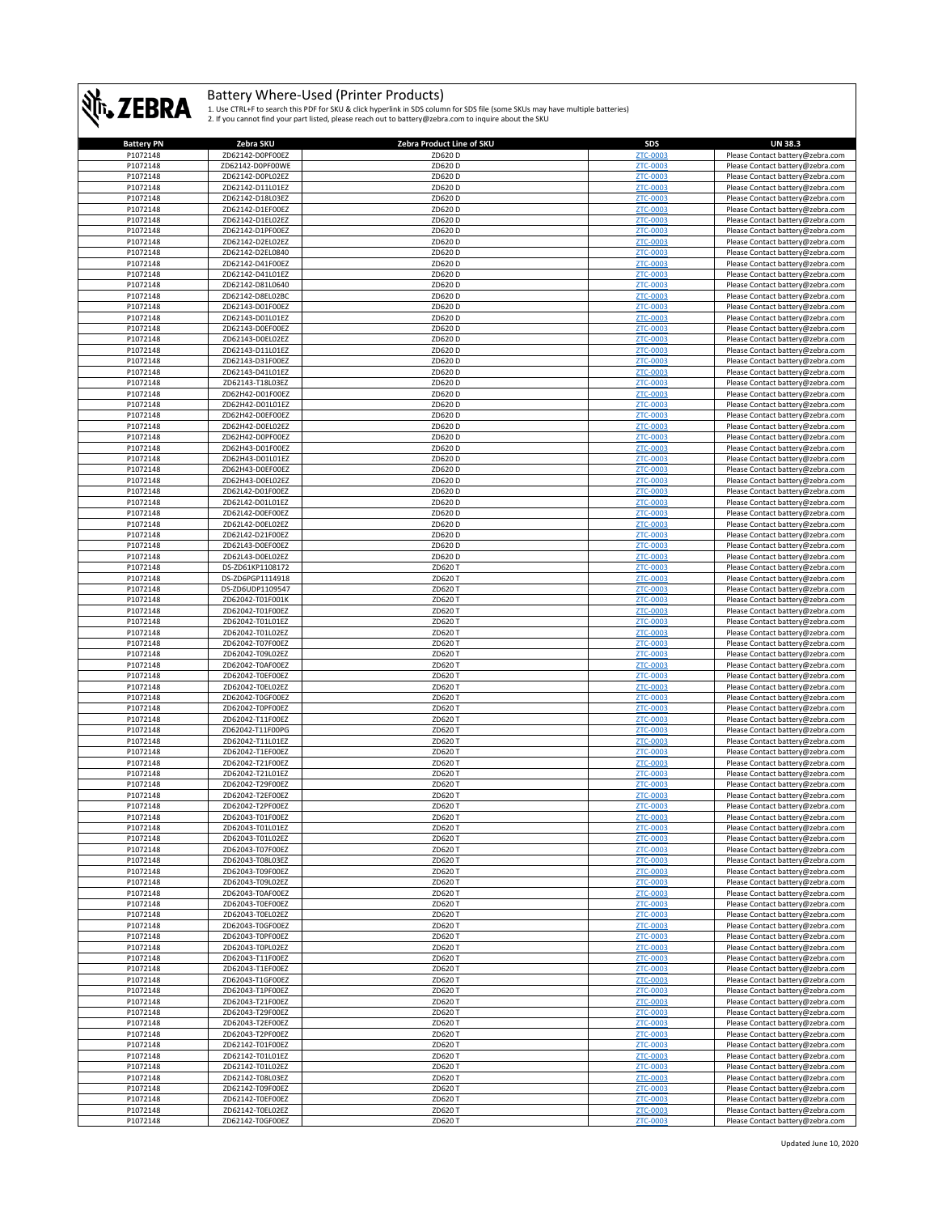

| <b>Battery PN</b> | Zebra SKU        | Zebra Product Line of SKU | <b>SDS</b>      | <b>UN 38.3</b>                   |
|-------------------|------------------|---------------------------|-----------------|----------------------------------|
| P1072148          | ZD62142-D0PF00EZ | ZD620 D                   | <b>ZTC-0003</b> | Please Contact battery@zebra.com |
| P1072148          | ZD62142-D0PF00WE | ZD620 D                   | ZTC-0003        | Please Contact battery@zebra.com |
| P1072148          | ZD62142-D0PL02EZ | ZD620 D                   | ZTC-0003        | Please Contact battery@zebra.com |
| P1072148          | ZD62142-D11L01EZ | ZD620 D                   | ZTC-0003        | Please Contact battery@zebra.com |
| P1072148          | ZD62142-D18L03EZ | ZD620 D                   | ZTC-0003        | Please Contact battery@zebra.com |
| P1072148          | ZD62142-D1EF00EZ | ZD620 D                   | ZTC-0003        | Please Contact battery@zebra.com |
| P1072148          | ZD62142-D1EL02EZ | ZD620 D                   | ZTC-0003        | Please Contact battery@zebra.com |
| P1072148          | ZD62142-D1PF00EZ | ZD620 D                   | ZTC-0003        | Please Contact battery@zebra.com |
| P1072148          | ZD62142-D2EL02EZ | ZD620 D                   | ZTC-0003        | Please Contact battery@zebra.com |
| P1072148          | ZD62142-D2EL0840 | ZD620 D                   | <b>ZTC-0003</b> | Please Contact battery@zebra.com |
| P1072148          | ZD62142-D41F00EZ | ZD620 D                   | ZTC-0003        | Please Contact battery@zebra.com |
| P1072148          | ZD62142-D41L01EZ | ZD620 D                   | ZTC-0003        | Please Contact battery@zebra.com |
| P1072148          | ZD62142-D81L0640 | ZD620 D                   | ZTC-0003        | Please Contact battery@zebra.com |
| P1072148          | ZD62142-D8EL02BC | ZD620 D                   | <b>ZTC-0003</b> | Please Contact battery@zebra.com |
| P1072148          | ZD62143-D01F00EZ | ZD620 D                   | ZTC-0003        | Please Contact battery@zebra.com |
| P1072148          | ZD62143-D01L01EZ | ZD620 D                   | ZTC-0003        | Please Contact battery@zebra.com |
| P1072148          | ZD62143-D0EF00EZ | ZD620 D                   | <b>ZTC-0003</b> | Please Contact battery@zebra.com |
| P1072148          | ZD62143-D0EL02EZ | ZD620 D                   | ZTC-0003        | Please Contact battery@zebra.com |
| P1072148          | ZD62143-D11L01EZ | ZD620 D                   | ZTC-0003        | Please Contact battery@zebra.com |
| P1072148          | ZD62143-D31F00EZ | ZD620 D                   | ZTC-0003        | Please Contact battery@zebra.com |
| P1072148          | ZD62143-D41L01EZ | ZD620 D                   | ZTC-0003        | Please Contact battery@zebra.com |
| P1072148          | ZD62143-T18L03EZ | ZD620 D                   | ZTC-0003        | Please Contact battery@zebra.com |
| P1072148          | ZD62H42-D01F00EZ | ZD620 D                   | ZTC-0003        | Please Contact battery@zebra.com |
| P1072148          | ZD62H42-D01L01EZ | ZD620 D                   | ZTC-0003        | Please Contact battery@zebra.com |
| P1072148          | ZD62H42-D0EF00EZ | ZD620 D                   | <b>ZTC-0003</b> | Please Contact battery@zebra.com |
| P1072148          | ZD62H42-D0EL02EZ | ZD620 D                   | ZTC-0003        | Please Contact battery@zebra.com |
| P1072148          | ZD62H42-D0PF00EZ | ZD620 D                   | <b>ZTC-0003</b> | Please Contact battery@zebra.com |
| P1072148          | ZD62H43-D01F00EZ | ZD620 D                   | ZTC-0003        | Please Contact battery@zebra.com |
| P1072148          | ZD62H43-D01L01EZ | ZD620 D                   | <b>ZTC-0003</b> | Please Contact battery@zebra.com |
| P1072148          | ZD62H43-D0EF00EZ | ZD620 D                   | ZTC-0003        | Please Contact battery@zebra.com |
| P1072148          | ZD62H43-D0EL02EZ | ZD620 D                   | ZTC-0003        | Please Contact battery@zebra.com |
| P1072148          | ZD62L42-D01F00EZ | ZD620 D                   | ZTC-0003        | Please Contact battery@zebra.com |
| P1072148          | ZD62L42-D01L01EZ | ZD620 D                   | ZTC-0003        | Please Contact battery@zebra.com |
| P1072148          | ZD62L42-D0EF00EZ | ZD620 D                   | ZTC-0003        | Please Contact battery@zebra.com |
| P1072148          | ZD62L42-D0EL02EZ | ZD620 D                   | <b>ZTC-0003</b> | Please Contact battery@zebra.com |
| P1072148          | ZD62L42-D21F00EZ | ZD620 D                   | ZTC-0003        | Please Contact battery@zebra.com |
| P1072148          | ZD62L43-D0EF00EZ | ZD620 D                   | ZTC-0003        | Please Contact battery@zebra.com |
| P1072148          | ZD62L43-D0EL02EZ | ZD620 D                   | <b>ZTC-0003</b> | Please Contact battery@zebra.com |
| P1072148          | DS-ZD61KP1108172 | ZD620 T                   | ZTC-0003        | Please Contact battery@zebra.com |
| P1072148          | DS-ZD6PGP1114918 | ZD620 T                   | ZTC-0003        | Please Contact battery@zebra.com |
| P1072148          | DS-ZD6UDP1109547 | ZD620 T                   | ZTC-0003        | Please Contact battery@zebra.com |
| P1072148          | ZD62042-T01F001K | ZD620 T                   | ZTC-0003        | Please Contact battery@zebra.com |
| P1072148          | ZD62042-T01F00EZ | ZD620 T                   | ZTC-0003        | Please Contact battery@zebra.com |
| P1072148          | ZD62042-T01L01EZ | ZD620 T                   | ZTC-0003        | Please Contact battery@zebra.com |
| P1072148          | ZD62042-T01L02EZ | ZD620 T                   | ZTC-0003        | Please Contact battery@zebra.com |
| P1072148          | ZD62042-T07F00EZ | ZD620 T                   | ZTC-0003        | Please Contact battery@zebra.com |
| P1072148          | ZD62042-T09L02EZ | ZD620 T                   | ZTC-0003        | Please Contact battery@zebra.com |
| P1072148          | ZD62042-T0AF00EZ | ZD620 T                   | ZTC-0003        | Please Contact battery@zebra.com |
| P1072148          | ZD62042-T0EF00EZ | ZD620 T                   | ZTC-0003        | Please Contact battery@zebra.com |
| P1072148          | ZD62042-T0EL02EZ | ZD620 T                   | ZTC-0003        | Please Contact battery@zebra.com |
| P1072148          | ZD62042-T0GF00EZ | ZD620 T                   | ZTC-0003        | Please Contact battery@zebra.com |
| P1072148          | ZD62042-T0PF00EZ | ZD620 T                   | ZTC-0003        | Please Contact battery@zebra.com |
| P1072148          | ZD62042-T11F00EZ | ZD620 T                   | ZTC-0003        | Please Contact battery@zebra.com |
| P1072148          | ZD62042-T11F00PG | ZD620 T                   | ZTC-0003        | Please Contact battery@zebra.com |
| P1072148          | ZD62042-T11L01EZ | ZD620 T                   | ZTC-0003        | Please Contact battery@zebra.com |
| P1072148          | ZD62042-T1EF00EZ | ZD620 T                   | ZTC-0003        | Please Contact battery@zebra.com |
| P1072148          | ZD62042-T21F00EZ | ZD620 T                   | ZTC-0003        | Please Contact battery@zebra.com |
| P1072148          | ZD62042-T21L01EZ | ZD620 T                   | ZTC-0003        | Please Contact battery@zebra.com |
| P1072148          | ZD62042-T29F00EZ | ZD620 T                   | ZTC-0003        | Please Contact battery@zebra.com |
| P1072148          | ZD62042-T2EF00EZ | ZD620 T                   | ZTC-0003        | Please Contact battery@zebra.com |
| P1072148          | ZD62042-T2PF00EZ | ZD620 T                   | ZTC-0003        | Please Contact battery@zebra.com |
| P1072148          | ZD62043-T01F00EZ | ZD6201                    | 7TC.            | Please Contact battery@zebr      |
| P1072148          | ZD62043-T01L01EZ | ZD620 T                   | ZTC-0003        | Please Contact battery@zebra.com |
| P1072148          | ZD62043-T01L02EZ | ZD620 T                   | ZTC-0003        | Please Contact battery@zebra.com |
| P1072148          | ZD62043-T07F00EZ | ZD620 T                   | ZTC-0003        | Please Contact battery@zebra.com |
| P1072148          | ZD62043-T08L03EZ | ZD620 T                   | ZTC-0003        | Please Contact battery@zebra.com |
| P1072148          | ZD62043-T09F00EZ | ZD620 T                   | ZTC-0003        | Please Contact battery@zebra.com |
| P1072148          | ZD62043-T09L02EZ | ZD620 T                   | ZTC-0003        | Please Contact battery@zebra.com |
| P1072148          | ZD62043-T0AF00EZ | ZD620 T                   | ZTC-0003        | Please Contact battery@zebra.com |
| P1072148          | ZD62043-T0EF00EZ | ZD620 T                   | ZTC-0003        | Please Contact battery@zebra.com |
| P1072148          | ZD62043-T0EL02EZ | ZD620 T                   | ZTC-0003        | Please Contact battery@zebra.com |
| P1072148          | ZD62043-T0GF00EZ | ZD620 T                   | ZTC-0003        | Please Contact battery@zebra.com |
| P1072148          | ZD62043-T0PF00EZ | ZD620 T                   | ZTC-0003        | Please Contact battery@zebra.com |
| P1072148          | ZD62043-T0PL02EZ | ZD620 T                   | ZTC-0003        | Please Contact battery@zebra.com |
| P1072148          | ZD62043-T11F00EZ | ZD620 T                   | ZTC-0003        | Please Contact battery@zebra.com |
| P1072148          | ZD62043-T1EF00EZ | ZD620 T                   | ZTC-0003        | Please Contact battery@zebra.com |
| P1072148          | ZD62043-T1GF00EZ | ZD620 T                   | <b>ZTC-0003</b> | Please Contact battery@zebra.com |
| P1072148          | ZD62043-T1PF00EZ | ZD620 T                   | <b>ZTC-0003</b> | Please Contact battery@zebra.com |
| P1072148          | ZD62043-T21F00EZ | ZD620 T                   | ZTC-0003        | Please Contact battery@zebra.com |
| P1072148          | ZD62043-T29F00EZ | ZD620 T                   | ZTC-0003        | Please Contact battery@zebra.com |
| P1072148          | ZD62043-T2EF00EZ | ZD620 T                   | ZTC-0003        | Please Contact battery@zebra.com |
| P1072148          | ZD62043-T2PF00EZ | ZD620 T                   | ZTC-0003        | Please Contact battery@zebra.com |
| P1072148          | ZD62142-T01F00EZ | ZD620 T                   | ZTC-0003        | Please Contact battery@zebra.com |
| P1072148          | ZD62142-T01L01EZ | ZD620 T                   | ZTC-0003        | Please Contact battery@zebra.com |
| P1072148          | ZD62142-T01L02EZ | ZD620 T                   | <b>ZTC-0003</b> | Please Contact battery@zebra.com |
| P1072148          | ZD62142-T08L03EZ | ZD620 T                   | <b>ZTC-0003</b> | Please Contact battery@zebra.com |
| P1072148          | ZD62142-T09F00EZ | ZD620 T                   | ZTC-0003        | Please Contact battery@zebra.com |
| P1072148          | ZD62142-T0EF00EZ | ZD620 T                   | ZTC-0003        | Please Contact battery@zebra.com |
| P1072148          | ZD62142-T0EL02EZ | ZD620 T                   | ZTC-0003        | Please Contact battery@zebra.com |
| P1072148          | ZD62142-T0GF00EZ | ZD620 T                   | ZTC-0003        | Please Contact battery@zebra.com |
|                   |                  |                           |                 |                                  |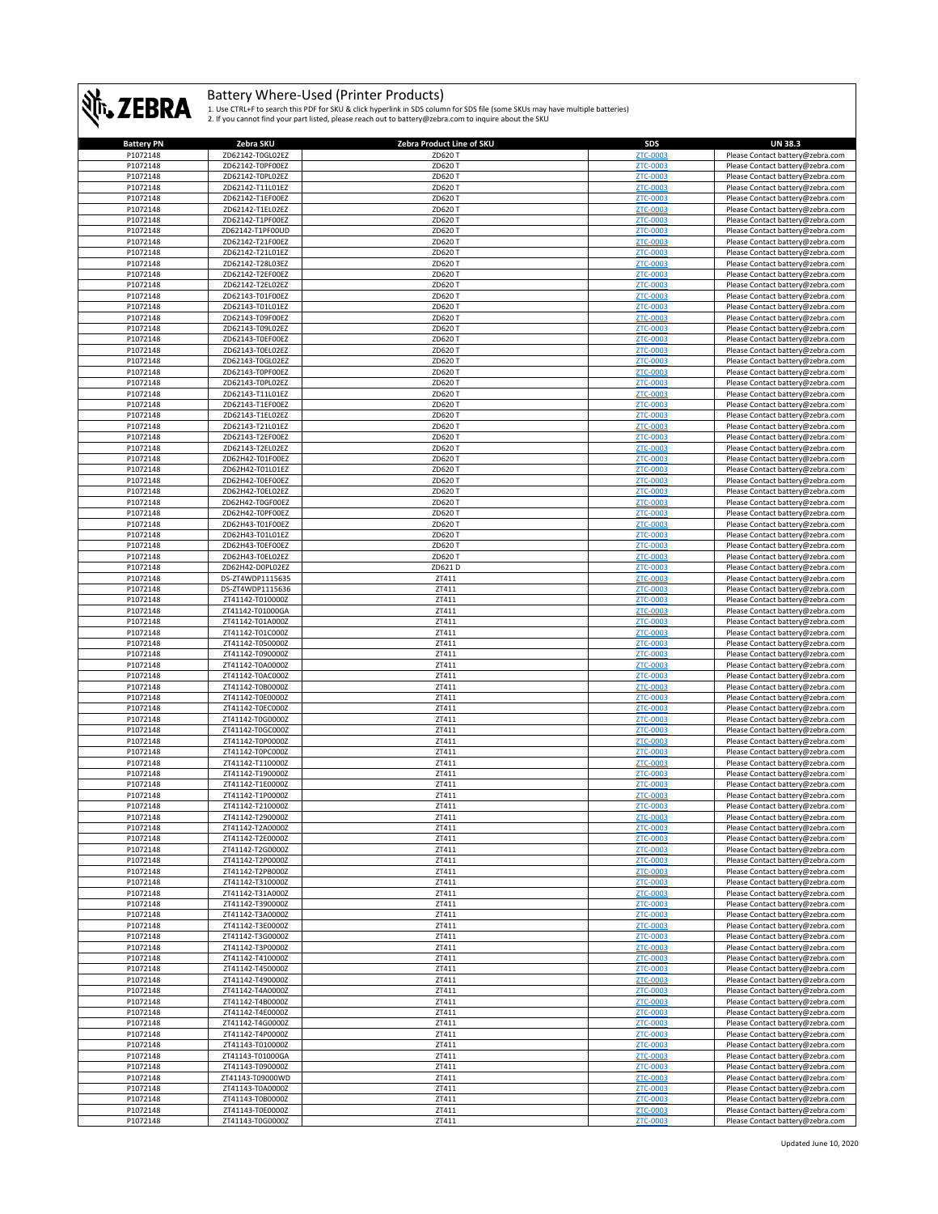

| <b>Battery PN</b> | Zebra SKU        | Zebra Product Line of SKU | <b>SDS</b>      | <b>UN 38.3</b>                   |
|-------------------|------------------|---------------------------|-----------------|----------------------------------|
| P1072148          | ZD62142-T0GL02EZ | ZD620 T                   | ZTC-0003        | Please Contact battery@zebra.com |
| P1072148          | ZD62142-T0PF00EZ | ZD620 T                   | ZTC-0003        | Please Contact battery@zebra.com |
| P1072148          | ZD62142-T0PL02EZ | ZD620 T                   | ZTC-0003        | Please Contact battery@zebra.com |
| P1072148          | ZD62142-T11L01EZ | ZD620 T                   | <b>ZTC-0003</b> | Please Contact battery@zebra.com |
| P1072148          | ZD62142-T1EF00EZ | ZD620 T                   | ZTC-0003        | Please Contact battery@zebra.com |
| P1072148          | ZD62142-T1EL02EZ | ZD620 T                   | ZTC-0003        | Please Contact battery@zebra.com |
| P1072148          | ZD62142-T1PF00EZ | ZD620 T                   | ZTC-0003        | Please Contact battery@zebra.com |
| P1072148          | ZD62142-T1PF00UD | ZD620 T                   | ZTC-0003        | Please Contact battery@zebra.com |
| P1072148          | ZD62142-T21F00EZ | ZD620 T                   | ZTC-0003        | Please Contact battery@zebra.com |
| P1072148          | ZD62142-T21L01EZ | ZD620 T                   | ZTC-0003        | Please Contact battery@zebra.com |
| P1072148          | ZD62142-T28L03EZ | ZD620 T                   | ZTC-0003        | Please Contact battery@zebra.com |
| P1072148          | ZD62142-T2EF00EZ | ZD620 T                   | ZTC-0003        | Please Contact battery@zebra.com |
| P1072148          | ZD62142-T2EL02EZ | ZD620 T                   | ZTC-0003        | Please Contact battery@zebra.com |
| P1072148          | ZD62143-T01F00EZ | ZD620 T                   | ZTC-0003        | Please Contact battery@zebra.com |
| P1072148          | ZD62143-T01L01EZ | ZD620 T                   | ZTC-0003        | Please Contact battery@zebra.com |
| P1072148          | ZD62143-T09F00EZ | ZD620 T                   | ZTC-0003        | Please Contact battery@zebra.com |
| P1072148          | ZD62143-T09L02EZ | ZD620 T                   | ZTC-0003        | Please Contact battery@zebra.com |
| P1072148          | ZD62143-T0EF00EZ | ZD620 T                   | ZTC-0003        | Please Contact battery@zebra.com |
| P1072148          | ZD62143-T0EL02EZ | ZD620 T                   | ZTC-0003        | Please Contact battery@zebra.com |
| P1072148          | ZD62143-T0GL02EZ | ZD620 T                   | ZTC-0003        | Please Contact battery@zebra.com |
| P1072148          | ZD62143-T0PF00EZ | ZD620 T                   | ZTC-0003        | Please Contact battery@zebra.com |
| P1072148          | ZD62143-T0PL02EZ | ZD620 T                   | ZTC-0003        | Please Contact battery@zebra.com |
| P1072148          | ZD62143-T11L01EZ | ZD620 T                   | ZTC-0003        | Please Contact battery@zebra.com |
| P1072148          | ZD62143-T1EF00EZ | ZD620 T                   | ZTC-0003        | Please Contact battery@zebra.com |
| P1072148          | ZD62143-T1EL02EZ | ZD620 T                   | ZTC-0003        | Please Contact battery@zebra.com |
| P1072148          | ZD62143-T21L01EZ | ZD620 T                   | ZTC-0003        | Please Contact battery@zebra.com |
| P1072148          | ZD62143-T2EF00EZ | ZD620 T                   | ZTC-0003        | Please Contact battery@zebra.com |
| P1072148          | ZD62143-T2EL02EZ | ZD620 T                   | ZTC-0003        | Please Contact battery@zebra.com |
| P1072148          | ZD62H42-T01F00EZ | ZD620 T                   | <b>ZTC-0003</b> | Please Contact battery@zebra.com |
| P1072148          | ZD62H42-T01L01EZ | ZD620 T                   | ZTC-0003        | Please Contact battery@zebra.com |
| P1072148          | ZD62H42-T0EF00EZ | ZD620 T                   | ZTC-0003        | Please Contact battery@zebra.com |
| P1072148          | ZD62H42-T0EL02EZ | ZD620 T                   | ZTC-0003        | Please Contact battery@zebra.com |
| P1072148          | ZD62H42-T0GF00EZ | ZD620 T                   | ZTC-0003        | Please Contact battery@zebra.com |
| P1072148          | ZD62H42-T0PF00EZ | ZD620 T                   | ZTC-0003        | Please Contact battery@zebra.com |
| P1072148          | ZD62H43-T01F00EZ | ZD620 T                   | ZTC-0003        | Please Contact battery@zebra.com |
| P1072148          | ZD62H43-T01L01EZ | ZD620 T                   | ZTC-0003        | Please Contact battery@zebra.com |
| P1072148          | ZD62H43-T0EF00EZ | ZD620 T                   | ZTC-0003        | Please Contact battery@zebra.com |
| P1072148          | ZD62H43-T0EL02EZ | ZD620 T                   | ZTC-0003        | Please Contact battery@zebra.com |
| P1072148          | ZD62H42-D0PL02EZ | ZD621D                    | ZTC-0003        | Please Contact battery@zebra.com |
| P1072148          | DS-ZT4WDP1115635 | ZT411                     | ZTC-0003        | Please Contact battery@zebra.com |
| P1072148          | DS-ZT4WDP1115636 | ZT411                     | ZTC-0003        | Please Contact battery@zebra.com |
| P1072148          | ZT41142-T010000Z | ZT411                     | ZTC-0003        | Please Contact battery@zebra.com |
| P1072148          | ZT41142-T01000GA | ZT411                     | ZTC-0003        | Please Contact battery@zebra.com |
| P1072148          | ZT41142-T01A000Z | ZT411                     | ZTC-0003        | Please Contact battery@zebra.com |
| P1072148          | ZT41142-T01C000Z | ZT411                     | ZTC-0003        | Please Contact battery@zebra.com |
| P1072148          | ZT41142-T050000Z | ZT411                     | ZTC-0003        | Please Contact battery@zebra.com |
| P1072148          | ZT41142-T090000Z | ZT411                     | ZTC-0003        | Please Contact battery@zebra.com |
| P1072148          | ZT41142-T0A0000Z | ZT411                     | ZTC-0003        | Please Contact battery@zebra.com |
| P1072148          | ZT41142-T0AC000Z | ZT411                     | ZTC-0003        | Please Contact battery@zebra.com |
| P1072148          | ZT41142-T0B0000Z | ZT411                     | ZTC-0003        | Please Contact battery@zebra.com |
| P1072148          | ZT41142-T0E0000Z | ZT411                     | ZTC-0003        | Please Contact battery@zebra.com |
| P1072148          | ZT41142-T0EC000Z | ZT411                     | ZTC-0003        | Please Contact battery@zebra.com |
| P1072148          | ZT41142-T0G0000Z | ZT411                     | ZTC-0003        | Please Contact battery@zebra.com |
| P1072148          | ZT41142-T0GC000Z | ZT411                     | ZTC-0003        | Please Contact battery@zebra.com |
| P1072148          | ZT41142-T0P0000Z | ZT411                     | ZTC-0003        | Please Contact battery@zebra.com |
| P1072148          | ZT41142-T0PC000Z | ZT411                     | ZTC-0003        | Please Contact battery@zebra.com |
| P1072148          | ZT41142-T110000Z | ZT411                     | ZTC-0003        | Please Contact battery@zebra.com |
| P1072148          | ZT41142-T190000Z | ZT411                     | ZTC-0003        | Please Contact battery@zebra.com |
| P1072148          | ZT41142-T1E0000Z | ZT411                     | ZTC-0003        | Please Contact battery@zebra.com |
| P1072148          | ZT41142-T1P0000Z | ZT411                     | ZTC-0003        | Please Contact battery@zebra.com |
| P1072148          | ZT41142-T210000Z | ZT411                     | ZTC-0003        | Please Contact battery@zebra.com |
| P1072148          | ZT41142-T290000Z | ZT411                     | <b>7TC-000</b>  | Please Contact battery@zebr      |
| P1072148          | ZT41142-T2A0000Z | ZT411                     | ZTC-0003        | Please Contact battery@zebra.com |
| P1072148          | ZT41142-T2E0000Z | ZT411                     | ZTC-0003        | Please Contact battery@zebra.com |
| P1072148          | ZT41142-T2G0000Z | ZT411                     | ZTC-0003        | Please Contact battery@zebra.com |
| P1072148          | ZT41142-T2P0000Z | ZT411                     | ZTC-0003        | Please Contact battery@zebra.com |
| P1072148          | ZT41142-T2PB000Z | ZT411                     | ZTC-0003        | Please Contact battery@zebra.com |
| P1072148          | ZT41142-T310000Z | ZT411                     | ZTC-0003        | Please Contact battery@zebra.com |
| P1072148          | ZT41142-T31A000Z | ZT411                     | ZTC-0003        | Please Contact battery@zebra.com |
| P1072148          | ZT41142-T390000Z | ZT411                     | ZTC-0003        | Please Contact battery@zebra.com |
| P1072148          | ZT41142-T3A0000Z | ZT411                     | ZTC-0003        | Please Contact battery@zebra.com |
| P1072148          | ZT41142-T3E0000Z | ZT411                     | ZTC-0003        | Please Contact battery@zebra.com |
| P1072148          | ZT41142-T3G0000Z | ZT411                     | ZTC-0003        | Please Contact battery@zebra.com |
| P1072148          | ZT41142-T3P0000Z | ZT411                     | ZTC-0003        | Please Contact battery@zebra.com |
| P1072148          | ZT41142-T410000Z | ZT411                     | ZTC-0003        | Please Contact battery@zebra.com |
| P1072148          | ZT41142-T450000Z | ZT411                     | ZTC-0003        | Please Contact battery@zebra.com |
| P1072148          | ZT41142-T490000Z | ZT411                     | ZTC-0003        | Please Contact battery@zebra.com |
| P1072148          | ZT41142-T4A0000Z | ZT411                     | ZTC-0003        | Please Contact battery@zebra.com |
| P1072148          | ZT41142-T4B0000Z | ZT411                     | ZTC-0003        | Please Contact battery@zebra.com |
| P1072148          | ZT41142-T4E0000Z | ZT411                     | ZTC-0003        | Please Contact battery@zebra.com |
| P1072148          | ZT41142-T4G0000Z | ZT411                     | ZTC-0003        | Please Contact battery@zebra.com |
| P1072148          | ZT41142-T4P0000Z | ZT411                     | ZTC-0003        | Please Contact battery@zebra.com |
| P1072148          | ZT41143-T010000Z | ZT411                     | ZTC-0003        | Please Contact battery@zebra.com |
| P1072148          | ZT41143-T01000GA | ZT411                     | ZTC-0003        | Please Contact battery@zebra.com |
| P1072148          | ZT41143-T090000Z | ZT411                     | ZTC-0003        | Please Contact battery@zebra.com |
| P1072148          | ZT41143-T09000WD | ZT411                     | ZTC-0003        | Please Contact battery@zebra.com |
| P1072148          | ZT41143-T0A0000Z | ZT411                     | ZTC-0003        | Please Contact battery@zebra.com |
| P1072148          | ZT41143-T0B0000Z | ZT411                     | ZTC-0003        | Please Contact battery@zebra.com |
| P1072148          | ZT41143-T0E0000Z | ZT411                     | ZTC-0003        | Please Contact battery@zebra.com |
| P1072148          | ZT41143-T0G0000Z | ZT411                     | ZTC-0003        | Please Contact battery@zebra.com |
|                   |                  |                           |                 |                                  |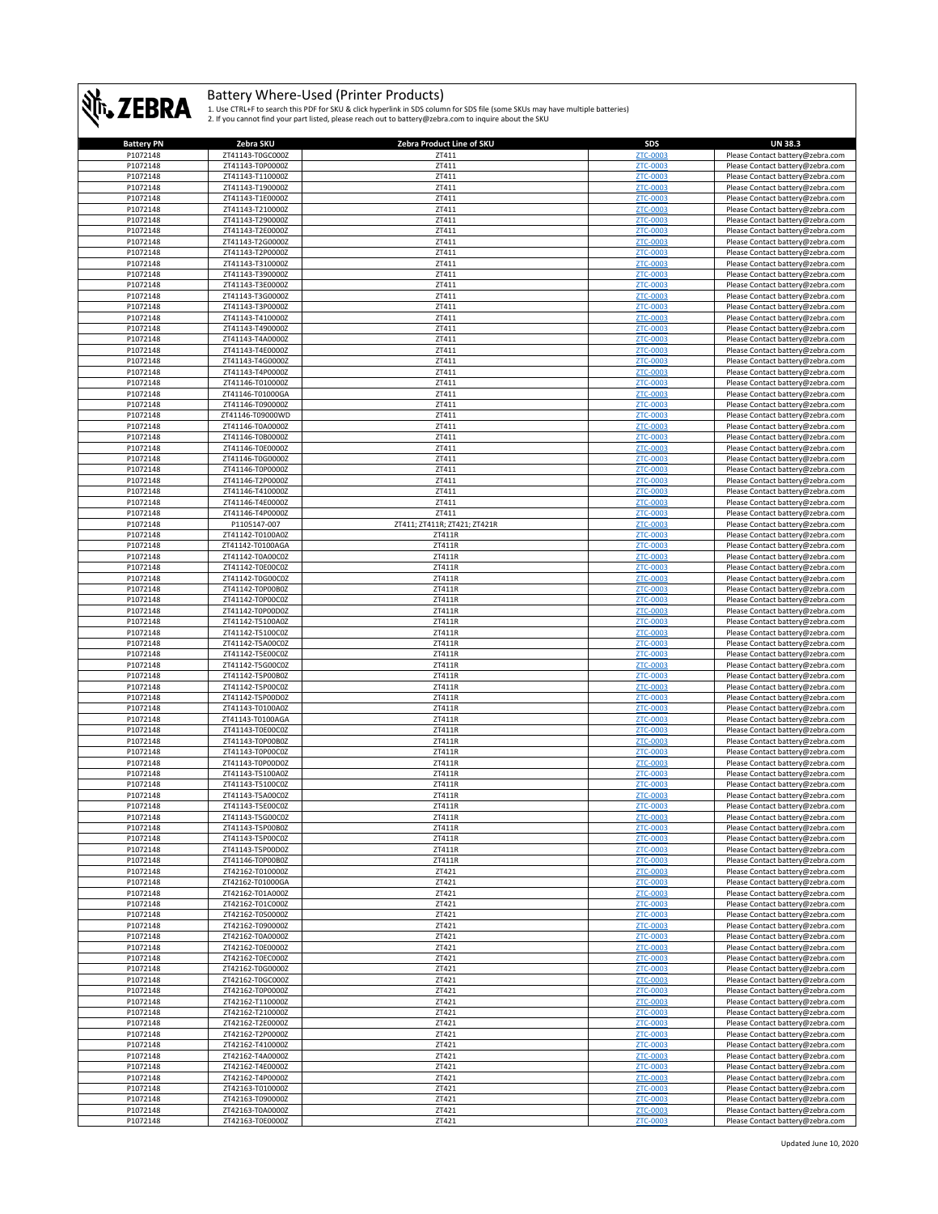

| <b>Battery PN</b> | Zebra SKU                            | Zebra Product Line of SKU    | SDS             | <b>UN 38.3</b>                   |
|-------------------|--------------------------------------|------------------------------|-----------------|----------------------------------|
| P1072148          | ZT41143-T0GC000Z                     | ZT411                        | ZTC-0003        | Please Contact battery@zebra.com |
| P1072148          | ZT41143-T0P0000Z                     | ZT411                        | ZTC-0003        | Please Contact battery@zebra.com |
| P1072148          | ZT41143-T110000Z                     | ZT411                        | ZTC-0003        | Please Contact battery@zebra.com |
| P1072148          | ZT41143-T190000Z                     | ZT411                        | ZTC-0003        | Please Contact battery@zebra.com |
| P1072148          | ZT41143-T1E0000Z                     | ZT411                        | ZTC-0003        | Please Contact battery@zebra.com |
| P1072148          | ZT41143-T210000Z                     | ZT411                        | ZTC-0003        | Please Contact battery@zebra.com |
| P1072148          | ZT41143-T290000Z                     | ZT411                        | ZTC-0003        | Please Contact battery@zebra.com |
| P1072148          | ZT41143-T2E0000Z                     | ZT411                        | ZTC-0003        | Please Contact battery@zebra.com |
| P1072148          | ZT41143-T2G0000Z                     | ZT411                        | ZTC-0003        | Please Contact battery@zebra.com |
| P1072148          |                                      |                              |                 |                                  |
|                   | ZT41143-T2P0000Z                     | ZT411                        | ZTC-0003        | Please Contact battery@zebra.com |
| P1072148          | ZT41143-T310000Z                     | ZT411                        | ZTC-0003        | Please Contact battery@zebra.com |
| P1072148          | ZT41143-T390000Z                     | ZT411                        | ZTC-0003        | Please Contact battery@zebra.com |
| P1072148          | ZT41143-T3E0000Z                     | ZT411                        | <b>ZTC-0003</b> | Please Contact battery@zebra.com |
| P1072148          | ZT41143-T3G0000Z                     | ZT411                        | ZTC-0003        | Please Contact battery@zebra.com |
| P1072148          | ZT41143-T3P0000Z                     | ZT411                        | ZTC-0003        | Please Contact battery@zebra.com |
| P1072148          | ZT41143-T410000Z                     | ZT411                        | ZTC-0003        | Please Contact battery@zebra.com |
| P1072148          | ZT41143-T490000Z                     | ZT411                        | <b>ZTC-0003</b> | Please Contact battery@zebra.com |
| P1072148          | ZT41143-T4A0000Z                     | ZT411                        | ZTC-0003        | Please Contact battery@zebra.com |
| P1072148          | ZT41143-T4E0000Z                     | ZT411                        | ZTC-0003        | Please Contact battery@zebra.com |
| P1072148          | ZT41143-T4G0000Z                     | ZT411                        | ZTC-0003        | Please Contact battery@zebra.com |
| P1072148          | ZT41143-T4P0000Z                     | ZT411                        | ZTC-0003        | Please Contact battery@zebra.com |
| P1072148          | ZT41146-T010000Z                     | ZT411                        | ZTC-0003        | Please Contact battery@zebra.com |
| P1072148          | ZT41146-T01000GA                     | ZT411                        | ZTC-0003        | Please Contact battery@zebra.com |
| P1072148          | ZT41146-T090000Z                     | ZT411                        | ZTC-0003        | Please Contact battery@zebra.com |
| P1072148          | ZT41146-T09000WD                     | ZT411                        | ZTC-0003        | Please Contact battery@zebra.com |
| P1072148          | ZT41146-T0A0000Z                     | ZT411                        | ZTC-0003        | Please Contact battery@zebra.com |
| P1072148          | ZT41146-T0B0000Z                     | ZT411                        | ZTC-0003        | Please Contact battery@zebra.com |
| P1072148          | ZT41146-T0E0000Z                     | ZT411                        | ZTC-0003        | Please Contact battery@zebra.com |
| P1072148          | ZT41146-T0G0000Z                     | ZT411                        | ZTC-0003        | Please Contact battery@zebra.com |
| P1072148          | ZT41146-T0P0000Z                     | ZT411                        | ZTC-0003        | Please Contact battery@zebra.com |
| P1072148          | ZT41146-T2P0000Z                     | ZT411                        | ZTC-0003        | Please Contact battery@zebra.com |
|                   | ZT41146-T410000Z                     |                              | ZTC-0003        |                                  |
| P1072148          |                                      | ZT411                        |                 | Please Contact battery@zebra.com |
| P1072148          | ZT41146-T4E0000Z                     | ZT411                        | ZTC-0003        | Please Contact battery@zebra.com |
| P1072148          | ZT41146-T4P0000Z                     | ZT411                        | ZTC-0003        | Please Contact battery@zebra.com |
| P1072148          | P1105147-007                         | ZT411; ZT411R; ZT421; ZT421R | <b>ZTC-0003</b> | Please Contact battery@zebra.com |
| P1072148          | ZT41142-T0100A0Z                     | ZT411R                       | ZTC-0003        | Please Contact battery@zebra.com |
| P1072148          | ZT41142-T0100AGA                     | ZT411R                       | ZTC-0003        | Please Contact battery@zebra.com |
| P1072148          | ZT41142-T0A00C0Z                     | ZT411R                       | ZTC-0003        | Please Contact battery@zebra.com |
| P1072148          | ZT41142-T0E00C0Z                     | ZT411R                       | ZTC-0003        | Please Contact battery@zebra.com |
| P1072148          | ZT41142-T0G00C0Z                     | ZT411R                       | ZTC-0003        | Please Contact battery@zebra.com |
| P1072148          | ZT41142-T0P00B0Z                     | ZT411R                       | ZTC-0003        | Please Contact battery@zebra.com |
| P1072148          | ZT41142-T0P00C0Z                     | ZT411R                       | ZTC-0003        | Please Contact battery@zebra.com |
| P1072148          | ZT41142-T0P00D0Z                     | ZT411R                       | ZTC-0003        | Please Contact battery@zebra.com |
| P1072148          | ZT41142-T5100A0Z                     | ZT411R                       | ZTC-0003        | Please Contact battery@zebra.com |
| P1072148          | ZT41142-T5100C0Z                     | ZT411R                       | ZTC-0003        | Please Contact battery@zebra.com |
| P1072148          | ZT41142-T5A00C0Z                     | ZT411R                       | ZTC-0003        | Please Contact battery@zebra.com |
| P1072148          | ZT41142-T5E00C0Z                     | ZT411R                       | ZTC-0003        | Please Contact battery@zebra.com |
| P1072148          | ZT41142-T5G00C0Z                     | ZT411R                       | ZTC-0003        | Please Contact battery@zebra.com |
| P1072148          | ZT41142-T5P00B0Z                     | ZT411R                       | ZTC-0003        | Please Contact battery@zebra.com |
| P1072148          | ZT41142-T5P00C0Z                     | ZT411R                       | ZTC-0003        | Please Contact battery@zebra.com |
| P1072148          | ZT41142-T5P00D0Z                     | ZT411R                       | ZTC-0003        | Please Contact battery@zebra.com |
| P1072148          |                                      | ZT411R                       |                 |                                  |
|                   | ZT41143-T0100A0Z                     |                              | ZTC-0003        | Please Contact battery@zebra.com |
| P1072148          | ZT41143-T0100AGA                     | ZT411R                       | <b>ZTC-0003</b> | Please Contact battery@zebra.com |
| P1072148          | ZT41143-T0E00C0Z<br>ZT41143-T0P00B0Z | ZT411R                       | ZTC-0003        | Please Contact battery@zebra.com |
| P1072148          |                                      | ZT411R                       | ZTC-0003        | Please Contact battery@zebra.com |
| P1072148          | ZT41143-T0P00C0Z                     | ZT411R                       | ZTC-0003        | Please Contact battery@zebra.com |
| P1072148          | ZT41143-T0P00D0Z                     | ZT411R                       | <b>ZTC-0003</b> | Please Contact battery@zebra.com |
| P1072148          | ZT41143-T5100A0Z                     | ZT411R                       | ZTC-0003        | Please Contact battery@zebra.com |
| P1072148          | ZT41143-T5100C0Z                     | ZT411R                       | ZTC-0003        | Please Contact battery@zebra.com |
| P1072148          | ZT41143-T5A00C0Z                     | ZT411R                       | ZTC-0003        | Please Contact battery@zebra.com |
| P1072148          | ZT41143-T5E00C0Z                     | ZT411R                       | ZTC-0003        | Please Contact battery@zebra.com |
| <b>P1072148</b>   | 7T41143-T5G00C07                     | 7T411R                       | <b>7TC-0003</b> | Please Contact hattery@zehra.com |
| P1072148          | ZT41143-T5P00B0Z                     | ZT411R                       | ZTC-0003        | Please Contact battery@zebra.com |
| P1072148          | ZT41143-T5P00C0Z                     | ZT411R                       | ZTC-0003        | Please Contact battery@zebra.com |
| P1072148          | ZT41143-T5P00D0Z                     | ZT411R                       | ZTC-0003        | Please Contact battery@zebra.com |
| P1072148          | ZT41146-T0P00B0Z                     | ZT411R                       | ZTC-0003        | Please Contact battery@zebra.com |
| P1072148          | ZT42162-T010000Z                     | ZT421                        | ZTC-0003        | Please Contact battery@zebra.com |
| P1072148          | ZT42162-T01000GA                     | ZT421                        | ZTC-0003        | Please Contact battery@zebra.com |
| P1072148          | ZT42162-T01A000Z                     | ZT421                        | ZTC-0003        | Please Contact battery@zebra.com |
| P1072148          | ZT42162-T01C000Z                     | ZT421                        | ZTC-0003        | Please Contact battery@zebra.com |
| P1072148          | ZT42162-T050000Z                     | ZT421                        | ZTC-0003        | Please Contact battery@zebra.com |
| P1072148          | ZT42162-T090000Z                     | ZT421                        | ZTC-0003        | Please Contact battery@zebra.com |
| P1072148          | ZT42162-T0A0000Z                     | ZT421                        | ZTC-0003        | Please Contact battery@zebra.com |
| P1072148          | ZT42162-T0E0000Z                     | ZT421                        | ZTC-0003        | Please Contact battery@zebra.com |
| P1072148          | ZT42162-T0EC000Z                     | ZT421                        | ZTC-0003        | Please Contact battery@zebra.com |
| P1072148          | ZT42162-T0G0000Z                     | ZT421                        | <b>ZTC-0003</b> | Please Contact battery@zebra.com |
| P1072148          | ZT42162-T0GC000Z                     | ZT421                        | ZTC-0003        | Please Contact battery@zebra.com |
| P1072148          | ZT42162-T0P0000Z                     | ZT421                        | <b>ZTC-0003</b> | Please Contact battery@zebra.com |
| P1072148          | ZT42162-T110000Z                     | ZT421                        | ZTC-0003        | Please Contact battery@zebra.com |
| P1072148          | ZT42162-T210000Z                     | ZT421                        | ZTC-0003        | Please Contact battery@zebra.com |
|                   |                                      |                              |                 |                                  |
| P1072148          | ZT42162-T2E0000Z                     | ZT421                        | ZTC-0003        | Please Contact battery@zebra.com |
| P1072148          | ZT42162-T2P0000Z                     | ZT421                        | ZTC-0003        | Please Contact battery@zebra.com |
| P1072148          | ZT42162-T410000Z                     | ZT421                        | ZTC-0003        | Please Contact battery@zebra.com |
| P1072148          | ZT42162-T4A0000Z                     | ZT421                        | ZTC-0003        | Please Contact battery@zebra.com |
| P1072148          | ZT42162-T4E0000Z                     | ZT421                        | ZTC-0003        | Please Contact battery@zebra.com |
| P1072148          | ZT42162-T4P0000Z                     | ZT421                        | ZTC-0003        | Please Contact battery@zebra.com |
| P1072148          | ZT42163-T010000Z                     | ZT421                        | ZTC-0003        | Please Contact battery@zebra.com |
| P1072148          | ZT42163-T090000Z                     | ZT421                        | ZTC-0003        | Please Contact battery@zebra.com |
| P1072148          | ZT42163-T0A0000Z                     | ZT421                        | ZTC-0003        | Please Contact battery@zebra.com |
| P1072148          | ZT42163-T0E0000Z                     | ZT421                        | ZTC-0003        | Please Contact battery@zebra.com |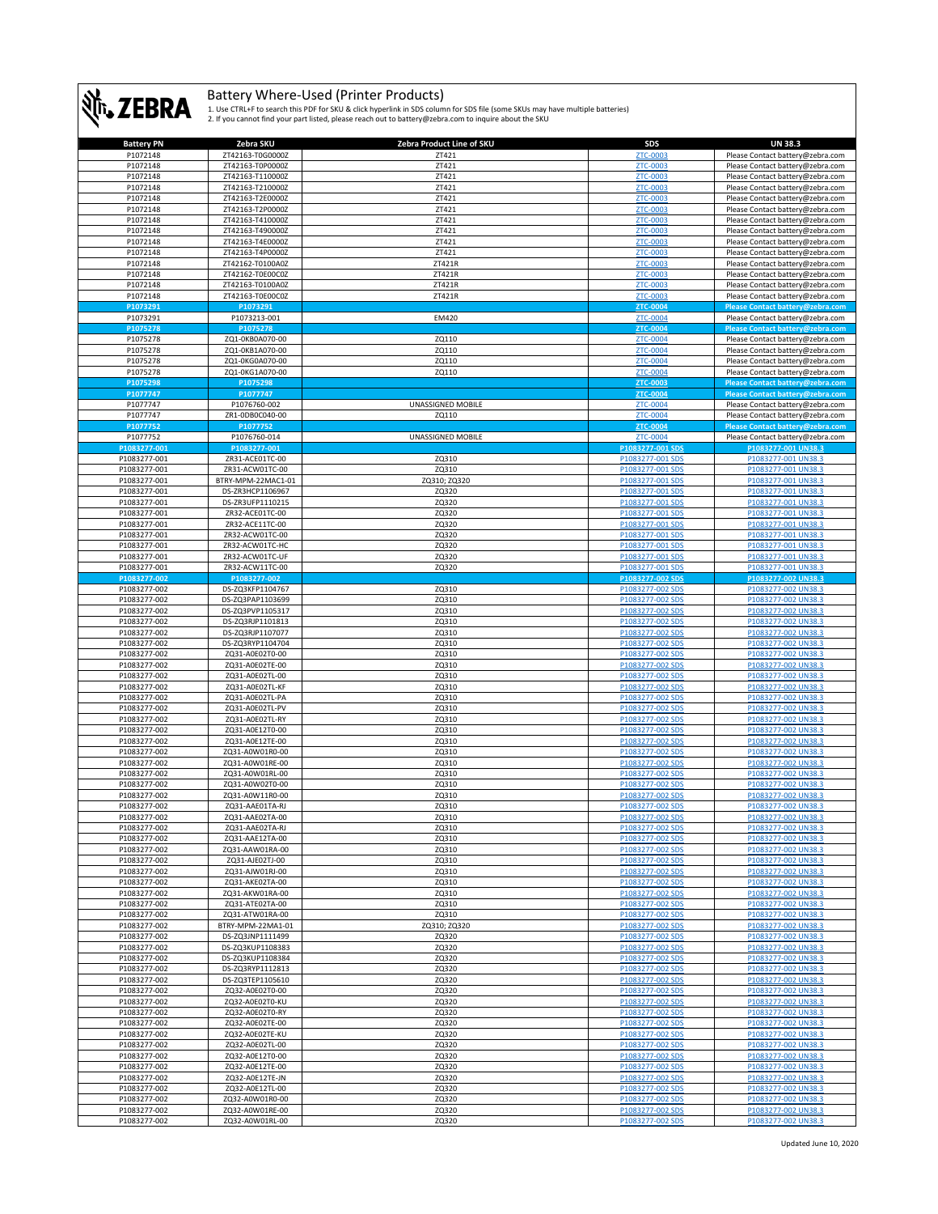

| <b>Battery PN</b> | Zebra SKU          | Zebra Product Line of SKU | <b>SDS</b>       | <b>UN 38.3</b>                   |
|-------------------|--------------------|---------------------------|------------------|----------------------------------|
| P1072148          | ZT42163-T0G0000Z   | ZT421                     | ZTC-0003         | Please Contact battery@zebra.com |
|                   |                    |                           |                  |                                  |
| P1072148          | ZT42163-T0P0000Z   | ZT421                     | ZTC-0003         | Please Contact battery@zebra.com |
| P1072148          | ZT42163-T110000Z   | ZT421                     | ZTC-0003         | Please Contact battery@zebra.com |
| P1072148          | ZT42163-T210000Z   | ZT421                     | ZTC-0003         | Please Contact battery@zebra.com |
| P1072148          | ZT42163-T2E0000Z   | ZT421                     | <b>ZTC-0003</b>  | Please Contact battery@zebra.com |
|                   |                    |                           |                  |                                  |
| P1072148          | ZT42163-T2P0000Z   | ZT421                     | ZTC-0003         | Please Contact battery@zebra.com |
| P1072148          | ZT42163-T410000Z   | ZT421                     | ZTC-0003         | Please Contact battery@zebra.com |
| P1072148          | ZT42163-T490000Z   | ZT421                     | ZTC-0003         | Please Contact battery@zebra.com |
| P1072148          | ZT42163-T4E0000Z   | ZT421                     | ZTC-0003         | Please Contact battery@zebra.com |
|                   |                    |                           |                  |                                  |
| P1072148          | ZT42163-T4P0000Z   | ZT421                     | ZTC-0003         | Please Contact battery@zebra.com |
| P1072148          | ZT42162-T0100A0Z   | ZT421R                    | ZTC-0003         | Please Contact battery@zebra.com |
| P1072148          | ZT42162-T0E00C0Z   | ZT421R                    | <b>ZTC-0003</b>  | Please Contact battery@zebra.com |
| P1072148          | ZT42163-T0100A0Z   | ZT421R                    | ZTC-0003         | Please Contact battery@zebra.com |
|                   |                    |                           |                  |                                  |
| P1072148          | ZT42163-T0E00C0Z   | ZT421R                    | ZTC-0003         | Please Contact battery@zebra.com |
| P1073291          | P1073291           |                           | ZTC-0004         | Please Contact battery@zebra.com |
| P1073291          | P1073213-001       | EM420                     | <b>ZTC-0004</b>  | Please Contact battery@zebra.com |
| P1075278          | P1075278           |                           | ZTC-0004         | Please Contact battery@zebra.com |
|                   |                    |                           |                  |                                  |
| P1075278          | ZQ1-0KB0A070-00    | ZQ110                     | ZTC-0004         | Please Contact battery@zebra.com |
| P1075278          | ZQ1-0KB1A070-00    | ZQ110                     | ZTC-0004         | Please Contact battery@zebra.com |
| P1075278          | ZQ1-0KG0A070-00    | ZQ110                     | ZTC-0004         | Please Contact battery@zebra.com |
| P1075278          | ZQ1-0KG1A070-00    | ZQ110                     | ZTC-0004         | Please Contact battery@zebra.com |
| P1075298          | P1075298           |                           | <b>ZTC-0003</b>  |                                  |
|                   |                    |                           |                  | Please Contact battery@zebra.com |
| P1077747          | P1077747           |                           | ZTC-0004         | Please Contact battery@zebra.com |
| P1077747          | P1076760-002       | UNASSIGNED MOBILE         | ZTC-0004         | Please Contact battery@zebra.com |
| P1077747          | ZR1-0DB0C040-00    | ZQ110                     | ZTC-0004         | Please Contact battery@zebra.com |
| P1077752          | P1077752           |                           | <b>ZTC-0004</b>  |                                  |
|                   |                    |                           |                  | Please Contact battery@zebra.com |
| P1077752          | P1076760-014       | UNASSIGNED MOBILE         | ZTC-0004         | Please Contact battery@zebra.com |
| P1083277-001      | P1083277-001       |                           | P1083277-001 SDS | P1083277-001 UN38.3              |
| P1083277-001      | ZR31-ACE01TC-00    | ZQ310                     | P1083277-001 SDS | P1083277-001 UN38.3              |
| P1083277-001      | ZR31-ACW01TC-00    | ZQ310                     | P1083277-001 SDS | P1083277-001 UN38.3              |
|                   |                    |                           |                  |                                  |
| P1083277-001      | BTRY-MPM-22MAC1-01 | ZQ310; ZQ320              | P1083277-001 SDS | P1083277-001 UN38.3              |
| P1083277-001      | DS-ZR3HCP1106967   | ZQ320                     | P1083277-001 SDS | P1083277-001 UN38.3              |
| P1083277-001      | DS-ZR3UFP1110215   | ZQ320                     | P1083277-001 SDS | P1083277-001 UN38.3              |
| P1083277-001      | ZR32-ACE01TC-00    | ZQ320                     | P1083277-001 SDS | P1083277-001 UN38.3              |
|                   |                    |                           |                  |                                  |
| P1083277-001      | ZR32-ACE11TC-00    | ZQ320                     | P1083277-001 SDS | P1083277-001 UN38.3              |
| P1083277-001      | ZR32-ACW01TC-00    | ZQ320                     | P1083277-001 SDS | P1083277-001 UN38.3              |
| P1083277-001      | ZR32-ACW01TC-HC    | ZQ320                     | P1083277-001 SDS | P1083277-001 UN38.3              |
| P1083277-001      | ZR32-ACW01TC-UF    | ZQ320                     | P1083277-001 SDS | P1083277-001 UN38.3              |
| P1083277-001      | ZR32-ACW11TC-00    | ZQ320                     | P1083277-001 SDS | P1083277-001 UN38.3              |
|                   |                    |                           |                  |                                  |
| P1083277-002      | P1083277-002       |                           | P1083277-002 SDS | P1083277-002 UN38.3              |
| P1083277-002      | DS-ZQ3KFP1104767   | ZQ310                     | P1083277-002 SDS | P1083277-002 UN38.3              |
| P1083277-002      | DS-ZQ3PAP1103699   | ZQ310                     | P1083277-002 SDS | P1083277-002 UN38.3              |
| P1083277-002      | DS-ZQ3PVP1105317   | ZQ310                     | P1083277-002 SDS | P1083277-002 UN38.3              |
|                   |                    |                           |                  |                                  |
| P1083277-002      | DS-ZQ3RJP1101813   | ZQ310                     | P1083277-002 SDS | P1083277-002 UN38.3              |
| P1083277-002      | DS-ZQ3RJP1107077   | ZQ310                     | P1083277-002 SDS | P1083277-002 UN38.3              |
| P1083277-002      | DS-ZQ3RYP1104704   | ZQ310                     | P1083277-002 SDS | P1083277-002 UN38.3              |
| P1083277-002      | ZQ31-A0E02T0-00    | ZQ310                     | P1083277-002 SDS | P1083277-002 UN38.3              |
|                   |                    |                           |                  |                                  |
| P1083277-002      | ZQ31-A0E02TE-00    | ZQ310                     | P1083277-002 SDS | P1083277-002 UN38.3              |
| P1083277-002      | ZQ31-A0E02TL-00    | ZQ310                     | P1083277-002 SDS | P1083277-002 UN38.3              |
| P1083277-002      | ZQ31-A0E02TL-KF    | ZQ310                     | P1083277-002 SDS | P1083277-002 UN38.3              |
| P1083277-002      | ZQ31-A0E02TL-PA    | ZQ310                     | P1083277-002 SDS | P1083277-002 UN38.3              |
|                   |                    |                           |                  |                                  |
| P1083277-002      | ZQ31-A0E02TL-PV    | ZQ310                     | P1083277-002 SDS | P1083277-002 UN38.3              |
| P1083277-002      | ZQ31-A0E02TL-RY    | ZQ310                     | P1083277-002 SDS | P1083277-002 UN38.3              |
| P1083277-002      | ZQ31-A0E12T0-00    | ZQ310                     | P1083277-002 SDS | P1083277-002 UN38.3              |
| P1083277-002      | ZQ31-A0E12TE-00    | ZQ310                     | P1083277-002 SDS | P1083277-002 UN38.3              |
| P1083277-002      | ZQ31-A0W01R0-00    | ZQ310                     | P1083277-002 SDS | P1083277-002 UN38.3              |
|                   |                    |                           |                  |                                  |
| P1083277-002      | ZQ31-A0W01RE-00    | ZQ310                     | P1083277-002 SDS | P1083277-002 UN38.3              |
| P1083277-002      | ZQ31-A0W01RL-00    | ZQ310                     | P1083277-002 SDS | P1083277-002 UN38.3              |
| P1083277-002      | ZQ31-A0W02T0-00    | ZQ310                     | P1083277-002 SDS | P1083277-002 UN38.3              |
| P1083277-002      | ZQ31-A0W11R0-00    | ZQ310                     | P1083277-002 SDS | P1083277-002 UN38.3              |
|                   |                    |                           |                  |                                  |
| P1083277-002      | ZQ31-AAE01TA-RJ    | ZQ310                     | P1083277-002 SDS | P1083277-002 UN38.3              |
| P1083277-002      | ZQ31-AAE021A-00    | ZQ310                     | P1083277-002 SD  | <u>PIU83277-UU2 UN38</u>         |
| P1083277-002      | ZQ31-AAE02TA-RJ    | ZQ310                     | P1083277-002 SDS | P1083277-002 UN38.3              |
| P1083277-002      | ZQ31-AAE12TA-00    | ZQ310                     | P1083277-002 SDS | P1083277-002 UN38.3              |
| P1083277-002      | ZQ31-AAW01RA-00    | ZQ310                     | P1083277-002 SDS | P1083277-002 UN38.3              |
|                   |                    |                           |                  |                                  |
| P1083277-002      | ZQ31-AJE02TJ-00    | ZQ310                     | P1083277-002 SDS | P1083277-002 UN38.3              |
| P1083277-002      | ZQ31-AJW01RJ-00    | ZQ310                     | P1083277-002 SDS | P1083277-002 UN38.3              |
| P1083277-002      | ZQ31-AKE02TA-00    | ZQ310                     | P1083277-002 SDS | P1083277-002 UN38.3              |
| P1083277-002      | ZQ31-AKW01RA-00    | ZQ310                     | P1083277-002 SDS | P1083277-002 UN38.3              |
| P1083277-002      | ZQ31-ATE02TA-00    | ZQ310                     | P1083277-002 SDS | P1083277-002 UN38.3              |
|                   |                    |                           |                  |                                  |
| P1083277-002      | ZQ31-ATW01RA-00    | ZQ310                     | P1083277-002 SDS | P1083277-002 UN38.3              |
| P1083277-002      | BTRY-MPM-22MA1-01  | ZQ310; ZQ320              | P1083277-002 SDS | P1083277-002 UN38.3              |
| P1083277-002      | DS-ZQ3JNP1111499   | ZQ320                     | P1083277-002 SDS | P1083277-002 UN38.3              |
| P1083277-002      | DS-ZQ3KUP1108383   | ZQ320                     | P1083277-002 SDS | P1083277-002 UN38.3              |
| P1083277-002      | DS-ZQ3KUP1108384   | ZQ320                     | P1083277-002 SDS | P1083277-002 UN38.3              |
|                   | DS-ZQ3RYP1112813   |                           |                  |                                  |
| P1083277-002      |                    | ZQ320                     | P1083277-002 SDS | P1083277-002 UN38.3              |
| P1083277-002      | DS-ZQ3TEP1105610   | ZQ320                     | P1083277-002 SDS | P1083277-002 UN38.3              |
| P1083277-002      | ZQ32-A0E02T0-00    | ZQ320                     | P1083277-002 SDS | P1083277-002 UN38.3              |
| P1083277-002      | ZQ32-A0E02T0-KU    | ZQ320                     | P1083277-002 SDS | P1083277-002 UN38.3              |
| P1083277-002      | ZQ32-A0E02T0-RY    | ZQ320                     | P1083277-002 SDS | P1083277-002 UN38.3              |
|                   |                    |                           |                  |                                  |
| P1083277-002      | ZQ32-A0E02TE-00    | ZQ320                     | P1083277-002 SDS | P1083277-002 UN38.3              |
| P1083277-002      | ZQ32-A0E02TE-KU    | ZQ320                     | P1083277-002 SDS | P1083277-002 UN38.3              |
| P1083277-002      | ZQ32-A0E02TL-00    | ZQ320                     | P1083277-002 SDS | P1083277-002 UN38.3              |
| P1083277-002      | ZQ32-A0E12T0-00    | ZQ320                     | P1083277-002 SDS | P1083277-002 UN38.3              |
| P1083277-002      | ZQ32-A0E12TE-00    | ZQ320                     | P1083277-002 SDS | P1083277-002 UN38.3              |
|                   |                    |                           |                  |                                  |
| P1083277-002      | ZQ32-A0E12TE-JN    | ZQ320                     | P1083277-002 SDS | P1083277-002 UN38.3              |
| P1083277-002      | ZQ32-A0E12TL-00    | ZQ320                     | P1083277-002 SDS | P1083277-002 UN38.3              |
| P1083277-002      | ZQ32-A0W01R0-00    | ZQ320                     | P1083277-002 SDS | P1083277-002 UN38.3              |
| P1083277-002      | ZQ32-A0W01RE-00    | ZQ320                     | P1083277-002 SDS | P1083277-002 UN38.3              |
| P1083277-002      | ZQ32-A0W01RL-00    | ZQ320                     | P1083277-002 SDS | P1083277-002 UN38.3              |
|                   |                    |                           |                  |                                  |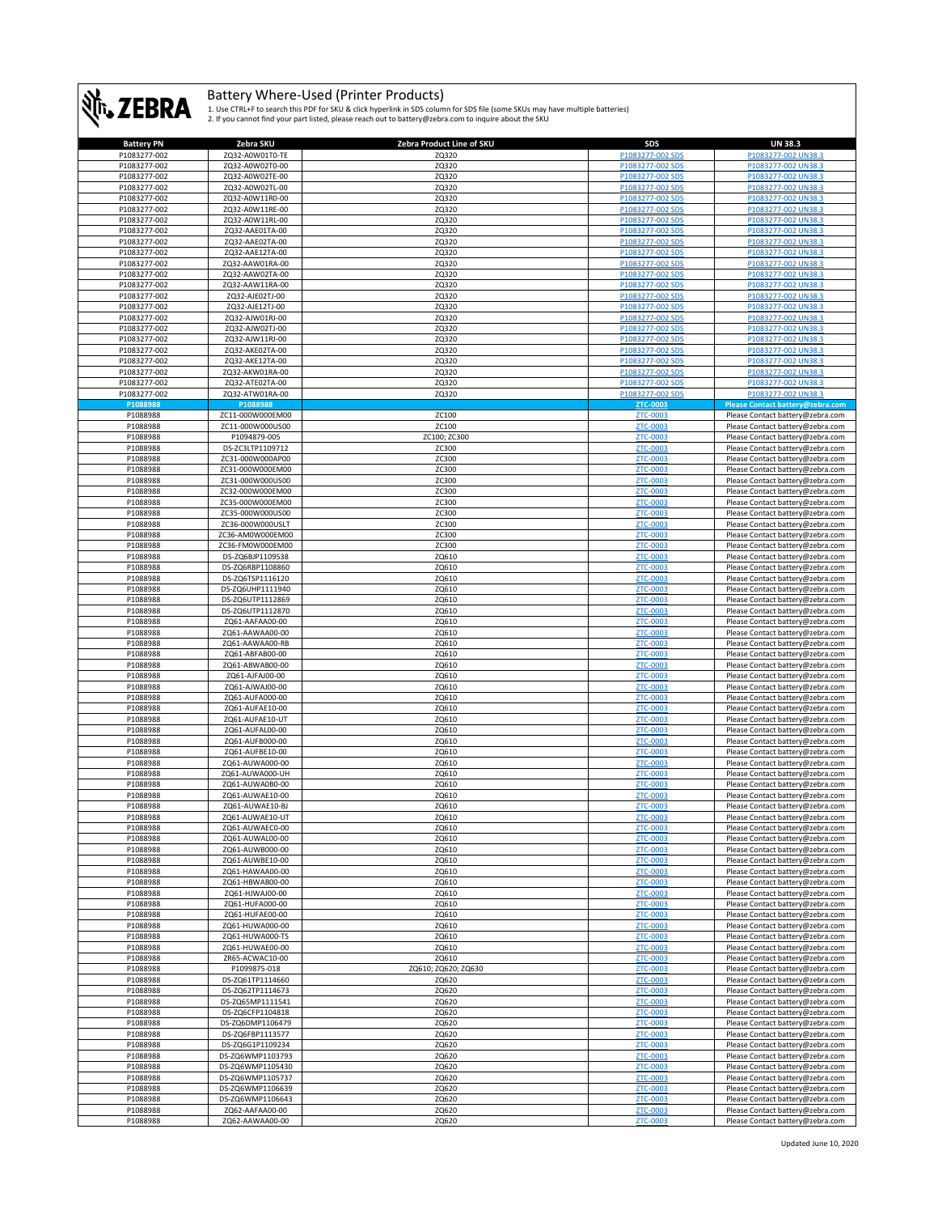

| <b>Battery PN</b> | Zebra SKU        | Zebra Product Line of SKU | SDS              | <b>UN 38.3</b>                   |
|-------------------|------------------|---------------------------|------------------|----------------------------------|
| P1083277-002      | ZQ32-A0W01T0-TE  | ZQ320                     | P1083277-002 SDS | P1083277-002 UN38.3              |
|                   |                  |                           |                  |                                  |
| P1083277-002      | ZQ32-A0W02T0-00  | ZQ320                     | P1083277-002 SDS | P1083277-002 UN38.3              |
| P1083277-002      | ZQ32-A0W02TE-00  | ZQ320                     | P1083277-002 SDS | P1083277-002 UN38.3              |
| P1083277-002      | ZQ32-A0W02TL-00  | ZQ320                     | P1083277-002 SDS | P1083277-002 UN38.3              |
|                   |                  |                           |                  |                                  |
| P1083277-002      | ZQ32-A0W11R0-00  | ZQ320                     | P1083277-002 SDS | P1083277-002 UN38.3              |
| P1083277-002      | ZQ32-A0W11RE-00  | ZQ320                     | P1083277-002 SDS | P1083277-002 UN38.3              |
| P1083277-002      | ZQ32-A0W11RL-00  | ZQ320                     | P1083277-002 SDS | P1083277-002 UN38.3              |
| P1083277-002      | ZQ32-AAE01TA-00  | ZQ320                     | P1083277-002 SDS | P1083277-002 UN38.3              |
|                   |                  |                           |                  |                                  |
| P1083277-002      | ZQ32-AAE02TA-00  | ZQ320                     | P1083277-002 SDS | P1083277-002 UN38.3              |
| P1083277-002      | ZQ32-AAE12TA-00  | ZQ320                     | P1083277-002 SDS | P1083277-002 UN38.3              |
| P1083277-002      | ZQ32-AAW01RA-00  | ZQ320                     | P1083277-002 SDS | P1083277-002 UN38.3              |
| P1083277-002      | ZQ32-AAW02TA-00  | ZQ320                     | P1083277-002 SDS | P1083277-002 UN38.3              |
|                   |                  |                           |                  |                                  |
| P1083277-002      | ZQ32-AAW11RA-00  | ZQ320                     | P1083277-002 SDS | P1083277-002 UN38.3              |
| P1083277-002      | ZQ32-AJE02TJ-00  | ZQ320                     | P1083277-002 SDS | P1083277-002 UN38.3              |
| P1083277-002      | ZQ32-AJE12TJ-00  | ZQ320                     | P1083277-002 SDS | P1083277-002 UN38.3              |
| P1083277-002      | ZQ32-AJW01RJ-00  | ZQ320                     | P1083277-002 SDS | P1083277-002 UN38.3              |
|                   |                  |                           |                  |                                  |
| P1083277-002      | ZQ32-AJW02TJ-00  | ZQ320                     | P1083277-002 SDS | P1083277-002 UN38.3              |
| P1083277-002      | ZQ32-AJW11RJ-00  | ZQ320                     | P1083277-002 SDS | P1083277-002 UN38.3              |
| P1083277-002      | ZQ32-AKE02TA-00  | ZQ320                     | P1083277-002 SDS | P1083277-002 UN38.3              |
| P1083277-002      | ZQ32-AKE12TA-00  | ZQ320                     | P1083277-002 SDS | P1083277-002 UN38.3              |
|                   |                  |                           |                  |                                  |
| P1083277-002      | ZQ32-AKW01RA-00  | ZQ320                     | P1083277-002 SDS | P1083277-002 UN38.3              |
| P1083277-002      | ZQ32-ATE02TA-00  | ZQ320                     | P1083277-002 SDS | P1083277-002 UN38.3              |
| P1083277-002      | ZQ32-ATW01RA-00  | ZQ320                     | P1083277-002 SDS | P1083277-002 UN38.3              |
| P1088988          | P1088988         |                           | ZTC-0003         | Please Contact battery@zebra.com |
|                   |                  |                           |                  |                                  |
| P1088988          | ZC11-000W000EM00 | ZC100                     | ZTC-0003         | Please Contact battery@zebra.com |
| P1088988          | ZC11-000W000US00 | ZC100                     | ZTC-0003         | Please Contact battery@zebra.com |
| P1088988          | P1094879-005     | ZC100; ZC300              | ZTC-0003         | Please Contact battery@zebra.com |
| P1088988          | DS-ZC3LTP1109712 | ZC300                     | ZTC-0003         | Please Contact battery@zebra.com |
|                   |                  |                           |                  |                                  |
| P1088988          | ZC31-000W000AP00 | ZC300                     | <b>ZTC-0003</b>  | Please Contact battery@zebra.com |
| P1088988          | ZC31-000W000EM00 | ZC300                     | ZTC-0003         | Please Contact battery@zebra.com |
| P1088988          | ZC31-000W000US00 | ZC300                     | ZTC-0003         | Please Contact battery@zebra.com |
| P1088988          | ZC32-000W000EM00 | ZC300                     | ZTC-0003         | Please Contact battery@zebra.com |
|                   |                  |                           |                  |                                  |
| P1088988          | ZC35-000W000EM00 | ZC300                     | ZTC-0003         | Please Contact battery@zebra.com |
| P1088988          | ZC35-000W000US00 | ZC300                     | ZTC-0003         | Please Contact battery@zebra.com |
| P1088988          | ZC36-000W000USLT | ZC300                     | ZTC-0003         | Please Contact battery@zebra.com |
| P1088988          | ZC36-AM0W000EM00 | ZC300                     | ZTC-0003         | Please Contact battery@zebra.com |
| P1088988          | ZC36-FM0W000EM00 | ZC300                     | ZTC-0003         | Please Contact battery@zebra.com |
|                   |                  |                           |                  |                                  |
| P1088988          | DS-ZQ6BJP1109538 | ZQ610                     | ZTC-0003         | Please Contact battery@zebra.com |
| P1088988          | DS-ZQ6RBP1108860 | ZQ610                     | ZTC-0003         | Please Contact battery@zebra.com |
| P1088988          | DS-ZQ6TSP1116120 | ZQ610                     | ZTC-0003         | Please Contact battery@zebra.com |
| P1088988          | DS-ZQ6UHP1111940 | ZQ610                     | ZTC-0003         | Please Contact battery@zebra.com |
|                   |                  |                           |                  |                                  |
| P1088988          | DS-ZQ6UTP1112869 | ZQ610                     | ZTC-0003         | Please Contact battery@zebra.com |
| P1088988          | DS-ZQ6UTP1112870 | ZQ610                     | ZTC-0003         | Please Contact battery@zebra.com |
| P1088988          | ZQ61-AAFAA00-00  | ZQ610                     | ZTC-0003         | Please Contact battery@zebra.com |
| P1088988          | ZQ61-AAWAA00-00  | ZQ610                     | ZTC-0003         | Please Contact battery@zebra.com |
|                   |                  |                           |                  |                                  |
| P1088988          | ZQ61-AAWAA00-RB  | ZQ610                     | ZTC-0003         | Please Contact battery@zebra.com |
| P1088988          | ZQ61-ABFAB00-00  | ZQ610                     | ZTC-0003         | Please Contact battery@zebra.com |
| P1088988          | ZQ61-ABWAB00-00  | ZQ610                     | ZTC-0003         | Please Contact battery@zebra.com |
| P1088988          | ZQ61-AJFAJ00-00  | ZQ610                     | ZTC-0003         | Please Contact battery@zebra.com |
|                   |                  |                           |                  |                                  |
| P1088988          | ZQ61-AJWAJ00-00  | ZQ610                     | ZTC-0003         | Please Contact battery@zebra.com |
| P1088988          | ZQ61-AUFA000-00  | ZQ610                     | ZTC-0003         | Please Contact battery@zebra.com |
| P1088988          | ZQ61-AUFAE10-00  | ZQ610                     | ZTC-0003         | Please Contact battery@zebra.com |
| P1088988          | ZQ61-AUFAE10-UT  | ZQ610                     | ZTC-0003         | Please Contact battery@zebra.com |
| P1088988          | ZQ61-AUFAL00-00  | ZQ610                     | ZTC-0003         | Please Contact battery@zebra.com |
|                   |                  |                           |                  |                                  |
| P1088988          | ZQ61-AUFB000-00  | ZQ610                     | ZTC-0003         | Please Contact battery@zebra.com |
| P1088988          | ZQ61-AUFBE10-00  | ZQ610                     | ZTC-0003         | Please Contact battery@zebra.com |
| P1088988          | ZQ61-AUWA000-00  | ZQ610                     | ZTC-0003         | Please Contact battery@zebra.com |
| P1088988          | ZQ61-AUWA000-UH  | ZQ610                     | ZTC-0003         | Please Contact battery@zebra.com |
|                   |                  |                           |                  |                                  |
| P1088988          | ZQ61-AUWA0B0-00  | ZQ610                     | ZTC-0003         | Please Contact battery@zebra.com |
| P1088988          | ZQ61-AUWAE10-00  | ZQ610                     | ZTC-0003         | Please Contact battery@zebra.com |
| P1088988          | ZQ61-AUWAE10-BJ  | ZQ610                     | ZTC-0003         | Please Contact battery@zebra.com |
| P1088988          | ZQ61-AUWAE10-UT  | ZQ610                     |                  | Please Contact battery@zebra.cor |
|                   |                  |                           |                  |                                  |
| P1088988          | ZQ61-AUWAEC0-00  | ZQ610                     | ZTC-0003         | Please Contact battery@zebra.com |
| P1088988          | ZQ61-AUWAL00-00  | ZQ610                     | ZTC-0003         | Please Contact battery@zebra.com |
| P1088988          | ZQ61-AUWB000-00  | ZQ610                     | ZTC-0003         | Please Contact battery@zebra.com |
| P1088988          | ZQ61-AUWBE10-00  | ZQ610                     | ZTC-0003         | Please Contact battery@zebra.com |
|                   |                  |                           |                  |                                  |
| P1088988          | ZQ61-HAWAA00-00  | ZQ610                     | ZTC-0003         | Please Contact battery@zebra.com |
| P1088988          | ZQ61-HBWAB00-00  | ZQ610                     | ZTC-0003         | Please Contact battery@zebra.com |
| P1088988          | ZQ61-HJWAJ00-00  | ZQ610                     | ZTC-0003         | Please Contact battery@zebra.com |
| P1088988          | ZQ61-HUFA000-00  | ZQ610                     | ZTC-0003         | Please Contact battery@zebra.com |
| P1088988          | ZQ61-HUFAE00-00  | ZQ610                     | ZTC-0003         | Please Contact battery@zebra.com |
|                   |                  |                           | ZTC-0003         |                                  |
| P1088988          | ZQ61-HUWA000-00  | ZQ610                     |                  | Please Contact battery@zebra.com |
| P1088988          | ZQ61-HUWA000-TS  | ZQ610                     | ZTC-0003         | Please Contact battery@zebra.com |
| P1088988          | ZQ61-HUWAE00-00  | ZQ610                     | ZTC-0003         | Please Contact battery@zebra.com |
| P1088988          | ZR65-ACWAC10-00  | ZQ610                     | ZTC-0003         | Please Contact battery@zebra.com |
| P1088988          | P1099875-018     | ZQ610; ZQ620; ZQ630       | ZTC-0003         | Please Contact battery@zebra.com |
|                   |                  |                           |                  |                                  |
| P1088988          | DS-ZQ61TP1114660 | ZQ620                     | ZTC-0003         | Please Contact battery@zebra.com |
| P1088988          | DS-ZQ62TP1114673 | ZQ620                     | ZTC-0003         | Please Contact battery@zebra.com |
| P1088988          | DS-ZQ65MP1111541 | ZQ620                     | ZTC-0003         | Please Contact battery@zebra.com |
| P1088988          | DS-ZQ6CFP1104818 | ZQ620                     | ZTC-0003         | Please Contact battery@zebra.com |
| P1088988          | DS-ZQ6DMP1106479 | ZQ620                     | ZTC-0003         | Please Contact battery@zebra.com |
|                   |                  |                           |                  |                                  |
| P1088988          | DS-ZQ6FBP1113577 | ZQ620                     | ZTC-0003         | Please Contact battery@zebra.com |
| P1088988          | DS-ZQ6G1P1109234 | ZQ620                     | ZTC-0003         | Please Contact battery@zebra.com |
| P1088988          | DS-ZQ6WMP1103793 | ZQ620                     | ZTC-0003         | Please Contact battery@zebra.com |
| P1088988          | DS-ZQ6WMP1105430 | ZQ620                     | ZTC-0003         | Please Contact battery@zebra.com |
| P1088988          | DS-ZQ6WMP1105737 | ZQ620                     | ZTC-0003         | Please Contact battery@zebra.com |
|                   |                  |                           |                  |                                  |
| P1088988          | DS-ZQ6WMP1106639 | ZQ620                     | ZTC-0003         | Please Contact battery@zebra.com |
| P1088988          | DS-ZQ6WMP1106643 | ZQ620                     | ZTC-0003         | Please Contact battery@zebra.com |
| P1088988          | ZQ62-AAFAA00-00  | ZQ620                     | ZTC-0003         | Please Contact battery@zebra.com |
| P1088988          | ZQ62-AAWAA00-00  | ZQ620                     | ZTC-0003         | Please Contact battery@zebra.com |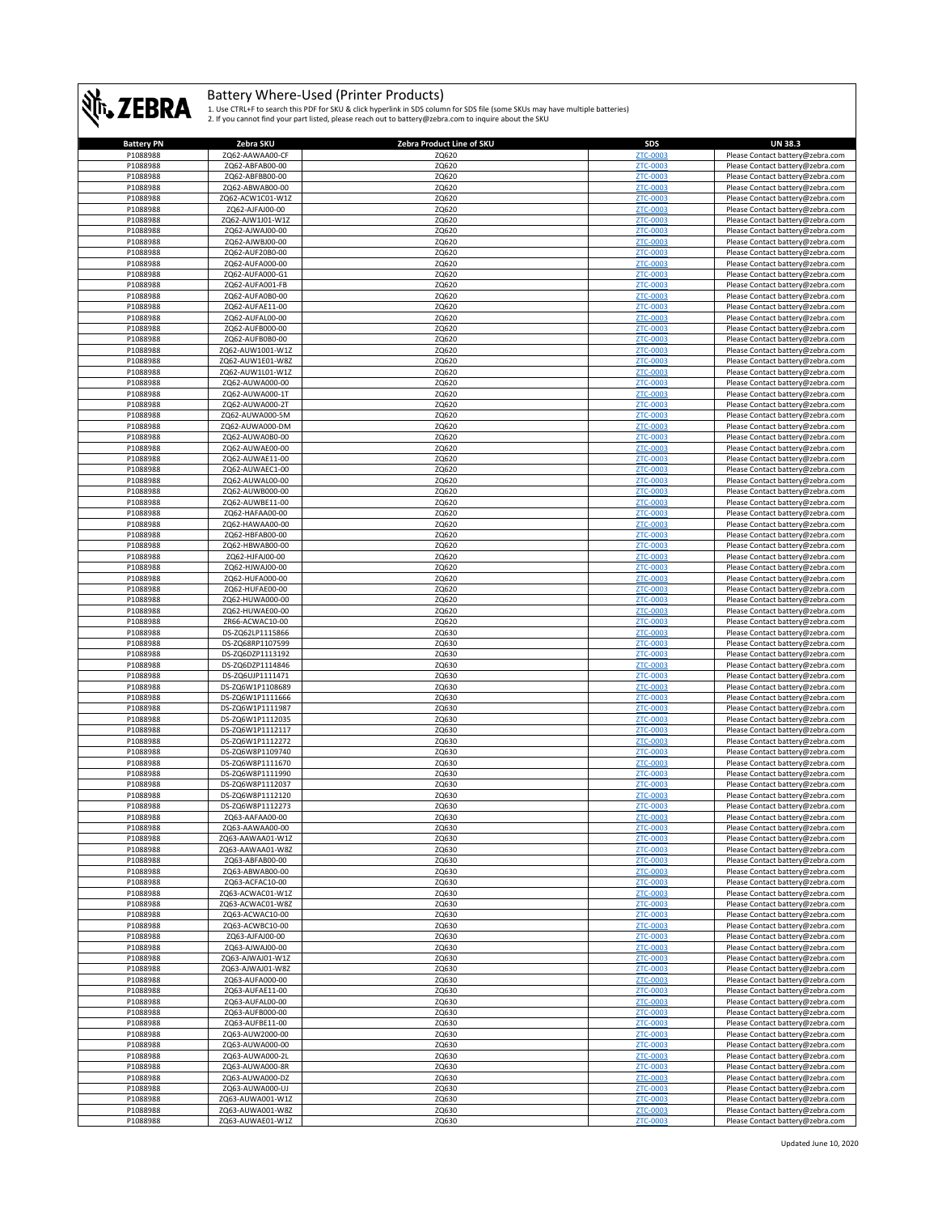

| <b>Battery PN</b> | Zebra SKU                          | Zebra Product Line of SKU | <b>SDS</b>                  | <b>UN 38.3</b>                   |
|-------------------|------------------------------------|---------------------------|-----------------------------|----------------------------------|
| P1088988          | ZQ62-AAWAA00-CF                    | ZQ620                     | ZTC-0003                    | Please Contact battery@zebra.com |
| P1088988          | ZQ62-ABFAB00-00                    | ZQ620                     | ZTC-0003                    | Please Contact battery@zebra.com |
| P1088988          | ZQ62-ABFBB00-00                    | ZQ620                     | ZTC-0003                    | Please Contact battery@zebra.com |
| P1088988          | ZQ62-ABWAB00-00                    | ZQ620                     | ZTC-0003                    | Please Contact battery@zebra.com |
| P1088988          | ZQ62-ACW1C01-W1Z                   | ZQ620                     | ZTC-0003                    | Please Contact battery@zebra.com |
| P1088988          | ZQ62-AJFAJ00-00                    | ZQ620                     | ZTC-0003                    | Please Contact battery@zebra.com |
| P1088988          | ZQ62-AJW1J01-W1Z                   | ZQ620                     | ZTC-0003                    | Please Contact battery@zebra.com |
| P1088988          | ZQ62-AJWAJ00-00                    | ZQ620                     | <b>ZTC-0003</b>             | Please Contact battery@zebra.com |
| P1088988          | ZQ62-AJWBJ00-00                    | ZQ620                     | <b>ZTC-0003</b>             | Please Contact battery@zebra.com |
|                   |                                    |                           |                             |                                  |
| P1088988          | ZQ62-AUF20B0-00                    | ZQ620                     | <b>ZTC-0003</b>             | Please Contact battery@zebra.com |
| P1088988          | ZQ62-AUFA000-00                    | ZQ620                     | ZTC-0003                    | Please Contact battery@zebra.com |
| P1088988          | ZQ62-AUFA000-G1                    | ZQ620                     | <b>ZTC-0003</b>             | Please Contact battery@zebra.com |
| P1088988          | ZQ62-AUFA001-FB                    | ZQ620                     | ZTC-0003                    | Please Contact battery@zebra.com |
| P1088988          | ZQ62-AUFA0B0-00                    | ZQ620                     | <b>ZTC-0003</b>             | Please Contact battery@zebra.com |
| P1088988          | ZQ62-AUFAE11-00                    | ZQ620                     | ZTC-0003                    | Please Contact battery@zebra.com |
| P1088988          | ZQ62-AUFAL00-00                    | ZQ620                     | <b>ZTC-0003</b>             | Please Contact battery@zebra.com |
| P1088988          | ZQ62-AUFB000-00                    | ZQ620                     | <b>ZTC-0003</b>             | Please Contact battery@zebra.com |
| P1088988          | ZQ62-AUFB0B0-00                    | ZQ620                     | ZTC-0003                    | Please Contact battery@zebra.com |
| P1088988          | ZQ62-AUW1001-W1Z                   | ZQ620                     | ZTC-0003                    | Please Contact battery@zebra.com |
| P1088988          | ZQ62-AUW1E01-W8Z                   | ZQ620                     | ZTC-0003                    | Please Contact battery@zebra.com |
| P1088988          | ZQ62-AUW1L01-W1Z                   | ZQ620                     | <b>ZTC-0003</b>             | Please Contact battery@zebra.com |
| P1088988          | ZQ62-AUWA000-00                    | ZQ620                     | ZTC-0003                    | Please Contact battery@zebra.com |
| P1088988          | ZQ62-AUWA000-1T                    | ZQ620                     | <b>ZTC-0003</b>             | Please Contact battery@zebra.com |
| P1088988          | ZQ62-AUWA000-2T                    | ZQ620                     | ZTC-0003                    | Please Contact battery@zebra.com |
| P1088988          | ZQ62-AUWA000-5M                    | ZQ620                     | ZTC-0003                    | Please Contact battery@zebra.com |
| P1088988          | ZQ62-AUWA000-DM                    | ZQ620                     | <b>ZTC-0003</b>             | Please Contact battery@zebra.com |
| P1088988          | ZQ62-AUWA0B0-00                    | ZQ620                     | <b>ZTC-0003</b>             | Please Contact battery@zebra.com |
| P1088988          | ZQ62-AUWAE00-00                    | ZQ620                     | ZTC-0003                    | Please Contact battery@zebra.com |
| P1088988          | ZQ62-AUWAE11-00                    | ZQ620                     | ZTC-0003                    | Please Contact battery@zebra.com |
| P1088988          | ZQ62-AUWAEC1-00                    | ZQ620                     | ZTC-0003                    | Please Contact battery@zebra.com |
| P1088988          |                                    |                           |                             | Please Contact battery@zebra.com |
| P1088988          | ZQ62-AUWAL00-00<br>ZQ62-AUWB000-00 | ZQ620<br>ZQ620            | ZTC-0003<br><b>ZTC-0003</b> |                                  |
|                   |                                    |                           |                             | Please Contact battery@zebra.com |
| P1088988          | ZQ62-AUWBE11-00                    | ZQ620                     | <b>ZTC-0003</b>             | Please Contact battery@zebra.com |
| P1088988          | ZQ62-HAFAA00-00                    | ZQ620                     | ZTC-0003                    | Please Contact battery@zebra.com |
| P1088988          | ZQ62-HAWAA00-00                    | ZQ620                     | ZTC-0003                    | Please Contact battery@zebra.com |
| P1088988          | ZQ62-HBFAB00-00                    | ZQ620                     | ZTC-0003                    | Please Contact battery@zebra.com |
| P1088988          | ZQ62-HBWAB00-00                    | ZQ620                     | ZTC-0003                    | Please Contact battery@zebra.com |
| P1088988          | ZQ62-HJFAJ00-00                    | ZQ620                     | ZTC-0003                    | Please Contact battery@zebra.com |
| P1088988          | ZQ62-HJWAJ00-00                    | ZQ620                     | <b>ZTC-0003</b>             | Please Contact battery@zebra.com |
| P1088988          | ZQ62-HUFA000-00                    | ZQ620                     | ZTC-0003                    | Please Contact battery@zebra.com |
| P1088988          | ZQ62-HUFAE00-00                    | ZQ620                     | ZTC-0003                    | Please Contact battery@zebra.com |
| P1088988          | ZQ62-HUWA000-00                    | ZQ620                     | <b>ZTC-0003</b>             | Please Contact battery@zebra.com |
| P1088988          | ZQ62-HUWAE00-00                    | ZQ620                     | ZTC-0003                    | Please Contact battery@zebra.com |
| P1088988          | ZR66-ACWAC10-00                    | ZQ620                     | <b>ZTC-0003</b>             | Please Contact battery@zebra.com |
| P1088988          | DS-ZQ62LP1115866                   | ZQ630                     | ZTC-0003                    | Please Contact battery@zebra.com |
| P1088988          | DS-ZQ68RP1107599                   | ZQ630                     | <b>ZTC-0003</b>             | Please Contact battery@zebra.com |
| P1088988          | DS-ZQ6DZP1113192                   | ZQ630                     | <b>ZTC-0003</b>             | Please Contact battery@zebra.com |
| P1088988          | DS-ZQ6DZP1114846                   | ZQ630                     | ZTC-0003                    | Please Contact battery@zebra.com |
| P1088988          | DS-ZQ6UJP1111471                   | ZQ630                     | ZTC-0003                    | Please Contact battery@zebra.com |
| P1088988          | DS-ZQ6W1P1108689                   | ZQ630                     | <b>ZTC-0003</b>             |                                  |
|                   |                                    |                           | ZTC-0003                    | Please Contact battery@zebra.com |
| P1088988          | DS-ZQ6W1P1111666                   | ZQ630                     |                             | Please Contact battery@zebra.com |
| P1088988          | DS-ZQ6W1P1111987                   | ZQ630                     | <b>ZTC-0003</b>             | Please Contact battery@zebra.com |
| P1088988          | DS-ZQ6W1P1112035                   | ZQ630                     | <b>ZTC-0003</b>             | Please Contact battery@zebra.com |
| P1088988          | DS-ZQ6W1P1112117                   | ZQ630                     | <b>ZTC-0003</b>             | Please Contact battery@zebra.com |
| P1088988          | DS-ZQ6W1P1112272                   | ZQ630                     | ZTC-0003                    | Please Contact battery@zebra.com |
| P1088988          | DS-ZQ6W8P1109740                   | ZQ630                     | ZTC-0003                    | Please Contact battery@zebra.com |
| P1088988          | DS-ZQ6W8P1111670                   | ZQ630                     | <b>ZTC-0003</b>             | Please Contact battery@zebra.com |
| P1088988          | DS-ZQ6W8P1111990                   | ZQ630                     | ZTC-0003                    | Please Contact battery@zebra.com |
| P1088988          | DS-ZQ6W8P1112037                   | ZQ630                     | <b>ZTC-0003</b>             | Please Contact battery@zebra.com |
| P1088988          | DS-ZQ6W8P1112120                   | ZQ630                     | <b>ZTC-0003</b>             | Please Contact battery@zebra.com |
| P1088988          | DS-ZQ6W8P1112273                   | ZQ630                     | <b>ZTC-0003</b>             | Please Contact battery@zebra.com |
| P1088988          | ZQ63-AAFAA00-00                    | ZQ630                     |                             | Please Contact battery@zebra.com |
| P1088988          | ZQ63-AAWAA00-00                    | ZQ630                     | <b>ZTC-0003</b>             | Please Contact battery@zebra.com |
| P1088988          | ZQ63-AAWAA01-W1Z                   | ZQ630                     | <b>ZTC-0003</b>             | Please Contact battery@zebra.com |
| P1088988          | ZQ63-AAWAA01-W8Z                   | ZQ630                     | ZTC-0003                    | Please Contact battery@zebra.com |
| P1088988          | ZQ63-ABFAB00-00                    | ZQ630                     | ZTC-0003                    | Please Contact battery@zebra.com |
| P1088988          | ZQ63-ABWAB00-00                    | ZQ630                     | <b>ZTC-0003</b>             | Please Contact battery@zebra.com |
| P1088988          | ZQ63-ACFAC10-00                    | ZQ630                     | ZTC-0003                    | Please Contact battery@zebra.com |
| P1088988          | ZQ63-ACWAC01-W1Z                   | ZQ630                     | <b>ZTC-0003</b>             | Please Contact battery@zebra.com |
| P1088988          | ZQ63-ACWAC01-W8Z                   | ZQ630                     | <b>ZTC-0003</b>             | Please Contact battery@zebra.com |
| P1088988          | ZQ63-ACWAC10-00                    | ZQ630                     | ZTC-0003                    | Please Contact battery@zebra.com |
| P1088988          | ZQ63-ACWBC10-00                    | ZQ630                     | ZTC-0003                    | Please Contact battery@zebra.com |
| P1088988          | ZQ63-AJFAJ00-00                    | ZQ630                     | ZTC-0003                    | Please Contact battery@zebra.com |
| P1088988          | ZQ63-AJWAJ00-00                    | ZQ630                     | ZTC-0003                    | Please Contact battery@zebra.com |
| P1088988          | ZQ63-AJWAJ01-W1Z                   | ZQ630                     | <b>ZTC-0003</b>             | Please Contact battery@zebra.com |
| P1088988          | ZQ63-AJWAJ01-W8Z                   | ZQ630                     | <b>ZTC-0003</b>             | Please Contact battery@zebra.com |
| P1088988          | ZQ63-AUFA000-00                    | ZQ630                     | <b>ZTC-0003</b>             | Please Contact battery@zebra.com |
| P1088988          | ZQ63-AUFAE11-00                    | ZQ630                     | ZTC-0003                    | Please Contact battery@zebra.com |
| P1088988          | ZQ63-AUFAL00-00                    | ZQ630                     | ZTC-0003                    | Please Contact battery@zebra.com |
| P1088988          | ZQ63-AUFB000-00                    | ZQ630                     | ZTC-0003                    | Please Contact battery@zebra.com |
|                   |                                    |                           |                             |                                  |
| P1088988          | ZQ63-AUFBE11-00                    | ZQ630                     | ZTC-0003                    | Please Contact battery@zebra.com |
| P1088988          | ZQ63-AUW2000-00                    | ZQ630                     | <b>ZTC-0003</b>             | Please Contact battery@zebra.com |
| P1088988          | ZQ63-AUWA000-00                    | ZQ630                     | ZTC-0003                    | Please Contact battery@zebra.com |
| P1088988          | ZQ63-AUWA000-2L                    | ZQ630                     | ZTC-0003                    | Please Contact battery@zebra.com |
| P1088988          | ZQ63-AUWA000-8R                    | ZQ630                     | ZTC-0003                    | Please Contact battery@zebra.com |
| P1088988          | ZQ63-AUWA000-DZ                    | ZQ630                     | ZTC-0003                    | Please Contact battery@zebra.com |
| P1088988          | ZQ63-AUWA000-UJ                    | ZQ630                     | <b>ZTC-0003</b>             | Please Contact battery@zebra.com |
| P1088988          | ZQ63-AUWA001-W1Z                   | ZQ630                     | ZTC-0003                    | Please Contact battery@zebra.com |
| P1088988          | ZQ63-AUWA001-W8Z                   | ZQ630                     | <b>ZTC-0003</b>             | Please Contact battery@zebra.com |
| P1088988          | ZQ63-AUWAE01-W1Z                   | ZQ630                     | ZTC-0003                    | Please Contact battery@zebra.com |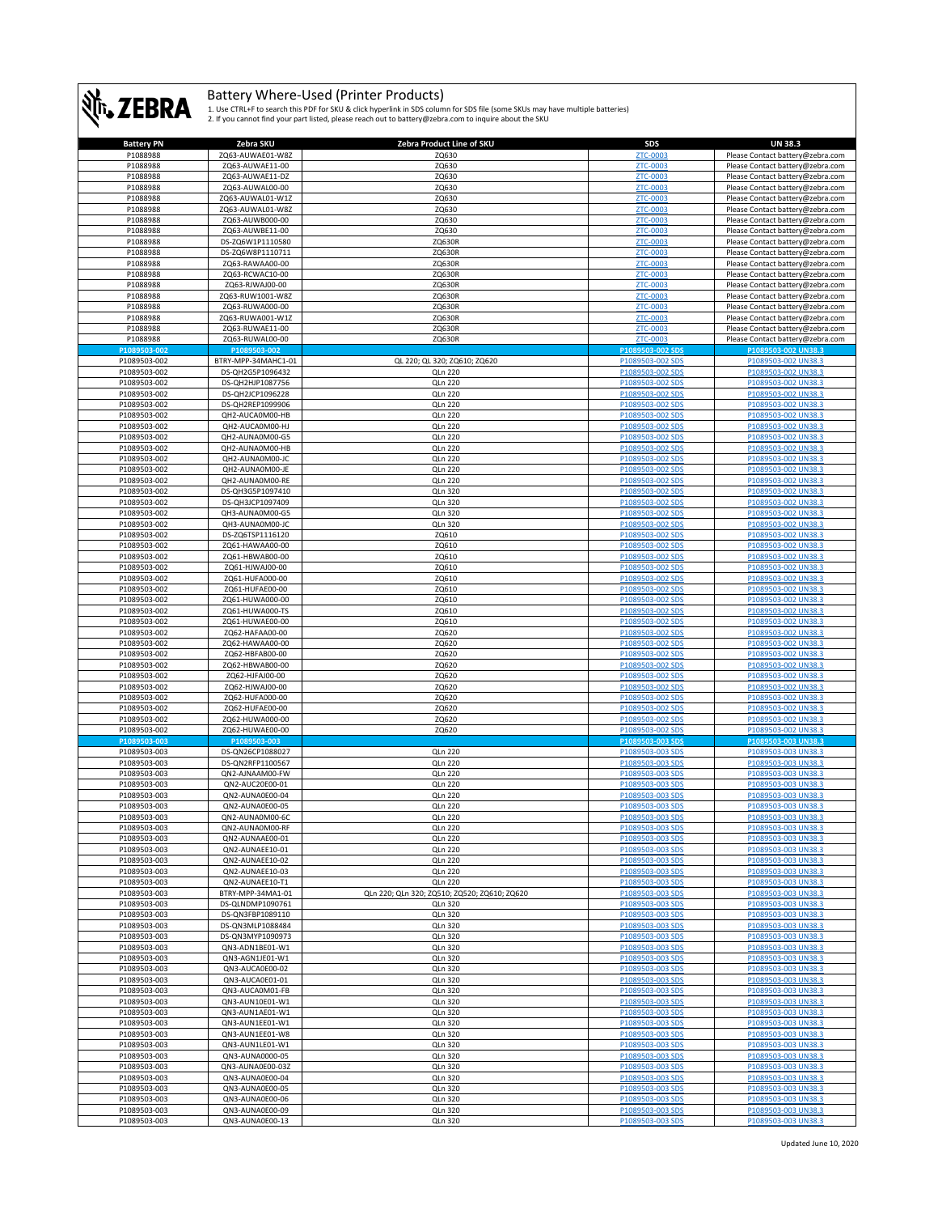

| <b>Battery PN</b>            | Zebra SKU                            | Zebra Product Line of SKU                    | <b>SDS</b>                           | <b>UN 38.3</b>                                                       |
|------------------------------|--------------------------------------|----------------------------------------------|--------------------------------------|----------------------------------------------------------------------|
| P1088988                     | ZQ63-AUWAE01-W8Z                     | ZQ630                                        | ZTC-0003                             | Please Contact battery@zebra.com                                     |
| P1088988                     | ZQ63-AUWAE11-00                      | ZQ630                                        | <b>ZTC-0003</b>                      | Please Contact battery@zebra.com                                     |
| P1088988                     | ZQ63-AUWAE11-DZ                      | ZQ630                                        | ZTC-0003                             | Please Contact battery@zebra.com                                     |
| P1088988                     | ZQ63-AUWAL00-00                      | ZQ630                                        | <b>ZTC-0003</b>                      | Please Contact battery@zebra.com                                     |
| P1088988                     | ZQ63-AUWAL01-W1Z                     | ZQ630                                        | ZTC-0003                             | Please Contact battery@zebra.com                                     |
| P1088988                     | ZQ63-AUWAL01-W8Z                     | ZQ630                                        | ZTC-0003                             | Please Contact battery@zebra.com                                     |
| P1088988                     | ZQ63-AUWB000-00                      | ZQ630                                        | <b>ZTC-0003</b>                      | Please Contact battery@zebra.com                                     |
| P1088988                     | ZQ63-AUWBE11-00                      | ZQ630                                        | <b>ZTC-0003</b>                      | Please Contact battery@zebra.com                                     |
| P1088988                     | DS-ZQ6W1P1110580                     | ZQ630R                                       | <b>ZTC-0003</b>                      | Please Contact battery@zebra.com                                     |
| P1088988                     | DS-ZQ6W8P1110711                     | ZQ630R                                       | ZTC-0003                             | Please Contact battery@zebra.com                                     |
| P1088988                     | ZQ63-RAWAA00-00                      | ZQ630R                                       | ZTC-0003                             | Please Contact battery@zebra.com                                     |
| P1088988                     | ZQ63-RCWAC10-00<br>ZQ63-RJWAJ00-00   | ZQ630R                                       | ZTC-0003<br>ZTC-0003                 | Please Contact battery@zebra.com                                     |
| P1088988<br>P1088988         | ZQ63-RUW1001-W8Z                     | ZQ630R<br>ZQ630R                             | ZTC-0003                             | Please Contact battery@zebra.com<br>Please Contact battery@zebra.com |
| P1088988                     | ZQ63-RUWA000-00                      | ZQ630R                                       | ZTC-0003                             | Please Contact battery@zebra.com                                     |
| P1088988                     | ZQ63-RUWA001-W1Z                     | ZQ630R                                       | ZTC-0003                             | Please Contact battery@zebra.com                                     |
| P1088988                     | ZQ63-RUWAE11-00                      | ZQ630R                                       | <b>ZTC-0003</b>                      | Please Contact battery@zebra.com                                     |
| P1088988                     | ZQ63-RUWAL00-00                      | ZQ630R                                       | <b>ZTC-0003</b>                      | Please Contact battery@zebra.com                                     |
| P1089503-002                 | P1089503-002                         |                                              | P1089503-002 SD                      | P1089503-002 UN38.3                                                  |
| P1089503-002                 | BTRY-MPP-34MAHC1-01                  | QL 220; QL 320; ZQ610; ZQ620                 | P1089503-002 SDS                     | P1089503-002 UN38.3                                                  |
| P1089503-002                 | DS-QH2G5P1096432                     | <b>QLn 220</b>                               | P1089503-002 SDS                     | P1089503-002 UN38.3                                                  |
| P1089503-002                 | DS-QH2HJP1087756                     | QLn 220                                      | P1089503-002 SDS                     | P1089503-002 UN38.3                                                  |
| P1089503-002                 | DS-QH2JCP1096228                     | <b>QLn 220</b>                               | P1089503-002 SDS                     | P1089503-002 UN38.3                                                  |
| P1089503-002                 | DS-QH2REP1099906                     | QLn 220                                      | P1089503-002 SDS                     | P1089503-002 UN38.3                                                  |
| P1089503-002                 | QH2-AUCA0M00-HB                      | <b>QLn 220</b>                               | P1089503-002 SDS                     | P1089503-002 UN38.3                                                  |
| P1089503-002                 | QH2-AUCA0M00-HJ                      | QLn 220                                      | P1089503-002 SDS                     | P1089503-002 UN38.3                                                  |
| P1089503-002                 | QH2-AUNA0M00-G5                      | QLn 220                                      | P1089503-002 SDS                     | P1089503-002 UN38.3                                                  |
| P1089503-002                 | QH2-AUNA0M00-HB                      | QLn 220                                      | P1089503-002 SDS                     | P1089503-002 UN38.3                                                  |
| P1089503-002                 | QH2-AUNA0M00-JC                      | QLn 220                                      | P1089503-002 SDS                     | P1089503-002 UN38.3                                                  |
| P1089503-002                 | QH2-AUNA0M00-JE                      | QLn 220                                      | P1089503-002 SDS                     | P1089503-002 UN38.3                                                  |
| P1089503-002                 | QH2-AUNA0M00-RE                      | <b>QLn 220</b>                               | P1089503-002 SDS                     | P1089503-002 UN38.3                                                  |
| P1089503-002                 | DS-QH3G5P1097410                     | QLn 320                                      | P1089503-002 SDS                     | P1089503-002 UN38.3                                                  |
| P1089503-002                 | DS-QH3JCP1097409                     | QLn 320                                      | P1089503-002 SDS                     | P1089503-002 UN38.3                                                  |
| P1089503-002                 | QH3-AUNA0M00-G5                      | QLn 320                                      | P1089503-002 SDS                     | P1089503-002 UN38.3                                                  |
| P1089503-002                 | QH3-AUNA0M00-JC                      | QLn 320                                      | P1089503-002 SDS                     | P1089503-002 UN38.3                                                  |
| P1089503-002                 | DS-ZQ6TSP1116120                     | ZQ610                                        | P1089503-002 SDS                     | P1089503-002 UN38.3                                                  |
| P1089503-002                 | ZQ61-HAWAA00-00                      | ZQ610                                        | P1089503-002 SDS                     | P1089503-002 UN38.3                                                  |
| P1089503-002                 | ZQ61-HBWAB00-00                      | ZQ610                                        | P1089503-002 SDS                     | P1089503-002 UN38.3                                                  |
| P1089503-002                 | ZQ61-HJWAJ00-00                      | ZQ610                                        | P1089503-002 SDS                     | P1089503-002 UN38.3                                                  |
| P1089503-002                 | ZQ61-HUFA000-00                      | ZQ610                                        | P1089503-002 SDS                     | P1089503-002 UN38.3                                                  |
| P1089503-002                 | ZQ61-HUFAE00-00                      | ZQ610                                        | P1089503-002 SDS                     | P1089503-002 UN38.3                                                  |
| P1089503-002                 | ZQ61-HUWA000-00                      | ZQ610                                        | P1089503-002 SDS                     | P1089503-002 UN38.3                                                  |
| P1089503-002                 | ZQ61-HUWA000-TS                      | ZQ610                                        | P1089503-002 SDS                     | P1089503-002 UN38.3                                                  |
| P1089503-002                 | ZQ61-HUWAE00-00                      | ZQ610                                        | P1089503-002 SDS                     | P1089503-002 UN38.3                                                  |
| P1089503-002                 | ZQ62-HAFAA00-00                      | ZQ620                                        | P1089503-002 SDS                     | P1089503-002 UN38.3                                                  |
| P1089503-002                 | ZQ62-HAWAA00-00                      | ZQ620                                        | P1089503-002 SDS                     | P1089503-002 UN38.3                                                  |
| P1089503-002                 | ZQ62-HBFAB00-00                      | ZQ620                                        | P1089503-002 SDS                     | P1089503-002 UN38.3<br>P1089503-002 UN38.3                           |
| P1089503-002<br>P1089503-002 | ZQ62-HBWAB00-00<br>ZQ62-HJFAJ00-00   | ZQ620<br>ZQ620                               | P1089503-002 SDS<br>P1089503-002 SDS | P1089503-002 UN38.3                                                  |
| P1089503-002                 | ZQ62-HJWAJ00-00                      | ZQ620                                        | P1089503-002 SDS                     | P1089503-002 UN38.3                                                  |
| P1089503-002                 | ZQ62-HUFA000-00                      | ZQ620                                        | P1089503-002 SDS                     | P1089503-002 UN38.3                                                  |
| P1089503-002                 | ZQ62-HUFAE00-00                      | ZQ620                                        | P1089503-002 SDS                     | P1089503-002 UN38.3                                                  |
| P1089503-002                 | ZQ62-HUWA000-00                      | ZQ620                                        | P1089503-002 SDS                     | P1089503-002 UN38.3                                                  |
| P1089503-002                 | ZQ62-HUWAE00-00                      | ZQ620                                        | P1089503-002 SDS                     | P1089503-002 UN38.3                                                  |
| P1089503-003                 | P1089503-003                         |                                              | P1089503-003 SD                      | P1089503-003 UN38.3                                                  |
| P1089503-003                 | DS-QN26CP1088027                     | <b>QLn 220</b>                               | P1089503-003 SDS                     | P1089503-003 UN38.3                                                  |
| P1089503-003                 | DS-QN2RFP1100567                     | <b>QLn 220</b>                               | P1089503-003 SDS                     | P1089503-003 UN38.3                                                  |
| P1089503-003                 | QN2-AJNAAM00-FW                      | QLn 220                                      | P1089503-003 SDS                     | P1089503-003 UN38.3                                                  |
| P1089503-003                 | QN2-AUC20E00-01                      | <b>QLn 220</b>                               | P1089503-003 SDS                     | P1089503-003 UN38.3                                                  |
| P1089503-003                 | QN2-AUNA0E00-04                      | QLn 220                                      | P1089503-003 SDS                     | P1089503-003 UN38.3                                                  |
| P1089503-003                 | QN2-AUNA0E00-05                      | <b>QLn 220</b>                               | P1089503-003 SDS                     | P1089503-003 UN38.3                                                  |
| P1089503-003                 | QN2-AUNA0M00-6C                      | QLn 220                                      | P1089503-003 SDS                     | P1089503-003 UN38.3                                                  |
| P1089503-003                 | QN2-AUNA0M00-RF                      | <b>QLn 220</b>                               | P1089503-003 SDS                     | P1089503-003 UN38.3                                                  |
| P1089503-003                 | QN2-AUNAAE00-01                      | <b>QLn 220</b>                               | P1089503-003 SDS                     | P1089503-003 UN38.3                                                  |
| P1089503-003                 | QN2-AUNAEE10-01                      | <b>QLn 220</b>                               | P1089503-003 SDS                     | P1089503-003 UN38.3                                                  |
| P1089503-003                 | QN2-AUNAEE10-02                      | <b>QLn 220</b>                               | P1089503-003 SDS                     | P1089503-003 UN38.3                                                  |
| P1089503-003                 | QN2-AUNAEE10-03                      | <b>QLn 220</b>                               | P1089503-003 SDS                     | P1089503-003 UN38.3                                                  |
| P1089503-003                 | QN2-AUNAEE10-T1                      | <b>QLn 220</b>                               | P1089503-003 SDS                     | P1089503-003 UN38.3                                                  |
| P1089503-003                 | BTRY-MPP-34MA1-01                    | QLn 220; QLn 320; ZQ510; ZQ520; ZQ610; ZQ620 | P1089503-003 SDS                     | P1089503-003 UN38.3                                                  |
| P1089503-003<br>P1089503-003 | DS-QLNDMP1090761<br>DS-QN3FBP1089110 | QLn 320<br>QLn 320                           | P1089503-003 SDS<br>P1089503-003 SDS | P1089503-003 UN38.3<br>P1089503-003 UN38.3                           |
|                              | DS-QN3MLP1088484                     |                                              |                                      | P1089503-003 UN38.3                                                  |
| P1089503-003<br>P1089503-003 | DS-QN3MYP1090973                     | QLn 320<br>QLn 320                           | P1089503-003 SDS<br>P1089503-003 SDS | P1089503-003 UN38.3                                                  |
| P1089503-003                 | QN3-ADN1BE01-W1                      | QLn 320                                      | P1089503-003 SDS                     | P1089503-003 UN38.3                                                  |
| P1089503-003                 | QN3-AGN1JE01-W1                      | QLn 320                                      | P1089503-003 SDS                     | P1089503-003 UN38.3                                                  |
| P1089503-003                 | QN3-AUCA0E00-02                      | <b>QLn 320</b>                               | P1089503-003 SDS                     | P1089503-003 UN38.3                                                  |
| P1089503-003                 | QN3-AUCA0E01-01                      | QLn 320                                      | P1089503-003 SDS                     | P1089503-003 UN38.3                                                  |
| P1089503-003                 | QN3-AUCA0M01-FB                      | QLn 320                                      | P1089503-003 SDS                     | P1089503-003 UN38.3                                                  |
| P1089503-003                 | QN3-AUN10E01-W1                      | <b>QLn 320</b>                               | P1089503-003 SDS                     | P1089503-003 UN38.3                                                  |
| P1089503-003                 | QN3-AUN1AE01-W1                      | QLn 320                                      | P1089503-003 SDS                     | P1089503-003 UN38.3                                                  |
| P1089503-003                 | QN3-AUN1EE01-W1                      | QLn 320                                      | P1089503-003 SDS                     | P1089503-003 UN38.3                                                  |
| P1089503-003                 | QN3-AUN1EE01-W8                      | QLn 320                                      | P1089503-003 SDS                     | P1089503-003 UN38.3                                                  |
| P1089503-003                 | QN3-AUN1LE01-W1                      | QLn 320                                      | P1089503-003 SDS                     | P1089503-003 UN38.3                                                  |
| P1089503-003                 | QN3-AUNA0000-05                      | QLn 320                                      | P1089503-003 SDS                     | P1089503-003 UN38.3                                                  |
| P1089503-003                 | QN3-AUNA0E00-03Z                     | QLn 320                                      | P1089503-003 SDS                     | P1089503-003 UN38.3                                                  |
| P1089503-003                 | QN3-AUNA0E00-04                      | <b>QLn 320</b>                               | P1089503-003 SDS                     | P1089503-003 UN38.3                                                  |
| P1089503-003                 | QN3-AUNA0E00-05                      | <b>QLn 320</b>                               | P1089503-003 SDS                     | P1089503-003 UN38.3                                                  |
| P1089503-003                 | QN3-AUNA0E00-06                      | QLn 320                                      | P1089503-003 SDS                     | P1089503-003 UN38.3                                                  |
| P1089503-003                 | QN3-AUNA0E00-09                      | QLn 320                                      | P1089503-003 SDS                     | P1089503-003 UN38.3                                                  |
| P1089503-003                 | QN3-AUNA0E00-13                      | QLn 320                                      | P1089503-003 SDS                     | P1089503-003 UN38.3                                                  |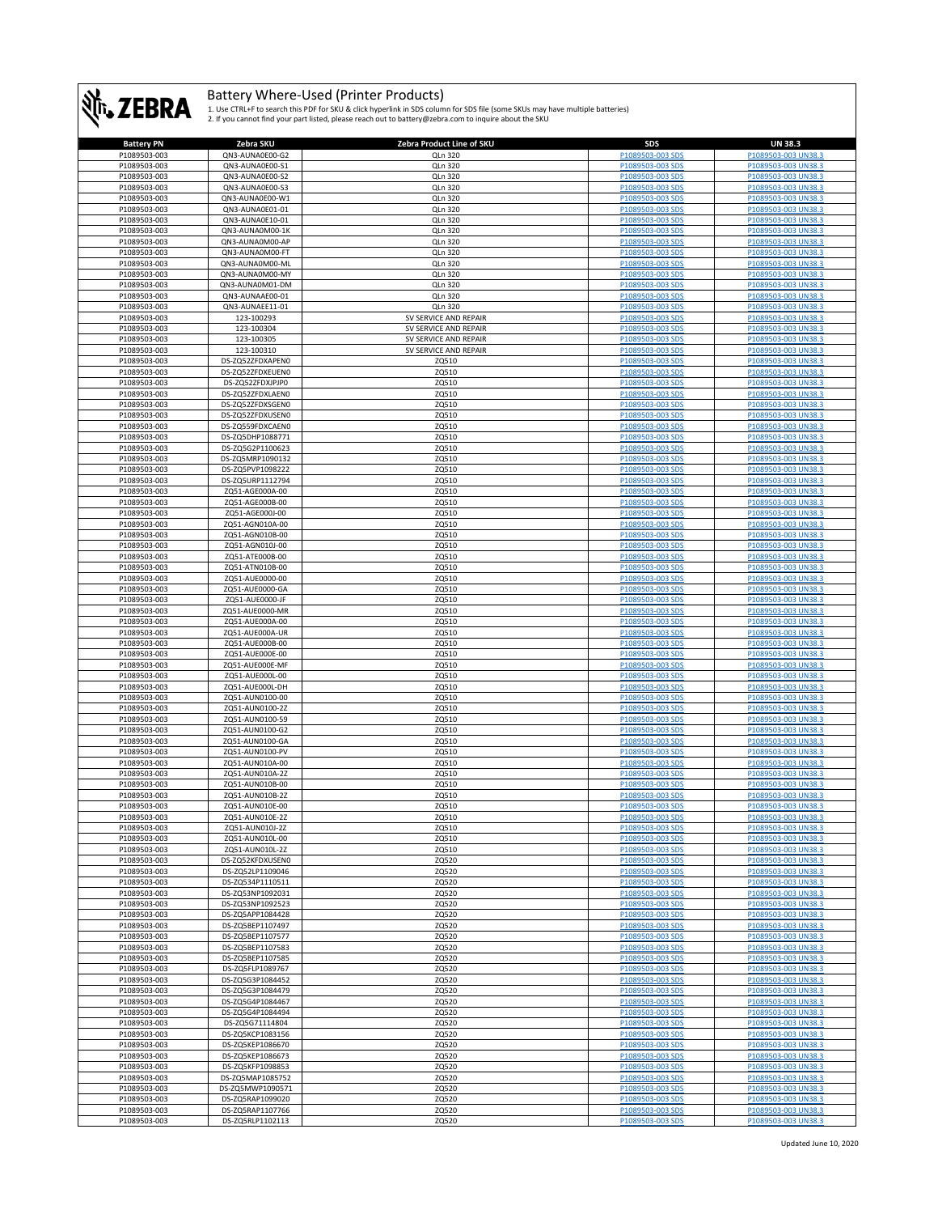

| <b>Battery PN</b> | Zebra SKU        | Zebra Product Line of SKU | SDS                     | <b>UN 38.3</b>           |
|-------------------|------------------|---------------------------|-------------------------|--------------------------|
| P1089503-003      | QN3-AUNA0E00-G2  | QLn 320                   | P1089503-003 SDS        | P1089503-003 UN38.3      |
| P1089503-003      | QN3-AUNA0E00-S1  | QLn 320                   | P1089503-003 SDS        | P1089503-003 UN38.3      |
|                   |                  |                           |                         |                          |
| P1089503-003      | QN3-AUNA0E00-S2  | QLn 320                   | P1089503-003 SDS        | P1089503-003 UN38.3      |
| P1089503-003      | QN3-AUNA0E00-S3  | QLn 320                   | P1089503-003 SDS        | P1089503-003 UN38.3      |
| P1089503-003      | QN3-AUNA0E00-W1  | QLn 320                   | P1089503-003 SDS        | P1089503-003 UN38.3      |
| P1089503-003      | QN3-AUNA0E01-01  | QLn 320                   | P1089503-003 SDS        | P1089503-003 UN38.3      |
| P1089503-003      | QN3-AUNA0E10-01  | QLn 320                   | P1089503-003 SDS        | P1089503-003 UN38.3      |
|                   |                  |                           | P1089503-003 SDS        |                          |
| P1089503-003      | QN3-AUNA0M00-1K  | QLn 320                   |                         | P1089503-003 UN38.3      |
| P1089503-003      | QN3-AUNA0M00-AP  | QLn 320                   | P1089503-003 SDS        | P1089503-003 UN38.3      |
| P1089503-003      | QN3-AUNA0M00-FT  | QLn 320                   | P1089503-003 SDS        | P1089503-003 UN38.3      |
| P1089503-003      | QN3-AUNA0M00-ML  | QLn 320                   | P1089503-003 SDS        | P1089503-003 UN38.3      |
| P1089503-003      | QN3-AUNA0M00-MY  | QLn 320                   | P1089503-003 SDS        | P1089503-003 UN38.3      |
| P1089503-003      |                  |                           | P1089503-003 SDS        | P1089503-003 UN38.3      |
|                   | QN3-AUNA0M01-DM  | QLn 320                   |                         |                          |
| P1089503-003      | QN3-AUNAAE00-01  | QLn 320                   | P1089503-003 SDS        | P1089503-003 UN38.3      |
| P1089503-003      | QN3-AUNAEE11-01  | <b>QLn 320</b>            | P1089503-003 SDS        | P1089503-003 UN38.3      |
| P1089503-003      | 123-100293       | SV SERVICE AND REPAIR     | P1089503-003 SDS        | P1089503-003 UN38.3      |
| P1089503-003      | 123-100304       | SV SERVICE AND REPAIR     | P1089503-003 SDS        | P1089503-003 UN38.3      |
| P1089503-003      | 123-100305       | SV SERVICE AND REPAIR     | P1089503-003 SDS        | P1089503-003 UN38.3      |
|                   |                  |                           |                         |                          |
| P1089503-003      | 123-100310       | SV SERVICE AND REPAIR     | P1089503-003 SDS        | P1089503-003 UN38.3      |
| P1089503-003      | DS-ZQ52ZFDXAPEN0 | ZQ510                     | P1089503-003 SDS        | P1089503-003 UN38.3      |
| P1089503-003      | DS-ZQ52ZFDXEUEN0 | ZQ510                     | P1089503-003 SDS        | P1089503-003 UN38.3      |
| P1089503-003      | DS-ZQ52ZFDXJPJP0 | ZQ510                     | P1089503-003 SDS        | P1089503-003 UN38.3      |
| P1089503-003      | DS-ZQ52ZFDXLAEN0 | ZQ510                     | P1089503-003 SDS        | P1089503-003 UN38.3      |
| P1089503-003      | DS-ZQ52ZFDXSGEN0 | ZQ510                     | P1089503-003 SDS        | P1089503-003 UN38.3      |
|                   |                  |                           |                         |                          |
| P1089503-003      | DS-ZQ52ZFDXUSEN0 | ZQ510                     | P1089503-003 SDS        | P1089503-003 UN38.3      |
| P1089503-003      | DS-ZQ559FDXCAEN0 | ZQ510                     | P1089503-003 SDS        | P1089503-003 UN38.3      |
| P1089503-003      | DS-ZQ5DHP1088771 | ZQ510                     | P1089503-003 SDS        | P1089503-003 UN38.3      |
| P1089503-003      | DS-ZQ5G2P1100623 | ZQ510                     | P1089503-003 SDS        | P1089503-003 UN38.3      |
| P1089503-003      | DS-ZQ5MRP1090132 | ZQ510                     | P1089503-003 SDS        | P1089503-003 UN38.3      |
|                   |                  |                           |                         |                          |
| P1089503-003      | DS-ZQ5PVP1098222 | ZQ510                     | P1089503-003 SDS        | P1089503-003 UN38.3      |
| P1089503-003      | DS-ZQ5URP1112794 | ZQ510                     | P1089503-003 SDS        | P1089503-003 UN38.3      |
| P1089503-003      | ZQ51-AGE000A-00  | ZQ510                     | P1089503-003 SDS        | P1089503-003 UN38.3      |
| P1089503-003      | ZQ51-AGE000B-00  | ZQ510                     | P1089503-003 SDS        | P1089503-003 UN38.3      |
| P1089503-003      | ZQ51-AGE000J-00  | ZQ510                     | P1089503-003 SDS        | P1089503-003 UN38.3      |
|                   |                  |                           |                         |                          |
| P1089503-003      | ZQ51-AGN010A-00  | ZQ510                     | P1089503-003 SDS        | P1089503-003 UN38.3      |
| P1089503-003      | ZQ51-AGN010B-00  | ZQ510                     | P1089503-003 SDS        | P1089503-003 UN38.3      |
| P1089503-003      | ZQ51-AGN010J-00  | ZQ510                     | P1089503-003 SDS        | P1089503-003 UN38.3      |
| P1089503-003      | ZQ51-ATE000B-00  | ZQ510                     | P1089503-003 SDS        | P1089503-003 UN38.3      |
| P1089503-003      | ZQ51-ATN010B-00  | ZQ510                     | P1089503-003 SDS        | P1089503-003 UN38.3      |
| P1089503-003      | ZQ51-AUE0000-00  | ZQ510                     | P1089503-003 SDS        | P1089503-003 UN38.3      |
|                   |                  |                           |                         |                          |
| P1089503-003      | ZQ51-AUE0000-GA  | ZQ510                     | P1089503-003 SDS        | P1089503-003 UN38.3      |
| P1089503-003      | ZQ51-AUE0000-JF  | ZQ510                     | P1089503-003 SDS        | P1089503-003 UN38.3      |
| P1089503-003      | ZQ51-AUE0000-MR  | ZQ510                     | P1089503-003 SDS        | P1089503-003 UN38.3      |
| P1089503-003      | ZQ51-AUE000A-00  | ZQ510                     | P1089503-003 SDS        | P1089503-003 UN38.3      |
| P1089503-003      | ZQ51-AUE000A-UR  | ZQ510                     | P1089503-003 SDS        | P1089503-003 UN38.3      |
|                   |                  | ZQ510                     |                         |                          |
| P1089503-003      | ZQ51-AUE000B-00  |                           | P1089503-003 SDS        | P1089503-003 UN38.3      |
| P1089503-003      | ZQ51-AUE000E-00  | ZQ510                     | P1089503-003 SDS        | P1089503-003 UN38.3      |
| P1089503-003      | ZQ51-AUE000E-MF  | ZQ510                     | P1089503-003 SDS        | P1089503-003 UN38.3      |
| P1089503-003      | ZQ51-AUE000L-00  | ZQ510                     | P1089503-003 SDS        | P1089503-003 UN38.3      |
| P1089503-003      | ZQ51-AUE000L-DH  | ZQ510                     | P1089503-003 SDS        | P1089503-003 UN38.3      |
| P1089503-003      | ZQ51-AUN0100-00  | ZQ510                     | P1089503-003 SDS        | P1089503-003 UN38.3      |
|                   |                  |                           |                         |                          |
| P1089503-003      | ZQ51-AUN0100-2Z  | ZQ510                     | P1089503-003 SDS        | P1089503-003 UN38.3      |
| P1089503-003      | ZQ51-AUN0100-59  | ZQ510                     | P1089503-003 SDS        | P1089503-003 UN38.3      |
| P1089503-003      | ZQ51-AUN0100-G2  | ZQ510                     | P1089503-003 SDS        | P1089503-003 UN38.3      |
| P1089503-003      | ZQ51-AUN0100-GA  | ZQ510                     | P1089503-003 SDS        | P1089503-003 UN38.3      |
| P1089503-003      | ZQ51-AUN0100-PV  | ZQ510                     | P1089503-003 SDS        | P1089503-003 UN38.3      |
| P1089503-003      | ZQ51-AUN010A-00  | ZQ510                     | P1089503-003 SDS        | P1089503-003 UN38.3      |
|                   | ZQ51-AUN010A-2Z  |                           | P1089503-003 SDS        |                          |
| P1089503-003      |                  | ZQ510                     |                         | P1089503-003 UN38.3      |
| P1089503-003      | ZQ51-AUN010B-00  | ZQ510                     | P1089503-003 SDS        | P1089503-003 UN38.3      |
| P1089503-003      | ZQ51-AUN010B-2Z  | ZQ510                     | P1089503-003 SDS        | P1089503-003 UN38.3      |
| P1089503-003      | ZO51-AUN010E-00  | ZQ510                     | P1089503-003 SDS        | P1089503-003 UN38.3      |
| P1089503-003      | ZQ51-AUN010E-2Z  | ZQ510                     | <u> 21089503-003 SD</u> | <u>PIU895U3-UU3 UN38</u> |
| P1089503-003      | ZQ51-AUN010J-2Z  | ZQ510                     | P1089503-003 SDS        | P1089503-003 UN38.3      |
| P1089503-003      | ZQ51-AUN010L-00  |                           | P1089503-003 SDS        | P1089503-003 UN38.3      |
|                   |                  | ZQ510                     |                         |                          |
| P1089503-003      | ZQ51-AUN010L-2Z  | ZQ510                     | P1089503-003 SDS        | P1089503-003 UN38.3      |
| P1089503-003      | DS-ZQ52KFDXUSEN0 | ZQ520                     | P1089503-003 SDS        | P1089503-003 UN38.3      |
| P1089503-003      | DS-ZQ52LP1109046 | ZQ520                     | P1089503-003 SDS        | P1089503-003 UN38.3      |
| P1089503-003      | DS-ZQ534P1110511 | ZQ520                     | P1089503-003 SDS        | P1089503-003 UN38.3      |
| P1089503-003      | DS-ZQ53NP1092031 | ZQ520                     | P1089503-003 SDS        | P1089503-003 UN38.3      |
| P1089503-003      | DS-ZQ53NP1092523 | ZQ520                     | P1089503-003 SDS        | P1089503-003 UN38.3      |
|                   |                  |                           |                         |                          |
| P1089503-003      | DS-ZQ5APP1084428 | ZQ520                     | P1089503-003 SDS        | P1089503-003 UN38.3      |
| P1089503-003      | DS-ZQ5BEP1107497 | ZQ520                     | P1089503-003 SDS        | P1089503-003 UN38.3      |
| P1089503-003      | DS-ZQ5BEP1107577 | ZQ520                     | P1089503-003 SDS        | P1089503-003 UN38.3      |
| P1089503-003      | DS-ZQ5BEP1107583 | ZQ520                     | P1089503-003 SDS        | P1089503-003 UN38.3      |
| P1089503-003      | DS-ZQ5BEP1107585 | ZQ520                     | P1089503-003 SDS        | P1089503-003 UN38.3      |
| P1089503-003      | DS-ZQ5FLP1089767 | ZQ520                     |                         |                          |
|                   |                  |                           | P1089503-003 SDS        | P1089503-003 UN38.3      |
| P1089503-003      | DS-ZQ5G3P1084452 | ZQ520                     | P1089503-003 SDS        | P1089503-003 UN38.3      |
| P1089503-003      | DS-ZQ5G3P1084479 | ZQ520                     | P1089503-003 SDS        | P1089503-003 UN38.3      |
| P1089503-003      | DS-ZQ5G4P1084467 | ZQ520                     | P1089503-003 SDS        | P1089503-003 UN38.3      |
| P1089503-003      | DS-ZQ5G4P1084494 | ZQ520                     | P1089503-003 SDS        | P1089503-003 UN38.3      |
| P1089503-003      | DS-ZQ5G71114804  | ZQ520                     | P1089503-003 SDS        | P1089503-003 UN38.3      |
|                   |                  |                           |                         |                          |
| P1089503-003      | DS-ZQ5KCP1083156 | ZQ520                     | P1089503-003 SDS        | P1089503-003 UN38.3      |
| P1089503-003      | DS-ZQ5KEP1086670 | ZQ520                     | P1089503-003 SDS        | P1089503-003 UN38.3      |
| P1089503-003      | DS-ZQ5KEP1086673 | ZQ520                     | P1089503-003 SDS        | P1089503-003 UN38.3      |
| P1089503-003      | DS-ZQ5KFP1098853 | ZQ520                     | P1089503-003 SDS        | P1089503-003 UN38.3      |
| P1089503-003      | DS-ZQ5MAP1085752 | ZQ520                     | P1089503-003 SDS        | P1089503-003 UN38.3      |
| P1089503-003      | DS-ZQ5MWP1090571 | ZQ520                     | P1089503-003 SDS        | P1089503-003 UN38.3      |
|                   |                  |                           |                         |                          |
| P1089503-003      | DS-ZQ5RAP1099020 | ZQ520                     | P1089503-003 SDS        | P1089503-003 UN38.3      |
| P1089503-003      | DS-ZQ5RAP1107766 | ZQ520                     | P1089503-003 SDS        | P1089503-003 UN38.3      |
| P1089503-003      | DS-ZQ5RLP1102113 | ZQ520                     | P1089503-003 SDS        | P1089503-003 UN38.3      |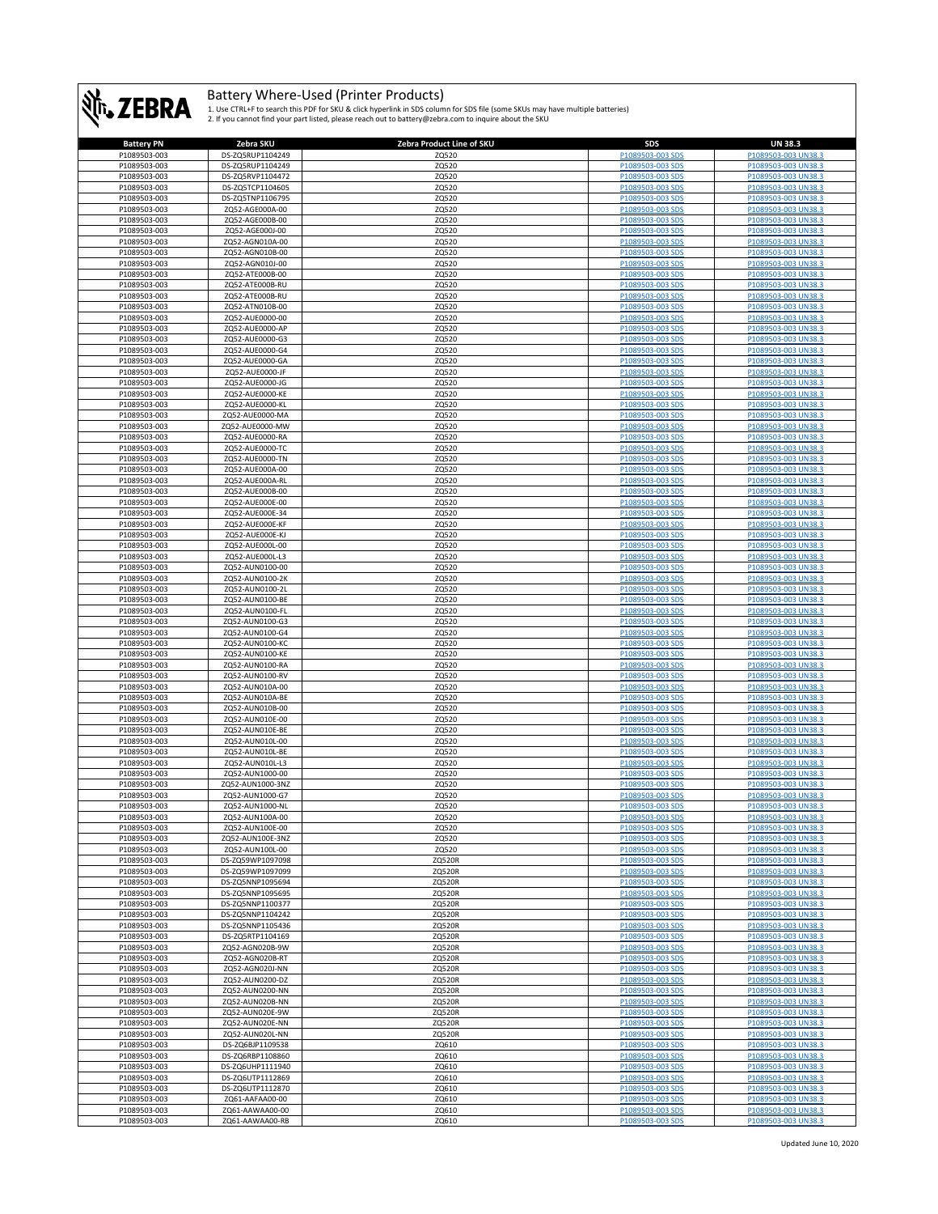

| <b>Battery PN</b> | Zebra SKU        | Zebra Product Line of SKU | SDS              | <b>UN 38.3</b>      |
|-------------------|------------------|---------------------------|------------------|---------------------|
| P1089503-003      | DS-ZQ5RUP1104249 | ZQ520                     | P1089503-003 SDS | P1089503-003 UN38.3 |
| P1089503-003      | DS-ZQ5RUP1104249 | ZQ520                     | P1089503-003 SDS | P1089503-003 UN38.3 |
|                   | DS-ZQ5RVP1104472 |                           |                  | P1089503-003 UN38.3 |
| P1089503-003      |                  | ZQ520                     | P1089503-003 SDS |                     |
| P1089503-003      | DS-ZQ5TCP1104605 | ZQ520                     | P1089503-003 SDS | P1089503-003 UN38.3 |
| P1089503-003      | DS-ZQ5TNP1106795 | ZQ520                     | P1089503-003 SDS | P1089503-003 UN38.3 |
| P1089503-003      | ZQ52-AGE000A-00  | ZQ520                     | P1089503-003 SDS | P1089503-003 UN38.3 |
| P1089503-003      | ZQ52-AGE000B-00  | ZQ520                     | P1089503-003 SDS | P1089503-003 UN38.3 |
|                   |                  |                           |                  |                     |
| P1089503-003      | ZQ52-AGE000J-00  | ZQ520                     | P1089503-003 SDS | P1089503-003 UN38.3 |
| P1089503-003      | ZQ52-AGN010A-00  | ZQ520                     | P1089503-003 SDS | P1089503-003 UN38.3 |
| P1089503-003      | ZQ52-AGN010B-00  | ZQ520                     | P1089503-003 SDS | P1089503-003 UN38.3 |
| P1089503-003      | ZQ52-AGN010J-00  | ZQ520                     | P1089503-003 SDS | P1089503-003 UN38.3 |
| P1089503-003      | ZQ52-ATE000B-00  | ZQ520                     | P1089503-003 SDS | P1089503-003 UN38.3 |
|                   |                  |                           |                  |                     |
| P1089503-003      | ZQ52-ATE000B-RU  | ZQ520                     | P1089503-003 SDS | P1089503-003 UN38.3 |
| P1089503-003      | ZQ52-ATE000B-RU  | ZQ520                     | P1089503-003 SDS | P1089503-003 UN38.3 |
| P1089503-003      | ZQ52-ATN010B-00  | ZQ520                     | P1089503-003 SDS | P1089503-003 UN38.3 |
| P1089503-003      | ZQ52-AUE0000-00  | ZQ520                     | P1089503-003 SDS | P1089503-003 UN38.3 |
| P1089503-003      | ZQ52-AUE0000-AP  | ZQ520                     | P1089503-003 SDS | P1089503-003 UN38.3 |
|                   |                  |                           |                  |                     |
| P1089503-003      | ZQ52-AUE0000-G3  | ZQ520                     | P1089503-003 SDS | P1089503-003 UN38.3 |
| P1089503-003      | ZQ52-AUE0000-G4  | ZQ520                     | P1089503-003 SDS | P1089503-003 UN38.3 |
| P1089503-003      | ZQ52-AUE0000-GA  | ZQ520                     | P1089503-003 SDS | P1089503-003 UN38.3 |
| P1089503-003      | ZQ52-AUE0000-JF  | ZQ520                     | P1089503-003 SDS | P1089503-003 UN38.3 |
| P1089503-003      | ZQ52-AUE0000-JG  | ZQ520                     | P1089503-003 SDS | P1089503-003 UN38.3 |
|                   |                  |                           |                  |                     |
| P1089503-003      | ZQ52-AUE0000-KE  | ZQ520                     | P1089503-003 SDS | P1089503-003 UN38.3 |
| P1089503-003      | ZQ52-AUE0000-KL  | ZQ520                     | P1089503-003 SDS | P1089503-003 UN38.3 |
| P1089503-003      | ZQ52-AUE0000-MA  | ZQ520                     | P1089503-003 SDS | P1089503-003 UN38.3 |
| P1089503-003      | ZQ52-AUE0000-MW  | ZQ520                     | P1089503-003 SDS | P1089503-003 UN38.3 |
|                   |                  |                           |                  |                     |
| P1089503-003      | ZQ52-AUE0000-RA  | ZQ520                     | P1089503-003 SDS | P1089503-003 UN38.3 |
| P1089503-003      | ZQ52-AUE0000-TC  | ZQ520                     | P1089503-003 SDS | P1089503-003 UN38.3 |
| P1089503-003      | ZQ52-AUE0000-TN  | ZQ520                     | P1089503-003 SDS | P1089503-003 UN38.3 |
| P1089503-003      | ZQ52-AUE000A-00  | ZQ520                     | P1089503-003 SDS | P1089503-003 UN38.3 |
| P1089503-003      | ZQ52-AUE000A-RL  | ZQ520                     | P1089503-003 SDS | P1089503-003 UN38.3 |
|                   |                  |                           |                  |                     |
| P1089503-003      | ZQ52-AUE000B-00  | ZQ520                     | P1089503-003 SDS | P1089503-003 UN38.3 |
| P1089503-003      | ZQ52-AUE000E-00  | ZQ520                     | P1089503-003 SDS | P1089503-003 UN38.3 |
| P1089503-003      | ZQ52-AUE000E-34  | ZQ520                     | P1089503-003 SDS | P1089503-003 UN38.3 |
| P1089503-003      | ZQ52-AUE000E-KF  | ZQ520                     | P1089503-003 SDS | P1089503-003 UN38.3 |
| P1089503-003      | ZQ52-AUE000E-KJ  | ZQ520                     | P1089503-003 SDS | P1089503-003 UN38.3 |
|                   |                  |                           |                  |                     |
| P1089503-003      | ZQ52-AUE000L-00  | ZQ520                     | P1089503-003 SDS | P1089503-003 UN38.3 |
| P1089503-003      | ZQ52-AUE000L-L3  | ZQ520                     | P1089503-003 SDS | P1089503-003 UN38.3 |
| P1089503-003      | ZQ52-AUN0100-00  | ZQ520                     | P1089503-003 SDS | P1089503-003 UN38.3 |
| P1089503-003      | ZQ52-AUN0100-2K  | ZQ520                     | P1089503-003 SDS | P1089503-003 UN38.3 |
|                   |                  |                           |                  |                     |
| P1089503-003      | ZQ52-AUN0100-2L  | ZQ520                     | P1089503-003 SDS | P1089503-003 UN38.3 |
| P1089503-003      | ZQ52-AUN0100-BE  | ZQ520                     | P1089503-003 SDS | P1089503-003 UN38.3 |
| P1089503-003      | ZQ52-AUN0100-FL  | ZQ520                     | P1089503-003 SDS | P1089503-003 UN38.3 |
| P1089503-003      | ZQ52-AUN0100-G3  | ZQ520                     | P1089503-003 SDS | P1089503-003 UN38.3 |
| P1089503-003      | ZQ52-AUN0100-G4  | ZQ520                     | P1089503-003 SDS | P1089503-003 UN38.3 |
|                   |                  |                           |                  |                     |
| P1089503-003      | ZQ52-AUN0100-KC  | ZQ520                     | P1089503-003 SDS | P1089503-003 UN38.3 |
| P1089503-003      | ZQ52-AUN0100-KE  | ZQ520                     | P1089503-003 SDS | P1089503-003 UN38.3 |
| P1089503-003      | ZQ52-AUN0100-RA  | ZQ520                     | P1089503-003 SDS | P1089503-003 UN38.3 |
| P1089503-003      | ZQ52-AUN0100-RV  | ZQ520                     | P1089503-003 SDS | P1089503-003 UN38.3 |
| P1089503-003      | ZQ52-AUN010A-00  | ZQ520                     | P1089503-003 SDS | P1089503-003 UN38.3 |
|                   |                  |                           |                  |                     |
| P1089503-003      | ZQ52-AUN010A-BE  | ZQ520                     | P1089503-003 SDS | P1089503-003 UN38.3 |
| P1089503-003      | ZQ52-AUN010B-00  | ZQ520                     | P1089503-003 SDS | P1089503-003 UN38.3 |
| P1089503-003      | ZQ52-AUN010E-00  | ZQ520                     | P1089503-003 SDS | P1089503-003 UN38.3 |
| P1089503-003      | ZQ52-AUN010E-BE  | ZQ520                     | P1089503-003 SDS | P1089503-003 UN38.3 |
| P1089503-003      | ZQ52-AUN010L-00  | ZQ520                     | P1089503-003 SDS | P1089503-003 UN38.3 |
| P1089503-003      |                  | ZQ520                     | P1089503-003 SDS |                     |
|                   | ZQ52-AUN010L-BE  |                           |                  | P1089503-003 UN38.3 |
| P1089503-003      | ZQ52-AUN010L-L3  | ZQ520                     | P1089503-003 SDS | P1089503-003 UN38.3 |
| P1089503-003      | ZQ52-AUN1000-00  | ZQ520                     | P1089503-003 SDS | P1089503-003 UN38.3 |
| P1089503-003      | ZQ52-AUN1000-3NZ | ZQ520                     | P1089503-003 SDS | P1089503-003 UN38.3 |
| P1089503-003      | ZQ52-AUN1000-G7  | ZQ520                     | P1089503-003 SDS | P1089503-003 UN38.3 |
| P1089503-003      | ZQ52-AUN1000-NL  |                           | P1089503-003 SDS |                     |
|                   |                  | ZQ520                     |                  | P1089503-003 UN38.3 |
| P1089503-003      | ZQ52-AUN100A-00  | ZQ520                     |                  |                     |
| P1089503-003      | ZQ52-AUN100E-00  | ZQ520                     | P1089503-003 SDS | P1089503-003 UN38.3 |
| P1089503-003      | ZQ52-AUN100E-3NZ | ZQ520                     | P1089503-003 SDS | P1089503-003 UN38.3 |
| P1089503-003      | ZQ52-AUN100L-00  | ZQ520                     | P1089503-003 SDS | P1089503-003 UN38.3 |
| P1089503-003      | DS-ZQ59WP1097098 | ZQ520R                    | P1089503-003 SDS | P1089503-003 UN38.3 |
|                   |                  |                           |                  |                     |
| P1089503-003      | DS-ZQ59WP1097099 | ZQ520R                    | P1089503-003 SDS | P1089503-003 UN38.3 |
| P1089503-003      | DS-ZQ5NNP1095694 | ZQ520R                    | P1089503-003 SDS | P1089503-003 UN38.3 |
| P1089503-003      | DS-ZQ5NNP1095695 | ZQ520R                    | P1089503-003 SDS | P1089503-003 UN38.3 |
| P1089503-003      | DS-ZQ5NNP1100377 | ZQ520R                    | P1089503-003 SDS | P1089503-003 UN38.3 |
| P1089503-003      | DS-ZQ5NNP1104242 | ZQ520R                    | P1089503-003 SDS | P1089503-003 UN38.3 |
|                   |                  |                           |                  |                     |
| P1089503-003      | DS-ZQ5NNP1105436 | ZQ520R                    | P1089503-003 SDS | P1089503-003 UN38.3 |
| P1089503-003      | DS-ZQ5RTP1104169 | ZQ520R                    | P1089503-003 SDS | P1089503-003 UN38.3 |
| P1089503-003      | ZQ52-AGN020B-9W  | ZQ520R                    | P1089503-003 SDS | P1089503-003 UN38.3 |
| P1089503-003      | ZQ52-AGN020B-RT  | ZQ520R                    | P1089503-003 SDS | P1089503-003 UN38.3 |
| P1089503-003      | ZQ52-AGN020J-NN  | ZQ520R                    | P1089503-003 SDS | P1089503-003 UN38.3 |
|                   |                  |                           |                  |                     |
| P1089503-003      | ZQ52-AUN0200-DZ  | ZQ520R                    | P1089503-003 SDS | P1089503-003 UN38.3 |
| P1089503-003      | ZQ52-AUN0200-NN  | ZQ520R                    | P1089503-003 SDS | P1089503-003 UN38.3 |
| P1089503-003      | ZQ52-AUN020B-NN  | ZQ520R                    | P1089503-003 SDS | P1089503-003 UN38.3 |
| P1089503-003      | ZQ52-AUN020E-9W  | ZQ520R                    | P1089503-003 SDS | P1089503-003 UN38.3 |
|                   |                  |                           |                  |                     |
| P1089503-003      | ZQ52-AUN020E-NN  | ZQ520R                    | P1089503-003 SDS | P1089503-003 UN38.3 |
| P1089503-003      | ZQ52-AUN020L-NN  | ZQ520R                    | P1089503-003 SDS | P1089503-003 UN38.3 |
| P1089503-003      | DS-ZQ6BJP1109538 | ZQ610                     | P1089503-003 SDS | P1089503-003 UN38.3 |
| P1089503-003      | DS-ZQ6RBP1108860 | ZQ610                     | P1089503-003 SDS | P1089503-003 UN38.3 |
| P1089503-003      | DS-ZQ6UHP1111940 | ZQ610                     | P1089503-003 SDS | P1089503-003 UN38.3 |
|                   |                  |                           |                  |                     |
| P1089503-003      | DS-ZQ6UTP1112869 | ZQ610                     | P1089503-003 SDS | P1089503-003 UN38.3 |
| P1089503-003      | DS-ZQ6UTP1112870 | ZQ610                     | P1089503-003 SDS | P1089503-003 UN38.3 |
| P1089503-003      | ZQ61-AAFAA00-00  | ZQ610                     | P1089503-003 SDS | P1089503-003 UN38.3 |
| P1089503-003      | ZQ61-AAWAA00-00  | ZQ610                     | P1089503-003 SDS | P1089503-003 UN38.3 |
| P1089503-003      | ZQ61-AAWAA00-RB  | ZQ610                     | P1089503-003 SDS | P1089503-003 UN38.3 |
|                   |                  |                           |                  |                     |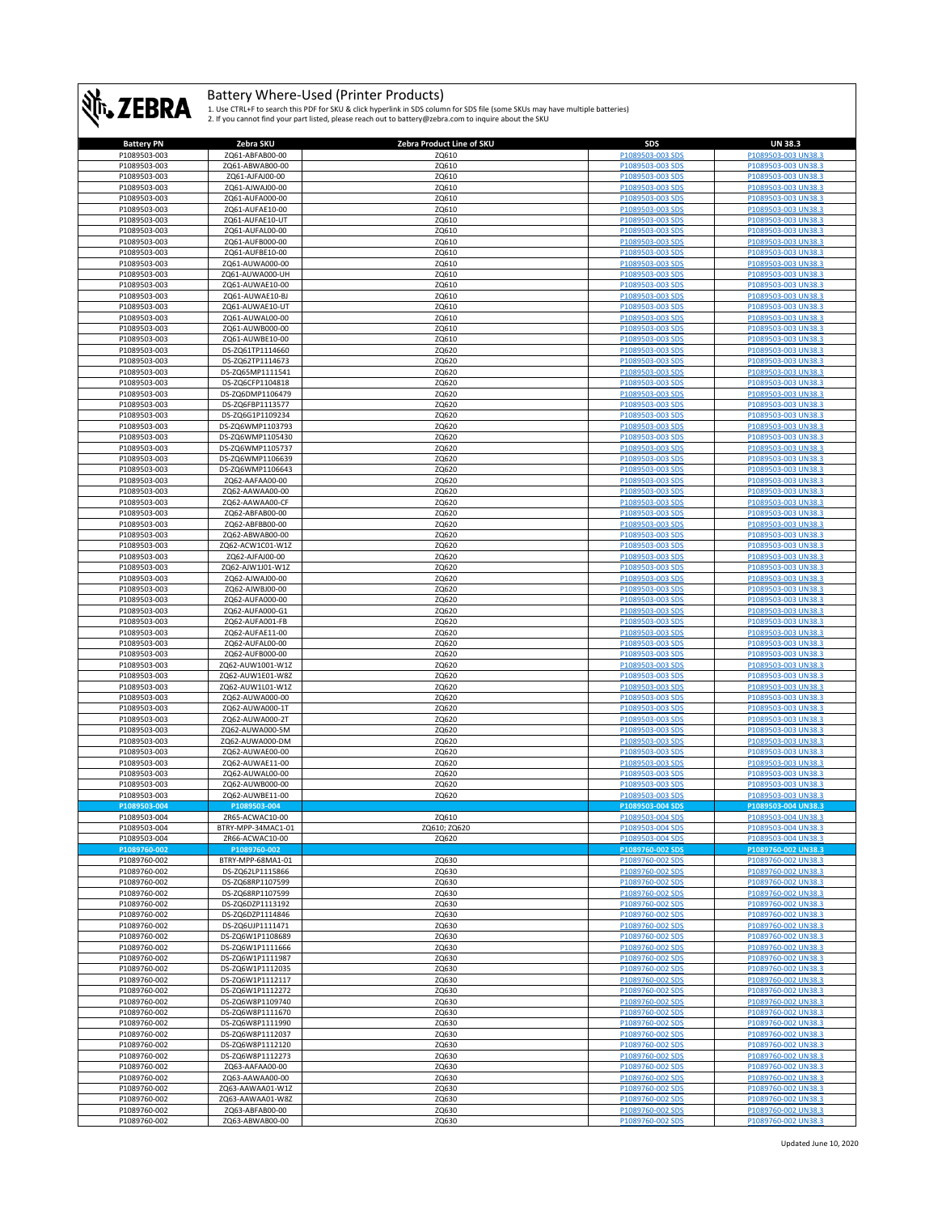

| <b>Battery PN</b> | Zebra SKU          | Zebra Product Line of SKU | SDS              | <b>UN 38.3</b>      |
|-------------------|--------------------|---------------------------|------------------|---------------------|
| P1089503-003      | ZQ61-ABFAB00-00    | ZQ610                     | P1089503-003 SDS | P1089503-003 UN38.3 |
| P1089503-003      | ZQ61-ABWAB00-00    | ZQ610                     | P1089503-003 SDS | P1089503-003 UN38.3 |
| P1089503-003      | ZQ61-AJFAJ00-00    | ZQ610                     | P1089503-003 SDS | P1089503-003 UN38.3 |
|                   |                    |                           | P1089503-003 SDS | P1089503-003 UN38.3 |
| P1089503-003      | ZQ61-AJWAJ00-00    | ZQ610                     |                  |                     |
| P1089503-003      | ZQ61-AUFA000-00    | ZQ610                     | P1089503-003 SDS | P1089503-003 UN38.3 |
| P1089503-003      | ZQ61-AUFAE10-00    | ZQ610                     | P1089503-003 SDS | P1089503-003 UN38.3 |
| P1089503-003      | ZQ61-AUFAE10-UT    | ZQ610                     | P1089503-003 SDS | P1089503-003 UN38.3 |
| P1089503-003      | ZQ61-AUFAL00-00    | ZQ610                     | P1089503-003 SDS | P1089503-003 UN38.3 |
| P1089503-003      | ZQ61-AUFB000-00    | ZQ610                     | P1089503-003 SDS | P1089503-003 UN38.3 |
| P1089503-003      | ZQ61-AUFBE10-00    | ZQ610                     | P1089503-003 SDS | P1089503-003 UN38.3 |
| P1089503-003      | ZQ61-AUWA000-00    | ZQ610                     | P1089503-003 SDS | P1089503-003 UN38.3 |
|                   |                    |                           | P1089503-003 SDS | P1089503-003 UN38.3 |
| P1089503-003      | ZQ61-AUWA000-UH    | ZQ610                     |                  |                     |
| P1089503-003      | ZQ61-AUWAE10-00    | ZQ610                     | P1089503-003 SDS | P1089503-003 UN38.3 |
| P1089503-003      | ZQ61-AUWAE10-BJ    | ZQ610                     | P1089503-003 SDS | P1089503-003 UN38.3 |
| P1089503-003      | ZQ61-AUWAE10-UT    | ZQ610                     | P1089503-003 SDS | P1089503-003 UN38.3 |
| P1089503-003      | ZQ61-AUWAL00-00    | ZQ610                     | P1089503-003 SDS | P1089503-003 UN38.3 |
| P1089503-003      | ZQ61-AUWB000-00    | ZQ610                     | P1089503-003 SDS | P1089503-003 UN38.3 |
| P1089503-003      | ZQ61-AUWBE10-00    | ZQ610                     | P1089503-003 SDS | P1089503-003 UN38.3 |
| P1089503-003      | DS-ZQ61TP1114660   | ZQ620                     | P1089503-003 SDS | P1089503-003 UN38.3 |
| P1089503-003      | DS-ZQ62TP1114673   | ZQ620                     | P1089503-003 SDS | P1089503-003 UN38.3 |
|                   |                    |                           |                  |                     |
| P1089503-003      | DS-ZQ65MP1111541   | ZQ620                     | P1089503-003 SDS | P1089503-003 UN38.3 |
| P1089503-003      | DS-ZQ6CFP1104818   | ZQ620                     | P1089503-003 SDS | P1089503-003 UN38.3 |
| P1089503-003      | DS-ZQ6DMP1106479   | ZQ620                     | P1089503-003 SDS | P1089503-003 UN38.3 |
| P1089503-003      | DS-ZQ6FBP1113577   | ZQ620                     | P1089503-003 SDS | P1089503-003 UN38.3 |
| P1089503-003      | DS-ZQ6G1P1109234   | ZQ620                     | P1089503-003 SDS | P1089503-003 UN38.3 |
| P1089503-003      | DS-ZQ6WMP1103793   | ZQ620                     | P1089503-003 SDS | P1089503-003 UN38.3 |
| P1089503-003      | DS-ZQ6WMP1105430   | ZQ620                     | P1089503-003 SDS | P1089503-003 UN38.3 |
| P1089503-003      | DS-ZQ6WMP1105737   | ZQ620                     | P1089503-003 SDS | P1089503-003 UN38.3 |
|                   |                    |                           |                  | P1089503-003 UN38.3 |
| P1089503-003      | DS-ZQ6WMP1106639   | ZQ620                     | P1089503-003 SDS |                     |
| P1089503-003      | DS-ZQ6WMP1106643   | ZQ620                     | P1089503-003 SDS | P1089503-003 UN38.3 |
| P1089503-003      | ZQ62-AAFAA00-00    | ZQ620                     | P1089503-003 SDS | P1089503-003 UN38.3 |
| P1089503-003      | ZQ62-AAWAA00-00    | ZQ620                     | P1089503-003 SDS | P1089503-003 UN38.3 |
| P1089503-003      | ZQ62-AAWAA00-CF    | ZQ620                     | P1089503-003 SDS | P1089503-003 UN38.3 |
| P1089503-003      | ZQ62-ABFAB00-00    | ZQ620                     | P1089503-003 SDS | P1089503-003 UN38.3 |
| P1089503-003      | ZQ62-ABFBB00-00    | ZQ620                     | P1089503-003 SDS | P1089503-003 UN38.3 |
| P1089503-003      | ZQ62-ABWAB00-00    | ZQ620                     | P1089503-003 SDS | P1089503-003 UN38.3 |
| P1089503-003      | ZQ62-ACW1C01-W1Z   | ZQ620                     | P1089503-003 SDS | P1089503-003 UN38.3 |
|                   |                    |                           |                  | P1089503-003 UN38.3 |
| P1089503-003      | ZQ62-AJFAJ00-00    | ZQ620                     | P1089503-003 SDS |                     |
| P1089503-003      | ZQ62-AJW1J01-W1Z   | ZQ620                     | P1089503-003 SDS | P1089503-003 UN38.3 |
| P1089503-003      | ZQ62-AJWAJ00-00    | ZQ620                     | P1089503-003 SDS | P1089503-003 UN38.3 |
| P1089503-003      | ZQ62-AJWBJ00-00    | ZQ620                     | P1089503-003 SDS | P1089503-003 UN38.3 |
| P1089503-003      | ZQ62-AUFA000-00    | ZQ620                     | P1089503-003 SDS | P1089503-003 UN38.3 |
| P1089503-003      | ZQ62-AUFA000-G1    | ZQ620                     | P1089503-003 SDS | P1089503-003 UN38.3 |
| P1089503-003      | ZQ62-AUFA001-FB    | ZQ620                     | P1089503-003 SDS | P1089503-003 UN38.3 |
| P1089503-003      | ZQ62-AUFAE11-00    | ZQ620                     | P1089503-003 SDS | P1089503-003 UN38.3 |
| P1089503-003      | ZQ62-AUFAL00-00    | ZQ620                     | P1089503-003 SDS | P1089503-003 UN38.3 |
|                   |                    |                           |                  |                     |
| P1089503-003      | ZQ62-AUFB000-00    | ZQ620                     | P1089503-003 SDS | P1089503-003 UN38.3 |
| P1089503-003      | ZQ62-AUW1001-W1Z   | ZQ620                     | P1089503-003 SDS | P1089503-003 UN38.3 |
| P1089503-003      | ZQ62-AUW1E01-W8Z   | ZQ620                     | P1089503-003 SDS | P1089503-003 UN38.3 |
| P1089503-003      | ZQ62-AUW1L01-W1Z   | ZQ620                     | P1089503-003 SDS | P1089503-003 UN38.3 |
| P1089503-003      | ZQ62-AUWA000-00    | ZQ620                     | P1089503-003 SDS | P1089503-003 UN38.3 |
| P1089503-003      | ZQ62-AUWA000-1T    | ZQ620                     | P1089503-003 SDS | P1089503-003 UN38.3 |
| P1089503-003      | ZQ62-AUWA000-2T    | ZQ620                     | P1089503-003 SDS | P1089503-003 UN38.3 |
| P1089503-003      | ZQ62-AUWA000-5M    | ZQ620                     | P1089503-003 SDS | P1089503-003 UN38.3 |
| P1089503-003      | ZQ62-AUWA000-DM    | ZQ620                     | P1089503-003 SDS | P1089503-003 UN38.3 |
|                   |                    |                           |                  |                     |
| P1089503-003      | ZQ62-AUWAE00-00    | ZQ620                     | P1089503-003 SDS | P1089503-003 UN38.3 |
| P1089503-003      | ZQ62-AUWAE11-00    | ZQ620                     | P1089503-003 SDS | P1089503-003 UN38.3 |
| P1089503-003      | ZQ62-AUWAL00-00    | ZQ620                     | P1089503-003 SDS | P1089503-003 UN38.3 |
| P1089503-003      | ZQ62-AUWB000-00    | ZQ620                     | P1089503-003 SDS | P1089503-003 UN38.3 |
| P1089503-003      | ZQ62-AUWBE11-00    | ZQ620                     | P1089503-003 SDS | P1089503-003 UN38.3 |
| P1089503-004      | P1089503-004       |                           | P1089503-004 SDS | P1089503-004 UN38.3 |
| P1089503-004      | ZR65-ACWAC10-00    | ZQ610                     |                  |                     |
| P1089503-004      | BTRY-MPP-34MAC1-01 | ZQ610; ZQ620              | P1089503-004 SDS | P1089503-004 UN38.3 |
| P1089503-004      | ZR66-ACWAC10-00    | ZQ620                     | P1089503-004 SDS | P1089503-004 UN38.3 |
| P1089760-002      | P1089760-002       |                           | P1089760-002 SDS | P1089760-002 UN38.3 |
| P1089760-002      | BTRY-MPP-68MA1-01  | ZQ630                     | P1089760-002 SDS | P1089760-002 UN38.3 |
| P1089760-002      | DS-ZQ62LP1115866   | ZQ630                     | P1089760-002 SDS | P1089760-002 UN38.3 |
|                   |                    |                           |                  |                     |
| P1089760-002      | DS-ZQ68RP1107599   | ZQ630                     | P1089760-002 SDS | P1089760-002 UN38.3 |
| P1089760-002      | DS-ZQ68RP1107599   | ZQ630                     | P1089760-002 SDS | P1089760-002 UN38.3 |
| P1089760-002      | DS-ZQ6DZP1113192   | ZQ630                     | P1089760-002 SDS | P1089760-002 UN38.3 |
| P1089760-002      | DS-ZQ6DZP1114846   | ZQ630                     | P1089760-002 SDS | P1089760-002 UN38.3 |
| P1089760-002      | DS-ZQ6UJP1111471   | ZQ630                     | P1089760-002 SDS | P1089760-002 UN38.3 |
| P1089760-002      | DS-ZQ6W1P1108689   | ZQ630                     | P1089760-002 SDS | P1089760-002 UN38.3 |
| P1089760-002      | DS-ZQ6W1P1111666   | ZQ630                     | P1089760-002 SDS | P1089760-002 UN38.3 |
| P1089760-002      | DS-ZQ6W1P1111987   | ZQ630                     | P1089760-002 SDS | P1089760-002 UN38.3 |
| P1089760-002      | DS-ZQ6W1P1112035   | ZQ630                     | P1089760-002 SDS | P1089760-002 UN38.3 |
| P1089760-002      | DS-ZQ6W1P1112117   | ZQ630                     | P1089760-002 SDS | P1089760-002 UN38.3 |
| P1089760-002      | DS-ZQ6W1P1112272   | ZQ630                     | P1089760-002 SDS | P1089760-002 UN38.3 |
|                   | DS-ZQ6W8P1109740   |                           |                  | P1089760-002 UN38.3 |
| P1089760-002      |                    | ZQ630                     | P1089760-002 SDS |                     |
| P1089760-002      | DS-ZQ6W8P1111670   | ZQ630                     | P1089760-002 SDS | P1089760-002 UN38.3 |
| P1089760-002      | DS-ZQ6W8P1111990   | ZQ630                     | P1089760-002 SDS | P1089760-002 UN38.3 |
| P1089760-002      | DS-ZQ6W8P1112037   | ZQ630                     | P1089760-002 SDS | P1089760-002 UN38.3 |
| P1089760-002      | DS-ZQ6W8P1112120   | ZQ630                     | P1089760-002 SDS | P1089760-002 UN38.3 |
| P1089760-002      | DS-ZQ6W8P1112273   | ZQ630                     | P1089760-002 SDS | P1089760-002 UN38.3 |
| P1089760-002      | ZQ63-AAFAA00-00    | ZQ630                     | P1089760-002 SDS | P1089760-002 UN38.3 |
| P1089760-002      | ZQ63-AAWAA00-00    | ZQ630                     | P1089760-002 SDS | P1089760-002 UN38.3 |
| P1089760-002      | ZQ63-AAWAA01-W1Z   | ZQ630                     | P1089760-002 SDS | P1089760-002 UN38.3 |
| P1089760-002      | ZQ63-AAWAA01-W8Z   | ZQ630                     | P1089760-002 SDS | P1089760-002 UN38.3 |
|                   |                    |                           |                  |                     |
| P1089760-002      | ZQ63-ABFAB00-00    | ZQ630                     | P1089760-002 SDS | P1089760-002 UN38.3 |
| P1089760-002      | ZQ63-ABWAB00-00    | ZQ630                     | P1089760-002 SDS | P1089760-002 UN38.3 |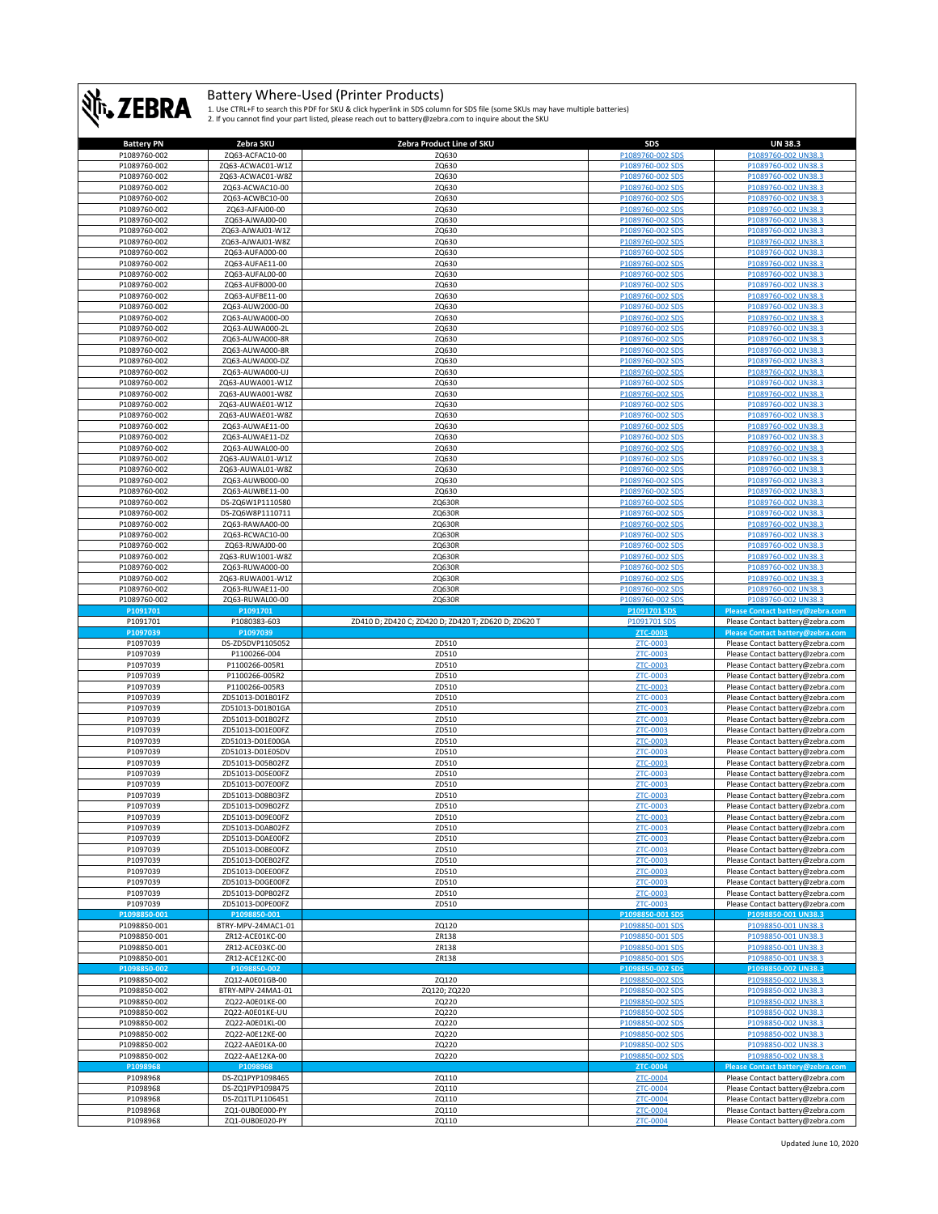

| <b>Battery PN</b>    | Zebra SKU                          | Zebra Product Line of SKU                            | SDS                  | <b>UN 38.3</b>                                                       |
|----------------------|------------------------------------|------------------------------------------------------|----------------------|----------------------------------------------------------------------|
| P1089760-002         | ZQ63-ACFAC10-00                    | ZQ630                                                | P1089760-002 SDS     | P1089760-002 UN38.3                                                  |
| P1089760-002         | ZQ63-ACWAC01-W1Z                   | ZQ630                                                | P1089760-002 SDS     | P1089760-002 UN38.3                                                  |
|                      |                                    |                                                      |                      |                                                                      |
| P1089760-002         | ZQ63-ACWAC01-W8Z                   | ZQ630                                                | P1089760-002 SDS     | P1089760-002 UN38.3                                                  |
| P1089760-002         | ZQ63-ACWAC10-00                    | ZQ630                                                | P1089760-002 SDS     | P1089760-002 UN38.3                                                  |
| P1089760-002         | ZQ63-ACWBC10-00                    | ZQ630                                                | P1089760-002 SDS     | P1089760-002 UN38.3                                                  |
| P1089760-002         | ZQ63-AJFAJ00-00                    | ZQ630                                                | P1089760-002 SDS     | P1089760-002 UN38.3                                                  |
| P1089760-002         | ZQ63-AJWAJ00-00                    | ZQ630                                                | P1089760-002 SDS     | P1089760-002 UN38.                                                   |
|                      |                                    |                                                      |                      |                                                                      |
| P1089760-002         | ZQ63-AJWAJ01-W1Z                   | ZQ630                                                | P1089760-002 SDS     | P1089760-002 UN38.3                                                  |
| P1089760-002         | ZQ63-AJWAJ01-W8Z                   | ZQ630                                                | P1089760-002 SDS     | P1089760-002 UN38.3                                                  |
| P1089760-002         | ZQ63-AUFA000-00                    | ZQ630                                                | P1089760-002 SDS     | P1089760-002 UN38.3                                                  |
| P1089760-002         | ZQ63-AUFAE11-00                    | ZQ630                                                | P1089760-002 SDS     | P1089760-002 UN38.3                                                  |
| P1089760-002         | ZQ63-AUFAL00-00                    | ZQ630                                                | P1089760-002 SDS     | P1089760-002 UN38.3                                                  |
|                      |                                    |                                                      |                      |                                                                      |
| P1089760-002         | ZQ63-AUFB000-00                    | ZQ630                                                | P1089760-002 SDS     | P1089760-002 UN38.3                                                  |
| P1089760-002         | ZQ63-AUFBE11-00                    | ZQ630                                                | P1089760-002 SDS     | P1089760-002 UN38.3                                                  |
| P1089760-002         | ZQ63-AUW2000-00                    | ZQ630                                                | P1089760-002 SDS     | P1089760-002 UN38.3                                                  |
| P1089760-002         | ZQ63-AUWA000-00                    | ZQ630                                                | P1089760-002 SDS     | P1089760-002 UN38.3                                                  |
|                      |                                    |                                                      |                      | P1089760-002 UN38.3                                                  |
| P1089760-002         | ZQ63-AUWA000-2L                    | ZQ630                                                | P1089760-002 SDS     |                                                                      |
| P1089760-002         | ZQ63-AUWA000-8R                    | ZQ630                                                | P1089760-002 SDS     | P1089760-002 UN38.                                                   |
| P1089760-002         | ZQ63-AUWA000-8R                    | ZQ630                                                | P1089760-002 SDS     | P1089760-002 UN38.3                                                  |
| P1089760-002         | ZQ63-AUWA000-DZ                    | ZQ630                                                | P1089760-002 SDS     | P1089760-002 UN38.3                                                  |
| P1089760-002         | ZQ63-AUWA000-UJ                    | ZQ630                                                | P1089760-002 SDS     | P1089760-002 UN38.3                                                  |
|                      |                                    |                                                      |                      |                                                                      |
| P1089760-002         | ZQ63-AUWA001-W1Z                   | ZQ630                                                | P1089760-002 SDS     | P1089760-002 UN38.3                                                  |
| P1089760-002         | ZQ63-AUWA001-W8Z                   | ZQ630                                                | P1089760-002 SDS     | P1089760-002 UN38.3                                                  |
| P1089760-002         | ZQ63-AUWAE01-W1Z                   | ZQ630                                                | P1089760-002 SDS     | P1089760-002 UN38.3                                                  |
| P1089760-002         | ZQ63-AUWAE01-W8Z                   | ZQ630                                                | P1089760-002 SDS     | P1089760-002 UN38.3                                                  |
| P1089760-002         | ZQ63-AUWAE11-00                    | ZQ630                                                | P1089760-002 SDS     | P1089760-002 UN38.3                                                  |
|                      |                                    |                                                      |                      |                                                                      |
| P1089760-002         | ZQ63-AUWAE11-DZ                    | ZQ630                                                | P1089760-002 SDS     | P1089760-002 UN38.3                                                  |
| P1089760-002         | ZQ63-AUWAL00-00                    | ZQ630                                                | P1089760-002 SDS     | P1089760-002 UN38.3                                                  |
| P1089760-002         | ZQ63-AUWAL01-W1Z                   | ZQ630                                                | P1089760-002 SDS     | P1089760-002 UN38.3                                                  |
| P1089760-002         | ZQ63-AUWAL01-W8Z                   | ZQ630                                                | P1089760-002 SDS     | P1089760-002 UN38.3                                                  |
|                      |                                    |                                                      |                      |                                                                      |
| P1089760-002         | ZQ63-AUWB000-00                    | ZQ630                                                | P1089760-002 SDS     | P1089760-002 UN38.3                                                  |
| P1089760-002         | ZQ63-AUWBE11-00                    | ZQ630                                                | P1089760-002 SDS     | P1089760-002 UN38.3                                                  |
| P1089760-002         | DS-ZQ6W1P1110580                   | ZQ630R                                               | P1089760-002 SDS     | P1089760-002 UN38.3                                                  |
| P1089760-002         | DS-ZQ6W8P1110711                   | ZQ630R                                               | P1089760-002 SDS     | P1089760-002 UN38.3                                                  |
| P1089760-002         |                                    |                                                      | P1089760-002 SD      |                                                                      |
|                      | ZQ63-RAWAA00-00                    | ZQ630R                                               |                      | P1089760-002 UN38.3                                                  |
| P1089760-002         | ZQ63-RCWAC10-00                    | ZQ630R                                               | P1089760-002 SDS     | P1089760-002 UN38.3                                                  |
| P1089760-002         | ZQ63-RJWAJ00-00                    | ZQ630R                                               | P1089760-002 SDS     | P1089760-002 UN38.3                                                  |
| P1089760-002         | ZQ63-RUW1001-W8Z                   | ZQ630R                                               | P1089760-002 SDS     | P1089760-002 UN38.3                                                  |
| P1089760-002         |                                    |                                                      | P1089760-002 SDS     | P1089760-002 UN38.3                                                  |
|                      | ZQ63-RUWA000-00                    | ZQ630R                                               |                      |                                                                      |
| P1089760-002         | ZQ63-RUWA001-W1Z                   | ZQ630R                                               | P1089760-002 SDS     | P1089760-002 UN38.3                                                  |
| P1089760-002         | ZQ63-RUWAE11-00                    | ZQ630R                                               | P1089760-002 SDS     | P1089760-002 UN38.3                                                  |
| P1089760-002         | ZQ63-RUWAL00-00                    | ZQ630R                                               | P1089760-002 SDS     | P1089760-002 UN38.3                                                  |
| P1091701             | P1091701                           |                                                      | P1091701 SDS         | Please Contact battery@zebra.com                                     |
|                      |                                    |                                                      | P1091701 SDS         | Please Contact battery@zebra.com                                     |
| P1091701             | P1080383-603                       |                                                      |                      |                                                                      |
|                      |                                    | ZD410 D; ZD420 C; ZD420 D; ZD420 T; ZD620 D; ZD620 T |                      |                                                                      |
| P1097039             | P1097039                           |                                                      | ZTC-0003             | Please Contact battery@zebra.com                                     |
|                      |                                    |                                                      |                      |                                                                      |
| P1097039             | DS-ZD5DVP1105052                   | ZD510                                                | ZTC-0003             | Please Contact battery@zebra.com                                     |
| P1097039             | P1100266-004                       | ZD510                                                | ZTC-0003             | Please Contact battery@zebra.com                                     |
| P1097039             | P1100266-005R1                     | ZD510                                                | ZTC-0003             | Please Contact battery@zebra.com                                     |
| P1097039             | P1100266-005R2                     | ZD510                                                | ZTC-0003             | Please Contact battery@zebra.com                                     |
| P1097039             | P1100266-005R3                     | ZD510                                                | ZTC-0003             | Please Contact battery@zebra.com                                     |
|                      |                                    |                                                      |                      |                                                                      |
| P1097039             | ZD51013-D01B01FZ                   | ZD510                                                | ZTC-0003             | Please Contact battery@zebra.com                                     |
| P1097039             | ZD51013-D01B01GA                   | ZD510                                                | ZTC-0003             | Please Contact battery@zebra.com                                     |
| P1097039             | ZD51013-D01B02FZ                   | ZD510                                                | <b>ZTC-0003</b>      | Please Contact battery@zebra.com                                     |
| P1097039             | ZD51013-D01E00FZ                   | ZD510                                                | ZTC-0003             | Please Contact battery@zebra.com                                     |
| P1097039             | ZD51013-D01E00GA                   | ZD510                                                | ZTC-0003             | Please Contact battery@zebra.com                                     |
|                      |                                    |                                                      |                      |                                                                      |
| P1097039             | ZD51013-D01E05DV                   | ZD510                                                | ZTC-0003             | Please Contact battery@zebra.com                                     |
| P1097039             | ZD51013-D05B02FZ                   | ZD510                                                | <b>ZTC-0003</b>      | Please Contact battery@zebra.com                                     |
| P1097039             | ZD51013-D05E00FZ                   | ZD510                                                | ZTC-0003             | Please Contact battery@zebra.com                                     |
| P1097039             | ZD51013-D07E00FZ                   | ZD510                                                | ZTC-0003             | Please Contact battery@zebra.com                                     |
|                      |                                    |                                                      |                      |                                                                      |
| P1097039             | ZD51013-D08B03FZ                   | ZD510                                                | ZTC-0003             | Please Contact battery@zebra.com                                     |
| P1097039             | ZD51013-D09B02FZ                   | ZD510                                                | ZTC-0003             | Please Contact battery@zebra.com                                     |
| P1097039             | 7D51013-D09F00F7                   | <b>7D510</b>                                         | <b>7TC-0003</b>      | Please Contact hattery@zehra.com                                     |
| P1097039             | ZD51013-D0AB02FZ                   | ZD510                                                | ZTC-0003             | Please Contact battery@zebra.com                                     |
| P1097039             | ZD51013-D0AE00FZ                   | ZD510                                                | ZTC-0003             | Please Contact battery@zebra.com                                     |
| P1097039             | ZD51013-D0BE00FZ                   | ZD510                                                | ZTC-0003             | Please Contact battery@zebra.com                                     |
|                      |                                    |                                                      |                      |                                                                      |
| P1097039             | ZD51013-D0EB02FZ                   | ZD510                                                | ZTC-0003             | Please Contact battery@zebra.com                                     |
| P1097039             | ZD51013-D0EE00FZ                   | ZD510                                                | ZTC-0003             | Please Contact battery@zebra.com                                     |
| P1097039             | ZD51013-D0GE00FZ                   | ZD510                                                | ZTC-0003             | Please Contact battery@zebra.com                                     |
|                      |                                    |                                                      |                      |                                                                      |
| P1097039             | ZD51013-D0PB02FZ                   | ZD510                                                | ZTC-0003             | Please Contact battery@zebra.com                                     |
| P1097039             | ZD51013-D0PE00FZ                   | ZD510                                                | ZTC-0003             | Please Contact battery@zebra.com                                     |
| P1098850-001         | P1098850-001                       |                                                      | P1098850-001 SDS     | P1098850-001 UN38.3                                                  |
| P1098850-001         | BTRY-MPV-24MAC1-01                 | ZQ120                                                | P1098850-001 SDS     | P1098850-001 UN38.3                                                  |
| P1098850-001         | ZR12-ACE01KC-00                    | ZR138                                                | P1098850-001 SDS     | P1098850-001 UN38.3                                                  |
| P1098850-001         | ZR12-ACE03KC-00                    | ZR138                                                | P1098850-001 SDS     | P1098850-001 UN38.3                                                  |
|                      |                                    |                                                      |                      |                                                                      |
| P1098850-001         | ZR12-ACE12KC-00                    | ZR138                                                | P1098850-001 SDS     | P1098850-001 UN38.3                                                  |
| P1098850-002         | P1098850-002                       |                                                      | P1098850-002 SDS     | P1098850-002 UN38.3                                                  |
| P1098850-002         | ZO12-A0E01GB-00                    | ZQ120                                                | P1098850-002 SDS     | P1098850-002 UN38.3                                                  |
| P1098850-002         | BTRY-MPV-24MA1-01                  | ZQ120; ZQ220                                         | P1098850-002 SDS     | P1098850-002 UN38.3                                                  |
|                      |                                    |                                                      | P1098850-002 SDS     | P1098850-002 UN38.3                                                  |
| P1098850-002         | ZQ22-A0E01KE-00                    | ZQ220                                                |                      |                                                                      |
| P1098850-002         | ZQ22-A0E01KE-UU                    | ZQ220                                                | P1098850-002 SDS     | P1098850-002 UN38.3                                                  |
| P1098850-002         | ZQ22-A0E01KL-00                    | ZQ220                                                | P1098850-002 SDS     | P1098850-002 UN38.3                                                  |
| P1098850-002         | ZQ22-A0E12KE-00                    | ZQ220                                                | P1098850-002 SDS     | P1098850-002 UN38.3                                                  |
| P1098850-002         | ZQ22-AAE01KA-00                    | ZQ220                                                | P1098850-002 SDS     | P1098850-002 UN38.3                                                  |
|                      |                                    |                                                      |                      |                                                                      |
| P1098850-002         | ZQ22-AAE12KA-00                    | ZQ220                                                | P1098850-002 SDS     | P1098850-002 UN38.3                                                  |
| P1098968             | P1098968                           |                                                      | ZTC-0004             | Please Contact battery@zebra.com                                     |
| P1098968             | DS-ZQ1PYP1098465                   | ZQ110                                                | ZTC-0004             | Please Contact battery@zebra.com                                     |
| P1098968             | DS-ZQ1PYP1098475                   | ZQ110                                                | ZTC-0004             | Please Contact battery@zebra.com                                     |
|                      |                                    |                                                      |                      |                                                                      |
| P1098968             | DS-ZQ1TLP1106451                   | ZQ110                                                | ZTC-0004             | Please Contact battery@zebra.com                                     |
| P1098968<br>P1098968 | ZQ1-0UB0E000-PY<br>ZQ1-0UB0E020-PY | ZQ110<br>ZQ110                                       | ZTC-0004<br>ZTC-0004 | Please Contact battery@zebra.com<br>Please Contact battery@zebra.com |